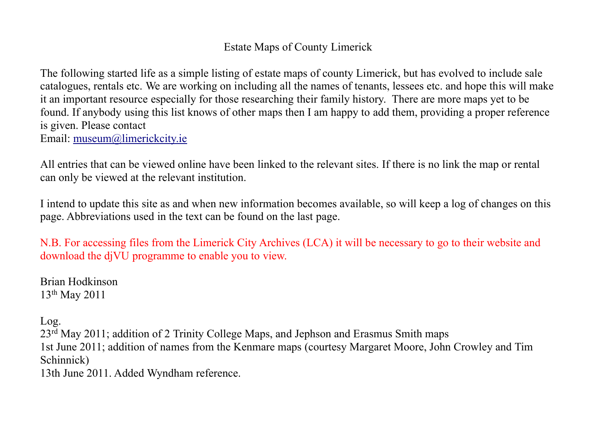## Estate Maps of County Limerick

The following started life as a simple listing of estate maps of county Limerick, but has evolved to include sale catalogues, rentals etc. We are working on including all the names of tenants, lessees etc. and hope this will make it an important resource especially for those researching their family history. There are more maps yet to be found. If anybody using this list knows of other maps then I am happy to add them, providing a proper reference is given. Please contact Email: museum@limerickcity.ie

All entries that can be viewed online have been linked to the relevant sites. If there is no link the map or rental can only be viewed at the relevant institution.

I intend to update this site as and when new information becomes available, so will keep a log of changes on this page. Abbreviations used in the text can be found on the last page.

N.B. For accessing files from the Limerick City Archives (LCA) it will be necessary to go to their website and download the djVU programme to enable you to view.

Brian Hodkinson 13th May 2011

Log. 23rd May 2011; addition of 2 Trinity College Maps, and Jephson and Erasmus Smith maps 1st June 2011; addition of names from the Kenmare maps (courtesy Margaret Moore, John Crowley and Tim Schinnick) 13th June 2011. Added Wyndham reference.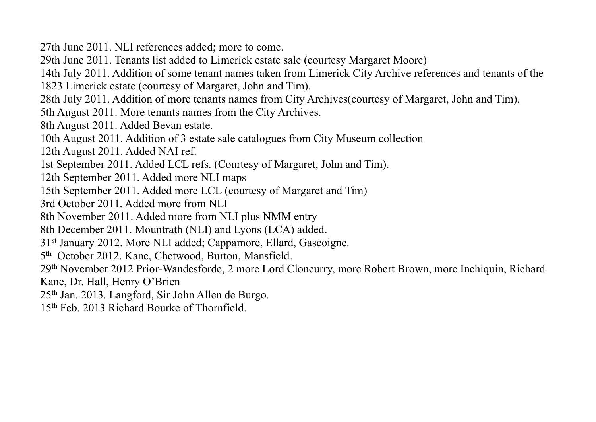27th June 2011. NLI references added; more to come.

29th June 2011. Tenants list added to Limerick estate sale (courtesy Margaret Moore)

14th July 2011. Addition of some tenant names taken from Limerick City Archive references and tenants of the

1823 Limerick estate (courtesy of Margaret, John and Tim).

28th July 2011. Addition of more tenants names from City Archives(courtesy of Margaret, John and Tim).

5th August 2011. More tenants names from the City Archives.

8th August 2011. Added Bevan estate.

10th August 2011. Addition of 3 estate sale catalogues from City Museum collection

12th August 2011. Added NAI ref.

1st September 2011. Added LCL refs. (Courtesy of Margaret, John and Tim).

12th September 2011. Added more NLI maps

15th September 2011. Added more LCL (courtesy of Margaret and Tim)

3rd October 2011. Added more from NLI

8th November 2011. Added more from NLI plus NMM entry

8th December 2011. Mountrath (NLI) and Lyons (LCA) added.

31st January 2012. More NLI added; Cappamore, Ellard, Gascoigne.

5th October 2012. Kane, Chetwood, Burton, Mansfield.

29th November 2012 Prior-Wandesforde, 2 more Lord Cloncurry, more Robert Brown, more Inchiquin, Richard

Kane, Dr. Hall, Henry O'Brien

25th Jan. 2013. Langford, Sir John Allen de Burgo.

15th Feb. 2013 Richard Bourke of Thornfield.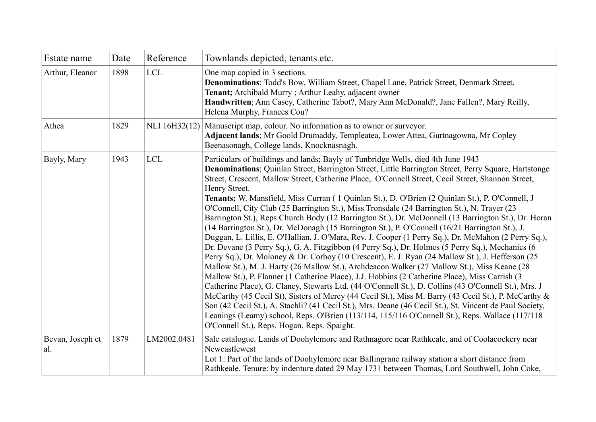| Estate name             | Date | Reference     | Townlands depicted, tenants etc.                                                                                                                                                                                                                                                                                                                                                                                                                                                                                                                                                                                                                                                                                                                                                                                                                                                                                                                                                                                                                                                                                                                                                                                                                                                                                                                                                                                                                                                                                                                                                                                                                                                                                         |
|-------------------------|------|---------------|--------------------------------------------------------------------------------------------------------------------------------------------------------------------------------------------------------------------------------------------------------------------------------------------------------------------------------------------------------------------------------------------------------------------------------------------------------------------------------------------------------------------------------------------------------------------------------------------------------------------------------------------------------------------------------------------------------------------------------------------------------------------------------------------------------------------------------------------------------------------------------------------------------------------------------------------------------------------------------------------------------------------------------------------------------------------------------------------------------------------------------------------------------------------------------------------------------------------------------------------------------------------------------------------------------------------------------------------------------------------------------------------------------------------------------------------------------------------------------------------------------------------------------------------------------------------------------------------------------------------------------------------------------------------------------------------------------------------------|
| Arthur, Eleanor         | 1898 | <b>LCL</b>    | One map copied in 3 sections.<br>Denominations: Todd's Bow, William Street, Chapel Lane, Patrick Street, Denmark Street,<br>Tenant; Archibald Murry; Arthur Leahy, adjacent owner<br>Handwritten; Ann Casey, Catherine Tabot?, Mary Ann McDonald?, Jane Fallen?, Mary Reilly,<br>Helena Murphy, Frances Cou?                                                                                                                                                                                                                                                                                                                                                                                                                                                                                                                                                                                                                                                                                                                                                                                                                                                                                                                                                                                                                                                                                                                                                                                                                                                                                                                                                                                                             |
| Athea                   | 1829 | NLI 16H32(12) | Manuscript map, colour. No information as to owner or surveyor.<br>Adjacent lands; Mr Goold Drumaddy, Templeatea, Lower Attea, Gurtnagowna, Mr Copley<br>Beenasonagh, College lands, Knocknasnagh.                                                                                                                                                                                                                                                                                                                                                                                                                                                                                                                                                                                                                                                                                                                                                                                                                                                                                                                                                                                                                                                                                                                                                                                                                                                                                                                                                                                                                                                                                                                       |
| Bayly, Mary             | 1943 | <b>LCL</b>    | Particulars of buildings and lands; Bayly of Tunbridge Wells, died 4th June 1943<br>Denominations; Quinlan Street, Barrington Street, Little Barrington Street, Perry Square, Hartstonge<br>Street, Crescent, Mallow Street, Catherine Place,. O'Connell Street, Cecil Street, Shannon Street,<br>Henry Street.<br>Tenants; W. Mansfield, Miss Curran (1 Quinlan St.), D. O'Brien (2 Quinlan St.), P. O'Connell, J<br>O'Connell, City Club (25 Barrington St.), Miss Tronsdale (24 Barrington St.), N. Trayer (23<br>Barrington St.), Reps Church Body (12 Barrington St.), Dr. McDonnell (13 Barrington St.), Dr. Horan<br>(14 Barrington St.), Dr. McDonagh (15 Barrington St.), P. O'Connell (16/21 Barrington St.), J.<br>Duggan, L. Lillis, E. O'Hallian, J. O'Mara, Rev. J. Cooper (1 Perry Sq.), Dr. McMahon (2 Perry Sq.),<br>Dr. Devane (3 Perry Sq.), G. A. Fitzgibbon (4 Perry Sq.), Dr. Holmes (5 Perry Sq.), Mechanics (6<br>Perry Sq.), Dr. Moloney & Dr. Corboy (10 Crescent), E. J. Ryan (24 Mallow St.), J. Hefferson (25<br>Mallow St.), M. J. Harty (26 Mallow St.), Archdeacon Walker (27 Mallow St.), Miss Keane (28<br>Mallow St.), P. Flanner (1 Catherine Place), J.J. Hobbins (2 Catherine Place), Miss Carrish (3<br>Catherine Place), G. Claney, Stewarts Ltd. (44 O'Connell St.), D. Collins (43 O'Connell St.), Mrs. J<br>McCarthy (45 Cecil St), Sisters of Mercy (44 Cecil St.), Miss M. Barry (43 Cecil St.), P. McCarthy &<br>Son (42 Cecil St.), A. Stachli? (41 Cecil St.), Mrs. Deane (46 Cecil St.), St. Vincent de Paul Society,<br>Leanings (Leamy) school, Reps. O'Brien (113/114, 115/116 O'Connell St.), Reps. Wallace (117/118<br>O'Connell St.), Reps. Hogan, Reps. Spaight. |
| Bevan, Joseph et<br>al. | 1879 | LM2002.0481   | Sale catalogue. Lands of Doohylemore and Rathnagore near Rathkeale, and of Coolacockery near<br>Newcastlewest<br>Lot 1: Part of the lands of Doohylemore near Ballingrane railway station a short distance from<br>Rathkeale. Tenure: by indenture dated 29 May 1731 between Thomas, Lord Southwell, John Coke,                                                                                                                                                                                                                                                                                                                                                                                                                                                                                                                                                                                                                                                                                                                                                                                                                                                                                                                                                                                                                                                                                                                                                                                                                                                                                                                                                                                                          |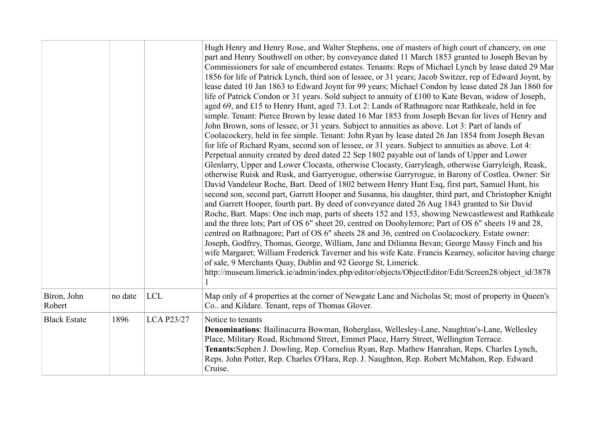|                       |         |                   | Hugh Henry and Henry Rose, and Walter Stephens, one of masters of high court of chancery, on one<br>part and Henry Southwell on other; by conveyance dated 11 March 1853 granted to Joseph Bevan by<br>Commissioners for sale of encumbered estates. Tenants: Reps of Michael Lynch by lease dated 29 Mar<br>1856 for life of Patrick Lynch, third son of lessee, or 31 years; Jacob Switzer, rep of Edward Joynt, by<br>lease dated 10 Jan 1863 to Edward Joynt for 99 years; Michael Condon by lease dated 28 Jan 1860 for<br>life of Patrick Condon or 31 years. Sold subject to annuity of £100 to Kate Bevan, widow of Joseph,<br>aged 69, and £15 to Henry Hunt, aged 73. Lot 2: Lands of Rathnagore near Rathkeale, held in fee<br>simple. Tenant: Pierce Brown by lease dated 16 Mar 1853 from Joseph Bevan for lives of Henry and<br>John Brown, sons of lessee, or 31 years. Subject to annuities as above. Lot 3: Part of lands of<br>Coolacockery, held in fee simple. Tenant: John Ryan by lease dated 26 Jan 1854 from Joseph Bevan<br>for life of Richard Ryam, second son of lessee, or 31 years. Subject to annuities as above. Lot 4:<br>Perpetual annuity created by deed dated 22 Sep 1802 payable out of lands of Upper and Lower<br>Glenlarry, Upper and Lower Clocasta, otherwise Clocasty, Garryleagh, otherwise Garryleigh, Reask,<br>otherwise Ruisk and Rusk, and Garryerogue, otherwise Garryrogue, in Barony of Costlea. Owner: Sir<br>David Vandeleur Roche, Bart. Deed of 1802 between Henry Hunt Esq, first part, Samuel Hunt, his<br>second son, second part, Garrett Hooper and Susanna, his daughter, third part, and Christopher Knight<br>and Garrett Hooper, fourth part. By deed of conveyance dated 26 Aug 1843 granted to Sir David<br>Roche, Bart. Maps: One inch map, parts of sheets 152 and 153, showing Newcastlewest and Rathkeale<br>and the three lots; Part of OS 6" sheet 20, centred on Doohylemore; Part of OS 6" sheets 19 and 28,<br>centred on Rathnagore; Part of OS 6" sheets 28 and 36, centred on Coolacockery. Estate owner:<br>Joseph, Godfrey, Thomas, George, William, Jane and Dilianna Bevan; George Massy Finch and his<br>wife Margaret; William Frederick Taverner and his wife Kate. Francis Kearney, solicitor having charge<br>of sale, 9 Merchants Quay, Dublin and 92 George St, Limerick.<br>http://museum.limerick.ie/admin/index.php/editor/objects/ObjectEditor/Edit/Screen28/object_id/3878 |
|-----------------------|---------|-------------------|----------------------------------------------------------------------------------------------------------------------------------------------------------------------------------------------------------------------------------------------------------------------------------------------------------------------------------------------------------------------------------------------------------------------------------------------------------------------------------------------------------------------------------------------------------------------------------------------------------------------------------------------------------------------------------------------------------------------------------------------------------------------------------------------------------------------------------------------------------------------------------------------------------------------------------------------------------------------------------------------------------------------------------------------------------------------------------------------------------------------------------------------------------------------------------------------------------------------------------------------------------------------------------------------------------------------------------------------------------------------------------------------------------------------------------------------------------------------------------------------------------------------------------------------------------------------------------------------------------------------------------------------------------------------------------------------------------------------------------------------------------------------------------------------------------------------------------------------------------------------------------------------------------------------------------------------------------------------------------------------------------------------------------------------------------------------------------------------------------------------------------------------------------------------------------------------------------------------------------------------------------------------------------------------------------------------------------------------------------------------------------------------------------------------------------------------------------------------------|
| Biron, John<br>Robert | no date | <b>LCL</b>        | Map only of 4 properties at the corner of Newgate Lane and Nicholas St; most of property in Queen's<br>Co., and Kildare. Tenant, reps of Thomas Glover.                                                                                                                                                                                                                                                                                                                                                                                                                                                                                                                                                                                                                                                                                                                                                                                                                                                                                                                                                                                                                                                                                                                                                                                                                                                                                                                                                                                                                                                                                                                                                                                                                                                                                                                                                                                                                                                                                                                                                                                                                                                                                                                                                                                                                                                                                                                    |
| <b>Black Estate</b>   | 1896    | <b>LCA P23/27</b> | Notice to tenants<br>Denominations: Bailinacurra Bowman, Boherglass, Wellesley-Lane, Naughton's-Lane, Wellesley<br>Place, Military Road, Richmond Street, Emmet Place, Harry Street, Wellington Terrace.<br>Tenants: Sephen J. Dowling, Rep. Cornelius Ryan, Rep. Mathew Hanrahan, Reps. Charles Lynch,<br>Reps. John Potter, Rep. Charles O'Hara, Rep. J. Naughton, Rep. Robert McMahon, Rep. Edward<br>Cruise.                                                                                                                                                                                                                                                                                                                                                                                                                                                                                                                                                                                                                                                                                                                                                                                                                                                                                                                                                                                                                                                                                                                                                                                                                                                                                                                                                                                                                                                                                                                                                                                                                                                                                                                                                                                                                                                                                                                                                                                                                                                           |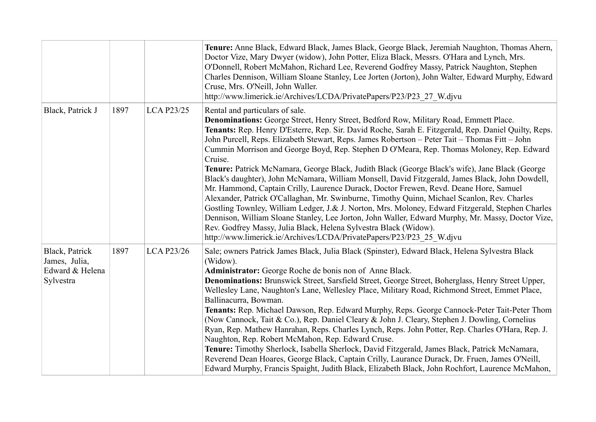|                                                                 |      |                   | Tenure: Anne Black, Edward Black, James Black, George Black, Jeremiah Naughton, Thomas Ahern,<br>Doctor Vize, Mary Dwyer (widow), John Potter, Eliza Black, Messrs. O'Hara and Lynch, Mrs.<br>O'Donnell, Robert McMahon, Richard Lee, Reverend Godfrey Massy, Patrick Naughton, Stephen<br>Charles Dennison, William Sloane Stanley, Lee Jorten (Jorton), John Walter, Edward Murphy, Edward<br>Cruse, Mrs. O'Neill, John Waller.<br>http://www.limerick.ie/Archives/LCDA/PrivatePapers/P23/P23_27_W.djvu                                                                                                                                                                                                                                                                                                                                                                                                                                                                                                                                                                                                                                                                                     |
|-----------------------------------------------------------------|------|-------------------|-----------------------------------------------------------------------------------------------------------------------------------------------------------------------------------------------------------------------------------------------------------------------------------------------------------------------------------------------------------------------------------------------------------------------------------------------------------------------------------------------------------------------------------------------------------------------------------------------------------------------------------------------------------------------------------------------------------------------------------------------------------------------------------------------------------------------------------------------------------------------------------------------------------------------------------------------------------------------------------------------------------------------------------------------------------------------------------------------------------------------------------------------------------------------------------------------|
| Black, Patrick J                                                | 1897 | <b>LCA P23/25</b> | Rental and particulars of sale.<br>Denominations: George Street, Henry Street, Bedford Row, Military Road, Emmett Place.<br>Tenants: Rep. Henry D'Esterre, Rep. Sir. David Roche, Sarah E. Fitzgerald, Rep. Daniel Quilty, Reps.<br>John Purcell, Reps. Elizabeth Stewart, Reps. James Robertson – Peter Tait – Thomas Fitt – John<br>Cummin Morrison and George Boyd, Rep. Stephen D O'Meara, Rep. Thomas Moloney, Rep. Edward<br>Cruise.<br>Tenure: Patrick McNamara, George Black, Judith Black (George Black's wife), Jane Black (George<br>Black's daughter), John McNamara, William Monsell, David Fitzgerald, James Black, John Dowdell,<br>Mr. Hammond, Captain Crilly, Laurence Durack, Doctor Frewen, Revd. Deane Hore, Samuel<br>Alexander, Patrick O'Callaghan, Mr. Swinburne, Timothy Quinn, Michael Scanlon, Rev. Charles<br>Gostling Townley, William Ledger, J.& J. Norton, Mrs. Moloney, Edward Fitzgerald, Stephen Charles<br>Dennison, William Sloane Stanley, Lee Jorton, John Waller, Edward Murphy, Mr. Massy, Doctor Vize,<br>Rev. Godfrey Massy, Julia Black, Helena Sylvestra Black (Widow).<br>http://www.limerick.ie/Archives/LCDA/PrivatePapers/P23/P23 25 W.djvu |
| Black, Patrick<br>James, Julia,<br>Edward & Helena<br>Sylvestra | 1897 | <b>LCA P23/26</b> | Sale; owners Patrick James Black, Julia Black (Spinster), Edward Black, Helena Sylvestra Black<br>(Widow).<br>Administrator: George Roche de bonis non of Anne Black.<br>Denominations: Brunswick Street, Sarsfield Street, George Street, Boherglass, Henry Street Upper,<br>Wellesley Lane, Naughton's Lane, Wellesley Place, Military Road, Richmond Street, Emmet Place,<br>Ballinacurra, Bowman.<br>Tenants: Rep. Michael Dawson, Rep. Edward Murphy, Reps. George Cannock-Peter Tait-Peter Thom<br>(Now Cannock, Tait & Co.), Rep. Daniel Cleary & John J. Cleary, Stephen J. Dowling, Cornelius<br>Ryan, Rep. Mathew Hanrahan, Reps. Charles Lynch, Reps. John Potter, Rep. Charles O'Hara, Rep. J.<br>Naughton, Rep. Robert McMahon, Rep. Edward Cruse.<br>Tenure: Timothy Sherlock, Isabella Sherlock, David Fitzgerald, James Black, Patrick McNamara,<br>Reverend Dean Hoares, George Black, Captain Crilly, Laurance Durack, Dr. Fruen, James O'Neill,<br>Edward Murphy, Francis Spaight, Judith Black, Elizabeth Black, John Rochfort, Laurence McMahon,                                                                                                                         |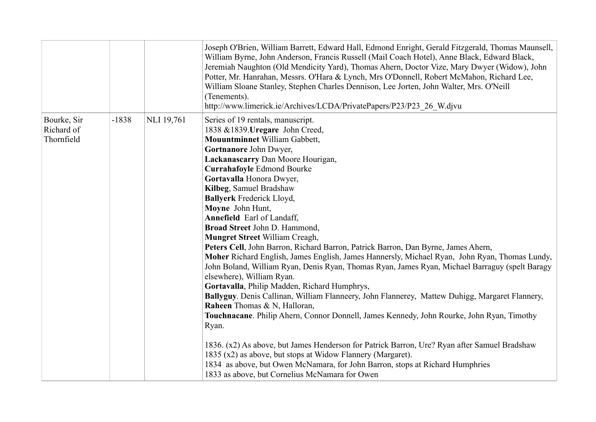|                                         |         |                   | Joseph O'Brien, William Barrett, Edward Hall, Edmond Enright, Gerald Fitzgerald, Thomas Maunsell,<br>William Byrne, John Anderson, Francis Russell (Mail Coach Hotel), Anne Black, Edward Black,<br>Jeremiah Naughton (Old Mendicity Yard), Thomas Ahern, Doctor Vize, Mary Dwyer (Widow), John<br>Potter, Mr. Hanrahan, Messrs. O'Hara & Lynch, Mrs O'Donnell, Robert McMahon, Richard Lee,<br>William Sloane Stanley, Stephen Charles Dennison, Lee Jorten, John Walter, Mrs. O'Neill<br>(Tenements).<br>http://www.limerick.ie/Archives/LCDA/PrivatePapers/P23/P23 26 W.djvu                                                                                                                                                                                                                                                                                                                                                                                                                                                                                                                                                                                                                                                                                                                                                                         |
|-----------------------------------------|---------|-------------------|---------------------------------------------------------------------------------------------------------------------------------------------------------------------------------------------------------------------------------------------------------------------------------------------------------------------------------------------------------------------------------------------------------------------------------------------------------------------------------------------------------------------------------------------------------------------------------------------------------------------------------------------------------------------------------------------------------------------------------------------------------------------------------------------------------------------------------------------------------------------------------------------------------------------------------------------------------------------------------------------------------------------------------------------------------------------------------------------------------------------------------------------------------------------------------------------------------------------------------------------------------------------------------------------------------------------------------------------------------|
| Bourke, Sir<br>Richard of<br>Thornfield | $-1838$ | <b>NLI</b> 19,761 | Series of 19 rentals, manuscript.<br>1838 & 1839. Uregare John Creed,<br><b>Mouuntminnet William Gabbett,</b><br>Gortnanore John Dwyer,<br>Lackanascarry Dan Moore Hourigan,<br><b>Currahafoyle Edmond Bourke</b><br>Gortavalla Honora Dwyer,<br>Kilbeg, Samuel Bradshaw<br><b>Ballyerk</b> Frederick Lloyd,<br>Moyne John Hunt,<br>Annefield Earl of Landaff,<br>Broad Street John D. Hammond,<br><b>Mungret Street William Creagh,</b><br>Peters Cell, John Barron, Richard Barron, Patrick Barron, Dan Byrne, James Ahern,<br>Moher Richard English, James English, James Hannersly, Michael Ryan, John Ryan, Thomas Lundy,<br>John Boland, William Ryan, Denis Ryan, Thomas Ryan, James Ryan, Michael Barraguy (spelt Baragy<br>elsewhere), William Ryan.<br>Gortavalla, Philip Madden, Richard Humphrys,<br>Ballyguy. Denis Callinan, William Flanneery, John Flannerey, Mattew Duhigg, Margaret Flannery,<br>Raheen Thomas & N, Halloran,<br>Touchnacane. Philip Ahern, Connor Donnell, James Kennedy, John Rourke, John Ryan, Timothy<br>Ryan.<br>1836. (x2) As above, but James Henderson for Patrick Barron, Ure? Ryan after Samuel Bradshaw<br>1835 (x2) as above, but stops at Widow Flannery (Margaret).<br>1834 as above, but Owen McNamara, for John Barron, stops at Richard Humphries<br>1833 as above, but Cornelius McNamara for Owen |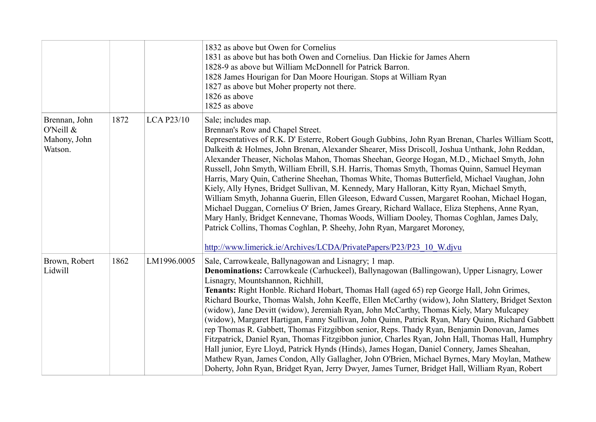|                                                          |      |                   | 1832 as above but Owen for Cornelius<br>1831 as above but has both Owen and Cornelius. Dan Hickie for James Ahern<br>1828-9 as above but William McDonnell for Patrick Barron.<br>1828 James Hourigan for Dan Moore Hourigan. Stops at William Ryan<br>1827 as above but Moher property not there.<br>1826 as above<br>1825 as above                                                                                                                                                                                                                                                                                                                                                                                                                                                                                                                                                                                                                                                                                                                                                           |
|----------------------------------------------------------|------|-------------------|------------------------------------------------------------------------------------------------------------------------------------------------------------------------------------------------------------------------------------------------------------------------------------------------------------------------------------------------------------------------------------------------------------------------------------------------------------------------------------------------------------------------------------------------------------------------------------------------------------------------------------------------------------------------------------------------------------------------------------------------------------------------------------------------------------------------------------------------------------------------------------------------------------------------------------------------------------------------------------------------------------------------------------------------------------------------------------------------|
| Brennan, John<br>O'Neill $\&$<br>Mahony, John<br>Watson. | 1872 | <b>LCA P23/10</b> | Sale; includes map.<br>Brennan's Row and Chapel Street.<br>Representatives of R.K. D' Esterre, Robert Gough Gubbins, John Ryan Brenan, Charles William Scott,<br>Dalkeith & Holmes, John Brenan, Alexander Shearer, Miss Driscoll, Joshua Unthank, John Reddan,<br>Alexander Theaser, Nicholas Mahon, Thomas Sheehan, George Hogan, M.D., Michael Smyth, John<br>Russell, John Smyth, William Ebrill, S.H. Harris, Thomas Smyth, Thomas Quinn, Samuel Heyman<br>Harris, Mary Quin, Catherine Sheehan, Thomas White, Thomas Butterfield, Michael Vaughan, John<br>Kiely, Ally Hynes, Bridget Sullivan, M. Kennedy, Mary Halloran, Kitty Ryan, Michael Smyth,<br>William Smyth, Johanna Guerin, Ellen Gleeson, Edward Cussen, Margaret Roohan, Michael Hogan,<br>Michael Duggan, Cornelius O' Brien, James Greary, Richard Wallace, Eliza Stephens, Anne Ryan,<br>Mary Hanly, Bridget Kennevane, Thomas Woods, William Dooley, Thomas Coghlan, James Daly,<br>Patrick Collins, Thomas Coghlan, P. Sheehy, John Ryan, Margaret Moroney,                                                           |
|                                                          |      |                   | http://www.limerick.ie/Archives/LCDA/PrivatePapers/P23/P23 10 W.djvu                                                                                                                                                                                                                                                                                                                                                                                                                                                                                                                                                                                                                                                                                                                                                                                                                                                                                                                                                                                                                           |
| Brown, Robert<br>Lidwill                                 | 1862 | LM1996.0005       | Sale, Carrowkeale, Ballynagowan and Lisnagry; 1 map.<br>Denominations: Carrowkeale (Carhuckeel), Ballynagowan (Ballingowan), Upper Lisnagry, Lower<br>Lisnagry, Mountshannon, Richhill,<br>Tenants: Right Honble. Richard Hobart, Thomas Hall (aged 65) rep George Hall, John Grimes,<br>Richard Bourke, Thomas Walsh, John Keeffe, Ellen McCarthy (widow), John Slattery, Bridget Sexton<br>(widow), Jane Devitt (widow), Jeremiah Ryan, John McCarthy, Thomas Kiely, Mary Mulcapey<br>(widow), Margaret Hartigan, Fanny Sullivan, John Quinn, Patrick Ryan, Mary Quinn, Richard Gabbett<br>rep Thomas R. Gabbett, Thomas Fitzgibbon senior, Reps. Thady Ryan, Benjamin Donovan, James<br>Fitzpatrick, Daniel Ryan, Thomas Fitzgibbon junior, Charles Ryan, John Hall, Thomas Hall, Humphry<br>Hall junior, Eyre Lloyd, Patrick Hynds (Hinds), James Hogan, Daniel Connery, James Sheahan,<br>Mathew Ryan, James Condon, Ally Gallagher, John O'Brien, Michael Byrnes, Mary Moylan, Mathew<br>Doherty, John Ryan, Bridget Ryan, Jerry Dwyer, James Turner, Bridget Hall, William Ryan, Robert |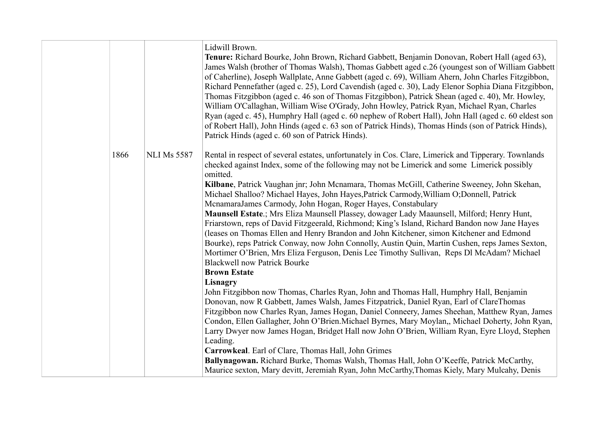|      |                    | Lidwill Brown.<br>Tenure: Richard Bourke, John Brown, Richard Gabbett, Benjamin Donovan, Robert Hall (aged 63),<br>James Walsh (brother of Thomas Walsh), Thomas Gabbett aged c.26 (youngest son of William Gabbett<br>of Caherline), Joseph Wallplate, Anne Gabbett (aged c. 69), William Ahern, John Charles Fitzgibbon,<br>Richard Pennefather (aged c. 25), Lord Cavendish (aged c. 30), Lady Elenor Sophia Diana Fitzgibbon,<br>Thomas Fitzgibbon (aged c. 46 son of Thomas Fitzgibbon), Patrick Shean (aged c. 40), Mr. Howley,<br>William O'Callaghan, William Wise O'Grady, John Howley, Patrick Ryan, Michael Ryan, Charles<br>Ryan (aged c. 45), Humphry Hall (aged c. 60 nephew of Robert Hall), John Hall (aged c. 60 eldest son<br>of Robert Hall), John Hinds (aged c. 63 son of Patrick Hinds), Thomas Hinds (son of Patrick Hinds),<br>Patrick Hinds (aged c. 60 son of Patrick Hinds).                                                                                                                                                                                                                                          |
|------|--------------------|--------------------------------------------------------------------------------------------------------------------------------------------------------------------------------------------------------------------------------------------------------------------------------------------------------------------------------------------------------------------------------------------------------------------------------------------------------------------------------------------------------------------------------------------------------------------------------------------------------------------------------------------------------------------------------------------------------------------------------------------------------------------------------------------------------------------------------------------------------------------------------------------------------------------------------------------------------------------------------------------------------------------------------------------------------------------------------------------------------------------------------------------------|
| 1866 | <b>NLI Ms 5587</b> | Rental in respect of several estates, unfortunately in Cos. Clare, Limerick and Tipperary. Townlands<br>checked against Index, some of the following may not be Limerick and some Limerick possibly<br>omitted.<br>Kilbane, Patrick Vaughan jnr; John Mcnamara, Thomas McGill, Catherine Sweeney, John Skehan,<br>Michael Shalloo? Michael Hayes, John Hayes, Patrick Carmody, William O; Donnell, Patrick<br>McnamaraJames Carmody, John Hogan, Roger Hayes, Constabulary<br>Maunsell Estate.; Mrs Eliza Maunsell Plassey, dowager Lady Maaunsell, Milford; Henry Hunt,<br>Friarstown, reps of David Fitzgeerald, Richmond; King's Island, Richard Bandon now Jane Hayes<br>(leases on Thomas Ellen and Henry Brandon and John Kitchener, simon Kitchener and Edmond<br>Bourke), reps Patrick Conway, now John Connolly, Austin Quin, Martin Cushen, reps James Sexton,<br>Mortimer O'Brien, Mrs Eliza Ferguson, Denis Lee Timothy Sullivan, Reps Dl McAdam? Michael<br><b>Blackwell now Patrick Bourke</b><br><b>Brown Estate</b><br><b>Lisnagry</b><br>John Fitzgibbon now Thomas, Charles Ryan, John and Thomas Hall, Humphry Hall, Benjamin |
|      |                    | Donovan, now R Gabbett, James Walsh, James Fitzpatrick, Daniel Ryan, Earl of ClareThomas<br>Fitzgibbon now Charles Ryan, James Hogan, Daniel Conneery, James Sheehan, Matthew Ryan, James<br>Condon, Ellen Gallagher, John O'Brien. Michael Byrnes, Mary Moylan,, Michael Doherty, John Ryan,<br>Larry Dwyer now James Hogan, Bridget Hall now John O'Brien, William Ryan, Eyre Lloyd, Stephen<br>Leading.<br>Carrowkeal. Earl of Clare, Thomas Hall, John Grimes<br>Ballynagowan. Richard Burke, Thomas Walsh, Thomas Hall, John O'Keeffe, Patrick McCarthy,<br>Maurice sexton, Mary devitt, Jeremiah Ryan, John McCarthy, Thomas Kiely, Mary Mulcahy, Denis                                                                                                                                                                                                                                                                                                                                                                                                                                                                                    |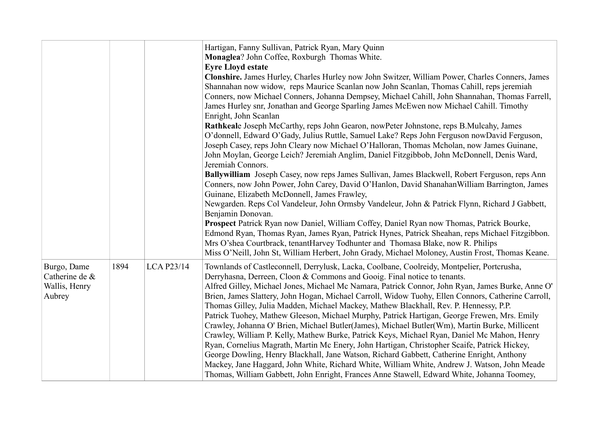|                                                          |      |                   | Hartigan, Fanny Sullivan, Patrick Ryan, Mary Quinn<br>Monaglea? John Coffee, Roxburgh Thomas White.<br><b>Eyre Lloyd estate</b><br>Clonshire. James Hurley, Charles Hurley now John Switzer, William Power, Charles Conners, James<br>Shannahan now widow, reps Maurice Scanlan now John Scanlan, Thomas Cahill, reps jeremiah<br>Conners, now Michael Conners, Johanna Dempsey, Michael Cahill, John Shannahan, Thomas Farrell,<br>James Hurley snr, Jonathan and George Sparling James McEwen now Michael Cahill. Timothy<br>Enright, John Scanlan<br>Rathkeale Joseph McCarthy, reps John Gearon, nowPeter Johnstone, reps B.Mulcahy, James<br>O'donnell, Edward O'Gady, Julius Ruttle, Samuel Lake? Reps John Ferguson nowDavid Ferguson,<br>Joseph Casey, reps John Cleary now Michael O'Halloran, Thomas Mcholan, now James Guinane,<br>John Moylan, George Leich? Jeremiah Anglim, Daniel Fitzgibbob, John McDonnell, Denis Ward,<br>Jeremiah Connors.<br>Ballywilliam Joseph Casey, now reps James Sullivan, James Blackwell, Robert Ferguson, reps Ann<br>Conners, now John Power, John Carey, David O'Hanlon, David Shanahan William Barrington, James<br>Guinane, Elizabeth McDonnell, James Frawley,<br>Newgarden. Reps Col Vandeleur, John Ormsby Vandeleur, John & Patrick Flynn, Richard J Gabbett,<br>Benjamin Donovan.<br>Prospect Patrick Ryan now Daniel, William Coffey, Daniel Ryan now Thomas, Patrick Bourke,<br>Edmond Ryan, Thomas Ryan, James Ryan, Patrick Hynes, Patrick Sheahan, reps Michael Fitzgibbon.<br>Mrs O'shea Courtbrack, tenantHarvey Todhunter and Thomasa Blake, now R. Philips<br>Miss O'Neill, John St, William Herbert, John Grady, Michael Moloney, Austin Frost, Thomas Keane. |
|----------------------------------------------------------|------|-------------------|-------------------------------------------------------------------------------------------------------------------------------------------------------------------------------------------------------------------------------------------------------------------------------------------------------------------------------------------------------------------------------------------------------------------------------------------------------------------------------------------------------------------------------------------------------------------------------------------------------------------------------------------------------------------------------------------------------------------------------------------------------------------------------------------------------------------------------------------------------------------------------------------------------------------------------------------------------------------------------------------------------------------------------------------------------------------------------------------------------------------------------------------------------------------------------------------------------------------------------------------------------------------------------------------------------------------------------------------------------------------------------------------------------------------------------------------------------------------------------------------------------------------------------------------------------------------------------------------------------------------------------------------------------------------------------------------------------------------------------|
| Burgo, Dame<br>Catherine de &<br>Wallis, Henry<br>Aubrey | 1894 | <b>LCA P23/14</b> | Townlands of Castleconnell, Derrylusk, Lacka, Coolbane, Coolreidy, Montpelier, Portcrusha,<br>Derryhasna, Derreen, Cloon & Commons and Gooig. Final notice to tenants.<br>Alfred Gilley, Michael Jones, Michael Mc Namara, Patrick Connor, John Ryan, James Burke, Anne O'<br>Brien, James Slattery, John Hogan, Michael Carroll, Widow Tuohy, Ellen Connors, Catherine Carroll,<br>Thomas Gilley, Julia Madden, Michael Mackey, Mathew Blackhall, Rev. P. Hennessy, P.P.<br>Patrick Tuohey, Mathew Gleeson, Michael Murphy, Patrick Hartigan, George Frewen, Mrs. Emily<br>Crawley, Johanna O' Brien, Michael Butler(James), Michael Butler(Wm), Martin Burke, Millicent<br>Crawley, William P. Kelly, Mathew Burke, Patrick Keys, Michael Ryan, Daniel Mc Mahon, Henry<br>Ryan, Cornelius Magrath, Martin Mc Enery, John Hartigan, Christopher Scaife, Patrick Hickey,<br>George Dowling, Henry Blackhall, Jane Watson, Richard Gabbett, Catherine Enright, Anthony<br>Mackey, Jane Haggard, John White, Richard White, William White, Andrew J. Watson, John Meade<br>Thomas, William Gabbett, John Enright, Frances Anne Stawell, Edward White, Johanna Toomey,                                                                                                                                                                                                                                                                                                                                                                                                                                                                                                                                                           |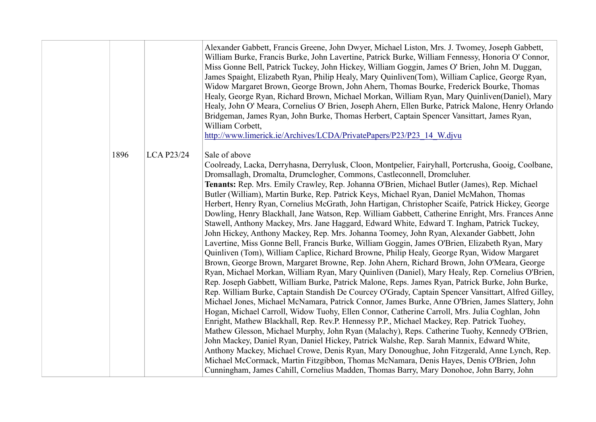|      |                   | Alexander Gabbett, Francis Greene, John Dwyer, Michael Liston, Mrs. J. Twomey, Joseph Gabbett,<br>William Burke, Francis Burke, John Lavertine, Patrick Burke, William Fennessy, Honoria O' Connor,<br>Miss Gonne Bell, Patrick Tuckey, John Hickey, William Goggin, James O' Brien, John M. Duggan,<br>James Spaight, Elizabeth Ryan, Philip Healy, Mary Quinliven (Tom), William Caplice, George Ryan,<br>Widow Margaret Brown, George Brown, John Ahern, Thomas Bourke, Frederick Bourke, Thomas<br>Healy, George Ryan, Richard Brown, Michael Morkan, William Ryan, Mary Quinliven(Daniel), Mary<br>Healy, John O' Meara, Cornelius O' Brien, Joseph Ahern, Ellen Burke, Patrick Malone, Henry Orlando<br>Bridgeman, James Ryan, John Burke, Thomas Herbert, Captain Spencer Vansittart, James Ryan,<br>William Corbett,<br>http://www.limerick.ie/Archives/LCDA/PrivatePapers/P23/P23 14 W.djvu                                                                                                                                                                                                                                                                                                                                                                                                                                                                                                                                                                                                                                                                                                                                                                                                                                                                                                                                                                                                                                                                                                                                                                                                                                                                                                   |
|------|-------------------|--------------------------------------------------------------------------------------------------------------------------------------------------------------------------------------------------------------------------------------------------------------------------------------------------------------------------------------------------------------------------------------------------------------------------------------------------------------------------------------------------------------------------------------------------------------------------------------------------------------------------------------------------------------------------------------------------------------------------------------------------------------------------------------------------------------------------------------------------------------------------------------------------------------------------------------------------------------------------------------------------------------------------------------------------------------------------------------------------------------------------------------------------------------------------------------------------------------------------------------------------------------------------------------------------------------------------------------------------------------------------------------------------------------------------------------------------------------------------------------------------------------------------------------------------------------------------------------------------------------------------------------------------------------------------------------------------------------------------------------------------------------------------------------------------------------------------------------------------------------------------------------------------------------------------------------------------------------------------------------------------------------------------------------------------------------------------------------------------------------------------------------------------------------------------------------------------------|
|      |                   |                                                                                                                                                                                                                                                                                                                                                                                                                                                                                                                                                                                                                                                                                                                                                                                                                                                                                                                                                                                                                                                                                                                                                                                                                                                                                                                                                                                                                                                                                                                                                                                                                                                                                                                                                                                                                                                                                                                                                                                                                                                                                                                                                                                                        |
| 1896 | <b>LCA P23/24</b> | Sale of above<br>Coolready, Lacka, Derryhasna, Derrylusk, Cloon, Montpelier, Fairyhall, Portcrusha, Gooig, Coolbane,<br>Dromsallagh, Dromalta, Drumclogher, Commons, Castleconnell, Dromcluher.<br>Tenants: Rep. Mrs. Emily Crawley, Rep. Johanna O'Brien, Michael Butler (James), Rep. Michael<br>Butler (William), Martin Burke, Rep. Patrick Keys, Michael Ryan, Daniel McMahon, Thomas<br>Herbert, Henry Ryan, Cornelius McGrath, John Hartigan, Christopher Scaife, Patrick Hickey, George<br>Dowling, Henry Blackhall, Jane Watson, Rep. William Gabbett, Catherine Enright, Mrs. Frances Anne<br>Stawell, Anthony Mackey, Mrs. Jane Haggard, Edward White, Edward T. Ingham, Patrick Tuckey,<br>John Hickey, Anthony Mackey, Rep. Mrs. Johanna Toomey, John Ryan, Alexander Gabbett, John<br>Lavertine, Miss Gonne Bell, Francis Burke, William Goggin, James O'Brien, Elizabeth Ryan, Mary<br>Quinliven (Tom), William Caplice, Richard Browne, Philip Healy, George Ryan, Widow Margaret<br>Brown, George Brown, Margaret Browne, Rep. John Ahern, Richard Brown, John O'Meara, George<br>Ryan, Michael Morkan, William Ryan, Mary Quinliven (Daniel), Mary Healy, Rep. Cornelius O'Brien,<br>Rep. Joseph Gabbett, William Burke, Patrick Malone, Reps. James Ryan, Patrick Burke, John Burke,<br>Rep. William Burke, Captain Standish De Courcey O'Grady, Captain Spencer Vansittart, Alfred Gilley,<br>Michael Jones, Michael McNamara, Patrick Connor, James Burke, Anne O'Brien, James Slattery, John<br>Hogan, Michael Carroll, Widow Tuohy, Ellen Connor, Catherine Carroll, Mrs. Julia Coghlan, John<br>Enright, Mathew Blackhall, Rep. Rev.P. Hennessy P.P., Michael Mackey, Rep. Patrick Tuohey,<br>Mathew Glesson, Michael Murphy, John Ryan (Malachy), Reps. Catherine Tuohy, Kennedy O'Brien,<br>John Mackey, Daniel Ryan, Daniel Hickey, Patrick Walshe, Rep. Sarah Mannix, Edward White,<br>Anthony Mackey, Michael Crowe, Denis Ryan, Mary Donoughue, John Fitzgerald, Anne Lynch, Rep.<br>Michael McCormack, Martin Fitzgibbon, Thomas McNamara, Denis Hayes, Denis O'Brien, John<br>Cunningham, James Cahill, Cornelius Madden, Thomas Barry, Mary Donohoe, John Barry, John |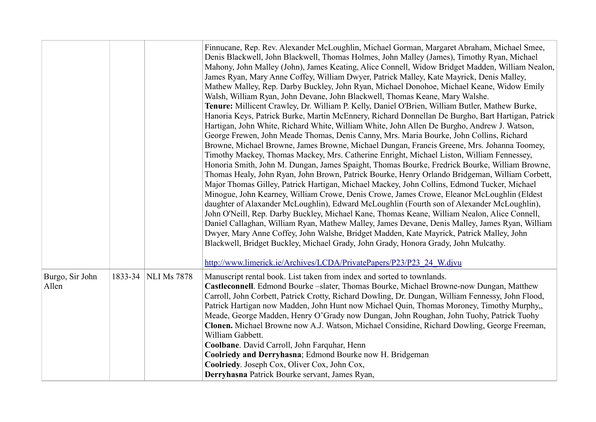|                          |         |                    | Finnucane, Rep. Rev. Alexander McLoughlin, Michael Gorman, Margaret Abraham, Michael Smee,<br>Denis Blackwell, John Blackwell, Thomas Holmes, John Malley (James), Timothy Ryan, Michael<br>Mahony, John Malley (John), James Keating, Alice Connell, Widow Bridget Madden, William Nealon,<br>James Ryan, Mary Anne Coffey, William Dwyer, Patrick Malley, Kate Mayrick, Denis Malley,<br>Mathew Malley, Rep. Darby Buckley, John Ryan, Michael Donohoe, Michael Keane, Widow Emily<br>Walsh, William Ryan, John Devane, John Blackwell, Thomas Keane, Mary Walshe.<br>Tenure: Millicent Crawley, Dr. William P. Kelly, Daniel O'Brien, William Butler, Mathew Burke,<br>Hanoria Keys, Patrick Burke, Martin McEnnery, Richard Donnellan De Burgho, Bart Hartigan, Patrick<br>Hartigan, John White, Richard White, William White, John Allen De Burgho, Andrew J. Watson,<br>George Frewen, John Meade Thomas, Denis Canny, Mrs. Maria Bourke, John Collins, Richard<br>Browne, Michael Browne, James Browne, Michael Dungan, Francis Greene, Mrs. Johanna Toomey,<br>Timothy Mackey, Thomas Mackey, Mrs. Catherine Enright, Michael Liston, William Fennessey,<br>Honoria Smith, John M. Dungan, James Spaight, Thomas Bourke, Fredrick Bourke, William Browne,<br>Thomas Healy, John Ryan, John Brown, Patrick Bourke, Henry Orlando Bridgeman, William Corbett,<br>Major Thomas Gilley, Patrick Hartigan, Michael Mackey, John Collins, Edmond Tucker, Michael<br>Minogue, John Kearney, William Crowe, Denis Crowe, James Crowe, Eleanor McLoughlin (Eldest)<br>daughter of Alaxander McLoughlin), Edward McLoughlin (Fourth son of Alexander McLoughlin),<br>John O'Neill, Rep. Darby Buckley, Michael Kane, Thomas Keane, William Nealon, Alice Connell,<br>Daniel Callaghan, William Ryan, Mathew Malley, James Devane, Denis Malley, James Ryan, William<br>Dwyer, Mary Anne Coffey, John Walshe, Bridget Madden, Kate Mayrick, Patrick Malley, John<br>Blackwell, Bridget Buckley, Michael Grady, John Grady, Honora Grady, John Mulcathy.<br>http://www.limerick.ie/Archives/LCDA/PrivatePapers/P23/P23 24 W.djvu |
|--------------------------|---------|--------------------|------------------------------------------------------------------------------------------------------------------------------------------------------------------------------------------------------------------------------------------------------------------------------------------------------------------------------------------------------------------------------------------------------------------------------------------------------------------------------------------------------------------------------------------------------------------------------------------------------------------------------------------------------------------------------------------------------------------------------------------------------------------------------------------------------------------------------------------------------------------------------------------------------------------------------------------------------------------------------------------------------------------------------------------------------------------------------------------------------------------------------------------------------------------------------------------------------------------------------------------------------------------------------------------------------------------------------------------------------------------------------------------------------------------------------------------------------------------------------------------------------------------------------------------------------------------------------------------------------------------------------------------------------------------------------------------------------------------------------------------------------------------------------------------------------------------------------------------------------------------------------------------------------------------------------------------------------------------------------------------------------------------------------------------------------------------------------------------------------------------------------|
| Burgo, Sir John<br>Allen | 1833-34 | <b>NLI Ms 7878</b> | Manuscript rental book. List taken from index and sorted to townlands.<br>Castleconnell. Edmond Bourke -slater, Thomas Bourke, Michael Browne-now Dungan, Matthew<br>Carroll, John Corbett, Patrick Crotty, Richard Dowling, Dr. Dungan, William Fennessy, John Flood,<br>Patrick Hartigan now Madden, John Hunt now Michael Quin, Thomas Moroney, Timothy Murphy,<br>Meade, George Madden, Henry O'Grady now Dungan, John Roughan, John Tuohy, Patrick Tuohy<br>Clonen. Michael Browne now A.J. Watson, Michael Considine, Richard Dowling, George Freeman,<br>William Gabbett.<br>Coolbane. David Carroll, John Farquhar, Henn<br>Coolriedy and Derryhasna; Edmond Bourke now H. Bridgeman<br>Coolriedy. Joseph Cox, Oliver Cox, John Cox,<br>Derryhasna Patrick Bourke servant, James Ryan,                                                                                                                                                                                                                                                                                                                                                                                                                                                                                                                                                                                                                                                                                                                                                                                                                                                                                                                                                                                                                                                                                                                                                                                                                                                                                                                               |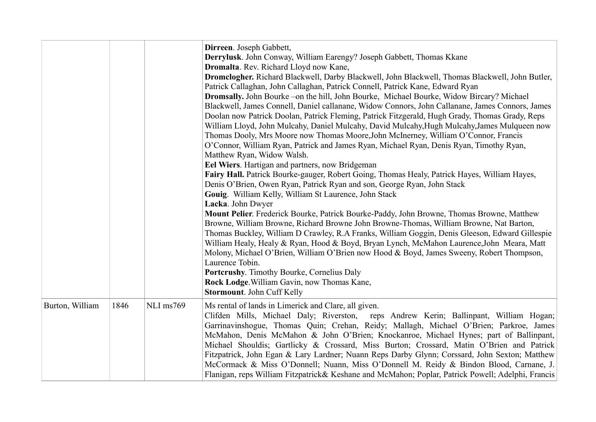|                 |      |           | Dirreen. Joseph Gabbett,<br>Derrylusk. John Conway, William Earengy? Joseph Gabbett, Thomas Kkane<br>Dromalta. Rev. Richard Lloyd now Kane,<br>Dromclogher. Richard Blackwell, Darby Blackwell, John Blackwell, Thomas Blackwell, John Butler,<br>Patrick Callaghan, John Callaghan, Patrick Connell, Patrick Kane, Edward Ryan<br><b>Dromsally.</b> John Bourke – on the hill, John Bourke, Michael Bourke, Widow Bircary? Michael<br>Blackwell, James Connell, Daniel callanane, Widow Connors, John Callanane, James Connors, James<br>Doolan now Patrick Doolan, Patrick Fleming, Patrick Fitzgerald, Hugh Grady, Thomas Grady, Reps<br>William Lloyd, John Mulcahy, Daniel Mulcahy, David Mulcahy, Hugh Mulcahy, James Mulqueen now<br>Thomas Dooly, Mrs Moore now Thomas Moore, John McInerney, William O'Connor, Francis<br>O'Connor, William Ryan, Patrick and James Ryan, Michael Ryan, Denis Ryan, Timothy Ryan,<br>Matthew Ryan, Widow Walsh.<br>Eel Wiers. Hartigan and partners, now Bridgeman<br>Fairy Hall. Patrick Bourke-gauger, Robert Going, Thomas Healy, Patrick Hayes, William Hayes,<br>Denis O'Brien, Owen Ryan, Patrick Ryan and son, George Ryan, John Stack<br>Gouig. William Kelly, William St Laurence, John Stack<br>Lacka. John Dwyer<br>Mount Pelier. Frederick Bourke, Patrick Bourke-Paddy, John Browne, Thomas Browne, Matthew<br>Browne, William Browne, Richard Browne John Browne-Thomas, William Browne, Nat Barton,<br>Thomas Buckley, William D Crawley, R.A Franks, William Goggin, Denis Gleeson, Edward Gillespie<br>William Healy, Healy & Ryan, Hood & Boyd, Bryan Lynch, McMahon Laurence, John Meara, Matt<br>Molony, Michael O'Brien, William O'Brien now Hood & Boyd, James Sweeny, Robert Thompson,<br>Laurence Tobin.<br><b>Portcrushy.</b> Timothy Bourke, Cornelius Daly<br>Rock Lodge. William Gavin, now Thomas Kane,<br><b>Stormount.</b> John Cuff Kelly |
|-----------------|------|-----------|--------------------------------------------------------------------------------------------------------------------------------------------------------------------------------------------------------------------------------------------------------------------------------------------------------------------------------------------------------------------------------------------------------------------------------------------------------------------------------------------------------------------------------------------------------------------------------------------------------------------------------------------------------------------------------------------------------------------------------------------------------------------------------------------------------------------------------------------------------------------------------------------------------------------------------------------------------------------------------------------------------------------------------------------------------------------------------------------------------------------------------------------------------------------------------------------------------------------------------------------------------------------------------------------------------------------------------------------------------------------------------------------------------------------------------------------------------------------------------------------------------------------------------------------------------------------------------------------------------------------------------------------------------------------------------------------------------------------------------------------------------------------------------------------------------------------------------------------------------------------------------------------------------------------|
| Burton, William | 1846 | NLI ms769 | Ms rental of lands in Limerick and Clare, all given.<br>Clifden Mills, Michael Daly; Riverston,<br>reps Andrew Kerin; Ballinpant, William Hogan;<br>Garrinavinshogue, Thomas Quin; Crehan, Reidy; Mallagh, Michael O'Brien; Parkroe, James<br>McMahon, Denis McMahon & John O'Brien; Knockanroe, Michael Hynes; part of Ballinpant,<br>Michael Shouldis; Gartlicky & Crossard, Miss Burton; Crossard, Matin O'Brien and Patrick<br>Fitzpatrick, John Egan & Lary Lardner; Nuann Reps Darby Glynn; Corssard, John Sexton; Matthew<br>McCormack & Miss O'Donnell; Nuann, Miss O'Donnell M. Reidy & Bindon Blood, Carnane, J.<br>Flanigan, reps William Fitzpatrick& Keshane and McMahon; Poplar, Patrick Powell; Adelphi, Francis                                                                                                                                                                                                                                                                                                                                                                                                                                                                                                                                                                                                                                                                                                                                                                                                                                                                                                                                                                                                                                                                                                                                                                                    |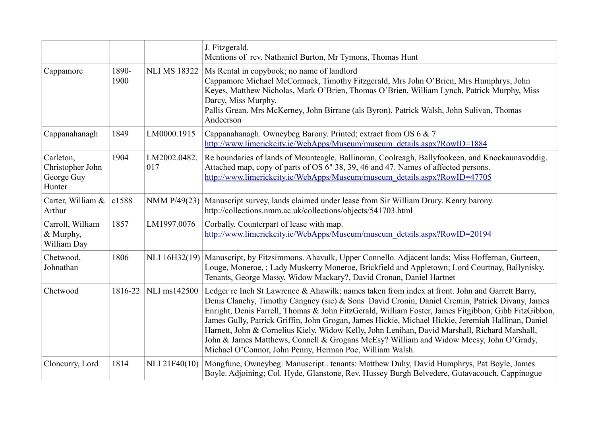|                                                       |               |                     | J. Fitzgerald.<br>Mentions of rev. Nathaniel Burton, Mr Tymons, Thomas Hunt                                                                                                                                                                                                                                                                                                                                                                                                                                                                                                                                                                                          |
|-------------------------------------------------------|---------------|---------------------|----------------------------------------------------------------------------------------------------------------------------------------------------------------------------------------------------------------------------------------------------------------------------------------------------------------------------------------------------------------------------------------------------------------------------------------------------------------------------------------------------------------------------------------------------------------------------------------------------------------------------------------------------------------------|
| Cappamore                                             | 1890-<br>1900 | <b>NLI MS 18322</b> | Ms Rental in copybook; no name of landlord<br>Cappamore Michael McCormack, Timothy Fitzgerald, Mrs John O'Brien, Mrs Humphrys, John<br>Keyes, Matthew Nicholas, Mark O'Brien, Thomas O'Brien, William Lynch, Patrick Murphy, Miss<br>Darcy, Miss Murphy,<br>Pallis Grean. Mrs McKerney, John Birrane (als Byron), Patrick Walsh, John Sulivan, Thomas<br>Andeerson                                                                                                                                                                                                                                                                                                   |
| Cappanahanagh                                         | 1849          | LM0000.1915         | Cappanahanagh. Owneybeg Barony. Printed; extract from OS 6 & 7<br>http://www.limerickcity.ie/WebApps/Museum/museum_details.aspx?RowID=1884                                                                                                                                                                                                                                                                                                                                                                                                                                                                                                                           |
| Carleton,<br>Christopher John<br>George Guy<br>Hunter | 1904          | LM2002.0482.<br>017 | Re boundaries of lands of Mounteagle, Ballinoran, Coolreagh, Ballyfookeen, and Knockaunavoddig.<br>Attached map, copy of parts of OS 6" 38, 39, 46 and 47. Names of affected persons.<br>http://www.limerickcity.ie/WebApps/Museum/museum_details.aspx?RowID=47705                                                                                                                                                                                                                                                                                                                                                                                                   |
| Carter, William & $ c1588$<br>Arthur                  |               | NMM P/49(23)        | Manuscript survey, lands claimed under lease from Sir William Drury. Kenry barony.<br>http://collections.nmm.ac.uk/collections/objects/541703.html                                                                                                                                                                                                                                                                                                                                                                                                                                                                                                                   |
| Carroll, William<br>& Murphy,<br>William Day          | 1857          | LM1997.0076         | Corbally. Counterpart of lease with map.<br>http://www.limerickcity.ie/WebApps/Museum/museum_details.aspx?RowID=20194                                                                                                                                                                                                                                                                                                                                                                                                                                                                                                                                                |
| Chetwood,<br>Johnathan                                | 1806          |                     | NLI 16H32(19) Manuscript, by Fitzsimmons. Ahavulk, Upper Connello. Adjacent lands; Miss Hoffernan, Gurteen,<br>Louge, Moneroe, ; Lady Muskerry Moneroe, Brickfield and Appletown; Lord Courtnay, Ballynisky.<br>Tenants, George Massy, Widow Mackary?, David Cronan, Daniel Hartnet                                                                                                                                                                                                                                                                                                                                                                                  |
| Chetwood                                              | 1816-22       | NLI ms142500        | Ledger re Inch St Lawrence & Ahawilk; names taken from index at front. John and Garrett Barry,<br>Denis Clanchy, Timothy Cangney (sic) & Sons David Cronin, Daniel Cremin, Patrick Divany, James<br>Enright, Denis Farrell, Thomas & John FitzGerald, William Foster, James Fitgibbon, Gibb FitzGibbon,<br>James Gully, Patrick Griffin, John Grogan, James Hickie, Michael Hickie, Jeremiah Hallinan, Daniel<br>Harnett, John & Cornelius Kiely, Widow Kelly, John Lenihan, David Marshall, Richard Marshall,<br>John & James Matthews, Connell & Grogans McEsy? William and Widow Mcesy, John O'Grady,<br>Michael O'Connor, John Penny, Herman Poe, William Walsh. |
| Cloncurry, Lord                                       | 1814          | NLI 21F40(10)       | Mongfune, Owneybeg. Manuscript tenants: Matthew Duhy, David Humphrys, Pat Boyle, James<br>Boyle. Adjoining; Col. Hyde, Glanstone, Rev. Hussey Burgh Belvedere, Gutavacouch, Cappinogue                                                                                                                                                                                                                                                                                                                                                                                                                                                                               |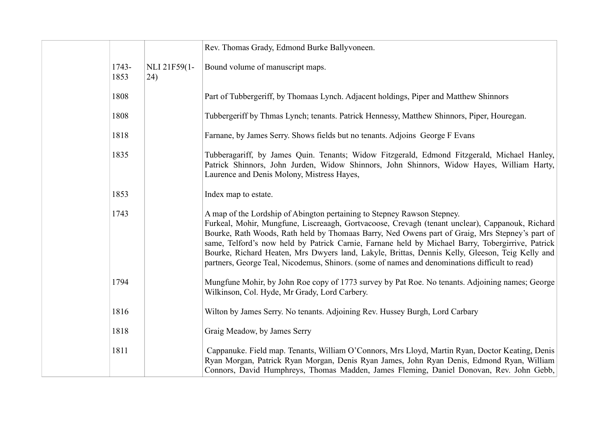|               |                     | Rev. Thomas Grady, Edmond Burke Ballyvoneen.                                                                                                                                                                                                                                                                                                                                                                                                                                                                                                                                          |
|---------------|---------------------|---------------------------------------------------------------------------------------------------------------------------------------------------------------------------------------------------------------------------------------------------------------------------------------------------------------------------------------------------------------------------------------------------------------------------------------------------------------------------------------------------------------------------------------------------------------------------------------|
| 1743-<br>1853 | NLI 21F59(1-<br>24) | Bound volume of manuscript maps.                                                                                                                                                                                                                                                                                                                                                                                                                                                                                                                                                      |
| 1808          |                     | Part of Tubbergeriff, by Thomaas Lynch. Adjacent holdings, Piper and Matthew Shinnors                                                                                                                                                                                                                                                                                                                                                                                                                                                                                                 |
| 1808          |                     | Tubbergeriff by Thmas Lynch; tenants. Patrick Hennessy, Matthew Shinnors, Piper, Houregan.                                                                                                                                                                                                                                                                                                                                                                                                                                                                                            |
| 1818          |                     | Farnane, by James Serry. Shows fields but no tenants. Adjoins George F Evans                                                                                                                                                                                                                                                                                                                                                                                                                                                                                                          |
| 1835          |                     | Tubberagariff, by James Quin. Tenants; Widow Fitzgerald, Edmond Fitzgerald, Michael Hanley,<br>Patrick Shinnors, John Jurden, Widow Shinnors, John Shinnors, Widow Hayes, William Harty,<br>Laurence and Denis Molony, Mistress Hayes,                                                                                                                                                                                                                                                                                                                                                |
| 1853          |                     | Index map to estate.                                                                                                                                                                                                                                                                                                                                                                                                                                                                                                                                                                  |
| 1743          |                     | A map of the Lordship of Abington pertaining to Stepney Rawson Stepney.<br>Furkeal, Mohir, Mungfune, Liscreaagh, Gortvacoose, Crevagh (tenant unclear), Cappanouk, Richard<br>Bourke, Rath Woods, Rath held by Thomaas Barry, Ned Owens part of Graig, Mrs Stepney's part of<br>same, Telford's now held by Patrick Carnie, Farnane held by Michael Barry, Tobergirrive, Patrick<br>Bourke, Richard Heaten, Mrs Dwyers land, Lakyle, Brittas, Dennis Kelly, Gleeson, Teig Kelly and<br>partners, George Teal, Nicodemus, Shinors. (some of names and denominations difficult to read) |
| 1794          |                     | Mungfune Mohir, by John Roe copy of 1773 survey by Pat Roe. No tenants. Adjoining names; George<br>Wilkinson, Col. Hyde, Mr Grady, Lord Carbery.                                                                                                                                                                                                                                                                                                                                                                                                                                      |
| 1816          |                     | Wilton by James Serry. No tenants. Adjoining Rev. Hussey Burgh, Lord Carbary                                                                                                                                                                                                                                                                                                                                                                                                                                                                                                          |
| 1818          |                     | Graig Meadow, by James Serry                                                                                                                                                                                                                                                                                                                                                                                                                                                                                                                                                          |
| 1811          |                     | Cappanuke. Field map. Tenants, William O'Connors, Mrs Lloyd, Martin Ryan, Doctor Keating, Denis<br>Ryan Morgan, Patrick Ryan Morgan, Denis Ryan James, John Ryan Denis, Edmond Ryan, William<br>Connors, David Humphreys, Thomas Madden, James Fleming, Daniel Donovan, Rev. John Gebb,                                                                                                                                                                                                                                                                                               |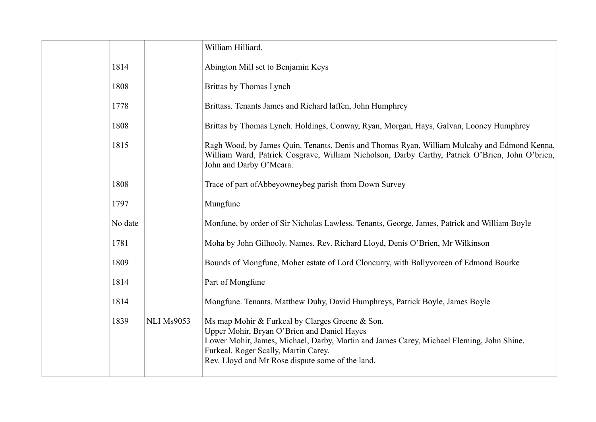|         |                   | William Hilliard.                                                                                                                                                                                                                                                                      |
|---------|-------------------|----------------------------------------------------------------------------------------------------------------------------------------------------------------------------------------------------------------------------------------------------------------------------------------|
| 1814    |                   | Abington Mill set to Benjamin Keys                                                                                                                                                                                                                                                     |
| 1808    |                   | Brittas by Thomas Lynch                                                                                                                                                                                                                                                                |
| 1778    |                   | Brittass. Tenants James and Richard laffen, John Humphrey                                                                                                                                                                                                                              |
| 1808    |                   | Brittas by Thomas Lynch. Holdings, Conway, Ryan, Morgan, Hays, Galvan, Looney Humphrey                                                                                                                                                                                                 |
| 1815    |                   | Ragh Wood, by James Quin. Tenants, Denis and Thomas Ryan, William Mulcahy and Edmond Kenna,<br>William Ward, Patrick Cosgrave, William Nicholson, Darby Carthy, Patrick O'Brien, John O'brien,<br>John and Darby O'Meara.                                                              |
| 1808    |                   | Trace of part of Abbeyowneybeg parish from Down Survey                                                                                                                                                                                                                                 |
| 1797    |                   | Mungfune                                                                                                                                                                                                                                                                               |
| No date |                   | Monfune, by order of Sir Nicholas Lawless. Tenants, George, James, Patrick and William Boyle                                                                                                                                                                                           |
| 1781    |                   | Moha by John Gilhooly. Names, Rev. Richard Lloyd, Denis O'Brien, Mr Wilkinson                                                                                                                                                                                                          |
| 1809    |                   | Bounds of Mongfune, Moher estate of Lord Cloncurry, with Ballyvoreen of Edmond Bourke                                                                                                                                                                                                  |
| 1814    |                   | Part of Mongfune                                                                                                                                                                                                                                                                       |
| 1814    |                   | Mongfune. Tenants. Matthew Duhy, David Humphreys, Patrick Boyle, James Boyle                                                                                                                                                                                                           |
| 1839    | <b>NLI Ms9053</b> | Ms map Mohir & Furkeal by Clarges Greene & Son.<br>Upper Mohir, Bryan O'Brien and Daniel Hayes<br>Lower Mohir, James, Michael, Darby, Martin and James Carey, Michael Fleming, John Shine.<br>Furkeal. Roger Scally, Martin Carey.<br>Rev. Lloyd and Mr Rose dispute some of the land. |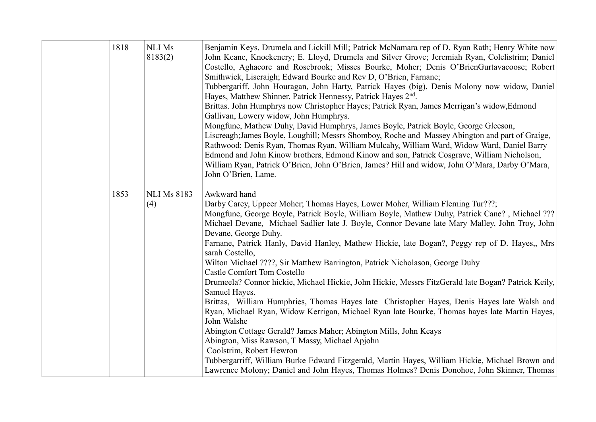| 1818 | <b>NLI Ms</b><br>8183(2)  | Benjamin Keys, Drumela and Lickill Mill; Patrick McNamara rep of D. Ryan Rath; Henry White now<br>John Keane, Knockenery; E. Lloyd, Drumela and Silver Grove; Jeremiah Ryan, Colelistrim; Daniel<br>Costello, Aghacore and Rosebrook; Misses Bourke, Moher; Denis O'BrienGurtavacoose; Robert<br>Smithwick, Liscraigh; Edward Bourke and Rev D, O'Brien, Farnane;<br>Tubbergariff. John Houragan, John Harty, Patrick Hayes (big), Denis Molony now widow, Daniel<br>Hayes, Matthew Shinner, Patrick Hennessy, Patrick Hayes 2 <sup>nd</sup> .<br>Brittas. John Humphrys now Christopher Hayes; Patrick Ryan, James Merrigan's widow, Edmond<br>Gallivan, Lowery widow, John Humphrys.<br>Mongfune, Mathew Duhy, David Humphrys, James Boyle, Patrick Boyle, George Gleeson,<br>Liscreagh; James Boyle, Loughill; Messrs Shomboy, Roche and Massey Abington and part of Graige,<br>Rathwood; Denis Ryan, Thomas Ryan, William Mulcahy, William Ward, Widow Ward, Daniel Barry<br>Edmond and John Kinow brothers, Edmond Kinow and son, Patrick Cosgrave, William Nicholson,<br>William Ryan, Patrick O'Brien, John O'Brien, James? Hill and widow, John O'Mara, Darby O'Mara,<br>John O'Brien, Lame.                                                        |
|------|---------------------------|-------------------------------------------------------------------------------------------------------------------------------------------------------------------------------------------------------------------------------------------------------------------------------------------------------------------------------------------------------------------------------------------------------------------------------------------------------------------------------------------------------------------------------------------------------------------------------------------------------------------------------------------------------------------------------------------------------------------------------------------------------------------------------------------------------------------------------------------------------------------------------------------------------------------------------------------------------------------------------------------------------------------------------------------------------------------------------------------------------------------------------------------------------------------------------------------------------------------------------------------------------------|
| 1853 | <b>NLI Ms 8183</b><br>(4) | Awkward hand<br>Darby Carey, Uppeer Moher; Thomas Hayes, Lower Moher, William Fleming Tur???;<br>Mongfune, George Boyle, Patrick Boyle, William Boyle, Mathew Duhy, Patrick Cane?, Michael ???<br>Michael Devane, Michael Sadlier late J. Boyle, Connor Devane late Mary Malley, John Troy, John<br>Devane, George Duhy.<br>Farnane, Patrick Hanly, David Hanley, Mathew Hickie, late Bogan?, Peggy rep of D. Hayes,, Mrs<br>sarah Costello,<br>Wilton Michael ????, Sir Matthew Barrington, Patrick Nicholason, George Duhy<br><b>Castle Comfort Tom Costello</b><br>Drumeela? Connor hickie, Michael Hickie, John Hickie, Messrs FitzGerald late Bogan? Patrick Keily,<br>Samuel Hayes.<br>Brittas, William Humphries, Thomas Hayes late Christopher Hayes, Denis Hayes late Walsh and<br>Ryan, Michael Ryan, Widow Kerrigan, Michael Ryan late Bourke, Thomas hayes late Martin Hayes,<br>John Walshe<br>Abington Cottage Gerald? James Maher; Abington Mills, John Keays<br>Abington, Miss Rawson, T Massy, Michael Apjohn<br>Coolstrim, Robert Hewron<br>Tubbergarriff, William Burke Edward Fitzgerald, Martin Hayes, William Hickie, Michael Brown and<br>Lawrence Molony; Daniel and John Hayes, Thomas Holmes? Denis Donohoe, John Skinner, Thomas |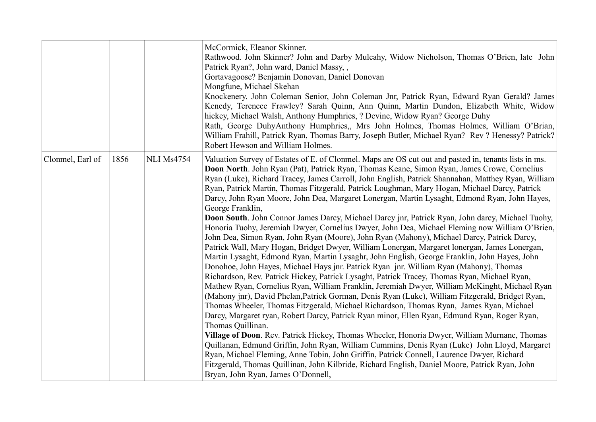|                  |      |                   | McCormick, Eleanor Skinner.<br>Rathwood. John Skinner? John and Darby Mulcahy, Widow Nicholson, Thomas O'Brien, late John<br>Patrick Ryan?, John ward, Daniel Massy,,<br>Gortavagoose? Benjamin Donovan, Daniel Donovan<br>Mongfune, Michael Skehan<br>Knockenery. John Coleman Senior, John Coleman Jnr, Patrick Ryan, Edward Ryan Gerald? James<br>Kenedy, Terencce Frawley? Sarah Quinn, Ann Quinn, Martin Dundon, Elizabeth White, Widow<br>hickey, Michael Walsh, Anthony Humphries, ? Devine, Widow Ryan? George Duhy<br>Rath, George DuhyAnthony Humphries, Mrs John Holmes, Thomas Holmes, William O'Brian,<br>William Frahill, Patrick Ryan, Thomas Barry, Joseph Butler, Michael Ryan? Rev? Henessy? Patrick?<br>Robert Hewson and William Holmes.                                                                                                                                                                                                                                                                                                                                                                                                                                                                                                                                                                                                                                                                                                                                                                                                                                                                                                                                                                                                                                                                                                                                                                                                                                                                                                                               |
|------------------|------|-------------------|--------------------------------------------------------------------------------------------------------------------------------------------------------------------------------------------------------------------------------------------------------------------------------------------------------------------------------------------------------------------------------------------------------------------------------------------------------------------------------------------------------------------------------------------------------------------------------------------------------------------------------------------------------------------------------------------------------------------------------------------------------------------------------------------------------------------------------------------------------------------------------------------------------------------------------------------------------------------------------------------------------------------------------------------------------------------------------------------------------------------------------------------------------------------------------------------------------------------------------------------------------------------------------------------------------------------------------------------------------------------------------------------------------------------------------------------------------------------------------------------------------------------------------------------------------------------------------------------------------------------------------------------------------------------------------------------------------------------------------------------------------------------------------------------------------------------------------------------------------------------------------------------------------------------------------------------------------------------------------------------------------------------------------------------------------------------------------------------|
| Clonmel, Earl of | 1856 | <b>NLI Ms4754</b> | Valuation Survey of Estates of E. of Clonmel. Maps are OS cut out and pasted in, tenants lists in ms.<br>Doon North. John Ryan (Pat), Patrick Ryan, Thomas Keane, Simon Ryan, James Crowe, Cornelius<br>Ryan (Luke), Richard Tracey, James Carroll, John English, Patrick Shannahan, Matthey Ryan, William<br>Ryan, Patrick Martin, Thomas Fitzgerald, Patrick Loughman, Mary Hogan, Michael Darcy, Patrick<br>Darcy, John Ryan Moore, John Dea, Margaret Lonergan, Martin Lysaght, Edmond Ryan, John Hayes,<br>George Franklin,<br>Doon South. John Connor James Darcy, Michael Darcy jnr, Patrick Ryan, John darcy, Michael Tuohy,<br>Honoria Tuohy, Jeremiah Dwyer, Cornelius Dwyer, John Dea, Michael Fleming now William O'Brien,<br>John Dea, Simon Ryan, John Ryan (Moore), John Ryan (Mahony), Michael Darcy, Patrick Darcy,<br>Patrick Wall, Mary Hogan, Bridget Dwyer, William Lonergan, Margaret lonergan, James Lonergan,<br>Martin Lysaght, Edmond Ryan, Martin Lysaghr, John English, George Franklin, John Hayes, John<br>Donohoe, John Hayes, Michael Hays jnr. Patrick Ryan jnr. William Ryan (Mahony), Thomas<br>Richardson, Rev. Patrick Hickey, Patrick Lysaght, Patrick Tracey, Thomas Ryan, Michael Ryan,<br>Mathew Ryan, Cornelius Ryan, William Franklin, Jeremiah Dwyer, William McKinght, Michael Ryan<br>(Mahony jnr), David Phelan, Patrick Gorman, Denis Ryan (Luke), William Fitzgerald, Bridget Ryan,<br>Thomas Wheeler, Thomas Fitzgerald, Michael Richardson, Thomas Ryan, James Ryan, Michael<br>Darcy, Margaret ryan, Robert Darcy, Patrick Ryan minor, Ellen Ryan, Edmund Ryan, Roger Ryan,<br>Thomas Quillinan.<br>Village of Doon. Rev. Patrick Hickey, Thomas Wheeler, Honoria Dwyer, William Murnane, Thomas<br>Quillanan, Edmund Griffin, John Ryan, William Cummins, Denis Ryan (Luke) John Lloyd, Margaret<br>Ryan, Michael Fleming, Anne Tobin, John Griffin, Patrick Connell, Laurence Dwyer, Richard<br>Fitzgerald, Thomas Quillinan, John Kilbride, Richard English, Daniel Moore, Patrick Ryan, John<br>Bryan, John Ryan, James O'Donnell, |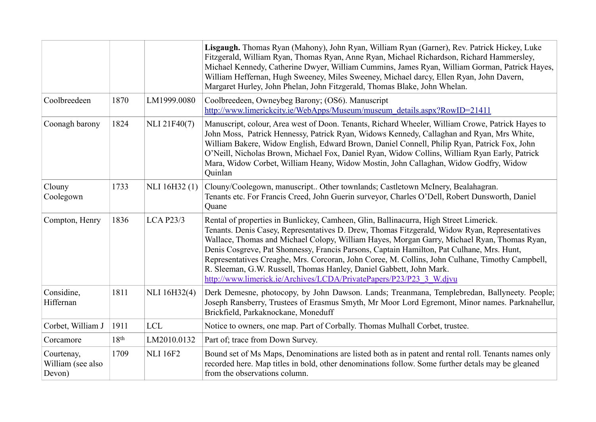|                                           |                  |                 | Lisgaugh. Thomas Ryan (Mahony), John Ryan, William Ryan (Garner), Rev. Patrick Hickey, Luke<br>Fitzgerald, William Ryan, Thomas Ryan, Anne Ryan, Michael Richardson, Richard Hammersley,<br>Michael Kennedy, Catherine Dwyer, William Cummins, James Ryan, William Gorman, Patrick Hayes,<br>William Heffernan, Hugh Sweeney, Miles Sweeney, Michael darcy, Ellen Ryan, John Davern,<br>Margaret Hurley, John Phelan, John Fitzgerald, Thomas Blake, John Whelan.                                                                                                                                                                   |
|-------------------------------------------|------------------|-----------------|-------------------------------------------------------------------------------------------------------------------------------------------------------------------------------------------------------------------------------------------------------------------------------------------------------------------------------------------------------------------------------------------------------------------------------------------------------------------------------------------------------------------------------------------------------------------------------------------------------------------------------------|
| Coolbreedeen                              | 1870             | LM1999.0080     | Coolbreedeen, Owneybeg Barony; (OS6). Manuscript<br>http://www.limerickcity.ie/WebApps/Museum/museum_details.aspx?RowID=21411                                                                                                                                                                                                                                                                                                                                                                                                                                                                                                       |
| Coonagh barony                            | 1824             | NLI 21F40(7)    | Manuscript, colour, Area west of Doon. Tenants, Richard Wheeler, William Crowe, Patrick Hayes to<br>John Moss, Patrick Hennessy, Patrick Ryan, Widows Kennedy, Callaghan and Ryan, Mrs White,<br>William Bakere, Widow English, Edward Brown, Daniel Connell, Philip Ryan, Patrick Fox, John<br>O'Neill, Nicholas Brown, Michael Fox, Daniel Ryan, Widow Collins, William Ryan Early, Patrick<br>Mara, Widow Corbet, William Heany, Widow Mostin, John Callaghan, Widow Godfry, Widow<br>Quinlan                                                                                                                                    |
| Clouny<br>Coolegown                       | 1733             | NLI 16H32(1)    | Clouny/Coolegown, manuscript Other townlands; Castletown McInery, Bealahagran.<br>Tenants etc. For Francis Creed, John Guerin surveyor, Charles O'Dell, Robert Dunsworth, Daniel<br>Quane                                                                                                                                                                                                                                                                                                                                                                                                                                           |
| Compton, Henry                            | 1836             | $LCA$ P23/3     | Rental of properties in Bunlickey, Camheen, Glin, Ballinacurra, High Street Limerick.<br>Tenants. Denis Casey, Representatives D. Drew, Thomas Fitzgerald, Widow Ryan, Representatives<br>Wallace, Thomas and Michael Colopy, William Hayes, Morgan Garry, Michael Ryan, Thomas Ryan,<br>Denis Cosgreve, Pat Shonnessy, Francis Parsons, Captain Hamilton, Pat Culhane, Mrs. Hunt,<br>Representatives Creaghe, Mrs. Corcoran, John Coree, M. Collins, John Culhane, Timothy Campbell,<br>R. Sleeman, G.W. Russell, Thomas Hanley, Daniel Gabbett, John Mark.<br>http://www.limerick.ie/Archives/LCDA/PrivatePapers/P23/P23 3 W.djvu |
| Considine,<br>Hiffernan                   | 1811             | NLI 16H32(4)    | Derk Demesne, photocopy, by John Dawson. Lands; Treanmana, Templebredan, Ballyneety. People;<br>Joseph Ransberry, Trustees of Erasmus Smyth, Mr Moor Lord Egremont, Minor names. Parknahellur,<br>Brickfield, Parkaknockane, Moneduff                                                                                                                                                                                                                                                                                                                                                                                               |
| Corbet, William J                         | 1911             | <b>LCL</b>      | Notice to owners, one map. Part of Corbally. Thomas Mulhall Corbet, trustee.                                                                                                                                                                                                                                                                                                                                                                                                                                                                                                                                                        |
| Corcamore                                 | 18 <sup>th</sup> | LM2010.0132     | Part of; trace from Down Survey.                                                                                                                                                                                                                                                                                                                                                                                                                                                                                                                                                                                                    |
| Courtenay,<br>William (see also<br>Devon) | 1709             | <b>NLI 16F2</b> | Bound set of Ms Maps, Denominations are listed both as in patent and rental roll. Tenants names only<br>recorded here. Map titles in bold, other denominations follow. Some further detals may be gleaned<br>from the observations column.                                                                                                                                                                                                                                                                                                                                                                                          |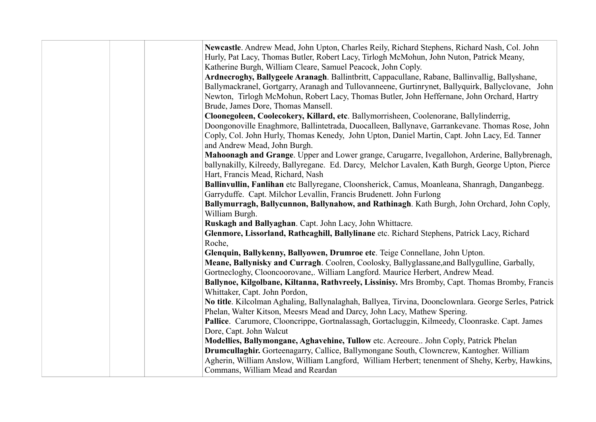| Newcastle. Andrew Mead, John Upton, Charles Reily, Richard Stephens, Richard Nash, Col. John<br>Hurly, Pat Lacy, Thomas Butler, Robert Lacy, Tirlogh McMohun, John Nuton, Patrick Meany,<br>Katherine Burgh, William Cleare, Samuel Peacock, John Coply.<br>Ardnecroghy, Ballygeele Aranagh. Ballintbritt, Cappacullane, Rabane, Ballinvallig, Ballyshane,<br>Ballymackranel, Gortgarry, Aranagh and Tullovanneene, Gurtinrynet, Ballyquirk, Ballyclovane, John<br>Newton, Tirlogh McMohun, Robert Lacy, Thomas Butler, John Heffernane, John Orchard, Hartry |
|---------------------------------------------------------------------------------------------------------------------------------------------------------------------------------------------------------------------------------------------------------------------------------------------------------------------------------------------------------------------------------------------------------------------------------------------------------------------------------------------------------------------------------------------------------------|
| Brude, James Dore, Thomas Mansell.                                                                                                                                                                                                                                                                                                                                                                                                                                                                                                                            |
| Cloonegoleen, Coolecokery, Killard, etc. Ballymorrisheen, Coolenorane, Ballylinderrig,                                                                                                                                                                                                                                                                                                                                                                                                                                                                        |
| Doongonoville Enaghmore, Ballintetrada, Duocalleen, Ballynave, Garrankevane. Thomas Rose, John                                                                                                                                                                                                                                                                                                                                                                                                                                                                |
| Coply, Col. John Hurly, Thomas Kenedy, John Upton, Daniel Martin, Capt. John Lacy, Ed. Tanner<br>and Andrew Mead, John Burgh.                                                                                                                                                                                                                                                                                                                                                                                                                                 |
| Mahoonagh and Grange. Upper and Lower grange, Carugarre, Ivegallohon, Arderine, Ballybrenagh,                                                                                                                                                                                                                                                                                                                                                                                                                                                                 |
| ballynakilly, Kilreedy, Ballyregane. Ed. Darcy, Melchor Lavalen, Kath Burgh, George Upton, Pierce                                                                                                                                                                                                                                                                                                                                                                                                                                                             |
| Hart, Francis Mead, Richard, Nash                                                                                                                                                                                                                                                                                                                                                                                                                                                                                                                             |
| Ballinvullin, Fanlihan etc Ballyregane, Cloonsherick, Camus, Moanleana, Shanragh, Danganbegg.                                                                                                                                                                                                                                                                                                                                                                                                                                                                 |
| Garryduffe. Capt. Milchor Levallin, Francis Brudenett. John Furlong                                                                                                                                                                                                                                                                                                                                                                                                                                                                                           |
| Ballymurragh, Ballycunnon, Ballynahow, and Rathinagh. Kath Burgh, John Orchard, John Coply,                                                                                                                                                                                                                                                                                                                                                                                                                                                                   |
| William Burgh.                                                                                                                                                                                                                                                                                                                                                                                                                                                                                                                                                |
| Ruskagh and Ballyaghan. Capt. John Lacy, John Whittacre.                                                                                                                                                                                                                                                                                                                                                                                                                                                                                                      |
| Glenmore, Lissorland, Rathcaghill, Ballylinane etc. Richard Stephens, Patrick Lacy, Richard                                                                                                                                                                                                                                                                                                                                                                                                                                                                   |
| Roche,                                                                                                                                                                                                                                                                                                                                                                                                                                                                                                                                                        |
| Glenquin, Ballykenny, Ballyowen, Drumroe etc. Teige Connellane, John Upton.<br>Meane, Ballynisky and Curragh. Coolren, Coolosky, Ballyglassane, and Ballygulline, Garbally,                                                                                                                                                                                                                                                                                                                                                                                   |
| Gortnecloghy, Clooncoorovane,. William Langford. Maurice Herbert, Andrew Mead.                                                                                                                                                                                                                                                                                                                                                                                                                                                                                |
| Ballynoe, Kilgolbane, Kiltanna, Rathvreely, Lissinisy. Mrs Bromby, Capt. Thomas Bromby, Francis                                                                                                                                                                                                                                                                                                                                                                                                                                                               |
| Whittaker, Capt. John Pordon,                                                                                                                                                                                                                                                                                                                                                                                                                                                                                                                                 |
| No title. Kilcolman Aghaling, Ballynalaghah, Ballyea, Tirvina, Doonclownlara. George Serles, Patrick                                                                                                                                                                                                                                                                                                                                                                                                                                                          |
| Phelan, Walter Kitson, Meesrs Mead and Darcy, John Lacy, Mathew Spering.                                                                                                                                                                                                                                                                                                                                                                                                                                                                                      |
| Pallice. Carumore, Clooncrippe, Gortnalassagh, Gortacluggin, Kilmeedy, Cloonraske. Capt. James                                                                                                                                                                                                                                                                                                                                                                                                                                                                |
| Dore, Capt. John Walcut                                                                                                                                                                                                                                                                                                                                                                                                                                                                                                                                       |
| Modellies, Ballymongane, Aghavehine, Tullow etc. Acreoure John Coply, Patrick Phelan                                                                                                                                                                                                                                                                                                                                                                                                                                                                          |
| Drumcullaghir. Gorteenagarry, Callice, Ballymongane South, Clowncrew, Kantogher. William                                                                                                                                                                                                                                                                                                                                                                                                                                                                      |
| Agherin, William Anslow, William Langford, William Herbert; tenenment of Shehy, Kerby, Hawkins,                                                                                                                                                                                                                                                                                                                                                                                                                                                               |
| Commans, William Mead and Reardan                                                                                                                                                                                                                                                                                                                                                                                                                                                                                                                             |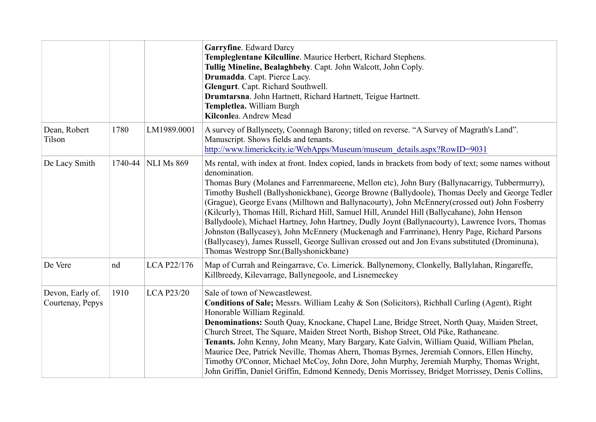|                                      |         |                   | Garryfine. Edward Darcy<br>Templeglentane Kilculline. Maurice Herbert, Richard Stephens.<br>Tullig Mineline, Bealaghbehy. Capt. John Walcott, John Coply.<br>Drumadda. Capt. Pierce Lacy.<br>Glengurt. Capt. Richard Southwell.<br>Drumtarsna. John Hartnett, Richard Hartnett, Teigue Hartnett.<br>Templetlea. William Burgh<br>Kilconlea. Andrew Mead                                                                                                                                                                                                                                                                                                                                                                                                                                                                                                                    |
|--------------------------------------|---------|-------------------|----------------------------------------------------------------------------------------------------------------------------------------------------------------------------------------------------------------------------------------------------------------------------------------------------------------------------------------------------------------------------------------------------------------------------------------------------------------------------------------------------------------------------------------------------------------------------------------------------------------------------------------------------------------------------------------------------------------------------------------------------------------------------------------------------------------------------------------------------------------------------|
| Dean, Robert<br>Tilson               | 1780    | LM1989.0001       | A survey of Ballyneety, Coonnagh Barony; titled on reverse. "A Survey of Magrath's Land".<br>Manuscript. Shows fields and tenants.<br>http://www.limerickcity.ie/WebApps/Museum/museum_details.aspx?RowID=9031                                                                                                                                                                                                                                                                                                                                                                                                                                                                                                                                                                                                                                                             |
| De Lacy Smith                        | 1740-44 | <b>NLI Ms 869</b> | Ms rental, with index at front. Index copied, lands in brackets from body of text; some names without<br>denomination.<br>Thomas Bury (Molanes and Farrenmareene, Mellon etc), John Bury (Ballynacarrigy, Tubbermurry),<br>Timothy Bushell (Ballyshonickbane), George Browne (Ballydoole), Thomas Deely and George Tedler<br>(Grague), George Evans (Milltown and Ballynacourty), John McEnnery (crossed out) John Fosberry<br>(Kilcurly), Thomas Hill, Richard Hill, Samuel Hill, Arundel Hill (Ballycahane), John Henson<br>Ballydoole), Michael Hartney, John Hartney, Dudly Joynt (Ballynacourty), Lawrence Ivors, Thomas<br>Johnston (Ballycasey), John McEnnery (Muckenagh and Farrrinane), Henry Page, Richard Parsons<br>(Ballycasey), James Russell, George Sullivan crossed out and Jon Evans substituted (Drominuna),<br>Thomas Westropp Snr.(Ballyshonickbane) |
| De Vere                              | nd      | LCA P22/176       | Map of Currah and Reingarrave, Co. Limerick. Ballynemony, Clonkelly, Ballylahan, Ringareffe,<br>Killbreedy, Kilevarrage, Ballynegoole, and Lisnemeckey                                                                                                                                                                                                                                                                                                                                                                                                                                                                                                                                                                                                                                                                                                                     |
| Devon, Early of.<br>Courtenay, Pepys | 1910    | <b>LCA P23/20</b> | Sale of town of Newcastlewest.<br>Conditions of Sale; Messrs. William Leahy & Son (Solicitors), Richball Curling (Agent), Right<br>Honorable William Reginald.<br>Denominations: South Quay, Knockane, Chapel Lane, Bridge Street, North Quay, Maiden Street,<br>Church Street, The Square, Maiden Street North, Bishop Street, Old Pike, Rathaneane.<br>Tenants. John Kenny, John Meany, Mary Bargary, Kate Galvin, William Quaid, William Phelan,<br>Maurice Dee, Patrick Neville, Thomas Ahern, Thomas Byrnes, Jeremiah Connors, Ellen Hinchy,<br>Timothy O'Connor, Michael McCoy, John Dore, John Murphy, Jeremiah Murphy, Thomas Wright,<br>John Griffin, Daniel Griffin, Edmond Kennedy, Denis Morrissey, Bridget Morrissey, Denis Collins,                                                                                                                          |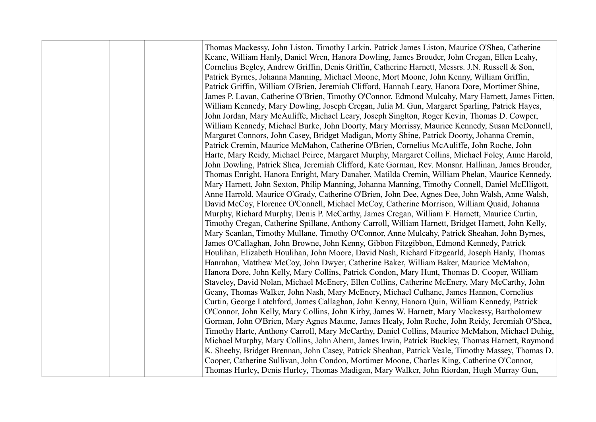|  | Thomas Mackessy, John Liston, Timothy Larkin, Patrick James Liston, Maurice O'Shea, Catherine<br>Keane, William Hanly, Daniel Wren, Hanora Dowling, James Brouder, John Cregan, Ellen Leahy,<br>Cornelius Begley, Andrew Griffin, Denis Griffin, Catherine Harnett, Messrs. J.N. Russell & Son,<br>Patrick Byrnes, Johanna Manning, Michael Moone, Mort Moone, John Kenny, William Griffin,<br>Patrick Griffin, William O'Brien, Jeremiah Clifford, Hannah Leary, Hanora Dore, Mortimer Shine,<br>James P. Lavan, Catherine O'Brien, Timothy O'Connor, Edmond Mulcahy, Mary Harnett, James Fitten,<br>William Kennedy, Mary Dowling, Joseph Cregan, Julia M. Gun, Margaret Sparling, Patrick Hayes, |
|--|-----------------------------------------------------------------------------------------------------------------------------------------------------------------------------------------------------------------------------------------------------------------------------------------------------------------------------------------------------------------------------------------------------------------------------------------------------------------------------------------------------------------------------------------------------------------------------------------------------------------------------------------------------------------------------------------------------|
|  | John Jordan, Mary McAuliffe, Michael Leary, Joseph Singlton, Roger Kevin, Thomas D. Cowper,                                                                                                                                                                                                                                                                                                                                                                                                                                                                                                                                                                                                         |
|  | William Kennedy, Michael Burke, John Doorty, Mary Morrissy, Maurice Kennedy, Susan McDonnell,                                                                                                                                                                                                                                                                                                                                                                                                                                                                                                                                                                                                       |
|  | Margaret Connors, John Casey, Bridget Madigan, Morty Shine, Patrick Doorty, Johanna Cremin,                                                                                                                                                                                                                                                                                                                                                                                                                                                                                                                                                                                                         |
|  | Patrick Cremin, Maurice McMahon, Catherine O'Brien, Cornelius McAuliffe, John Roche, John                                                                                                                                                                                                                                                                                                                                                                                                                                                                                                                                                                                                           |
|  | Harte, Mary Reidy, Michael Peirce, Margaret Murphy, Margaret Collins, Michael Foley, Anne Harold,                                                                                                                                                                                                                                                                                                                                                                                                                                                                                                                                                                                                   |
|  | John Dowling, Patrick Shea, Jeremiah Clifford, Kate Gorman, Rev. Monsnr. Hallinan, James Brouder,                                                                                                                                                                                                                                                                                                                                                                                                                                                                                                                                                                                                   |
|  | Thomas Enright, Hanora Enright, Mary Danaher, Matilda Cremin, William Phelan, Maurice Kennedy,                                                                                                                                                                                                                                                                                                                                                                                                                                                                                                                                                                                                      |
|  | Mary Harnett, John Sexton, Philip Manning, Johanna Manning, Timothy Connell, Daniel McElligott,                                                                                                                                                                                                                                                                                                                                                                                                                                                                                                                                                                                                     |
|  | Anne Harrold, Maurice O'Grady, Catherine O'Brien, John Dee, Agnes Dee, John Walsh, Anne Walsh,                                                                                                                                                                                                                                                                                                                                                                                                                                                                                                                                                                                                      |
|  | David McCoy, Florence O'Connell, Michael McCoy, Catherine Morrison, William Quaid, Johanna<br>Murphy, Richard Murphy, Denis P. McCarthy, James Cregan, William F. Harnett, Maurice Curtin,                                                                                                                                                                                                                                                                                                                                                                                                                                                                                                          |
|  | Timothy Cregan, Catherine Spillane, Anthony Carroll, William Harnett, Bridget Harnett, John Kelly,                                                                                                                                                                                                                                                                                                                                                                                                                                                                                                                                                                                                  |
|  | Mary Scanlan, Timothy Mullane, Timothy O'Connor, Anne Mulcahy, Patrick Sheahan, John Byrnes,                                                                                                                                                                                                                                                                                                                                                                                                                                                                                                                                                                                                        |
|  | James O'Callaghan, John Browne, John Kenny, Gibbon Fitzgibbon, Edmond Kennedy, Patrick                                                                                                                                                                                                                                                                                                                                                                                                                                                                                                                                                                                                              |
|  | Houlihan, Elizabeth Houlihan, John Moore, David Nash, Richard Fitzgearld, Joseph Hanly, Thomas                                                                                                                                                                                                                                                                                                                                                                                                                                                                                                                                                                                                      |
|  | Hanrahan, Matthew McCoy, John Dwyer, Catherine Baker, William Baker, Maurice McMahon,                                                                                                                                                                                                                                                                                                                                                                                                                                                                                                                                                                                                               |
|  | Hanora Dore, John Kelly, Mary Collins, Patrick Condon, Mary Hunt, Thomas D. Cooper, William                                                                                                                                                                                                                                                                                                                                                                                                                                                                                                                                                                                                         |
|  | Staveley, David Nolan, Michael McEnery, Ellen Collins, Catherine McEnery, Mary McCarthy, John                                                                                                                                                                                                                                                                                                                                                                                                                                                                                                                                                                                                       |
|  | Geany, Thomas Walker, John Nash, Mary McEnery, Michael Culhane, James Hannon, Cornelius                                                                                                                                                                                                                                                                                                                                                                                                                                                                                                                                                                                                             |
|  | Curtin, George Latchford, James Callaghan, John Kenny, Hanora Quin, William Kennedy, Patrick                                                                                                                                                                                                                                                                                                                                                                                                                                                                                                                                                                                                        |
|  | O'Connor, John Kelly, Mary Collins, John Kirby, James W. Harnett, Mary Mackessy, Bartholomew                                                                                                                                                                                                                                                                                                                                                                                                                                                                                                                                                                                                        |
|  | Gorman, John O'Brien, Mary Agnes Maume, James Healy, John Roche, John Reidy, Jeremiah O'Shea,                                                                                                                                                                                                                                                                                                                                                                                                                                                                                                                                                                                                       |
|  | Timothy Harte, Anthony Carroll, Mary McCarthy, Daniel Collins, Maurice McMahon, Michael Duhig,                                                                                                                                                                                                                                                                                                                                                                                                                                                                                                                                                                                                      |
|  | Michael Murphy, Mary Collins, John Ahern, James Irwin, Patrick Buckley, Thomas Harnett, Raymond                                                                                                                                                                                                                                                                                                                                                                                                                                                                                                                                                                                                     |
|  | K. Sheehy, Bridget Brennan, John Casey, Patrick Sheahan, Patrick Veale, Timothy Massey, Thomas D.                                                                                                                                                                                                                                                                                                                                                                                                                                                                                                                                                                                                   |
|  | Cooper, Catherine Sullivan, John Condon, Mortimer Moone, Charles King, Catherine O'Connor,                                                                                                                                                                                                                                                                                                                                                                                                                                                                                                                                                                                                          |
|  | Thomas Hurley, Denis Hurley, Thomas Madigan, Mary Walker, John Riordan, Hugh Murray Gun,                                                                                                                                                                                                                                                                                                                                                                                                                                                                                                                                                                                                            |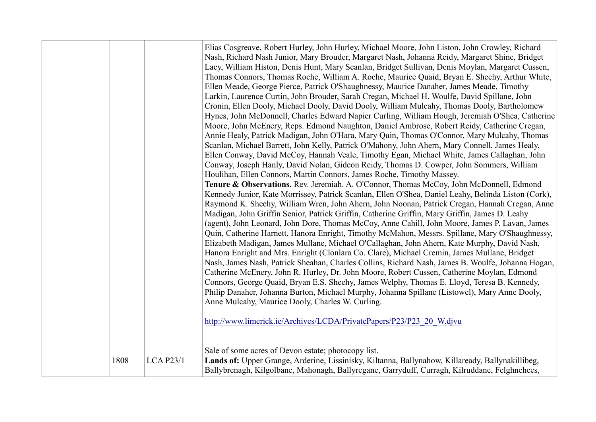|      |             | Elias Cosgreave, Robert Hurley, John Hurley, Michael Moore, John Liston, John Crowley, Richard<br>Nash, Richard Nash Junior, Mary Brouder, Margaret Nash, Johanna Reidy, Margaret Shine, Bridget<br>Lacy, William Histon, Denis Hunt, Mary Scanlan, Bridget Sullivan, Denis Moylan, Margaret Cussen,<br>Thomas Connors, Thomas Roche, William A. Roche, Maurice Quaid, Bryan E. Sheehy, Arthur White,<br>Ellen Meade, George Pierce, Patrick O'Shaughnessy, Maurice Danaher, James Meade, Timothy<br>Larkin, Laurence Curtin, John Brouder, Sarah Cregan, Michael H. Woulfe, David Spillane, John<br>Cronin, Ellen Dooly, Michael Dooly, David Dooly, William Mulcahy, Thomas Dooly, Bartholomew<br>Hynes, John McDonnell, Charles Edward Napier Curling, William Hough, Jeremiah O'Shea, Catherine<br>Moore, John McEnery, Reps. Edmond Naughton, Daniel Ambrose, Robert Reidy, Catherine Cregan,<br>Annie Healy, Patrick Madigan, John O'Hara, Mary Quin, Thomas O'Connor, Mary Mulcahy, Thomas<br>Scanlan, Michael Barrett, John Kelly, Patrick O'Mahony, John Ahern, Mary Connell, James Healy,<br>Ellen Conway, David McCoy, Hannah Veale, Timothy Egan, Michael White, James Callaghan, John<br>Conway, Joseph Hanly, David Nolan, Gideon Reidy, Thomas D. Cowper, John Sommers, William<br>Houlihan, Ellen Connors, Martin Connors, James Roche, Timothy Massey.<br>Tenure & Observations. Rev. Jeremiah. A. O'Connor, Thomas McCoy, John McDonnell, Edmond<br>Kennedy Junior, Kate Morrissey, Patrick Scanlan, Ellen O'Shea, Daniel Leahy, Belinda Liston (Cork),<br>Raymond K. Sheehy, William Wren, John Ahern, John Noonan, Patrick Cregan, Hannah Cregan, Anne<br>Madigan, John Griffin Senior, Patrick Griffin, Catherine Griffin, Mary Griffin, James D. Leahy<br>(agent), John Leonard, John Dore, Thomas McCoy, Anne Cahill, John Moore, James P. Lavan, James<br>Quin, Catherine Harnett, Hanora Enright, Timothy McMahon, Messrs. Spillane, Mary O'Shaughnessy,<br>Elizabeth Madigan, James Mullane, Michael O'Callaghan, John Ahern, Kate Murphy, David Nash,<br>Hanora Enright and Mrs. Enright (Clonlara Co. Clare), Michael Cremin, James Mullane, Bridget<br>Nash, James Nash, Patrick Sheahan, Charles Collins, Richard Nash, James B. Woulfe, Johanna Hogan,<br>Catherine McEnery, John R. Hurley, Dr. John Moore, Robert Cussen, Catherine Moylan, Edmond<br>Connors, George Quaid, Bryan E.S. Sheehy, James Welphy, Thomas E. Lloyd, Teresa B. Kennedy,<br>Philip Danaher, Johanna Burton, Michael Murphy, Johanna Spillane (Listowel), Mary Anne Dooly,<br>Anne Mulcahy, Maurice Dooly, Charles W. Curling.<br>http://www.limerick.ie/Archives/LCDA/PrivatePapers/P23/P23 20 W.djvu |
|------|-------------|-----------------------------------------------------------------------------------------------------------------------------------------------------------------------------------------------------------------------------------------------------------------------------------------------------------------------------------------------------------------------------------------------------------------------------------------------------------------------------------------------------------------------------------------------------------------------------------------------------------------------------------------------------------------------------------------------------------------------------------------------------------------------------------------------------------------------------------------------------------------------------------------------------------------------------------------------------------------------------------------------------------------------------------------------------------------------------------------------------------------------------------------------------------------------------------------------------------------------------------------------------------------------------------------------------------------------------------------------------------------------------------------------------------------------------------------------------------------------------------------------------------------------------------------------------------------------------------------------------------------------------------------------------------------------------------------------------------------------------------------------------------------------------------------------------------------------------------------------------------------------------------------------------------------------------------------------------------------------------------------------------------------------------------------------------------------------------------------------------------------------------------------------------------------------------------------------------------------------------------------------------------------------------------------------------------------------------------------------------------------------------------------------------------------------------------------------------------------------------------------------------------------------------------------------------------------------------------------------------------------------------------------------------------------------------------------------------------------|
| 1808 | $LCA$ P23/1 | Sale of some acres of Devon estate; photocopy list.<br>Lands of: Upper Grange, Arderine, Lissinisky, Kiltanna, Ballynahow, Killaready, Ballynakillibeg,<br>Ballybrenagh, Kilgolbane, Mahonagh, Ballyregane, Garryduff, Curragh, Kilruddane, Felghnehees,                                                                                                                                                                                                                                                                                                                                                                                                                                                                                                                                                                                                                                                                                                                                                                                                                                                                                                                                                                                                                                                                                                                                                                                                                                                                                                                                                                                                                                                                                                                                                                                                                                                                                                                                                                                                                                                                                                                                                                                                                                                                                                                                                                                                                                                                                                                                                                                                                                                        |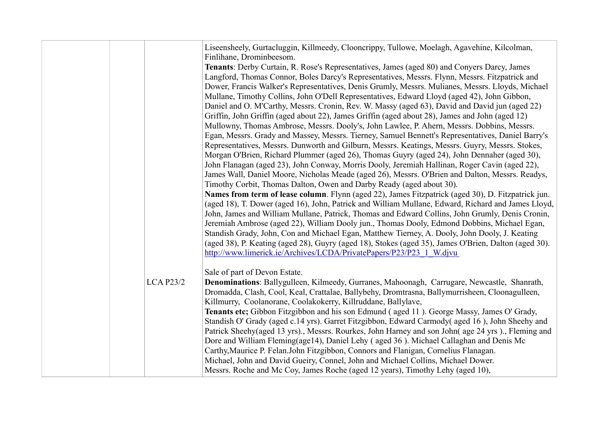|                  | Liseensheely, Gurtacluggin, Killmeedy, Clooncrippy, Tullowe, Moelagh, Agavehine, Kilcolman,<br>Finlihane, Drominbeesom.                                                                               |
|------------------|-------------------------------------------------------------------------------------------------------------------------------------------------------------------------------------------------------|
|                  | Tenants: Derby Curtain, R. Rose's Representatives, James (aged 80) and Conyers Darcy, James                                                                                                           |
|                  | Langford, Thomas Connor, Boles Darcy's Representatives, Messrs. Flynn, Messrs. Fitzpatrick and                                                                                                        |
|                  | Dower, Francis Walker's Representatives, Denis Grumly, Messrs. Mulianes, Messrs. Lloyds, Michael                                                                                                      |
|                  | Mullane, Timothy Collins, John O'Dell Representatives, Edward Lloyd (aged 42), John Gibbon,                                                                                                           |
|                  | Daniel and O. M'Carthy, Messrs. Cronin, Rev. W. Massy (aged 63), David and David jun (aged 22)<br>Griffin, John Griffin (aged about 22), James Griffin (aged about 28), James and John (aged 12)      |
|                  | Mullowny, Thomas Ambrose, Messrs. Dooly's, John Lawlee, P. Ahern, Messrs. Dobbins, Messrs.                                                                                                            |
|                  | Egan, Messrs. Grady and Massey, Messrs. Tierney, Samuel Bennett's Representatives, Daniel Barry's                                                                                                     |
|                  | Representatives, Messrs. Dunworth and Gilburn, Messrs. Keatings, Messrs. Guyry, Messrs. Stokes,                                                                                                       |
|                  | Morgan O'Brien, Richard Plummer (aged 26), Thomas Guyry (aged 24), John Dennaher (aged 30),                                                                                                           |
|                  | John Flanagan (aged 23), John Conway, Morris Dooly, Jeremiah Hallinan, Roger Cavin (aged 22),                                                                                                         |
|                  | James Wall, Daniel Moore, Nicholas Meade (aged 26), Messrs. O'Brien and Dalton, Messrs. Readys,<br>Timothy Corbit, Thomas Dalton, Owen and Darby Ready (aged about 30).                               |
|                  | Names from term of lease column. Flynn (aged 22), James Fitzpatrick (aged 30), D. Fitzpatrick jun.                                                                                                    |
|                  | (aged 18), T. Dower (aged 16), John, Patrick and William Mullane, Edward, Richard and James Lloyd,                                                                                                    |
|                  | John, James and William Mullane, Patrick, Thomas and Edward Collins, John Grumly, Denis Cronin,                                                                                                       |
|                  | Jeremiah Ambrose (aged 22), William Dooly jun., Thomas Dooly, Edmond Dobbins, Michael Egan,                                                                                                           |
|                  | Standish Grady, John, Con and Michael Egan, Matthew Tierney, A. Dooly, John Dooly, J. Keating<br>(aged 38), P. Keating (aged 28), Guyry (aged 18), Stokes (aged 35), James O'Brien, Dalton (aged 30). |
|                  | http://www.limerick.ie/Archives/LCDA/PrivatePapers/P23/P23 1 W.djvu                                                                                                                                   |
|                  |                                                                                                                                                                                                       |
|                  | Sale of part of Devon Estate.                                                                                                                                                                         |
| <b>LCA P23/2</b> | Denominations: Ballygulleen, Kilmeedy, Gurranes, Mahoonagh, Carrugare, Newcastle, Shanrath,                                                                                                           |
|                  | Dromadda, Clash, Cool, Keal, Crattalae, Ballybehy, Dromtrasna, Ballymurrisheen, Cloonagulleen,                                                                                                        |
|                  | Killmurry, Coolanorane, Coolakokerry, Killruddane, Ballylave,<br>Tenants etc; Gibbon Fitzgibbon and his son Edmund (aged 11). George Massy, James O' Grady,                                           |
|                  | Standish O' Grady (aged c.14 yrs). Garret Fitzgibbon, Edward Carmody (aged 16), John Sheehy and                                                                                                       |
|                  | Patrick Sheehy(aged 13 yrs)., Messrs. Rourkes, John Harney and son John(age 24 yrs)., Fleming and                                                                                                     |
|                  | Dore and William Fleming(age14), Daniel Lehy (aged 36). Michael Callaghan and Denis Mc                                                                                                                |
|                  | Carthy, Maurice P. Felan. John Fitzgibbon, Connors and Flanigan, Cornelius Flanagan.                                                                                                                  |
|                  | Michael, John and David Gueiry, Connel, John and Michael Collins, Michael Dower.                                                                                                                      |
|                  | Messrs. Roche and Mc Coy, James Roche (aged 12 years), Timothy Lehy (aged 10),                                                                                                                        |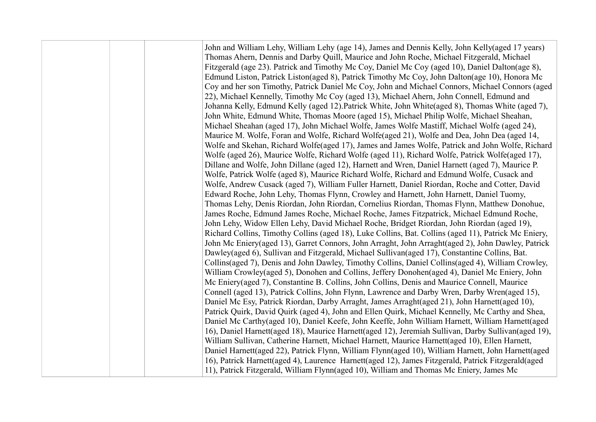|  | John and William Lehy, William Lehy (age 14), James and Dennis Kelly, John Kelly(aged 17 years)<br>Thomas Ahern, Dennis and Darby Quill, Maurice and John Roche, Michael Fitzgerald, Michael<br>Fitzgerald (age 23). Patrick and Timothy Mc Coy, Daniel Mc Coy (aged 10), Daniel Dalton(age 8),<br>Edmund Liston, Patrick Liston(aged 8), Patrick Timothy Mc Coy, John Dalton(age 10), Honora Mc<br>Coy and her son Timothy, Patrick Daniel Mc Coy, John and Michael Connors, Michael Connors (aged<br>22), Michael Kennelly, Timothy Mc Coy (aged 13), Michael Ahern, John Connell, Edmund and<br>Johanna Kelly, Edmund Kelly (aged 12). Patrick White, John White (aged 8), Thomas White (aged 7),<br>John White, Edmund White, Thomas Moore (aged 15), Michael Philip Wolfe, Michael Sheahan,<br>Michael Sheahan (aged 17), John Michael Wolfe, James Wolfe Mastiff, Michael Wolfe (aged 24),<br>Maurice M. Wolfe, Foran and Wolfe, Richard Wolfe(aged 21), Wolfe and Dea, John Dea (aged 14,<br>Wolfe and Skehan, Richard Wolfe(aged 17), James and James Wolfe, Patrick and John Wolfe, Richard<br>Wolfe (aged 26), Maurice Wolfe, Richard Wolfe (aged 11), Richard Wolfe, Patrick Wolfe(aged 17),<br>Dillane and Wolfe, John Dillane (aged 12), Harnett and Wren, Daniel Harnett (aged 7), Maurice P.<br>Wolfe, Patrick Wolfe (aged 8), Maurice Richard Wolfe, Richard and Edmund Wolfe, Cusack and<br>Wolfe, Andrew Cusack (aged 7), William Fuller Harnett, Daniel Riordan, Roche and Cotter, David<br>Edward Roche, John Lehy, Thomas Flynn, Crowley and Harnett, John Harnett, Daniel Tuomy,<br>Thomas Lehy, Denis Riordan, John Riordan, Cornelius Riordan, Thomas Flynn, Matthew Donohue, |
|--|-------------------------------------------------------------------------------------------------------------------------------------------------------------------------------------------------------------------------------------------------------------------------------------------------------------------------------------------------------------------------------------------------------------------------------------------------------------------------------------------------------------------------------------------------------------------------------------------------------------------------------------------------------------------------------------------------------------------------------------------------------------------------------------------------------------------------------------------------------------------------------------------------------------------------------------------------------------------------------------------------------------------------------------------------------------------------------------------------------------------------------------------------------------------------------------------------------------------------------------------------------------------------------------------------------------------------------------------------------------------------------------------------------------------------------------------------------------------------------------------------------------------------------------------------------------------------------------------------------------------------------------------------------------------------------------------------------|
|  | James Roche, Edmund James Roche, Michael Roche, James Fitzpatrick, Michael Edmund Roche,                                                                                                                                                                                                                                                                                                                                                                                                                                                                                                                                                                                                                                                                                                                                                                                                                                                                                                                                                                                                                                                                                                                                                                                                                                                                                                                                                                                                                                                                                                                                                                                                              |
|  | John Lehy, Widow Ellen Lehy, David Michael Roche, Bridget Riordan, John Riordan (aged 19),<br>Richard Collins, Timothy Collins (aged 18), Luke Collins, Bat. Collins (aged 11), Patrick Mc Eniery,                                                                                                                                                                                                                                                                                                                                                                                                                                                                                                                                                                                                                                                                                                                                                                                                                                                                                                                                                                                                                                                                                                                                                                                                                                                                                                                                                                                                                                                                                                    |
|  | John Mc Eniery(aged 13), Garret Connors, John Arraght, John Arraght(aged 2), John Dawley, Patrick                                                                                                                                                                                                                                                                                                                                                                                                                                                                                                                                                                                                                                                                                                                                                                                                                                                                                                                                                                                                                                                                                                                                                                                                                                                                                                                                                                                                                                                                                                                                                                                                     |
|  | Dawley(aged 6), Sullivan and Fitzgerald, Michael Sullivan(aged 17), Constantine Collins, Bat.<br>Collins(aged 7), Denis and John Dawley, Timothy Collins, Daniel Collins(aged 4), William Crowley,                                                                                                                                                                                                                                                                                                                                                                                                                                                                                                                                                                                                                                                                                                                                                                                                                                                                                                                                                                                                                                                                                                                                                                                                                                                                                                                                                                                                                                                                                                    |
|  | William Crowley(aged 5), Donohen and Collins, Jeffery Donohen(aged 4), Daniel Mc Eniery, John                                                                                                                                                                                                                                                                                                                                                                                                                                                                                                                                                                                                                                                                                                                                                                                                                                                                                                                                                                                                                                                                                                                                                                                                                                                                                                                                                                                                                                                                                                                                                                                                         |
|  | Mc Eniery(aged 7), Constantine B. Collins, John Collins, Denis and Maurice Connell, Maurice                                                                                                                                                                                                                                                                                                                                                                                                                                                                                                                                                                                                                                                                                                                                                                                                                                                                                                                                                                                                                                                                                                                                                                                                                                                                                                                                                                                                                                                                                                                                                                                                           |
|  | Connell (aged 13), Patrick Collins, John Flynn, Lawrence and Darby Wren, Darby Wren(aged 15),                                                                                                                                                                                                                                                                                                                                                                                                                                                                                                                                                                                                                                                                                                                                                                                                                                                                                                                                                                                                                                                                                                                                                                                                                                                                                                                                                                                                                                                                                                                                                                                                         |
|  | Daniel Mc Esy, Patrick Riordan, Darby Arraght, James Arraght(aged 21), John Harnett(aged 10),                                                                                                                                                                                                                                                                                                                                                                                                                                                                                                                                                                                                                                                                                                                                                                                                                                                                                                                                                                                                                                                                                                                                                                                                                                                                                                                                                                                                                                                                                                                                                                                                         |
|  | Patrick Quirk, David Quirk (aged 4), John and Ellen Quirk, Michael Kennelly, Mc Carthy and Shea,                                                                                                                                                                                                                                                                                                                                                                                                                                                                                                                                                                                                                                                                                                                                                                                                                                                                                                                                                                                                                                                                                                                                                                                                                                                                                                                                                                                                                                                                                                                                                                                                      |
|  | Daniel Mc Carthy(aged 10), Daniel Keefe, John Keeffe, John William Harnett, William Harnett(aged                                                                                                                                                                                                                                                                                                                                                                                                                                                                                                                                                                                                                                                                                                                                                                                                                                                                                                                                                                                                                                                                                                                                                                                                                                                                                                                                                                                                                                                                                                                                                                                                      |
|  | 16), Daniel Harnett(aged 18), Maurice Harnett(aged 12), Jeremiah Sullivan, Darby Sullivan(aged 19),                                                                                                                                                                                                                                                                                                                                                                                                                                                                                                                                                                                                                                                                                                                                                                                                                                                                                                                                                                                                                                                                                                                                                                                                                                                                                                                                                                                                                                                                                                                                                                                                   |
|  | William Sullivan, Catherine Harnett, Michael Harnett, Maurice Harnett(aged 10), Ellen Harnett,                                                                                                                                                                                                                                                                                                                                                                                                                                                                                                                                                                                                                                                                                                                                                                                                                                                                                                                                                                                                                                                                                                                                                                                                                                                                                                                                                                                                                                                                                                                                                                                                        |
|  | Daniel Harnett(aged 22), Patrick Flynn, William Flynn(aged 10), William Harnett, John Harnett(aged                                                                                                                                                                                                                                                                                                                                                                                                                                                                                                                                                                                                                                                                                                                                                                                                                                                                                                                                                                                                                                                                                                                                                                                                                                                                                                                                                                                                                                                                                                                                                                                                    |
|  | 16), Patrick Harnett(aged 4), Laurence Harnett(aged 12), James Fitzgerald, Patrick Fitzgerald(aged                                                                                                                                                                                                                                                                                                                                                                                                                                                                                                                                                                                                                                                                                                                                                                                                                                                                                                                                                                                                                                                                                                                                                                                                                                                                                                                                                                                                                                                                                                                                                                                                    |
|  | 11), Patrick Fitzgerald, William Flynn(aged 10), William and Thomas Mc Eniery, James Mc                                                                                                                                                                                                                                                                                                                                                                                                                                                                                                                                                                                                                                                                                                                                                                                                                                                                                                                                                                                                                                                                                                                                                                                                                                                                                                                                                                                                                                                                                                                                                                                                               |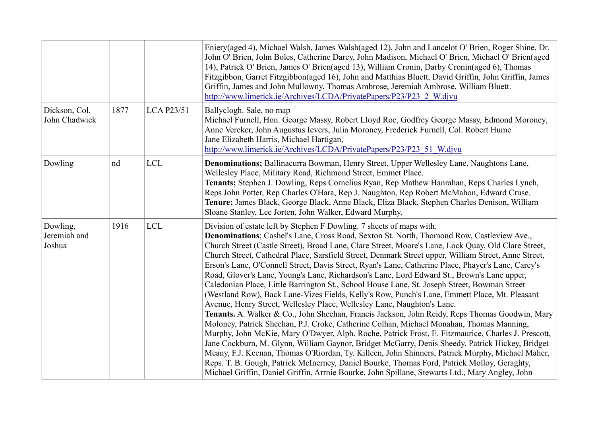|                                    |      |                   | Eniery(aged 4), Michael Walsh, James Walsh(aged 12), John and Lancelot O' Brien, Roger Shine, Dr.<br>John O' Brien, John Boles, Catherine Darcy, John Madison, Michael O' Brien, Michael O' Brien(aged<br>14), Patrick O' Brien, James O' Brien(aged 13), William Cronin, Darby Cronin(aged 6), Thomas<br>Fitzgibbon, Garret Fitzgibbon(aged 16), John and Matthias Bluett, David Griffin, John Griffin, James<br>Griffin, James and John Mullowny, Thomas Ambrose, Jeremiah Ambrose, William Bluett.<br>http://www.limerick.ie/Archives/LCDA/PrivatePapers/P23/P23 2 W.djvu                                                                                                                                                                                                                                                                                                                                                                                                                                                                                                                                                                                                                                                                                                                                                                                                                                                                                                                                                                                                         |
|------------------------------------|------|-------------------|--------------------------------------------------------------------------------------------------------------------------------------------------------------------------------------------------------------------------------------------------------------------------------------------------------------------------------------------------------------------------------------------------------------------------------------------------------------------------------------------------------------------------------------------------------------------------------------------------------------------------------------------------------------------------------------------------------------------------------------------------------------------------------------------------------------------------------------------------------------------------------------------------------------------------------------------------------------------------------------------------------------------------------------------------------------------------------------------------------------------------------------------------------------------------------------------------------------------------------------------------------------------------------------------------------------------------------------------------------------------------------------------------------------------------------------------------------------------------------------------------------------------------------------------------------------------------------------|
| Dickson, Col.<br>John Chadwick     | 1877 | <b>LCA P23/51</b> | Ballyclogh. Sale, no map<br>Michael Furnell, Hon. George Massy, Robert Lloyd Roe, Godfrey George Massy, Edmond Moroney,<br>Anne Vereker, John Augustus Ievers, Julia Moroney, Frederick Furnell, Col. Robert Hume<br>Jane Elizabeth Harris, Michael Hartigan,<br>http://www.limerick.ie/Archives/LCDA/PrivatePapers/P23/P23 51 W.djvu                                                                                                                                                                                                                                                                                                                                                                                                                                                                                                                                                                                                                                                                                                                                                                                                                                                                                                                                                                                                                                                                                                                                                                                                                                                |
| Dowling                            | nd   | <b>LCL</b>        | Denominations; Ballinacurra Bowman, Henry Street, Upper Wellesley Lane, Naughtons Lane,<br>Wellesley Place, Military Road, Richmond Street, Emmet Place.<br>Tenants; Stephen J. Dowling, Reps Cornelius Ryan, Rep Mathew Hanrahan, Reps Charles Lynch,<br>Reps John Potter, Rep Charles O'Hara, Rep J. Naughton, Rep Robert McMahon, Edward Cruse.<br>Tenure; James Black, George Black, Anne Black, Eliza Black, Stephen Charles Denison, William<br>Sloane Stanley, Lee Jorten, John Walker, Edward Murphy.                                                                                                                                                                                                                                                                                                                                                                                                                                                                                                                                                                                                                                                                                                                                                                                                                                                                                                                                                                                                                                                                        |
| Dowling,<br>Jeremiah and<br>Joshua | 1916 | ${\rm LCL}$       | Division of estate left by Stephen F Dowling. 7 sheets of maps with.<br>Denominations; Cashel's Lane, Cross Road, Sexton St. North, Thomond Row, Castleview Ave.,<br>Church Street (Castle Street), Broad Lane, Clare Street, Moore's Lane, Lock Quay, Old Clare Street,<br>Church Street, Cathedral Place, Sarsfield Street, Denmark Street upper, William Street, Anne Street,<br>Erson's Lane, O'Connell Street, Davis Street, Ryan's Lane, Catherine Place, Phayer's Lane, Carey's<br>Road, Glover's Lane, Young's Lane, Richardson's Lane, Lord Edward St., Brown's Lane upper,<br>Caledonian Place, Little Barrington St., School House Lane, St. Joseph Street, Bowman Street<br>(Westland Row), Back Lane-Vizes Fields, Kelly's Row, Punch's Lane, Emmett Place, Mt. Pleasant<br>Avenue, Henry Street, Wellesley Place, Wellesley Lane, Naughton's Lane.<br><b>Tenants.</b> A. Walker & Co., John Sheehan, Francis Jackson, John Reidy, Reps Thomas Goodwin, Mary<br>Moloney, Patrick Sheehan, P.J. Croke, Catherine Colhan, Michael Monahan, Thomas Manning,<br>Murphy, John McKie, Mary O'Dwyer, Alph. Roche, Patrick Frost, E. Fitzmaurice, Charles J. Prescott,<br>Jane Cockburn, M. Glynn, William Gaynor, Bridget McGarry, Denis Sheedy, Patrick Hickey, Bridget<br>Meany, F.J. Keenan, Thomas O'Riordan, Ty. Killeen, John Shinners, Patrick Murphy, Michael Maher,<br>Reps. T. B. Gough, Patrick McInerney, Daniel Bourke, Thomas Ford, Patrick Molloy, Geraghty,<br>Michael Griffin, Daniel Griffin, Arrnie Bourke, John Spillane, Stewarts Ltd., Mary Angley, John |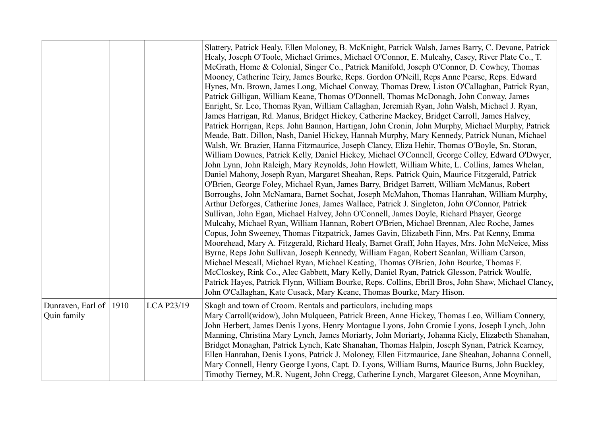|                                       |            | Slattery, Patrick Healy, Ellen Moloney, B. McKnight, Patrick Walsh, James Barry, C. Devane, Patrick<br>Healy, Joseph O'Toole, Michael Grimes, Michael O'Connor, E. Mulcahy, Casey, River Plate Co., T.<br>McGrath, Home & Colonial, Singer Co., Patrick Manifold, Joseph O'Connor, D. Cowhey, Thomas<br>Mooney, Catherine Teiry, James Bourke, Reps. Gordon O'Neill, Reps Anne Pearse, Reps. Edward<br>Hynes, Mn. Brown, James Long, Michael Conway, Thomas Drew, Liston O'Callaghan, Patrick Ryan,<br>Patrick Gilligan, William Keane, Thomas O'Donnell, Thomas McDonagh, John Conway, James<br>Enright, Sr. Leo, Thomas Ryan, William Callaghan, Jeremiah Ryan, John Walsh, Michael J. Ryan,<br>James Harrigan, Rd. Manus, Bridget Hickey, Catherine Mackey, Bridget Carroll, James Halvey,<br>Patrick Horrigan, Reps. John Bannon, Hartigan, John Cronin, John Murphy, Michael Murphy, Patrick<br>Meade, Batt. Dillon, Nash, Daniel Hickey, Hannah Murphy, Mary Kennedy, Patrick Nunan, Michael<br>Walsh, Wr. Brazier, Hanna Fitzmaurice, Joseph Clancy, Eliza Hehir, Thomas O'Boyle, Sn. Storan,<br>William Downes, Patrick Kelly, Daniel Hickey, Michael O'Connell, George Colley, Edward O'Dwyer,<br>John Lynn, John Raleigh, Mary Reynolds, John Howlett, William White, L. Collins, James Whelan,<br>Daniel Mahony, Joseph Ryan, Margaret Sheahan, Reps. Patrick Quin, Maurice Fitzgerald, Patrick<br>O'Brien, George Foley, Michael Ryan, James Barry, Bridget Barrett, William McManus, Robert<br>Borroughs, John McNamara, Barnet Sochat, Joseph McMahon, Thomas Hanrahan, William Murphy,<br>Arthur Deforges, Catherine Jones, James Wallace, Patrick J. Singleton, John O'Connor, Patrick<br>Sullivan, John Egan, Michael Halvey, John O'Connell, James Doyle, Richard Phayer, George<br>Mulcahy, Michael Ryan, William Hannan, Robert O'Brien, Michael Brennan, Alec Roche, James<br>Copus, John Sweeney, Thomas Fitzpatrick, James Gavin, Elizabeth Finn, Mrs. Pat Kenny, Emma<br>Moorehead, Mary A. Fitzgerald, Richard Healy, Barnet Graff, John Hayes, Mrs. John McNeice, Miss<br>Byrne, Reps John Sullivan, Joseph Kennedy, William Fagan, Robert Scanlan, William Carson,<br>Michael Mescall, Michael Ryan, Michael Keating, Thomas O'Brien, John Bourke, Thomas F.<br>McCloskey, Rink Co., Alec Gabbett, Mary Kelly, Daniel Ryan, Patrick Glesson, Patrick Woulfe,<br>Patrick Hayes, Patrick Flynn, William Bourke, Reps. Collins, Ebrill Bros, John Shaw, Michael Clancy,<br>John O'Callaghan, Kate Cusack, Mary Keane, Thomas Bourke, Mary Hison. |
|---------------------------------------|------------|--------------------------------------------------------------------------------------------------------------------------------------------------------------------------------------------------------------------------------------------------------------------------------------------------------------------------------------------------------------------------------------------------------------------------------------------------------------------------------------------------------------------------------------------------------------------------------------------------------------------------------------------------------------------------------------------------------------------------------------------------------------------------------------------------------------------------------------------------------------------------------------------------------------------------------------------------------------------------------------------------------------------------------------------------------------------------------------------------------------------------------------------------------------------------------------------------------------------------------------------------------------------------------------------------------------------------------------------------------------------------------------------------------------------------------------------------------------------------------------------------------------------------------------------------------------------------------------------------------------------------------------------------------------------------------------------------------------------------------------------------------------------------------------------------------------------------------------------------------------------------------------------------------------------------------------------------------------------------------------------------------------------------------------------------------------------------------------------------------------------------------------------------------------------------------------------------------------------------------------------------------------------------------------------------------------------------------------------------------------------------------------------------------------------------------------------------------------------------------------------------------------------------------------------------------------------------|
| Dunraven, Earl of 1910<br>Quin family | LCA P23/19 | Skagh and town of Croom. Rentals and particulars, including maps<br>Mary Carroll(widow), John Mulqueen, Patrick Breen, Anne Hickey, Thomas Leo, William Connery,<br>John Herbert, James Denis Lyons, Henry Montague Lyons, John Cromie Lyons, Joseph Lynch, John<br>Manning, Christina Mary Lynch, James Moriarty, John Moriarty, Johanna Kiely, Elizabeth Shanahan,<br>Bridget Monaghan, Patrick Lynch, Kate Shanahan, Thomas Halpin, Joseph Synan, Patrick Kearney,<br>Ellen Hanrahan, Denis Lyons, Patrick J. Moloney, Ellen Fitzmaurice, Jane Sheahan, Johanna Connell,<br>Mary Connell, Henry George Lyons, Capt. D. Lyons, William Burns, Maurice Burns, John Buckley,<br>Timothy Tierney, M.R. Nugent, John Cregg, Catherine Lynch, Margaret Gleeson, Anne Moynihan,                                                                                                                                                                                                                                                                                                                                                                                                                                                                                                                                                                                                                                                                                                                                                                                                                                                                                                                                                                                                                                                                                                                                                                                                                                                                                                                                                                                                                                                                                                                                                                                                                                                                                                                                                                                              |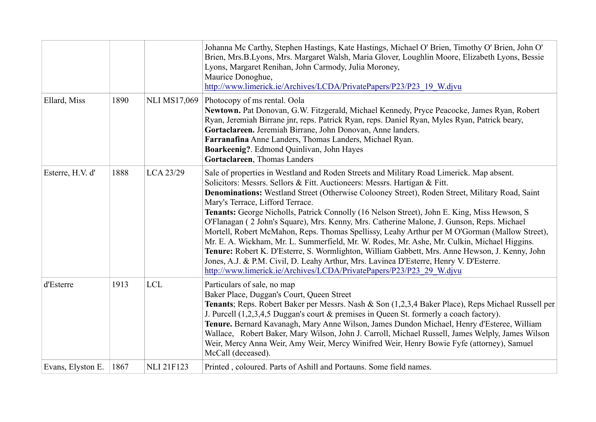|                   |      |                     | Johanna Mc Carthy, Stephen Hastings, Kate Hastings, Michael O' Brien, Timothy O' Brien, John O'<br>Brien, Mrs.B.Lyons, Mrs. Margaret Walsh, Maria Glover, Loughlin Moore, Elizabeth Lyons, Bessie<br>Lyons, Margaret Renihan, John Carmody, Julia Moroney,<br>Maurice Donoghue,<br>http://www.limerick.ie/Archives/LCDA/PrivatePapers/P23/P23 19 W.djvu                                                                                                                                                                                                                                                                                                                                                                                                                                                                                                                                                                                                                      |
|-------------------|------|---------------------|------------------------------------------------------------------------------------------------------------------------------------------------------------------------------------------------------------------------------------------------------------------------------------------------------------------------------------------------------------------------------------------------------------------------------------------------------------------------------------------------------------------------------------------------------------------------------------------------------------------------------------------------------------------------------------------------------------------------------------------------------------------------------------------------------------------------------------------------------------------------------------------------------------------------------------------------------------------------------|
| Ellard, Miss      | 1890 | <b>NLI MS17,069</b> | Photocopy of ms rental. Oola<br>Newtown. Pat Donovan, G.W. Fitzgerald, Michael Kennedy, Pryce Peacocke, James Ryan, Robert<br>Ryan, Jeremiah Birrane jnr, reps. Patrick Ryan, reps. Daniel Ryan, Myles Ryan, Patrick beary,<br>Gortaclareen. Jeremiah Birrane, John Donovan, Anne landers.<br>Farranafina Anne Landers, Thomas Landers, Michael Ryan.<br>Boarkeenig?. Edmond Quinlivan, John Hayes<br>Gortaclareen, Thomas Landers                                                                                                                                                                                                                                                                                                                                                                                                                                                                                                                                           |
| Esterre, H.V. d'  | 1888 | LCA 23/29           | Sale of properties in Westland and Roden Streets and Military Road Limerick. Map absent.<br>Solicitors: Messrs. Sellors & Fitt. Auctioneers: Messrs. Hartigan & Fitt.<br>Denominations: Westland Street (Otherwise Colooney Street), Roden Street, Military Road, Saint<br>Mary's Terrace, Lifford Terrace.<br>Tenants: George Nicholls, Patrick Connolly (16 Nelson Street), John E. King, Miss Hewson, S.<br>O'Flanagan (2 John's Square), Mrs. Kenny, Mrs. Catherine Malone, J. Gunson, Reps. Michael<br>Mortell, Robert McMahon, Reps. Thomas Spellissy, Leahy Arthur per M O'Gorman (Mallow Street),<br>Mr. E. A. Wickham, Mr. L. Summerfield, Mr. W. Rodes, Mr. Ashe, Mr. Culkin, Michael Higgins.<br>Tenure: Robert K. D'Esterre, S. Wormlighton, William Gabbett, Mrs. Anne Hewson, J. Kenny, John<br>Jones, A.J. & P.M. Civil, D. Leahy Arthur, Mrs. Lavinea D'Esterre, Henry V. D'Esterre.<br>http://www.limerick.ie/Archives/LCDA/PrivatePapers/P23/P23 29 W.djvu |
| d'Esterre         | 1913 | <b>LCL</b>          | Particulars of sale, no map<br>Baker Place, Duggan's Court, Queen Street<br>Tenants; Reps. Robert Baker per Messrs. Nash & Son (1,2,3,4 Baker Place), Reps Michael Russell per<br>J. Purcell (1,2,3,4,5 Duggan's court & premises in Queen St. formerly a coach factory).<br>Tenure. Bernard Kavanagh, Mary Anne Wilson, James Dundon Michael, Henry d'Esteree, William<br>Wallace, Robert Baker, Mary Wilson, John J. Carroll, Michael Russell, James Welply, James Wilson<br>Weir, Mercy Anna Weir, Amy Weir, Mercy Winifred Weir, Henry Bowie Fyfe (attorney), Samuel<br>McCall (deceased).                                                                                                                                                                                                                                                                                                                                                                               |
| Evans, Elyston E. | 1867 | <b>NLI 21F123</b>   | Printed, coloured. Parts of Ashill and Portauns. Some field names.                                                                                                                                                                                                                                                                                                                                                                                                                                                                                                                                                                                                                                                                                                                                                                                                                                                                                                           |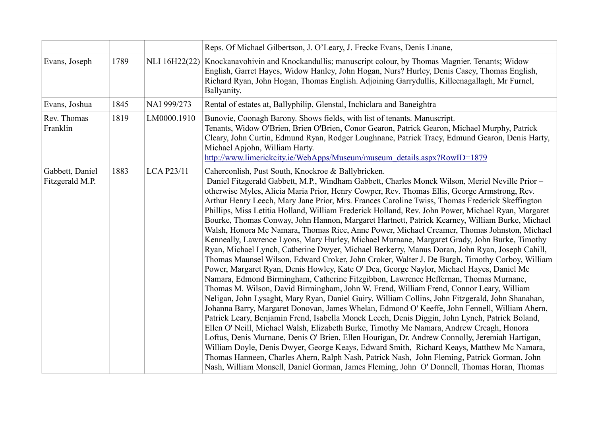|                                    |      |                   | Reps. Of Michael Gilbertson, J. O'Leary, J. Frecke Evans, Denis Linane,                                                                                                                                                                                                                                                                                                                                                                                                                                                                                                                                                                                                                                                                                                                                                                                                                                                                                                                                                                                                                                                                                                                                                                                                                                                                                                                                                                                                                                                                                                                                                                                                                                                                                                                                                                                                                                                                                                                                                                         |
|------------------------------------|------|-------------------|-------------------------------------------------------------------------------------------------------------------------------------------------------------------------------------------------------------------------------------------------------------------------------------------------------------------------------------------------------------------------------------------------------------------------------------------------------------------------------------------------------------------------------------------------------------------------------------------------------------------------------------------------------------------------------------------------------------------------------------------------------------------------------------------------------------------------------------------------------------------------------------------------------------------------------------------------------------------------------------------------------------------------------------------------------------------------------------------------------------------------------------------------------------------------------------------------------------------------------------------------------------------------------------------------------------------------------------------------------------------------------------------------------------------------------------------------------------------------------------------------------------------------------------------------------------------------------------------------------------------------------------------------------------------------------------------------------------------------------------------------------------------------------------------------------------------------------------------------------------------------------------------------------------------------------------------------------------------------------------------------------------------------------------------------|
| Evans, Joseph                      | 1789 | NLI 16H22(22)     | Knockanavohivin and Knockandullis; manuscript colour, by Thomas Magnier. Tenants; Widow<br>English, Garret Hayes, Widow Hanley, John Hogan, Nurs? Hurley, Denis Casey, Thomas English,<br>Richard Ryan, John Hogan, Thomas English. Adjoining Garrydullis, Killeenagallagh, Mr Furnel,<br>Ballyanity.                                                                                                                                                                                                                                                                                                                                                                                                                                                                                                                                                                                                                                                                                                                                                                                                                                                                                                                                                                                                                                                                                                                                                                                                                                                                                                                                                                                                                                                                                                                                                                                                                                                                                                                                           |
| Evans, Joshua                      | 1845 | NAI 999/273       | Rental of estates at, Ballyphilip, Glenstal, Inchiclara and Baneightra                                                                                                                                                                                                                                                                                                                                                                                                                                                                                                                                                                                                                                                                                                                                                                                                                                                                                                                                                                                                                                                                                                                                                                                                                                                                                                                                                                                                                                                                                                                                                                                                                                                                                                                                                                                                                                                                                                                                                                          |
| Rev. Thomas<br>Franklin            | 1819 | LM0000.1910       | Bunovie, Coonagh Barony. Shows fields, with list of tenants. Manuscript.<br>Tenants, Widow O'Brien, Brien O'Brien, Conor Gearon, Patrick Gearon, Michael Murphy, Patrick<br>Cleary, John Curtin, Edmund Ryan, Rodger Loughnane, Patrick Tracy, Edmund Gearon, Denis Harty,<br>Michael Apjohn, William Harty.<br>http://www.limerickcity.ie/WebApps/Museum/museum_details.aspx?RowID=1879                                                                                                                                                                                                                                                                                                                                                                                                                                                                                                                                                                                                                                                                                                                                                                                                                                                                                                                                                                                                                                                                                                                                                                                                                                                                                                                                                                                                                                                                                                                                                                                                                                                        |
| Gabbett, Daniel<br>Fitzgerald M.P. | 1883 | <b>LCA P23/11</b> | Caherconlish, Pust South, Knockroe & Ballybricken.<br>Daniel Fitzgerald Gabbett, M.P., Windham Gabbett, Charles Monck Wilson, Meriel Neville Prior -<br>otherwise Myles, Alicia Maria Prior, Henry Cowper, Rev. Thomas Ellis, George Armstrong, Rev.<br>Arthur Henry Leech, Mary Jane Prior, Mrs. Frances Caroline Twiss, Thomas Frederick Skeffington<br>Phillips, Miss Letitia Holland, William Frederick Holland, Rev. John Power, Michael Ryan, Margaret<br>Bourke, Thomas Conway, John Hannon, Margaret Hartnett, Patrick Kearney, William Burke, Michael<br>Walsh, Honora Mc Namara, Thomas Rice, Anne Power, Michael Creamer, Thomas Johnston, Michael<br>Kenneally, Lawrence Lyons, Mary Hurley, Michael Murnane, Margaret Grady, John Burke, Timothy<br>Ryan, Michael Lynch, Catherine Dwyer, Michael Berkerry, Manus Doran, John Ryan, Joseph Cahill,<br>Thomas Maunsel Wilson, Edward Croker, John Croker, Walter J. De Burgh, Timothy Corboy, William<br>Power, Margaret Ryan, Denis Howley, Kate O' Dea, George Naylor, Michael Hayes, Daniel Mc<br>Namara, Edmond Birmingham, Catherine Fitzgibbon, Lawrence Heffernan, Thomas Murnane,<br>Thomas M. Wilson, David Birmingham, John W. Frend, William Frend, Connor Leary, William<br>Neligan, John Lysaght, Mary Ryan, Daniel Guiry, William Collins, John Fitzgerald, John Shanahan,<br>Johanna Barry, Margaret Donovan, James Whelan, Edmond O' Keeffe, John Fennell, William Ahern,<br>Patrick Leary, Benjamin Frend, Isabella Monck Leech, Denis Diggin, John Lynch, Patrick Boland,<br>Ellen O' Neill, Michael Walsh, Elizabeth Burke, Timothy Mc Namara, Andrew Creagh, Honora<br>Loftus, Denis Murnane, Denis O' Brien, Ellen Hourigan, Dr. Andrew Connolly, Jeremiah Hartigan,<br>William Doyle, Denis Dwyer, George Keays, Edward Smith, Richard Keays, Matthew Mc Namara,<br>Thomas Hanneen, Charles Ahern, Ralph Nash, Patrick Nash, John Fleming, Patrick Gorman, John<br>Nash, William Monsell, Daniel Gorman, James Fleming, John O' Donnell, Thomas Horan, Thomas |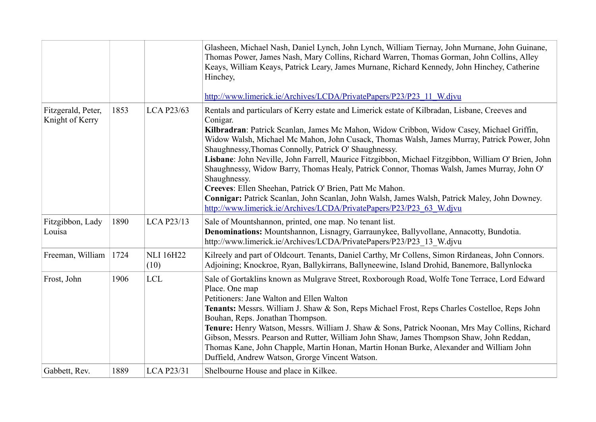|                                       |      |                          | Glasheen, Michael Nash, Daniel Lynch, John Lynch, William Tiernay, John Murnane, John Guinane,<br>Thomas Power, James Nash, Mary Collins, Richard Warren, Thomas Gorman, John Collins, Alley<br>Keays, William Keays, Patrick Leary, James Murnane, Richard Kennedy, John Hinchey, Catherine<br>Hinchey,<br>http://www.limerick.ie/Archives/LCDA/PrivatePapers/P23/P23 11 W.djvu                                                                                                                                                                                                                                                                                                                                                                                                                                           |
|---------------------------------------|------|--------------------------|----------------------------------------------------------------------------------------------------------------------------------------------------------------------------------------------------------------------------------------------------------------------------------------------------------------------------------------------------------------------------------------------------------------------------------------------------------------------------------------------------------------------------------------------------------------------------------------------------------------------------------------------------------------------------------------------------------------------------------------------------------------------------------------------------------------------------|
| Fitzgerald, Peter,<br>Knight of Kerry | 1853 | <b>LCA P23/63</b>        | Rentals and particulars of Kerry estate and Limerick estate of Kilbradan, Lisbane, Creeves and<br>Conigar.<br>Kilbradran: Patrick Scanlan, James Mc Mahon, Widow Cribbon, Widow Casey, Michael Griffin,<br>Widow Walsh, Michael Mc Mahon, John Cusack, Thomas Walsh, James Murray, Patrick Power, John<br>Shaughnessy, Thomas Connolly, Patrick O' Shaughnessy.<br>Lisbane: John Neville, John Farrell, Maurice Fitzgibbon, Michael Fitzgibbon, William O' Brien, John<br>Shaughnessy, Widow Barry, Thomas Healy, Patrick Connor, Thomas Walsh, James Murray, John O'<br>Shaughnessy.<br>Creeves: Ellen Sheehan, Patrick O' Brien, Patt Mc Mahon.<br>Connigar: Patrick Scanlan, John Scanlan, John Walsh, James Walsh, Patrick Maley, John Downey.<br>http://www.limerick.ie/Archives/LCDA/PrivatePapers/P23/P23 63 W.djvu |
| Fitzgibbon, Lady<br>Louisa            | 1890 | <b>LCA P23/13</b>        | Sale of Mountshannon, printed, one map. No tenant list.<br>Denominations: Mountshannon, Lisnagry, Garraunykee, Ballyvollane, Annacotty, Bundotia.<br>http://www.limerick.ie/Archives/LCDA/PrivatePapers/P23/P23 13 W.djvu                                                                                                                                                                                                                                                                                                                                                                                                                                                                                                                                                                                                  |
| Freeman, William                      | 1724 | <b>NLI 16H22</b><br>(10) | Kilreely and part of Oldcourt. Tenants, Daniel Carthy, Mr Collens, Simon Rirdaneas, John Connors.<br>Adjoining; Knockroe, Ryan, Ballykirrans, Ballyneewine, Island Drohid, Banemore, Ballynlocka                                                                                                                                                                                                                                                                                                                                                                                                                                                                                                                                                                                                                           |
| Frost, John                           | 1906 | <b>LCL</b>               | Sale of Gortaklins known as Mulgrave Street, Roxborough Road, Wolfe Tone Terrace, Lord Edward<br>Place. One map<br>Petitioners: Jane Walton and Ellen Walton<br>Tenants: Messrs. William J. Shaw & Son, Reps Michael Frost, Reps Charles Costelloe, Reps John<br>Bouhan, Reps. Jonathan Thompson.<br>Tenure: Henry Watson, Messrs. William J. Shaw & Sons, Patrick Noonan, Mrs May Collins, Richard<br>Gibson, Messrs. Pearson and Rutter, William John Shaw, James Thompson Shaw, John Reddan,<br>Thomas Kane, John Chapple, Martin Honan, Martin Honan Burke, Alexander and William John<br>Duffield, Andrew Watson, Grorge Vincent Watson.                                                                                                                                                                              |
| Gabbett, Rev.                         | 1889 | <b>LCA P23/31</b>        | Shelbourne House and place in Kilkee.                                                                                                                                                                                                                                                                                                                                                                                                                                                                                                                                                                                                                                                                                                                                                                                      |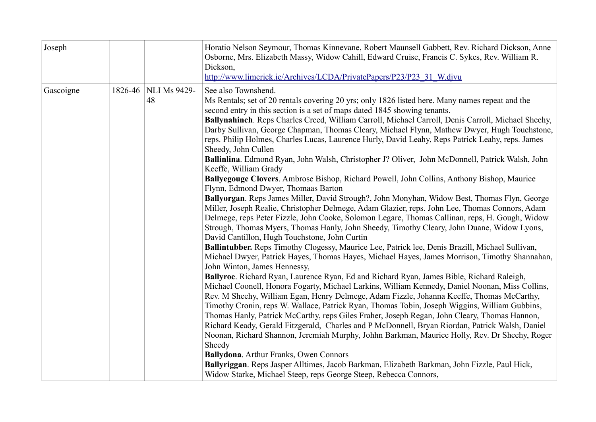| Joseph    |             |                           | Horatio Nelson Seymour, Thomas Kinnevane, Robert Maunsell Gabbett, Rev. Richard Dickson, Anne<br>Osborne, Mrs. Elizabeth Massy, Widow Cahill, Edward Cruise, Francis C. Sykes, Rev. William R.<br>Dickson,<br>http://www.limerick.ie/Archives/LCDA/PrivatePapers/P23/P23 31 W.djvu                                                                                                                                                                                                                                                                                                                                                                                                                                                                                                                                                                                                                                                                                                                                                                                                                                                                                                                                                                                                                                                                                                                                                                                                                                                                                                                                                                                                                                                                                                                                                                                                                                                                                                                                                                                                                                                                                                                                                                                                                                                                                                                                     |
|-----------|-------------|---------------------------|------------------------------------------------------------------------------------------------------------------------------------------------------------------------------------------------------------------------------------------------------------------------------------------------------------------------------------------------------------------------------------------------------------------------------------------------------------------------------------------------------------------------------------------------------------------------------------------------------------------------------------------------------------------------------------------------------------------------------------------------------------------------------------------------------------------------------------------------------------------------------------------------------------------------------------------------------------------------------------------------------------------------------------------------------------------------------------------------------------------------------------------------------------------------------------------------------------------------------------------------------------------------------------------------------------------------------------------------------------------------------------------------------------------------------------------------------------------------------------------------------------------------------------------------------------------------------------------------------------------------------------------------------------------------------------------------------------------------------------------------------------------------------------------------------------------------------------------------------------------------------------------------------------------------------------------------------------------------------------------------------------------------------------------------------------------------------------------------------------------------------------------------------------------------------------------------------------------------------------------------------------------------------------------------------------------------------------------------------------------------------------------------------------------------|
| Gascoigne | $1826 - 46$ | <b>NLI Ms 9429-</b><br>48 | See also Townshend.<br>Ms Rentals; set of 20 rentals covering 20 yrs; only 1826 listed here. Many names repeat and the<br>second entry in this section is a set of maps dated 1845 showing tenants.<br>Ballynahinch. Reps Charles Creed, William Carroll, Michael Carroll, Denis Carroll, Michael Sheehy,<br>Darby Sullivan, George Chapman, Thomas Cleary, Michael Flynn, Mathew Dwyer, Hugh Touchstone,<br>reps. Philip Holmes, Charles Lucas, Laurence Hurly, David Leahy, Reps Patrick Leahy, reps. James<br>Sheedy, John Cullen<br>Ballinlina. Edmond Ryan, John Walsh, Christopher J? Oliver, John McDonnell, Patrick Walsh, John<br>Keeffe, William Grady<br>Ballyegouge Clovers. Ambrose Bishop, Richard Powell, John Collins, Anthony Bishop, Maurice<br>Flynn, Edmond Dwyer, Thomaas Barton<br>Ballyorgan. Reps James Miller, David Strough?, John Monyhan, Widow Best, Thomas Flyn, George<br>Miller, Joseph Realie, Christopher Delmege, Adam Glazier, reps. John Lee, Thomas Connors, Adam<br>Delmege, reps Peter Fizzle, John Cooke, Solomon Legare, Thomas Callinan, reps, H. Gough, Widow<br>Strough, Thomas Myers, Thomas Hanly, John Sheedy, Timothy Cleary, John Duane, Widow Lyons,<br>David Cantillon, Hugh Touchstone, John Curtin<br>Ballintubber. Reps Timothy Clogessy, Maurice Lee, Patrick lee, Denis Brazill, Michael Sullivan,<br>Michael Dwyer, Patrick Hayes, Thomas Hayes, Michael Hayes, James Morrison, Timothy Shannahan,<br>John Winton, James Hennessy,<br>Ballyroe. Richard Ryan, Laurence Ryan, Ed and Richard Ryan, James Bible, Richard Raleigh,<br>Michael Coonell, Honora Fogarty, Michael Larkins, William Kennedy, Daniel Noonan, Miss Collins,<br>Rev. M Sheehy, William Egan, Henry Delmege, Adam Fizzle, Johanna Keeffe, Thomas McCarthy,<br>Timothy Cronin, reps W. Wallace, Patrick Ryan, Thomas Tobin, Joseph Wiggins, William Gubbins,<br>Thomas Hanly, Patrick McCarthy, reps Giles Fraher, Joseph Regan, John Cleary, Thomas Hannon,<br>Richard Keady, Gerald Fitzgerald, Charles and P McDonnell, Bryan Riordan, Patrick Walsh, Daniel<br>Noonan, Richard Shannon, Jeremiah Murphy, Johhn Barkman, Maurice Holly, Rev. Dr Sheehy, Roger<br>Sheedy<br>Ballydona. Arthur Franks, Owen Connors<br>Ballyriggan. Reps Jasper Alltimes, Jacob Barkman, Elizabeth Barkman, John Fizzle, Paul Hick,<br>Widow Starke, Michael Steep, reps George Steep, Rebecca Connors, |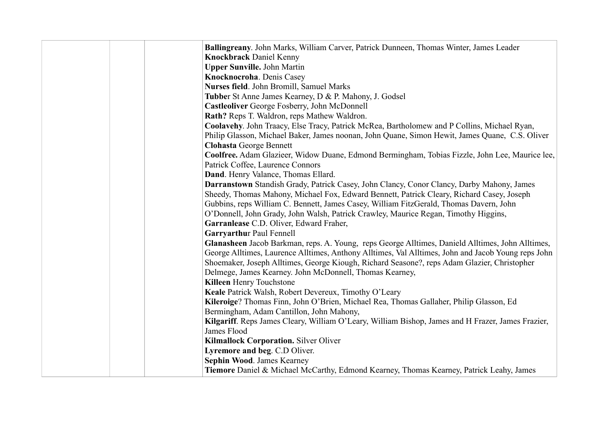| Ballingreany. John Marks, William Carver, Patrick Dunneen, Thomas Winter, James Leader             |
|----------------------------------------------------------------------------------------------------|
| <b>Knockbrack Daniel Kenny</b>                                                                     |
| <b>Upper Sunville.</b> John Martin                                                                 |
| Knocknocroha. Denis Casey                                                                          |
| Nurses field. John Bromill, Samuel Marks                                                           |
| Tubber St Anne James Kearney, D & P. Mahony, J. Godsel                                             |
| Castleoliver George Fosberry, John McDonnell                                                       |
| Rath? Reps T. Waldron, reps Mathew Waldron.                                                        |
| Coolavehy. John Traacy, Else Tracy, Patrick McRea, Bartholomew and P Collins, Michael Ryan,        |
| Philip Glasson, Michael Baker, James noonan, John Quane, Simon Hewit, James Quane, C.S. Oliver     |
| <b>Clohasta George Bennett</b>                                                                     |
| Coolfree. Adam Glazieer, Widow Duane, Edmond Bermingham, Tobias Fizzle, John Lee, Maurice lee,     |
| Patrick Coffee, Laurence Connors                                                                   |
| Dand. Henry Valance, Thomas Ellard.                                                                |
| Darranstown Standish Grady, Patrick Casey, John Clancy, Conor Clancy, Darby Mahony, James          |
| Sheedy, Thomas Mahony, Michael Fox, Edward Bennett, Patrick Cleary, Richard Casey, Joseph          |
| Gubbins, reps William C. Bennett, James Casey, William FitzGerald, Thomas Davern, John             |
| O'Donnell, John Grady, John Walsh, Patrick Crawley, Maurice Regan, Timothy Higgins,                |
| Garranlease C.D. Oliver, Edward Fraher,                                                            |
| <b>Garryarthur Paul Fennell</b>                                                                    |
| Glanasheen Jacob Barkman, reps. A. Young, reps George Alltimes, Danield Alltimes, John Alltimes,   |
| George Alltimes, Laurence Alltimes, Anthony Alltimes, Val Alltimes, John and Jacob Young reps John |
| Shoemaker, Joseph Alltimes, George Kiough, Richard Seasone?, reps Adam Glazier, Christopher        |
| Delmege, James Kearney. John McDonnell, Thomas Kearney,                                            |
| <b>Killeen</b> Henry Touchstone                                                                    |
| Keale Patrick Walsh, Robert Devereux, Timothy O'Leary                                              |
| Kileroige? Thomas Finn, John O'Brien, Michael Rea, Thomas Gallaher, Philip Glasson, Ed             |
| Bermingham, Adam Cantillon, John Mahony,                                                           |
| Kilgariff. Reps James Cleary, William O'Leary, William Bishop, James and H Frazer, James Frazier,  |
| James Flood                                                                                        |
| <b>Kilmallock Corporation.</b> Silver Oliver                                                       |
| Lyremore and beg. C.D Oliver.                                                                      |
| Sephin Wood. James Kearney                                                                         |
| <b>Tiemore</b> Daniel & Michael McCarthy, Edmond Kearney, Thomas Kearney, Patrick Leahy, James     |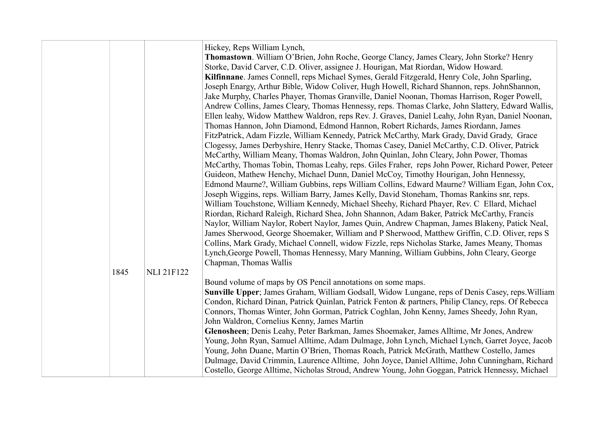| 1845 | <b>NLI 21F122</b> | Hickey, Reps William Lynch,<br>Thomastown. William O'Brien, John Roche, George Clancy, James Cleary, John Storke? Henry<br>Storke, David Carver, C.D. Oliver, assignee J. Hourigan, Mat Riordan, Widow Howard.<br>Kilfinnane. James Connell, reps Michael Symes, Gerald Fitzgerald, Henry Cole, John Sparling,<br>Joseph Enargy, Arthur Bible, Widow Coliver, Hugh Howell, Richard Shannon, reps. JohnShannon,<br>Jake Murphy, Charles Phayer, Thomas Granville, Daniel Noonan, Thomas Harrison, Roger Powell,<br>Andrew Collins, James Cleary, Thomas Hennessy, reps. Thomas Clarke, John Slattery, Edward Wallis,<br>Ellen leahy, Widow Matthew Waldron, reps Rev. J. Graves, Daniel Leahy, John Ryan, Daniel Noonan,<br>Thomas Hannon, John Diamond, Edmond Hannon, Robert Richards, James Riordann, James<br>FitzPatrick, Adam Fizzle, William Kennedy, Patrick McCarthy, Mark Grady, David Grady, Grace<br>Clogessy, James Derbyshire, Henry Stacke, Thomas Casey, Daniel McCarthy, C.D. Oliver, Patrick<br>McCarthy, William Meany, Thomas Waldron, John Quinlan, John Cleary, John Power, Thomas<br>McCarthy, Thomas Tobin, Thomas Leahy, reps. Giles Fraher, reps John Power, Richard Power, Peteer<br>Guideon, Mathew Henchy, Michael Dunn, Daniel McCoy, Timothy Hourigan, John Hennessy,<br>Edmond Maurne?, William Gubbins, reps William Collins, Edward Maurne? William Egan, John Cox,<br>Joseph Wiggins, reps. William Barry, James Kelly, David Stoneham, Thomas Rankins snr, reps.<br>William Touchstone, William Kennedy, Michael Sheehy, Richard Phayer, Rev. C Ellard, Michael<br>Riordan, Richard Raleigh, Richard Shea, John Shannon, Adam Baker, Patrick McCarthy, Francis<br>Naylor, William Naylor, Robert Naylor, James Quin, Andrew Chapman, James Blakeny, Patick Neal,<br>James Sherwood, George Shoemaker, William and P Sherwood, Matthew Griffin, C.D. Oliver, reps S<br>Collins, Mark Grady, Michael Connell, widow Fizzle, reps Nicholas Starke, James Meany, Thomas<br>Lynch, George Powell, Thomas Hennessy, Mary Manning, William Gubbins, John Cleary, George<br>Chapman, Thomas Wallis<br>Bound volume of maps by OS Pencil annotations on some maps.<br>Sunville Upper; James Graham, William Godsall, Widow Lungane, reps of Denis Casey, reps. William<br>Condon, Richard Dinan, Patrick Quinlan, Patrick Fenton & partners, Philip Clancy, reps. Of Rebecca<br>Connors, Thomas Winter, John Gorman, Patrick Coghlan, John Kenny, James Sheedy, John Ryan,<br>John Waldron, Cornelius Kenny, James Martin<br>Glenosheen; Denis Leahy, Peter Barkman, James Shoemaker, James Alltime, Mr Jones, Andrew |
|------|-------------------|-------------------------------------------------------------------------------------------------------------------------------------------------------------------------------------------------------------------------------------------------------------------------------------------------------------------------------------------------------------------------------------------------------------------------------------------------------------------------------------------------------------------------------------------------------------------------------------------------------------------------------------------------------------------------------------------------------------------------------------------------------------------------------------------------------------------------------------------------------------------------------------------------------------------------------------------------------------------------------------------------------------------------------------------------------------------------------------------------------------------------------------------------------------------------------------------------------------------------------------------------------------------------------------------------------------------------------------------------------------------------------------------------------------------------------------------------------------------------------------------------------------------------------------------------------------------------------------------------------------------------------------------------------------------------------------------------------------------------------------------------------------------------------------------------------------------------------------------------------------------------------------------------------------------------------------------------------------------------------------------------------------------------------------------------------------------------------------------------------------------------------------------------------------------------------------------------------------------------------------------------------------------------------------------------------------------------------------------------------------------------------------------------------------------------------------------------------------------------------------------------------------------------------------------------------------------------------------------------------------------------------------------------|
|      |                   |                                                                                                                                                                                                                                                                                                                                                                                                                                                                                                                                                                                                                                                                                                                                                                                                                                                                                                                                                                                                                                                                                                                                                                                                                                                                                                                                                                                                                                                                                                                                                                                                                                                                                                                                                                                                                                                                                                                                                                                                                                                                                                                                                                                                                                                                                                                                                                                                                                                                                                                                                                                                                                                 |
|      |                   |                                                                                                                                                                                                                                                                                                                                                                                                                                                                                                                                                                                                                                                                                                                                                                                                                                                                                                                                                                                                                                                                                                                                                                                                                                                                                                                                                                                                                                                                                                                                                                                                                                                                                                                                                                                                                                                                                                                                                                                                                                                                                                                                                                                                                                                                                                                                                                                                                                                                                                                                                                                                                                                 |
|      |                   | Young, John Ryan, Samuel Alltime, Adam Dulmage, John Lynch, Michael Lynch, Garret Joyce, Jacob                                                                                                                                                                                                                                                                                                                                                                                                                                                                                                                                                                                                                                                                                                                                                                                                                                                                                                                                                                                                                                                                                                                                                                                                                                                                                                                                                                                                                                                                                                                                                                                                                                                                                                                                                                                                                                                                                                                                                                                                                                                                                                                                                                                                                                                                                                                                                                                                                                                                                                                                                  |
|      |                   | Young, John Duane, Martin O'Brien, Thomas Roach, Patrick McGrath, Matthew Costello, James                                                                                                                                                                                                                                                                                                                                                                                                                                                                                                                                                                                                                                                                                                                                                                                                                                                                                                                                                                                                                                                                                                                                                                                                                                                                                                                                                                                                                                                                                                                                                                                                                                                                                                                                                                                                                                                                                                                                                                                                                                                                                                                                                                                                                                                                                                                                                                                                                                                                                                                                                       |
|      |                   | Dulmage, David Crimmin, Laurence Alltime, John Joyce, Daniel Alltime, John Cunningham, Richard                                                                                                                                                                                                                                                                                                                                                                                                                                                                                                                                                                                                                                                                                                                                                                                                                                                                                                                                                                                                                                                                                                                                                                                                                                                                                                                                                                                                                                                                                                                                                                                                                                                                                                                                                                                                                                                                                                                                                                                                                                                                                                                                                                                                                                                                                                                                                                                                                                                                                                                                                  |
|      |                   | Costello, George Alltime, Nicholas Stroud, Andrew Young, John Goggan, Patrick Hennessy, Michael                                                                                                                                                                                                                                                                                                                                                                                                                                                                                                                                                                                                                                                                                                                                                                                                                                                                                                                                                                                                                                                                                                                                                                                                                                                                                                                                                                                                                                                                                                                                                                                                                                                                                                                                                                                                                                                                                                                                                                                                                                                                                                                                                                                                                                                                                                                                                                                                                                                                                                                                                 |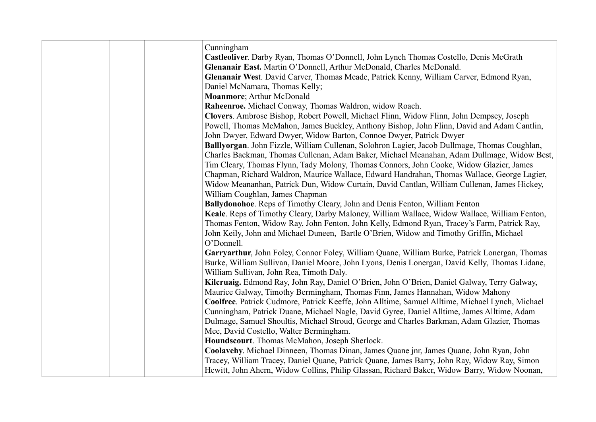| Cunningham                                                                                      |
|-------------------------------------------------------------------------------------------------|
| Castleoliver. Darby Ryan, Thomas O'Donnell, John Lynch Thomas Costello, Denis McGrath           |
| Glenanair East. Martin O'Donnell, Arthur McDonald, Charles McDonald.                            |
| Glenanair West. David Carver, Thomas Meade, Patrick Kenny, William Carver, Edmond Ryan,         |
| Daniel McNamara, Thomas Kelly;                                                                  |
| Moanmore; Arthur McDonald                                                                       |
| Raheenroe. Michael Conway, Thomas Waldron, widow Roach.                                         |
| Clovers. Ambrose Bishop, Robert Powell, Michael Flinn, Widow Flinn, John Dempsey, Joseph        |
| Powell, Thomas McMahon, James Buckley, Anthony Bishop, John Flinn, David and Adam Cantlin,      |
| John Dwyer, Edward Dwyer, Widow Barton, Connoe Dwyer, Patrick Dwyer                             |
| Balllyorgan. John Fizzle, William Cullenan, Solohron Lagier, Jacob Dullmage, Thomas Coughlan,   |
| Charles Backman, Thomas Cullenan, Adam Baker, Michael Meanahan, Adam Dullmage, Widow Best,      |
| Tim Cleary, Thomas Flynn, Tady Molony, Thomas Connors, John Cooke, Widow Glazier, James         |
| Chapman, Richard Waldron, Maurice Wallace, Edward Handrahan, Thomas Wallace, George Lagier,     |
| Widow Meananhan, Patrick Dun, Widow Curtain, David Cantlan, William Cullenan, James Hickey,     |
| William Coughlan, James Chapman                                                                 |
| Ballydonohoe. Reps of Timothy Cleary, John and Denis Fenton, William Fenton                     |
| Keale. Reps of Timothy Cleary, Darby Maloney, William Wallace, Widow Wallace, William Fenton,   |
| Thomas Fenton, Widow Ray, John Fenton, John Kelly, Edmond Ryan, Tracey's Farm, Patrick Ray,     |
| John Keily, John and Michael Duneen, Bartle O'Brien, Widow and Timothy Griffin, Michael         |
| O'Donnell.                                                                                      |
| Garryarthur, John Foley, Connor Foley, William Quane, William Burke, Patrick Lonergan, Thomas   |
| Burke, William Sullivan, Daniel Moore, John Lyons, Denis Lonergan, David Kelly, Thomas Lidane,  |
| William Sullivan, John Rea, Timoth Daly.                                                        |
| Kilcruaig. Edmond Ray, John Ray, Daniel O'Brien, John O'Brien, Daniel Galway, Terry Galway,     |
| Maurice Galway, Timothy Bermingham, Thomas Finn, James Hannahan, Widow Mahony                   |
| Coolfree. Patrick Cudmore, Patrick Keeffe, John Alltime, Samuel Alltime, Michael Lynch, Michael |
| Cunningham, Patrick Duane, Michael Nagle, David Gyree, Daniel Alltime, James Alltime, Adam      |
| Dulmage, Samuel Shoultis, Michael Stroud, George and Charles Barkman, Adam Glazier, Thomas      |
| Mee, David Costello, Walter Bermingham.                                                         |
| Houndscourt. Thomas McMahon, Joseph Sherlock.                                                   |
| Coolavehy. Michael Dinneen, Thomas Dinan, James Quane jnr, James Quane, John Ryan, John         |
| Tracey, William Tracey, Daniel Quane, Patrick Quane, James Barry, John Ray, Widow Ray, Simon    |
| Hewitt, John Ahern, Widow Collins, Philip Glassan, Richard Baker, Widow Barry, Widow Noonan,    |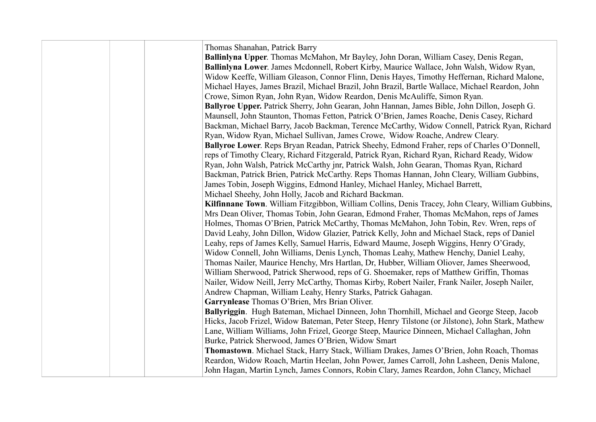| Thomas Shanahan, Patrick Barry                                                                    |
|---------------------------------------------------------------------------------------------------|
| Ballinlyna Upper. Thomas McMahon, Mr Bayley, John Doran, William Casey, Denis Regan,              |
| Ballinlyna Lower. James Mcdonnell, Robert Kirby, Maurice Wallace, John Walsh, Widow Ryan,         |
| Widow Keeffe, William Gleason, Connor Flinn, Denis Hayes, Timothy Heffernan, Richard Malone,      |
| Michael Hayes, James Brazil, Michael Brazil, John Brazil, Bartle Wallace, Michael Reardon, John   |
| Crowe, Simon Ryan, John Ryan, Widow Reardon, Denis McAuliffe, Simon Ryan.                         |
| Ballyroe Upper. Patrick Sherry, John Gearan, John Hannan, James Bible, John Dillon, Joseph G.     |
| Maunsell, John Staunton, Thomas Fetton, Patrick O'Brien, James Roache, Denis Casey, Richard       |
| Backman, Michael Barry, Jacob Backman, Terence McCarthy, Widow Connell, Patrick Ryan, Richard     |
| Ryan, Widow Ryan, Michael Sullivan, James Crowe, Widow Roache, Andrew Cleary.                     |
| Ballyroe Lower. Reps Bryan Readan, Patrick Sheehy, Edmond Fraher, reps of Charles O'Donnell,      |
| reps of Timothy Cleary, Richard Fitzgerald, Patrick Ryan, Richard Ryan, Richard Ready, Widow      |
| Ryan, John Walsh, Patrick McCarthy jnr, Patrick Walsh, John Gearan, Thomas Ryan, Richard          |
| Backman, Patrick Brien, Patrick McCarthy. Reps Thomas Hannan, John Cleary, William Gubbins,       |
| James Tobin, Joseph Wiggins, Edmond Hanley, Michael Hanley, Michael Barrett,                      |
| Michael Sheehy, John Holly, Jacob and Richard Backman.                                            |
| Kilfinnane Town. William Fitzgibbon, William Collins, Denis Tracey, John Cleary, William Gubbins, |
| Mrs Dean Oliver, Thomas Tobin, John Gearan, Edmond Fraher, Thomas McMahon, reps of James          |
| Holmes, Thomas O'Brien, Patrick McCarthy, Thomas McMahon, John Tobin, Rev. Wren, reps of          |
| David Leahy, John Dillon, Widow Glazier, Patrick Kelly, John and Michael Stack, reps of Daniel    |
| Leahy, reps of James Kelly, Samuel Harris, Edward Maume, Joseph Wiggins, Henry O'Grady,           |
| Widow Connell, John Williams, Denis Lynch, Thomas Leahy, Mathew Henchy, Daniel Leahy,             |
| Thomas Nailer, Maurice Henchy, Mrs Hartlan, Dr, Hubber, William Oliover, James Sheerwood,         |
| William Sherwood, Patrick Sherwood, reps of G. Shoemaker, reps of Matthew Griffin, Thomas         |
| Nailer, Widow Neill, Jerry McCarthy, Thomas Kirby, Robert Nailer, Frank Nailer, Joseph Nailer,    |
| Andrew Chapman, William Leahy, Henry Starks, Patrick Gahagan.                                     |
| Garrynlease Thomas O'Brien, Mrs Brian Oliver.                                                     |
| Ballyriggin. Hugh Bateman, Michael Dinneen, John Thornhill, Michael and George Steep, Jacob       |
| Hicks, Jacob Frizel, Widow Bateman, Peter Steep, Henry Tilstone (or Jilstone), John Stark, Mathew |
| Lane, William Williams, John Frizel, George Steep, Maurice Dinneen, Michael Callaghan, John       |
| Burke, Patrick Sherwood, James O'Brien, Widow Smart                                               |
| Thomastown. Michael Stack, Harry Stack, William Drakes, James O'Brien, John Roach, Thomas         |
| Reardon, Widow Roach, Martin Heelan, John Power, James Carroll, John Lasheen, Denis Malone,       |
| John Hagan, Martin Lynch, James Connors, Robin Clary, James Reardon, John Clancy, Michael         |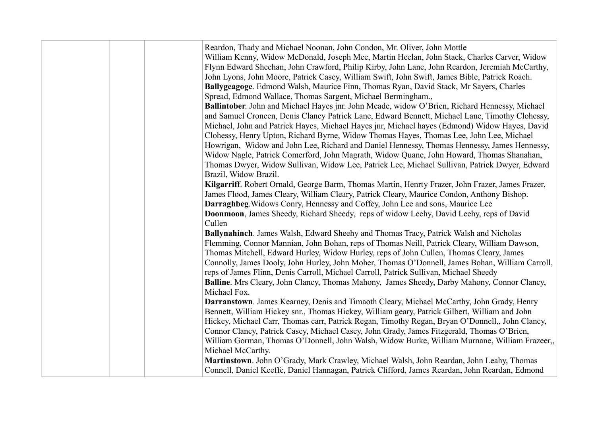| Reardon, Thady and Michael Noonan, John Condon, Mr. Oliver, John Mottle<br>William Kenny, Widow McDonald, Joseph Mee, Martin Heelan, John Stack, Charles Carver, Widow<br>Flynn Edward Sheehan, John Crawford, Philip Kirby, John Lane, John Reardon, Jeremiah McCarthy,<br>John Lyons, John Moore, Patrick Casey, William Swift, John Swift, James Bible, Patrick Roach.<br>Ballygeagoge. Edmond Walsh, Maurice Finn, Thomas Ryan, David Stack, Mr Sayers, Charles<br>Spread, Edmond Wallace, Thomas Sargent, Michael Bermingham.,<br>Ballintober. John and Michael Hayes jnr. John Meade, widow O'Brien, Richard Hennessy, Michael<br>and Samuel Croneen, Denis Clancy Patrick Lane, Edward Bennett, Michael Lane, Timothy Clohessy,<br>Michael, John and Patrick Hayes, Michael Hayes jnr, Michael hayes (Edmond) Widow Hayes, David<br>Clohessy, Henry Upton, Richard Byrne, Widow Thomas Hayes, Thomas Lee, John Lee, Michael<br>Howrigan, Widow and John Lee, Richard and Daniel Hennessy, Thomas Hennessy, James Hennessy,<br>Widow Nagle, Patrick Comerford, John Magrath, Widow Quane, John Howard, Thomas Shanahan,<br>Thomas Dwyer, Widow Sullivan, Widow Lee, Patrick Lee, Michael Sullivan, Patrick Dwyer, Edward<br>Brazil, Widow Brazil.<br>Kilgarriff. Robert Ornald, George Barm, Thomas Martin, Henrty Frazer, John Frazer, James Frazer,<br>James Flood, James Cleary, William Cleary, Patrick Cleary, Maurice Condon, Anthony Bishop.<br>Darraghbeg. Widows Conry, Hennessy and Coffey, John Lee and sons, Maurice Lee |
|--------------------------------------------------------------------------------------------------------------------------------------------------------------------------------------------------------------------------------------------------------------------------------------------------------------------------------------------------------------------------------------------------------------------------------------------------------------------------------------------------------------------------------------------------------------------------------------------------------------------------------------------------------------------------------------------------------------------------------------------------------------------------------------------------------------------------------------------------------------------------------------------------------------------------------------------------------------------------------------------------------------------------------------------------------------------------------------------------------------------------------------------------------------------------------------------------------------------------------------------------------------------------------------------------------------------------------------------------------------------------------------------------------------------------------------------------------------------------------------------------------------------------------------------|
| Doonmoon, James Sheedy, Richard Sheedy, reps of widow Leehy, David Leehy, reps of David<br>Cullen<br>Ballynahinch. James Walsh, Edward Sheehy and Thomas Tracy, Patrick Walsh and Nicholas<br>Flemming, Connor Mannian, John Bohan, reps of Thomas Neill, Patrick Cleary, William Dawson,<br>Thomas Mitchell, Edward Hurley, Widow Hurley, reps of John Cullen, Thomas Cleary, James<br>Connolly, James Dooly, John Hurley, John Moher, Thomas O'Donnell, James Bohan, William Carroll,<br>reps of James Flinn, Denis Carroll, Michael Carroll, Patrick Sullivan, Michael Sheedy<br>Balline. Mrs Cleary, John Clancy, Thomas Mahony, James Sheedy, Darby Mahony, Connor Clancy,<br>Michael Fox.<br>Darranstown. James Kearney, Denis and Timaoth Cleary, Michael McCarthy, John Grady, Henry<br>Bennett, William Hickey snr., Thomas Hickey, William geary, Patrick Gilbert, William and John<br>Hickey, Michael Carr, Thomas carr, Patrick Regan, Timothy Regan, Bryan O'Donnell,, John Clancy,<br>Connor Clancy, Patrick Casey, Michael Casey, John Grady, James Fitzgerald, Thomas O'Brien,<br>William Gorman, Thomas O'Donnell, John Walsh, Widow Burke, William Murnane, William Frazeer,<br>Michael McCarthy.<br>Martinstown. John O'Grady, Mark Crawley, Michael Walsh, John Reardan, John Leahy, Thomas                                                                                                                                                                                                                            |
| Connell, Daniel Keeffe, Daniel Hannagan, Patrick Clifford, James Reardan, John Reardan, Edmond                                                                                                                                                                                                                                                                                                                                                                                                                                                                                                                                                                                                                                                                                                                                                                                                                                                                                                                                                                                                                                                                                                                                                                                                                                                                                                                                                                                                                                             |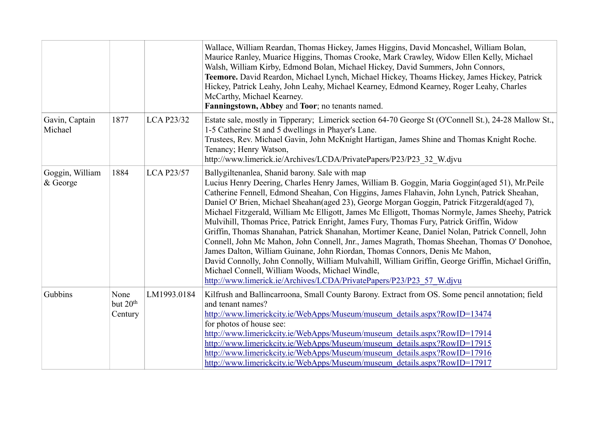|                             |                               |                   | Wallace, William Reardan, Thomas Hickey, James Higgins, David Moncashel, William Bolan,<br>Maurice Ranley, Muarice Higgins, Thomas Crooke, Mark Crawley, Widow Ellen Kelly, Michael<br>Walsh, William Kirby, Edmond Bolan, Michael Hickey, David Summers, John Connors,<br>Teemore. David Reardon, Michael Lynch, Michael Hickey, Thoams Hickey, James Hickey, Patrick<br>Hickey, Patrick Leahy, John Leahy, Michael Kearney, Edmond Kearney, Roger Leahy, Charles<br>McCarthy, Michael Kearney.<br>Fanningstown, Abbey and Toor; no tenants named.                                                                                                                                                                                                                                                                                                                                                                                                                                                                                                                     |
|-----------------------------|-------------------------------|-------------------|-------------------------------------------------------------------------------------------------------------------------------------------------------------------------------------------------------------------------------------------------------------------------------------------------------------------------------------------------------------------------------------------------------------------------------------------------------------------------------------------------------------------------------------------------------------------------------------------------------------------------------------------------------------------------------------------------------------------------------------------------------------------------------------------------------------------------------------------------------------------------------------------------------------------------------------------------------------------------------------------------------------------------------------------------------------------------|
| Gavin, Captain<br>Michael   | 1877                          | <b>LCA P23/32</b> | Estate sale, mostly in Tipperary; Limerick section 64-70 George St (O'Connell St.), 24-28 Mallow St.,<br>1-5 Catherine St and 5 dwellings in Phayer's Lane.<br>Trustees, Rev. Michael Gavin, John McKnight Hartigan, James Shine and Thomas Knight Roche.<br>Tenancy; Henry Watson,<br>http://www.limerick.ie/Archives/LCDA/PrivatePapers/P23/P23 32 W.djvu                                                                                                                                                                                                                                                                                                                                                                                                                                                                                                                                                                                                                                                                                                             |
| Goggin, William<br>& George | 1884                          | <b>LCA P23/57</b> | Ballygiltenanlea, Shanid barony. Sale with map<br>Lucius Henry Deering, Charles Henry James, William B. Goggin, Maria Goggin(aged 51), Mr.Peile<br>Catherine Fennell, Edmond Sheahan, Con Higgins, James Flahavin, John Lynch, Patrick Sheahan,<br>Daniel O' Brien, Michael Sheahan(aged 23), George Morgan Goggin, Patrick Fitzgerald(aged 7),<br>Michael Fitzgerald, William Mc Elligott, James Mc Elligott, Thomas Normyle, James Sheehy, Patrick<br>Mulvihill, Thomas Price, Patrick Enright, James Fury, Thomas Fury, Patrick Griffin, Widow<br>Griffin, Thomas Shanahan, Patrick Shanahan, Mortimer Keane, Daniel Nolan, Patrick Connell, John<br>Connell, John Mc Mahon, John Connell, Jnr., James Magrath, Thomas Sheehan, Thomas O' Donohoe,<br>James Dalton, William Guinane, John Riordan, Thomas Connors, Denis Mc Mahon,<br>David Connolly, John Connolly, William Mulvahill, William Griffin, George Griffin, Michael Griffin,<br>Michael Connell, William Woods, Michael Windle,<br>http://www.limerick.ie/Archives/LCDA/PrivatePapers/P23/P23 57 W.djvu |
| Gubbins                     | None<br>but $20th$<br>Century | LM1993.0184       | Kilfrush and Ballincarroona, Small County Barony. Extract from OS. Some pencil annotation; field<br>and tenant names?<br>http://www.limerickcity.ie/WebApps/Museum/museum_details.aspx?RowID=13474<br>for photos of house see:<br>http://www.limerickcity.ie/WebApps/Museum/museum_details.aspx?RowID=17914<br>http://www.limerickcity.ie/WebApps/Museum/museum_details.aspx?RowID=17915<br>http://www.limerickcity.ie/WebApps/Museum/museum_details.aspx?RowID=17916<br>http://www.limerickcity.ie/WebApps/Museum/museum_details.aspx?RowID=17917                                                                                                                                                                                                                                                                                                                                                                                                                                                                                                                      |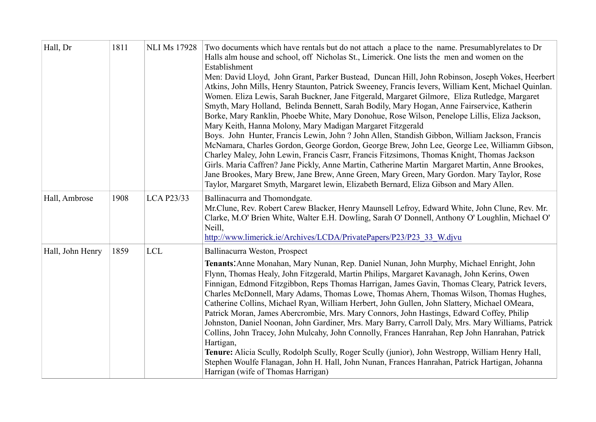| Hall, Dr         | 1811 | <b>NLI Ms 17928</b> | Two documents which have rentals but do not attach a place to the name. Presumably relates to Dr<br>Halls alm house and school, off Nicholas St., Limerick. One lists the men and women on the<br>Establishment<br>Men: David Lloyd, John Grant, Parker Bustead, Duncan Hill, John Robinson, Joseph Vokes, Heerbert<br>Atkins, John Mills, Henry Staunton, Patrick Sweeney, Francis Ievers, William Kent, Michael Quinlan.<br>Women. Eliza Lewis, Sarah Buckner, Jane Fitgerald, Margaret Gilmore, Eliza Rutledge, Margaret<br>Smyth, Mary Holland, Belinda Bennett, Sarah Bodily, Mary Hogan, Anne Fairservice, Katherin<br>Borke, Mary Ranklin, Phoebe White, Mary Donohue, Rose Wilson, Penelope Lillis, Eliza Jackson,<br>Mary Keith, Hanna Molony, Mary Madigan Margaret Fitzgerald<br>Boys. John Hunter, Francis Lewin, John ? John Allen, Standish Gibbon, William Jackson, Francis<br>McNamara, Charles Gordon, George Gordon, George Brew, John Lee, George Lee, Williamm Gibson,<br>Charley Maley, John Lewin, Francis Casrr, Francis Fitzsimons, Thomas Knight, Thomas Jackson<br>Girls. Maria Caffren? Jane Pickly, Anne Martin, Catherine Martin Margaret Martin, Anne Brookes,<br>Jane Brookes, Mary Brew, Jane Brew, Anne Green, Mary Green, Mary Gordon. Mary Taylor, Rose<br>Taylor, Margaret Smyth, Margaret lewin, Elizabeth Bernard, Eliza Gibson and Mary Allen. |
|------------------|------|---------------------|---------------------------------------------------------------------------------------------------------------------------------------------------------------------------------------------------------------------------------------------------------------------------------------------------------------------------------------------------------------------------------------------------------------------------------------------------------------------------------------------------------------------------------------------------------------------------------------------------------------------------------------------------------------------------------------------------------------------------------------------------------------------------------------------------------------------------------------------------------------------------------------------------------------------------------------------------------------------------------------------------------------------------------------------------------------------------------------------------------------------------------------------------------------------------------------------------------------------------------------------------------------------------------------------------------------------------------------------------------------------------------------|
| Hall, Ambrose    | 1908 | <b>LCA P23/33</b>   | Ballinacurra and Thomondgate.<br>Mr. Clune, Rev. Robert Carew Blacker, Henry Maunsell Lefroy, Edward White, John Clune, Rev. Mr.<br>Clarke, M.O' Brien White, Walter E.H. Dowling, Sarah O' Donnell, Anthony O' Loughlin, Michael O'<br>Neill,<br>http://www.limerick.ie/Archives/LCDA/PrivatePapers/P23/P23 33 W.djvu                                                                                                                                                                                                                                                                                                                                                                                                                                                                                                                                                                                                                                                                                                                                                                                                                                                                                                                                                                                                                                                                |
| Hall, John Henry | 1859 | <b>LCL</b>          | Ballinacurra Weston, Prospect<br>Tenants: Anne Monahan, Mary Nunan, Rep. Daniel Nunan, John Murphy, Michael Enright, John<br>Flynn, Thomas Healy, John Fitzgerald, Martin Philips, Margaret Kavanagh, John Kerins, Owen<br>Finnigan, Edmond Fitzgibbon, Reps Thomas Harrigan, James Gavin, Thomas Cleary, Patrick Ievers,<br>Charles McDonnell, Mary Adams, Thomas Lowe, Thomas Ahern, Thomas Wilson, Thomas Hughes,<br>Catherine Collins, Michael Ryan, William Herbert, John Gullen, John Slattery, Michael OMeara,<br>Patrick Moran, James Abercrombie, Mrs. Mary Connors, John Hastings, Edward Coffey, Philip<br>Johnston, Daniel Noonan, John Gardiner, Mrs. Mary Barry, Carroll Daly, Mrs. Mary Williams, Patrick<br>Collins, John Tracey, John Mulcahy, John Connolly, Frances Hanrahan, Rep John Hanrahan, Patrick<br>Hartigan,<br>Tenure: Alicia Scully, Rodolph Scully, Roger Scully (junior), John Westropp, William Henry Hall,<br>Stephen Woulfe Flanagan, John H. Hall, John Nunan, Frances Hanrahan, Patrick Hartigan, Johanna<br>Harrigan (wife of Thomas Harrigan)                                                                                                                                                                                                                                                                                                  |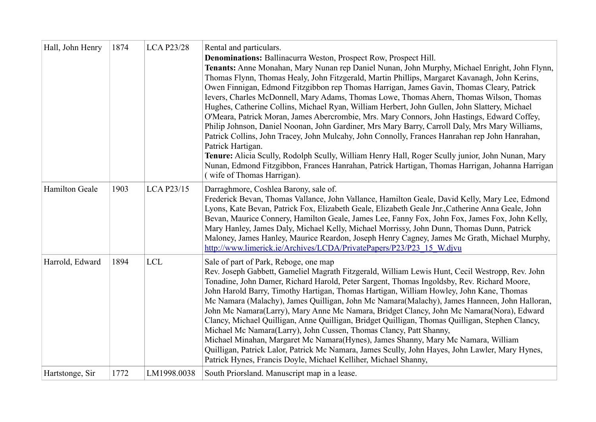| Hall, John Henry | 1874 | <b>LCA P23/28</b> | Rental and particulars.<br><b>Denominations:</b> Ballinacurra Weston, Prospect Row, Prospect Hill.<br>Tenants: Anne Monahan, Mary Nunan rep Daniel Nunan, John Murphy, Michael Enright, John Flynn,<br>Thomas Flynn, Thomas Healy, John Fitzgerald, Martin Phillips, Margaret Kavanagh, John Kerins,<br>Owen Finnigan, Edmond Fitzgibbon rep Thomas Harrigan, James Gavin, Thomas Cleary, Patrick<br>Ievers, Charles McDonnell, Mary Adams, Thomas Lowe, Thomas Ahern, Thomas Wilson, Thomas<br>Hughes, Catherine Collins, Michael Ryan, William Herbert, John Gullen, John Slattery, Michael<br>O'Meara, Patrick Moran, James Abercrombie, Mrs. Mary Connors, John Hastings, Edward Coffey,<br>Philip Johnson, Daniel Noonan, John Gardiner, Mrs Mary Barry, Carroll Daly, Mrs Mary Williams,<br>Patrick Collins, John Tracey, John Mulcahy, John Connolly, Frances Hanrahan rep John Hanrahan,<br>Patrick Hartigan.<br>Tenure: Alicia Scully, Rodolph Scully, William Henry Hall, Roger Scully junior, John Nunan, Mary<br>Nunan, Edmond Fitzgibbon, Frances Hanrahan, Patrick Hartigan, Thomas Harrigan, Johanna Harrigan<br>(wife of Thomas Harrigan). |
|------------------|------|-------------------|------------------------------------------------------------------------------------------------------------------------------------------------------------------------------------------------------------------------------------------------------------------------------------------------------------------------------------------------------------------------------------------------------------------------------------------------------------------------------------------------------------------------------------------------------------------------------------------------------------------------------------------------------------------------------------------------------------------------------------------------------------------------------------------------------------------------------------------------------------------------------------------------------------------------------------------------------------------------------------------------------------------------------------------------------------------------------------------------------------------------------------------------------------|
| Hamilton Geale   | 1903 | <b>LCA P23/15</b> | Darraghmore, Coshlea Barony, sale of.<br>Frederick Bevan, Thomas Vallance, John Vallance, Hamilton Geale, David Kelly, Mary Lee, Edmond<br>Lyons, Kate Bevan, Patrick Fox, Elizabeth Geale, Elizabeth Geale Jnr., Catherine Anna Geale, John<br>Bevan, Maurice Connery, Hamilton Geale, James Lee, Fanny Fox, John Fox, James Fox, John Kelly,<br>Mary Hanley, James Daly, Michael Kelly, Michael Morrissy, John Dunn, Thomas Dunn, Patrick<br>Maloney, James Hanley, Maurice Reardon, Joseph Henry Cagney, James Mc Grath, Michael Murphy,<br>http://www.limerick.ie/Archives/LCDA/PrivatePapers/P23/P23 15 W.djvu                                                                                                                                                                                                                                                                                                                                                                                                                                                                                                                                        |
| Harrold, Edward  | 1894 | <b>LCL</b>        | Sale of part of Park, Reboge, one map<br>Rev. Joseph Gabbett, Gameliel Magrath Fitzgerald, William Lewis Hunt, Cecil Westropp, Rev. John<br>Tonadine, John Damer, Richard Harold, Peter Sargent, Thomas Ingoldsby, Rev. Richard Moore,<br>John Harold Barry, Timothy Hartigan, Thomas Hartigan, William Howley, John Kane, Thomas<br>Mc Namara (Malachy), James Quilligan, John Mc Namara(Malachy), James Hanneen, John Halloran,<br>John Mc Namara(Larry), Mary Anne Mc Namara, Bridget Clancy, John Mc Namara(Nora), Edward<br>Clancy, Michael Quilligan, Anne Quilligan, Bridget Quilligan, Thomas Quilligan, Stephen Clancy,<br>Michael Mc Namara(Larry), John Cussen, Thomas Clancy, Patt Shanny,<br>Michael Minahan, Margaret Mc Namara(Hynes), James Shanny, Mary Mc Namara, William<br>Quilligan, Patrick Lalor, Patrick Mc Namara, James Scully, John Hayes, John Lawler, Mary Hynes,<br>Patrick Hynes, Francis Doyle, Michael Kelliher, Michael Shanny,                                                                                                                                                                                          |
| Hartstonge, Sir  | 1772 | LM1998.0038       | South Priorsland. Manuscript map in a lease.                                                                                                                                                                                                                                                                                                                                                                                                                                                                                                                                                                                                                                                                                                                                                                                                                                                                                                                                                                                                                                                                                                               |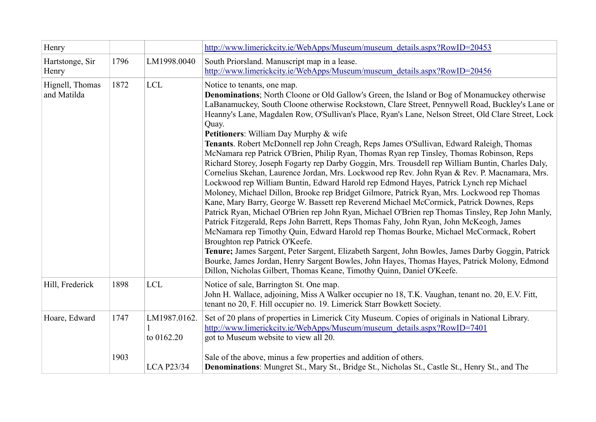| Henry                          |      |                            | http://www.limerickcity.ie/WebApps/Museum/museum_details.aspx?RowID=20453                                                                                                                                                                                                                                                                                                                                                                                                                                                                                                                                                                                                                                                                                                                                                                                                                                                                                                                                                                                                                                                                                                                                                                                                                                                                                                                                                                                                                                                                                                                                                                                                                     |
|--------------------------------|------|----------------------------|-----------------------------------------------------------------------------------------------------------------------------------------------------------------------------------------------------------------------------------------------------------------------------------------------------------------------------------------------------------------------------------------------------------------------------------------------------------------------------------------------------------------------------------------------------------------------------------------------------------------------------------------------------------------------------------------------------------------------------------------------------------------------------------------------------------------------------------------------------------------------------------------------------------------------------------------------------------------------------------------------------------------------------------------------------------------------------------------------------------------------------------------------------------------------------------------------------------------------------------------------------------------------------------------------------------------------------------------------------------------------------------------------------------------------------------------------------------------------------------------------------------------------------------------------------------------------------------------------------------------------------------------------------------------------------------------------|
| Hartstonge, Sir<br>Henry       | 1796 | LM1998.0040                | South Priorsland. Manuscript map in a lease.<br>http://www.limerickcity.ie/WebApps/Museum/museum_details.aspx?RowID=20456                                                                                                                                                                                                                                                                                                                                                                                                                                                                                                                                                                                                                                                                                                                                                                                                                                                                                                                                                                                                                                                                                                                                                                                                                                                                                                                                                                                                                                                                                                                                                                     |
| Hignell, Thomas<br>and Matilda | 1872 | <b>LCL</b>                 | Notice to tenants, one map.<br><b>Denominations</b> ; North Cloone or Old Gallow's Green, the Island or Bog of Monamuckey otherwise<br>LaBanamuckey, South Cloone otherwise Rockstown, Clare Street, Pennywell Road, Buckley's Lane or<br>Heanny's Lane, Magdalen Row, O'Sullivan's Place, Ryan's Lane, Nelson Street, Old Clare Street, Lock<br>Quay.<br>Petitioners: William Day Murphy & wife<br>Tenants. Robert McDonnell rep John Creagh, Reps James O'Sullivan, Edward Raleigh, Thomas<br>McNamara rep Patrick O'Brien, Philip Ryan, Thomas Ryan rep Tinsley, Thomas Robinson, Reps<br>Richard Storey, Joseph Fogarty rep Darby Goggin, Mrs. Trousdell rep William Buntin, Charles Daly,<br>Cornelius Skehan, Laurence Jordan, Mrs. Lockwood rep Rev. John Ryan & Rev. P. Macnamara, Mrs.<br>Lockwood rep William Buntin, Edward Harold rep Edmond Hayes, Patrick Lynch rep Michael<br>Moloney, Michael Dillon, Brooke rep Bridget Gilmore, Patrick Ryan, Mrs. Lockwood rep Thomas<br>Kane, Mary Barry, George W. Bassett rep Reverend Michael McCormick, Patrick Downes, Reps<br>Patrick Ryan, Michael O'Brien rep John Ryan, Michael O'Brien rep Thomas Tinsley, Rep John Manly,<br>Patrick Fitzgerald, Reps John Barrett, Reps Thomas Fahy, John Ryan, John McKeogh, James<br>McNamara rep Timothy Quin, Edward Harold rep Thomas Bourke, Michael McCormack, Robert<br>Broughton rep Patrick O'Keefe.<br>Tenure; James Sargent, Peter Sargent, Elizabeth Sargent, John Bowles, James Darby Goggin, Patrick<br>Bourke, James Jordan, Henry Sargent Bowles, John Hayes, Thomas Hayes, Patrick Molony, Edmond<br>Dillon, Nicholas Gilbert, Thomas Keane, Timothy Quinn, Daniel O'Keefe. |
| Hill, Frederick                | 1898 | <b>LCL</b>                 | Notice of sale, Barrington St. One map.<br>John H. Wallace, adjoining, Miss A Walker occupier no 18, T.K. Vaughan, tenant no. 20, E.V. Fitt,<br>tenant no 20, F. Hill occupier no. 19. Limerick Starr Bowkett Society.                                                                                                                                                                                                                                                                                                                                                                                                                                                                                                                                                                                                                                                                                                                                                                                                                                                                                                                                                                                                                                                                                                                                                                                                                                                                                                                                                                                                                                                                        |
| Hoare, Edward                  | 1747 | LM1987.0162.<br>to 0162.20 | Set of 20 plans of properties in Limerick City Museum. Copies of originals in National Library.<br>http://www.limerickcity.ie/WebApps/Museum/museum_details.aspx?RowID=7401<br>got to Museum website to view all 20.                                                                                                                                                                                                                                                                                                                                                                                                                                                                                                                                                                                                                                                                                                                                                                                                                                                                                                                                                                                                                                                                                                                                                                                                                                                                                                                                                                                                                                                                          |
|                                | 1903 | <b>LCA P23/34</b>          | Sale of the above, minus a few properties and addition of others.<br><b>Denominations:</b> Mungret St., Mary St., Bridge St., Nicholas St., Castle St., Henry St., and The                                                                                                                                                                                                                                                                                                                                                                                                                                                                                                                                                                                                                                                                                                                                                                                                                                                                                                                                                                                                                                                                                                                                                                                                                                                                                                                                                                                                                                                                                                                    |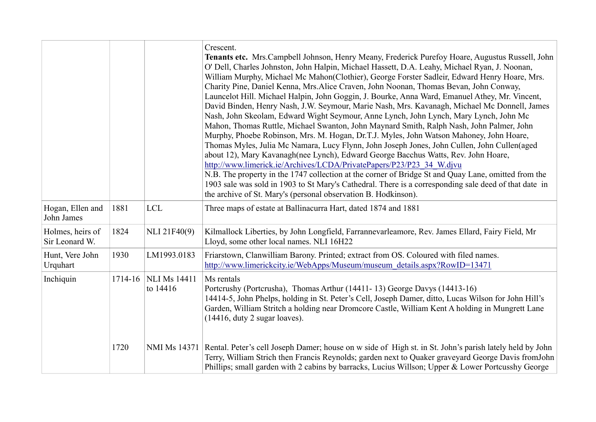|                                    |         |                          | Crescent.<br>Tenants etc. Mrs.Campbell Johnson, Henry Meany, Frederick Purefoy Hoare, Augustus Russell, John<br>O' Dell, Charles Johnston, John Halpin, Michael Hassett, D.A. Leahy, Michael Ryan, J. Noonan,<br>William Murphy, Michael Mc Mahon(Clothier), George Forster Sadleir, Edward Henry Hoare, Mrs.<br>Charity Pine, Daniel Kenna, Mrs. Alice Craven, John Noonan, Thomas Bevan, John Conway,<br>Launcelot Hill. Michael Halpin, John Goggin, J. Bourke, Anna Ward, Emanuel Athey, Mr. Vincent,<br>David Binden, Henry Nash, J.W. Seymour, Marie Nash, Mrs. Kavanagh, Michael Mc Donnell, James<br>Nash, John Skeolam, Edward Wight Seymour, Anne Lynch, John Lynch, Mary Lynch, John Mc<br>Mahon, Thomas Ruttle, Michael Swanton, John Maynard Smith, Ralph Nash, John Palmer, John<br>Murphy, Phoebe Robinson, Mrs. M. Hogan, Dr.T.J. Myles, John Watson Mahoney, John Hoare,<br>Thomas Myles, Julia Mc Namara, Lucy Flynn, John Joseph Jones, John Cullen, John Cullen(aged<br>about 12), Mary Kavanagh(nee Lynch), Edward George Bacchus Watts, Rev. John Hoare,<br>http://www.limerick.ie/Archives/LCDA/PrivatePapers/P23/P23 34 W.djvu<br>N.B. The property in the 1747 collection at the corner of Bridge St and Quay Lane, omitted from the<br>1903 sale was sold in 1903 to St Mary's Cathedral. There is a corresponding sale deed of that date in<br>the archive of St. Mary's (personal observation B. Hodkinson). |
|------------------------------------|---------|--------------------------|------------------------------------------------------------------------------------------------------------------------------------------------------------------------------------------------------------------------------------------------------------------------------------------------------------------------------------------------------------------------------------------------------------------------------------------------------------------------------------------------------------------------------------------------------------------------------------------------------------------------------------------------------------------------------------------------------------------------------------------------------------------------------------------------------------------------------------------------------------------------------------------------------------------------------------------------------------------------------------------------------------------------------------------------------------------------------------------------------------------------------------------------------------------------------------------------------------------------------------------------------------------------------------------------------------------------------------------------------------------------------------------------------------------------------------------|
| Hogan, Ellen and<br>John James     | 1881    | <b>LCL</b>               | Three maps of estate at Ballinacurra Hart, dated 1874 and 1881                                                                                                                                                                                                                                                                                                                                                                                                                                                                                                                                                                                                                                                                                                                                                                                                                                                                                                                                                                                                                                                                                                                                                                                                                                                                                                                                                                           |
| Holmes, heirs of<br>Sir Leonard W. | 1824    | NLI 21F40(9)             | Kilmallock Liberties, by John Longfield, Farrannevarleamore, Rev. James Ellard, Fairy Field, Mr<br>Lloyd, some other local names. NLI 16H22                                                                                                                                                                                                                                                                                                                                                                                                                                                                                                                                                                                                                                                                                                                                                                                                                                                                                                                                                                                                                                                                                                                                                                                                                                                                                              |
| Hunt, Vere John<br>Urquhart        | 1930    | LM1993.0183              | Friarstown, Clanwilliam Barony. Printed; extract from OS. Coloured with filed names.<br>http://www.limerickcity.ie/WebApps/Museum/museum_details.aspx?RowID=13471                                                                                                                                                                                                                                                                                                                                                                                                                                                                                                                                                                                                                                                                                                                                                                                                                                                                                                                                                                                                                                                                                                                                                                                                                                                                        |
| Inchiquin                          | 1714-16 | NLI Ms 14411<br>to 14416 | Ms rentals<br>Portcrushy (Portcrusha), Thomas Arthur (14411-13) George Davys (14413-16)<br>14414-5, John Phelps, holding in St. Peter's Cell, Joseph Damer, ditto, Lucas Wilson for John Hill's<br>Garden, William Stritch a holding near Dromcore Castle, William Kent A holding in Mungrett Lane<br>$(14416, \text{duty } 2 \text{ sugar loaves}).$                                                                                                                                                                                                                                                                                                                                                                                                                                                                                                                                                                                                                                                                                                                                                                                                                                                                                                                                                                                                                                                                                    |
|                                    | 1720    | NMI Ms 14371             | Rental. Peter's cell Joseph Damer; house on w side of High st. in St. John's parish lately held by John<br>Terry, William Strich then Francis Reynolds; garden next to Quaker graveyard George Davis from John<br>Phillips; small garden with 2 cabins by barracks, Lucius Willson; Upper & Lower Portcusshy George                                                                                                                                                                                                                                                                                                                                                                                                                                                                                                                                                                                                                                                                                                                                                                                                                                                                                                                                                                                                                                                                                                                      |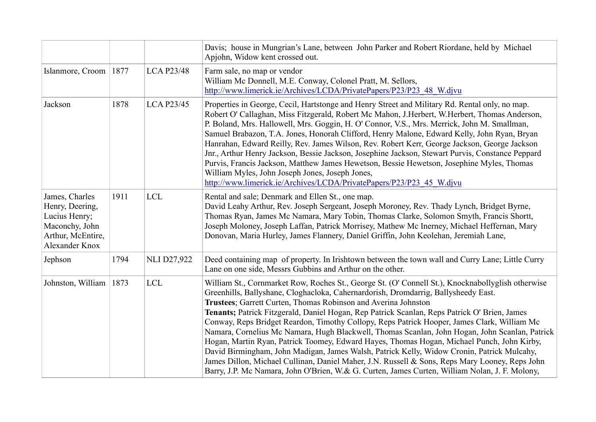|                                                                                                             |      |                    | Davis; house in Mungrian's Lane, between John Parker and Robert Riordane, held by Michael<br>Apjohn, Widow kent crossed out.                                                                                                                                                                                                                                                                                                                                                                                                                                                                                                                                                                                                                                                                                                                                                                                                                               |
|-------------------------------------------------------------------------------------------------------------|------|--------------------|------------------------------------------------------------------------------------------------------------------------------------------------------------------------------------------------------------------------------------------------------------------------------------------------------------------------------------------------------------------------------------------------------------------------------------------------------------------------------------------------------------------------------------------------------------------------------------------------------------------------------------------------------------------------------------------------------------------------------------------------------------------------------------------------------------------------------------------------------------------------------------------------------------------------------------------------------------|
| Islanmore, Croom                                                                                            | 1877 | <b>LCA P23/48</b>  | Farm sale, no map or vendor<br>William Mc Donnell, M.E. Conway, Colonel Pratt, M. Sellors,<br>http://www.limerick.ie/Archives/LCDA/PrivatePapers/P23/P23 48 W.djvu                                                                                                                                                                                                                                                                                                                                                                                                                                                                                                                                                                                                                                                                                                                                                                                         |
| Jackson                                                                                                     | 1878 | <b>LCA P23/45</b>  | Properties in George, Cecil, Hartstonge and Henry Street and Military Rd. Rental only, no map.<br>Robert O' Callaghan, Miss Fitzgerald, Robert Mc Mahon, J.Herbert, W.Herbert, Thomas Anderson,<br>P. Boland, Mrs. Hallowell, Mrs. Goggin, H. O' Connor, V.S., Mrs. Merrick, John M. Smallman,<br>Samuel Brabazon, T.A. Jones, Honorah Clifford, Henry Malone, Edward Kelly, John Ryan, Bryan<br>Hanrahan, Edward Reilly, Rev. James Wilson, Rev. Robert Kerr, George Jackson, George Jackson<br>Jnr., Arthur Henry Jackson, Bessie Jackson, Josephine Jackson, Stewart Purvis, Constance Peppard<br>Purvis, Francis Jackson, Matthew James Hewetson, Bessie Hewetson, Josephine Myles, Thomas<br>William Myles, John Joseph Jones, Joseph Jones,<br>http://www.limerick.ie/Archives/LCDA/PrivatePapers/P23/P23 45 W.djvu                                                                                                                                  |
| James, Charles<br>Henry, Deering,<br>Lucius Henry;<br>Maconchy, John<br>Arthur, McEntire,<br>Alexander Knox | 1911 | <b>LCL</b>         | Rental and sale; Denmark and Ellen St., one map.<br>David Leahy Arthur, Rev. Joseph Sergeant, Joseph Moroney, Rev. Thady Lynch, Bridget Byrne,<br>Thomas Ryan, James Mc Namara, Mary Tobin, Thomas Clarke, Solomon Smyth, Francis Shortt,<br>Joseph Moloney, Joseph Laffan, Patrick Morrisey, Mathew Mc Inerney, Michael Heffernan, Mary<br>Donovan, Maria Hurley, James Flannery, Daniel Griffin, John Keolehan, Jeremiah Lane,                                                                                                                                                                                                                                                                                                                                                                                                                                                                                                                           |
| Jephson                                                                                                     | 1794 | <b>NLI D27,922</b> | Deed containing map of property. In Irishtown between the town wall and Curry Lane; Little Curry<br>Lane on one side, Messrs Gubbins and Arthur on the other.                                                                                                                                                                                                                                                                                                                                                                                                                                                                                                                                                                                                                                                                                                                                                                                              |
| Johnston, William                                                                                           | 1873 | <b>LCL</b>         | William St., Cornmarket Row, Roches St., George St. (O' Connell St.), Knocknabollyglish otherwise<br>Greenhills, Ballyshane, Cloghacloka, Cahernardorish, Dromdarrig, Ballysheedy East.<br>Trustees; Garrett Curten, Thomas Robinson and Averina Johnston<br>Tenants; Patrick Fitzgerald, Daniel Hogan, Rep Patrick Scanlan, Reps Patrick O' Brien, James<br>Conway, Reps Bridget Reardon, Timothy Collopy, Reps Patrick Hooper, James Clark, William Mc<br>Namara, Cornelius Mc Namara, Hugh Blackwell, Thomas Scanlan, John Hogan, John Scanlan, Patrick<br>Hogan, Martin Ryan, Patrick Toomey, Edward Hayes, Thomas Hogan, Michael Punch, John Kirby,<br>David Birmingham, John Madigan, James Walsh, Patrick Kelly, Widow Cronin, Patrick Mulcahy,<br>James Dillon, Michael Cullinan, Daniel Maher, J.N. Russell & Sons, Reps Mary Looney, Reps John<br>Barry, J.P. Mc Namara, John O'Brien, W.& G. Curten, James Curten, William Nolan, J. F. Molony, |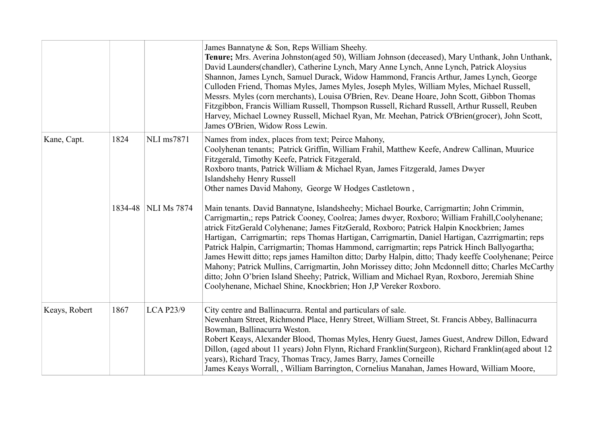|               |      |                       | James Bannatyne & Son, Reps William Sheehy.<br>Tenure; Mrs. Averina Johnston(aged 50), William Johnson (deceased), Mary Unthank, John Unthank,<br>David Launders(chandler), Catherine Lynch, Mary Anne Lynch, Anne Lynch, Patrick Aloysius<br>Shannon, James Lynch, Samuel Durack, Widow Hammond, Francis Arthur, James Lynch, George<br>Culloden Friend, Thomas Myles, James Myles, Joseph Myles, William Myles, Michael Russell,<br>Messrs. Myles (corn merchants), Louisa O'Brien, Rev. Deane Hoare, John Scott, Gibbon Thomas<br>Fitzgibbon, Francis William Russell, Thompson Russell, Richard Russell, Arthur Russell, Reuben<br>Harvey, Michael Lowney Russell, Michael Ryan, Mr. Meehan, Patrick O'Brien(grocer), John Scott,<br>James O'Brien, Widow Ross Lewin.                                                                                                        |
|---------------|------|-----------------------|----------------------------------------------------------------------------------------------------------------------------------------------------------------------------------------------------------------------------------------------------------------------------------------------------------------------------------------------------------------------------------------------------------------------------------------------------------------------------------------------------------------------------------------------------------------------------------------------------------------------------------------------------------------------------------------------------------------------------------------------------------------------------------------------------------------------------------------------------------------------------------|
| Kane, Capt.   | 1824 | <b>NLI</b> ms7871     | Names from index, places from text; Peirce Mahony,<br>Coolyhenan tenants; Patrick Griffin, William Frahil, Matthew Keefe, Andrew Callinan, Muurice<br>Fitzgerald, Timothy Keefe, Patrick Fitzgerald,<br>Roxboro tnants, Patrick William & Michael Ryan, James Fitzgerald, James Dwyer<br>Islandshehy Henry Russell<br>Other names David Mahony, George W Hodges Castletown,                                                                                                                                                                                                                                                                                                                                                                                                                                                                                                      |
|               |      | 1834-48   NLI Ms 7874 | Main tenants. David Bannatyne, Islandsheehy; Michael Bourke, Carrigmartin; John Crimmin,<br>Carrigmartin,; reps Patrick Cooney, Coolrea; James dwyer, Roxboro; William Frahill, Coolyhenane;<br>atrick FitzGerald Colyhenane; James FitzGerald, Roxboro; Patrick Halpin Knockbrien; James<br>Hartigan, Carrigmartin; reps Thomas Hartigan, Carrigmartin, Daniel Hartigan, Cazrrigmartin; reps<br>Patrick Halpin, Carrigmartin; Thomas Hammond, carrigmartin; reps Patrick Hinch Ballyogartha;<br>James Hewitt ditto; reps james Hamilton ditto; Darby Halpin, ditto; Thady keeffe Coolyhenane; Peirce<br>Mahony; Patrick Mullins, Carrigmartin, John Morissey ditto; John Mcdonnell ditto; Charles McCarthy<br>ditto; John O'brien Island Sheehy; Patrick, William and Michael Ryan, Roxboro, Jeremiah Shine<br>Coolyhenane, Michael Shine, Knockbrien; Hon J,P Vereker Roxboro. |
| Keays, Robert | 1867 | <b>LCA P23/9</b>      | City centre and Ballinacurra. Rental and particulars of sale.<br>Newenham Street, Richmond Place, Henry Street, William Street, St. Francis Abbey, Ballinacurra<br>Bowman, Ballinacurra Weston.<br>Robert Keays, Alexander Blood, Thomas Myles, Henry Guest, James Guest, Andrew Dillon, Edward<br>Dillon, (aged about 11 years) John Flynn, Richard Franklin(Surgeon), Richard Franklin(aged about 12<br>years), Richard Tracy, Thomas Tracy, James Barry, James Corneille<br>James Keays Worrall,, William Barrington, Cornelius Manahan, James Howard, William Moore,                                                                                                                                                                                                                                                                                                         |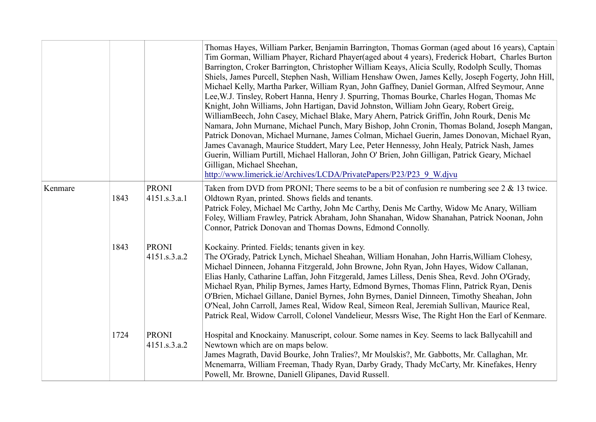|         |      |                              | Thomas Hayes, William Parker, Benjamin Barrington, Thomas Gorman (aged about 16 years), Captain<br>Tim Gorman, William Phayer, Richard Phayer(aged about 4 years), Frederick Hobart, Charles Burton<br>Barrington, Croker Barrington, Christopher William Keays, Alicia Scully, Rodolph Scully, Thomas<br>Shiels, James Purcell, Stephen Nash, William Henshaw Owen, James Kelly, Joseph Fogerty, John Hill,<br>Michael Kelly, Martha Parker, William Ryan, John Gaffney, Daniel Gorman, Alfred Seymour, Anne<br>Lee, W.J. Tinsley, Robert Hanna, Henry J. Spurring, Thomas Bourke, Charles Hogan, Thomas Mc<br>Knight, John Williams, John Hartigan, David Johnston, William John Geary, Robert Greig,<br>WilliamBeech, John Casey, Michael Blake, Mary Ahern, Patrick Griffin, John Rourk, Denis Mc<br>Namara, John Murnane, Michael Punch, Mary Bishop, John Cronin, Thomas Boland, Joseph Mangan,<br>Patrick Donovan, Michael Murnane, James Colman, Michael Guerin, James Donovan, Michael Ryan,<br>James Cavanagh, Maurice Studdert, Mary Lee, Peter Hennessy, John Healy, Patrick Nash, James<br>Guerin, William Purtill, Michael Halloran, John O' Brien, John Gilligan, Patrick Geary, Michael<br>Gilligan, Michael Sheehan,<br>http://www.limerick.ie/Archives/LCDA/PrivatePapers/P23/P23 9 W.djvu |
|---------|------|------------------------------|--------------------------------------------------------------------------------------------------------------------------------------------------------------------------------------------------------------------------------------------------------------------------------------------------------------------------------------------------------------------------------------------------------------------------------------------------------------------------------------------------------------------------------------------------------------------------------------------------------------------------------------------------------------------------------------------------------------------------------------------------------------------------------------------------------------------------------------------------------------------------------------------------------------------------------------------------------------------------------------------------------------------------------------------------------------------------------------------------------------------------------------------------------------------------------------------------------------------------------------------------------------------------------------------------------------|
| Kenmare | 1843 | <b>PRONI</b><br>4151.s.3.a.1 | Taken from DVD from PRONI; There seems to be a bit of confusion re numbering see $2 \& 13$ twice.<br>Oldtown Ryan, printed. Shows fields and tenants.<br>Patrick Foley, Michael Mc Carthy, John Mc Carthy, Denis Mc Carthy, Widow Mc Anary, William<br>Foley, William Frawley, Patrick Abraham, John Shanahan, Widow Shanahan, Patrick Noonan, John<br>Connor, Patrick Donovan and Thomas Downs, Edmond Connolly.                                                                                                                                                                                                                                                                                                                                                                                                                                                                                                                                                                                                                                                                                                                                                                                                                                                                                            |
|         | 1843 | <b>PRONI</b><br>4151.s.3.a.2 | Kockainy. Printed. Fields; tenants given in key.<br>The O'Grady, Patrick Lynch, Michael Sheahan, William Honahan, John Harris, William Clohesy,<br>Michael Dinneen, Johanna Fitzgerald, John Browne, John Ryan, John Hayes, Widow Callanan,<br>Elias Hanly, Catharine Laffan, John Fitzgerald, James Lilless, Denis Shea, Revd. John O'Grady,<br>Michael Ryan, Philip Byrnes, James Harty, Edmond Byrnes, Thomas Flinn, Patrick Ryan, Denis<br>O'Brien, Michael Gillane, Daniel Byrnes, John Byrnes, Daniel Dinneen, Timothy Sheahan, John<br>O'Neal, John Carroll, James Real, Widow Real, Simeon Real, Jeremiah Sullivan, Maurice Real,<br>Patrick Real, Widow Carroll, Colonel Vandelieur, Messrs Wise, The Right Hon the Earl of Kenmare.                                                                                                                                                                                                                                                                                                                                                                                                                                                                                                                                                                |
|         | 1724 | <b>PRONI</b><br>4151.s.3.a.2 | Hospital and Knockainy. Manuscript, colour. Some names in Key. Seems to lack Ballycahill and<br>Newtown which are on maps below.<br>James Magrath, David Bourke, John Tralies?, Mr Moulskis?, Mr. Gabbotts, Mr. Callaghan, Mr.<br>Mcnemarra, William Freeman, Thady Ryan, Darby Grady, Thady McCarty, Mr. Kinefakes, Henry<br>Powell, Mr. Browne, Daniell Glipanes, David Russell.                                                                                                                                                                                                                                                                                                                                                                                                                                                                                                                                                                                                                                                                                                                                                                                                                                                                                                                           |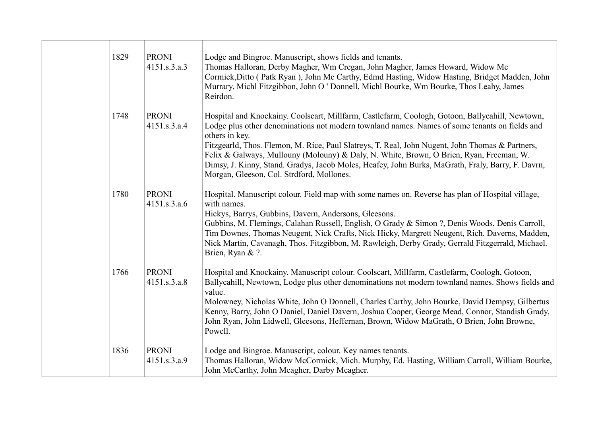| 1829 | <b>PRONI</b><br>4151.s.3.a.3 | Lodge and Bingroe. Manuscript, shows fields and tenants.<br>Thomas Halloran, Derby Magher, Wm Cregan, John Magher, James Howard, Widow Mc<br>Cormick, Ditto (Patk Ryan), John Mc Carthy, Edmd Hasting, Widow Hasting, Bridget Madden, John<br>Murrary, Michl Fitzgibbon, John O'Donnell, Michl Bourke, Wm Bourke, Thos Leahy, James<br>Reirdon.                                                                                                                                                                                                                    |
|------|------------------------------|--------------------------------------------------------------------------------------------------------------------------------------------------------------------------------------------------------------------------------------------------------------------------------------------------------------------------------------------------------------------------------------------------------------------------------------------------------------------------------------------------------------------------------------------------------------------|
| 1748 | <b>PRONI</b><br>4151.s.3.a.4 | Hospital and Knockainy. Coolscart, Millfarm, Castlefarm, Coologh, Gotoon, Ballycahill, Newtown,<br>Lodge plus other denominations not modern townland names. Names of some tenants on fields and<br>others in key.<br>Fitzgearld, Thos. Flemon, M. Rice, Paul Slatreys, T. Real, John Nugent, John Thomas & Partners,<br>Felix & Galways, Mullouny (Molouny) & Daly, N. White, Brown, O Brien, Ryan, Freeman, W.<br>Dimsy, J. Kinny, Stand. Gradys, Jacob Moles, Heafey, John Burks, MaGrath, Fraly, Barry, F. Davrn,<br>Morgan, Gleeson, Col. Strdford, Mollones. |
| 1780 | <b>PRONI</b><br>4151.s.3.a.6 | Hospital. Manuscript colour. Field map with some names on. Reverse has plan of Hospital village,<br>with names.<br>Hickys, Barrys, Gubbins, Davern, Andersons, Gleesons.<br>Gubbins, M. Flemings, Calahan Russell, English, O Grady & Simon ?, Denis Woods, Denis Carroll,<br>Tim Downes, Thomas Neugent, Nick Crafts, Nick Hicky, Margrett Neugent, Rich. Daverns, Madden,<br>Nick Martin, Cavanagh, Thos. Fitzgibbon, M. Rawleigh, Derby Grady, Gerrald Fitzgerrald, Michael.<br>Brien, Ryan & ?.                                                                |
| 1766 | <b>PRONI</b><br>4151.s.3.a.8 | Hospital and Knockainy. Manuscript colour. Coolscart, Millfarm, Castlefarm, Coologh, Gotoon,<br>Ballycahill, Newtown, Lodge plus other denominations not modern townland names. Shows fields and<br>value.<br>Molowney, Nicholas White, John O Donnell, Charles Carthy, John Bourke, David Dempsy, Gilbertus<br>Kenny, Barry, John O Daniel, Daniel Davern, Joshua Cooper, George Mead, Connor, Standish Grady,<br>John Ryan, John Lidwell, Gleesons, Heffernan, Brown, Widow MaGrath, O Brien, John Browne,<br>Powell.                                            |
| 1836 | <b>PRONI</b><br>4151.s.3.a.9 | Lodge and Bingroe. Manuscript, colour. Key names tenants.<br>Thomas Halloran, Widow McCormick, Mich. Murphy, Ed. Hasting, William Carroll, William Bourke,<br>John McCarthy, John Meagher, Darby Meagher.                                                                                                                                                                                                                                                                                                                                                          |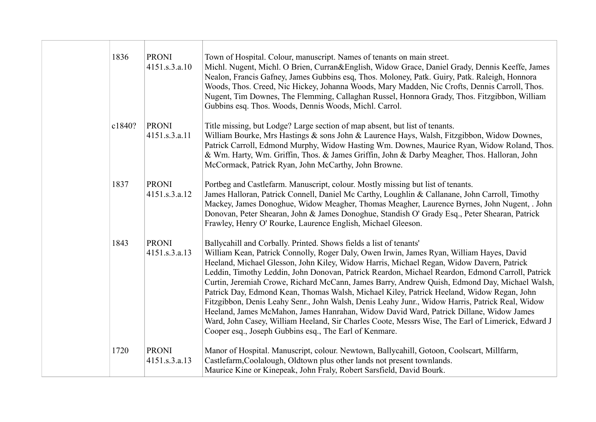| 1836   | <b>PRONI</b><br>4151.s.3.a.10 | Town of Hospital. Colour, manuscript. Names of tenants on main street.<br>Michl. Nugent, Michl. O Brien, Curran&English, Widow Grace, Daniel Grady, Dennis Keeffe, James<br>Nealon, Francis Gafney, James Gubbins esq, Thos. Moloney, Patk. Guiry, Patk. Raleigh, Honnora<br>Woods, Thos. Creed, Nic Hickey, Johanna Woods, Mary Madden, Nic Crofts, Dennis Carroll, Thos.<br>Nugent, Tim Downes, The Flemming, Callaghan Russel, Honnora Grady, Thos. Fitzgibbon, William<br>Gubbins esq. Thos. Woods, Dennis Woods, Michl. Carrol.                                                                                                                                                                                                                                                                                                                                                                                    |
|--------|-------------------------------|-------------------------------------------------------------------------------------------------------------------------------------------------------------------------------------------------------------------------------------------------------------------------------------------------------------------------------------------------------------------------------------------------------------------------------------------------------------------------------------------------------------------------------------------------------------------------------------------------------------------------------------------------------------------------------------------------------------------------------------------------------------------------------------------------------------------------------------------------------------------------------------------------------------------------|
| c1840? | <b>PRONI</b><br>4151.s.3.a.11 | Title missing, but Lodge? Large section of map absent, but list of tenants.<br>William Bourke, Mrs Hastings & sons John & Laurence Hays, Walsh, Fitzgibbon, Widow Downes,<br>Patrick Carroll, Edmond Murphy, Widow Hasting Wm. Downes, Maurice Ryan, Widow Roland, Thos.<br>& Wm. Harty, Wm. Griffin, Thos. & James Griffin, John & Darby Meagher, Thos. Halloran, John<br>McCormack, Patrick Ryan, John McCarthy, John Browne.                                                                                                                                                                                                                                                                                                                                                                                                                                                                                         |
| 1837   | <b>PRONI</b><br>4151.s.3.a.12 | Portbeg and Castlefarm. Manuscript, colour. Mostly missing but list of tenants.<br>James Halloran, Patrick Connell, Daniel Mc Carthy, Loughlin & Callanane, John Carroll, Timothy<br>Mackey, James Donoghue, Widow Meagher, Thomas Meagher, Laurence Byrnes, John Nugent, . John<br>Donovan, Peter Shearan, John & James Donoghue, Standish O' Grady Esq., Peter Shearan, Patrick<br>Frawley, Henry O' Rourke, Laurence English, Michael Gleeson.                                                                                                                                                                                                                                                                                                                                                                                                                                                                       |
| 1843   | <b>PRONI</b><br>4151.s.3.a.13 | Ballycahill and Corbally. Printed. Shows fields a list of tenants'<br>William Kean, Patrick Connolly, Roger Daly, Owen Irwin, James Ryan, William Hayes, David<br>Heeland, Michael Glesson, John Kiley, Widow Harris, Michael Regan, Widow Davern, Patrick<br>Leddin, Timothy Leddin, John Donovan, Patrick Reardon, Michael Reardon, Edmond Carroll, Patrick<br>Curtin, Jeremiah Crowe, Richard McCann, James Barry, Andrew Quish, Edmond Day, Michael Walsh,<br>Patrick Day, Edmond Kean, Thomas Walsh, Michael Kiley, Patrick Heeland, Widow Regan, John<br>Fitzgibbon, Denis Leahy Senr., John Walsh, Denis Leahy Junr., Widow Harris, Patrick Real, Widow<br>Heeland, James McMahon, James Hanrahan, Widow David Ward, Patrick Dillane, Widow James<br>Ward, John Casey, William Heeland, Sir Charles Coote, Messrs Wise, The Earl of Limerick, Edward J<br>Cooper esq., Joseph Gubbins esq., The Earl of Kenmare. |
| 1720   | <b>PRONI</b><br>4151.s.3.a.13 | Manor of Hospital. Manuscript, colour. Newtown, Ballycahill, Gotoon, Coolscart, Millfarm,<br>Castlefarm, Coolalough, Oldtown plus other lands not present townlands.<br>Maurice Kine or Kinepeak, John Fraly, Robert Sarsfield, David Bourk.                                                                                                                                                                                                                                                                                                                                                                                                                                                                                                                                                                                                                                                                            |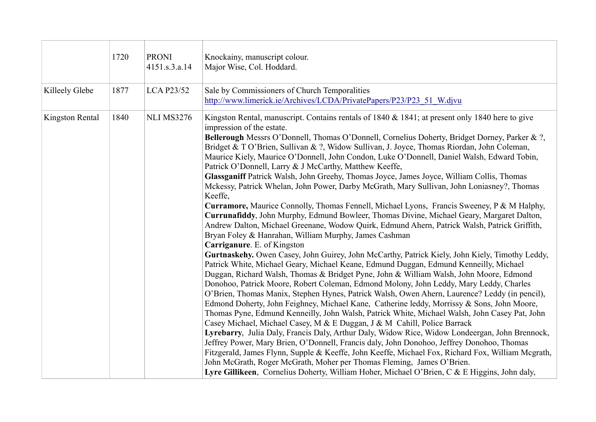|                 | 1720 | <b>PRONI</b><br>4151.s.3.a.14 | Knockainy, manuscript colour.<br>Major Wise, Col. Hoddard.                                                                                                                                                                                                                                                                                                                                                                                                                                                                                                                                                                                                                                                                                                                                                                                                                                                                                                                                                                                                                                                                                                                                                                                                                                                                                                                                                                                                                                                                                                                                                                                                                                                                                                                                                                                                                                                                                                                                                                                                                                                                                                                                                                                                                                                                      |
|-----------------|------|-------------------------------|---------------------------------------------------------------------------------------------------------------------------------------------------------------------------------------------------------------------------------------------------------------------------------------------------------------------------------------------------------------------------------------------------------------------------------------------------------------------------------------------------------------------------------------------------------------------------------------------------------------------------------------------------------------------------------------------------------------------------------------------------------------------------------------------------------------------------------------------------------------------------------------------------------------------------------------------------------------------------------------------------------------------------------------------------------------------------------------------------------------------------------------------------------------------------------------------------------------------------------------------------------------------------------------------------------------------------------------------------------------------------------------------------------------------------------------------------------------------------------------------------------------------------------------------------------------------------------------------------------------------------------------------------------------------------------------------------------------------------------------------------------------------------------------------------------------------------------------------------------------------------------------------------------------------------------------------------------------------------------------------------------------------------------------------------------------------------------------------------------------------------------------------------------------------------------------------------------------------------------------------------------------------------------------------------------------------------------|
| Killeely Glebe  | 1877 | <b>LCA P23/52</b>             | Sale by Commissioners of Church Temporalities<br>http://www.limerick.ie/Archives/LCDA/PrivatePapers/P23/P23 51 W.djvu                                                                                                                                                                                                                                                                                                                                                                                                                                                                                                                                                                                                                                                                                                                                                                                                                                                                                                                                                                                                                                                                                                                                                                                                                                                                                                                                                                                                                                                                                                                                                                                                                                                                                                                                                                                                                                                                                                                                                                                                                                                                                                                                                                                                           |
| Kingston Rental | 1840 | <b>NLI MS3276</b>             | Kingston Rental, manuscript. Contains rentals of 1840 & 1841; at present only 1840 here to give<br>impression of the estate.<br>Bellerough Messrs O'Donnell, Thomas O'Donnell, Cornelius Doherty, Bridget Dorney, Parker & ?,<br>Bridget & T O'Brien, Sullivan & ?, Widow Sullivan, J. Joyce, Thomas Riordan, John Coleman,<br>Maurice Kiely, Maurice O'Donnell, John Condon, Luke O'Donnell, Daniel Walsh, Edward Tobin,<br>Patrick O'Donnell, Larry & J McCarthy, Matthew Keeffe,<br>Glassganiff Patrick Walsh, John Greehy, Thomas Joyce, James Joyce, William Collis, Thomas<br>Mckessy, Patrick Whelan, John Power, Darby McGrath, Mary Sullivan, John Loniasney?, Thomas<br>Keeffe,<br><b>Curramore, Maurice Connolly, Thomas Fennell, Michael Lyons, Francis Sweeney, P &amp; M Halphy,</b><br>Currunafiddy, John Murphy, Edmund Bowleer, Thomas Divine, Michael Geary, Margaret Dalton,<br>Andrew Dalton, Michael Greenane, Wodow Quirk, Edmund Ahern, Patrick Walsh, Patrick Griffith,<br>Bryan Foley & Hanrahan, William Murphy, James Cashman<br>Carriganure. E. of Kingston<br>Gurtnaskehy. Owen Casey, John Guirey, John McCarthy, Patrick Kiely, John Kiely, Timothy Leddy,<br>Patrick White, Michael Geary, Michael Keane, Edmund Duggan, Edmund Kenneilly, Michael<br>Duggan, Richard Walsh, Thomas & Bridget Pyne, John & William Walsh, John Moore, Edmond<br>Donohoo, Patrick Moore, Robert Coleman, Edmond Molony, John Leddy, Mary Leddy, Charles<br>O'Brien, Thomas Manix, Stephen Hynes, Patrick Walsh, Owen Ahern, Laurence? Leddy (in pencil),<br>Edmond Doherty, John Feighney, Michael Kane, Catherine leddy, Morrissy & Sons, John Moore,<br>Thomas Pyne, Edmund Kenneilly, John Walsh, Patrick White, Michael Walsh, John Casey Pat, John<br>Casey Michael, Michael Casey, M & E Duggan, J & M Cahill, Police Barrack<br>Lyrebarry, Julia Daly, Francis Daly, Arthur Daly, Widow Rice, Widow Londeergan, John Brennock,<br>Jeffrey Power, Mary Brien, O'Donnell, Francis daly, John Donohoo, Jeffrey Donohoo, Thomas<br>Fitzgerald, James Flynn, Supple & Keeffe, John Keeffe, Michael Fox, Richard Fox, William Mcgrath,<br>John McGrath, Roger McGrath, Moher per Thomas Fleming, James O'Brien.<br>Lyre Gillikeen, Cornelius Doherty, William Hoher, Michael O'Brien, C & E Higgins, John daly, |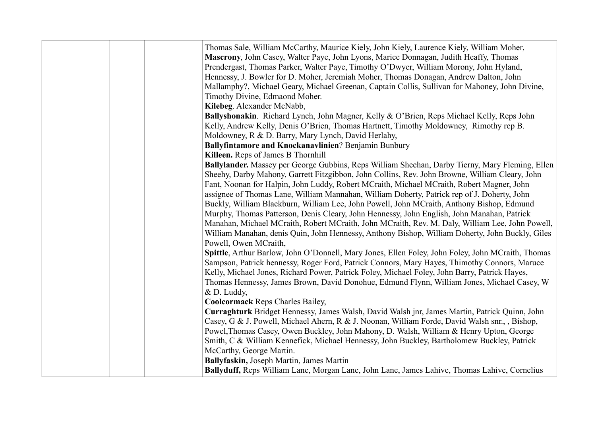| Thomas Sale, William McCarthy, Maurice Kiely, John Kiely, Laurence Kiely, William Moher,<br>Mascrony, John Casey, Walter Paye, John Lyons, Marice Donnagan, Judith Heaffy, Thomas<br>Prendergast, Thomas Parker, Walter Paye, Timothy O'Dwyer, William Morony, John Hyland,<br>Hennessy, J. Bowler for D. Moher, Jeremiah Moher, Thomas Donagan, Andrew Dalton, John<br>Mallamphy?, Michael Geary, Michael Greenan, Captain Collis, Sullivan for Mahoney, John Divine,<br>Timothy Divine, Edmaond Moher.<br>Kilebeg. Alexander McNabb, |
|----------------------------------------------------------------------------------------------------------------------------------------------------------------------------------------------------------------------------------------------------------------------------------------------------------------------------------------------------------------------------------------------------------------------------------------------------------------------------------------------------------------------------------------|
| Ballyshonakin. Richard Lynch, John Magner, Kelly & O'Brien, Reps Michael Kelly, Reps John                                                                                                                                                                                                                                                                                                                                                                                                                                              |
| Kelly, Andrew Kelly, Denis O'Brien, Thomas Hartnett, Timothy Moldowney, Rimothy rep B.                                                                                                                                                                                                                                                                                                                                                                                                                                                 |
| Moldowney, R & D. Barry, Mary Lynch, David Herlahy,                                                                                                                                                                                                                                                                                                                                                                                                                                                                                    |
| Ballyfintamore and Knockanavlinien? Benjamin Bunbury                                                                                                                                                                                                                                                                                                                                                                                                                                                                                   |
| Killeen. Reps of James B Thornhill                                                                                                                                                                                                                                                                                                                                                                                                                                                                                                     |
| Ballylander. Massey per George Gubbins, Reps William Sheehan, Darby Tierny, Mary Fleming, Ellen<br>Sheehy, Darby Mahony, Garrett Fitzgibbon, John Collins, Rev. John Browne, William Cleary, John<br>Fant, Noonan for Halpin, John Luddy, Robert MCraith, Michael MCraith, Robert Magner, John<br>assignee of Thomas Lane, William Mannahan, William Doherty, Patrick rep of J. Doherty, John                                                                                                                                          |
| Buckly, William Blackburn, William Lee, John Powell, John MCraith, Anthony Bishop, Edmund                                                                                                                                                                                                                                                                                                                                                                                                                                              |
| Murphy, Thomas Patterson, Denis Cleary, John Hennessy, John English, John Manahan, Patrick                                                                                                                                                                                                                                                                                                                                                                                                                                             |
| Manahan, Michael MCraith, Robert MCraith, John MCraith, Rev. M. Daly, William Lee, John Powell,                                                                                                                                                                                                                                                                                                                                                                                                                                        |
| William Manahan, denis Quin, John Hennessy, Anthony Bishop, William Doherty, John Buckly, Giles<br>Powell, Owen MCraith,                                                                                                                                                                                                                                                                                                                                                                                                               |
| Spittle, Arthur Barlow, John O'Donnell, Mary Jones, Ellen Foley, John Foley, John MCraith, Thomas                                                                                                                                                                                                                                                                                                                                                                                                                                      |
| Sampson, Patrick hennessy, Roger Ford, Patrick Connors, Mary Hayes, Thimothy Connors, Maruce                                                                                                                                                                                                                                                                                                                                                                                                                                           |
| Kelly, Michael Jones, Richard Power, Patrick Foley, Michael Foley, John Barry, Patrick Hayes,                                                                                                                                                                                                                                                                                                                                                                                                                                          |
| Thomas Hennessy, James Brown, David Donohue, Edmund Flynn, William Jones, Michael Casey, W                                                                                                                                                                                                                                                                                                                                                                                                                                             |
| & D. Luddy,                                                                                                                                                                                                                                                                                                                                                                                                                                                                                                                            |
| <b>Coolcormack Reps Charles Bailey,</b>                                                                                                                                                                                                                                                                                                                                                                                                                                                                                                |
| Curraghturk Bridget Hennessy, James Walsh, David Walsh jnr, James Martin, Patrick Quinn, John                                                                                                                                                                                                                                                                                                                                                                                                                                          |
| Casey, G & J. Powell, Michael Ahern, R & J. Noonan, William Forde, David Walsh snr., , Bishop,                                                                                                                                                                                                                                                                                                                                                                                                                                         |
| Powel, Thomas Casey, Owen Buckley, John Mahony, D. Walsh, William & Henry Upton, George                                                                                                                                                                                                                                                                                                                                                                                                                                                |
| Smith, C & William Kennefick, Michael Hennessy, John Buckley, Bartholomew Buckley, Patrick<br>McCarthy, George Martin.                                                                                                                                                                                                                                                                                                                                                                                                                 |
| Ballyfaskin, Joseph Martin, James Martin                                                                                                                                                                                                                                                                                                                                                                                                                                                                                               |
| Ballyduff, Reps William Lane, Morgan Lane, John Lane, James Lahive, Thomas Lahive, Cornelius                                                                                                                                                                                                                                                                                                                                                                                                                                           |
|                                                                                                                                                                                                                                                                                                                                                                                                                                                                                                                                        |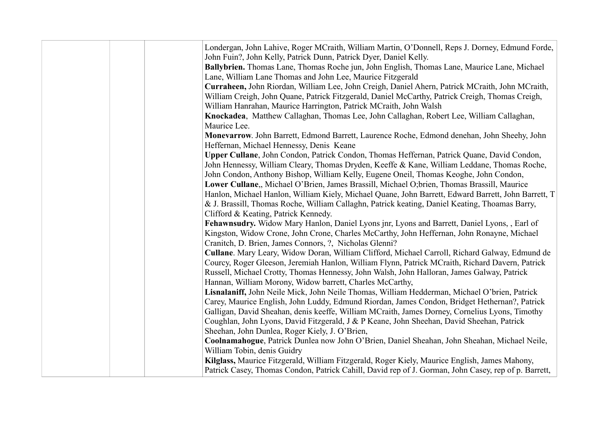| Londergan, John Lahive, Roger MCraith, William Martin, O'Donnell, Reps J. Dorney, Edmund Forde,      |
|------------------------------------------------------------------------------------------------------|
| John Fuin?, John Kelly, Patrick Dunn, Patrick Dyer, Daniel Kelly.                                    |
| Ballybrien. Thomas Lane, Thomas Roche jun, John English, Thomas Lane, Maurice Lane, Michael          |
| Lane, William Lane Thomas and John Lee, Maurice Fitzgerald                                           |
| Curraheen, John Riordan, William Lee, John Creigh, Daniel Ahern, Patrick MCraith, John MCraith,      |
| William Creigh, John Quane, Patrick Fitzgerald, Daniel McCarthy, Patrick Creigh, Thomas Creigh,      |
| William Hanrahan, Maurice Harrington, Patrick MCraith, John Walsh                                    |
| Knockadea, Matthew Callaghan, Thomas Lee, John Callaghan, Robert Lee, William Callaghan,             |
| Maurice Lee.                                                                                         |
| Monevarrow. John Barrett, Edmond Barrett, Laurence Roche, Edmond denehan, John Sheehy, John          |
| Heffernan, Michael Hennessy, Denis Keane                                                             |
| Upper Cullane, John Condon, Patrick Condon, Thomas Heffernan, Patrick Quane, David Condon,           |
| John Hennessy, William Cleary, Thomas Dryden, Keeffe & Kane, William Leddane, Thomas Roche,          |
| John Condon, Anthony Bishop, William Kelly, Eugene Oneil, Thomas Keoghe, John Condon,                |
| Lower Cullane,, Michael O'Brien, James Brassill, Michael O;brien, Thomas Brassill, Maurice           |
| Hanlon, Michael Hanlon, William Kiely, Michael Quane, John Barrett, Edward Barrett, John Barrett, T  |
| & J. Brassill, Thomas Roche, William Callaghn, Patrick keating, Daniel Keating, Thoamas Barry,       |
| Clifford & Keating, Patrick Kennedy.                                                                 |
| Fehawnsudry. Widow Mary Hanlon, Daniel Lyons jnr, Lyons and Barrett, Daniel Lyons, , Earl of         |
| Kingston, Widow Crone, John Crone, Charles McCarthy, John Heffernan, John Ronayne, Michael           |
| Cranitch, D. Brien, James Connors, ?, Nicholas Glenni?                                               |
| Cullane. Mary Leary, Widow Doran, William Clifford, Michael Carroll, Richard Galway, Edmund de       |
| Courcy, Roger Gleeson, Jeremiah Hanlon, William Flynn, Patrick MCraith, Richard Davern, Patrick      |
| Russell, Michael Crotty, Thomas Hennessy, John Walsh, John Halloran, James Galway, Patrick           |
| Hannan, William Morony, Widow barrett, Charles McCarthy,                                             |
| Lisnalaniff, John Neile Mick, John Neile Thomas, William Hedderman, Michael O'brien, Patrick         |
| Carey, Maurice English, John Luddy, Edmund Riordan, James Condon, Bridget Hethernan?, Patrick        |
| Galligan, David Sheahan, denis keeffe, William MCraith, James Dorney, Cornelius Lyons, Timothy       |
| Coughlan, John Lyons, David Fitzgerald, J & P Keane, John Sheehan, David Sheehan, Patrick            |
| Sheehan, John Dunlea, Roger Kiely, J. O'Brien,                                                       |
| Coolnamahogue, Patrick Dunlea now John O'Brien, Daniel Sheahan, John Sheahan, Michael Neile,         |
| William Tobin, denis Guidry                                                                          |
| Kilglass, Maurice Fitzgerald, William Fitzgerald, Roger Kiely, Maurice English, James Mahony,        |
| Patrick Casey, Thomas Condon, Patrick Cahill, David rep of J. Gorman, John Casey, rep of p. Barrett, |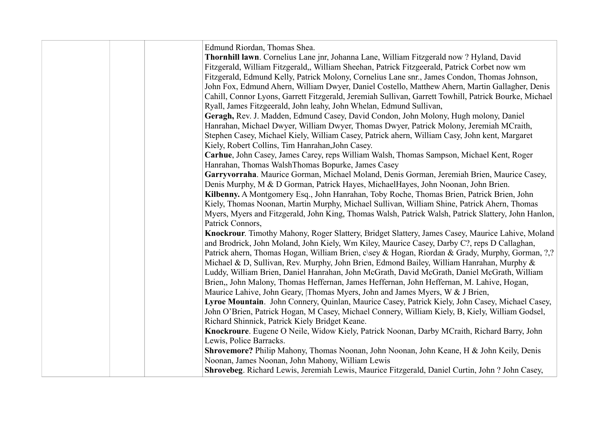|  | Edmund Riordan, Thomas Shea.<br>Thornhill lawn. Cornelius Lane jnr, Johanna Lane, William Fitzgerald now? Hyland, David<br>Fitzgerald, William Fitzgerald,, William Sheehan, Patrick Fitzgeerald, Patrick Corbet now wm<br>Fitzgerald, Edmund Kelly, Patrick Molony, Cornelius Lane snr., James Condon, Thomas Johnson,<br>John Fox, Edmund Ahern, William Dwyer, Daniel Costello, Matthew Ahern, Martin Gallagher, Denis<br>Cahill, Connor Lyons, Garrett Fitzgerald, Jeremiah Sullivan, Garrett Towhill, Patrick Bourke, Michael<br>Ryall, James Fitzgeerald, John leahy, John Whelan, Edmund Sullivan,<br>Geragh, Rev. J. Madden, Edmund Casey, David Condon, John Molony, Hugh molony, Daniel<br>Hanrahan, Michael Dwyer, William Dwyer, Thomas Dwyer, Patrick Molony, Jeremiah MCraith,<br>Stephen Casey, Michael Kiely, William Casey, Patrick ahern, William Casy, John kent, Margaret<br>Kiely, Robert Collins, Tim Hanrahan, John Casey.<br>Carhue, John Casey, James Carey, reps William Walsh, Thomas Sampson, Michael Kent, Roger<br>Hanrahan, Thomas WalshThomas Bopurke, James Casey<br>Garryvorraha. Maurice Gorman, Michael Moland, Denis Gorman, Jeremiah Brien, Maurice Casey, |
|--|--------------------------------------------------------------------------------------------------------------------------------------------------------------------------------------------------------------------------------------------------------------------------------------------------------------------------------------------------------------------------------------------------------------------------------------------------------------------------------------------------------------------------------------------------------------------------------------------------------------------------------------------------------------------------------------------------------------------------------------------------------------------------------------------------------------------------------------------------------------------------------------------------------------------------------------------------------------------------------------------------------------------------------------------------------------------------------------------------------------------------------------------------------------------------------------------------|
|  | Denis Murphy, M & D Gorman, Patrick Hayes, MichaelHayes, John Noonan, John Brien.                                                                                                                                                                                                                                                                                                                                                                                                                                                                                                                                                                                                                                                                                                                                                                                                                                                                                                                                                                                                                                                                                                                |
|  | Kilbenny. A Montgomery Esq., John Hanrahan, Toby Roche, Thomas Brien, Patrick Brien, John                                                                                                                                                                                                                                                                                                                                                                                                                                                                                                                                                                                                                                                                                                                                                                                                                                                                                                                                                                                                                                                                                                        |
|  | Kiely, Thomas Noonan, Martin Murphy, Michael Sullivan, William Shine, Patrick Ahern, Thomas                                                                                                                                                                                                                                                                                                                                                                                                                                                                                                                                                                                                                                                                                                                                                                                                                                                                                                                                                                                                                                                                                                      |
|  | Myers, Myers and Fitzgerald, John King, Thomas Walsh, Patrick Walsh, Patrick Slattery, John Hanlon,<br>Patrick Connors,                                                                                                                                                                                                                                                                                                                                                                                                                                                                                                                                                                                                                                                                                                                                                                                                                                                                                                                                                                                                                                                                          |
|  | Knockrour. Timothy Mahony, Roger Slattery, Bridget Slattery, James Casey, Maurice Lahive, Moland                                                                                                                                                                                                                                                                                                                                                                                                                                                                                                                                                                                                                                                                                                                                                                                                                                                                                                                                                                                                                                                                                                 |
|  | and Brodrick, John Moland, John Kiely, Wm Kiley, Maurice Casey, Darby C?, reps D Callaghan,                                                                                                                                                                                                                                                                                                                                                                                                                                                                                                                                                                                                                                                                                                                                                                                                                                                                                                                                                                                                                                                                                                      |
|  | Patrick ahern, Thomas Hogan, William Brien, c\sey & Hogan, Riordan & Grady, Murphy, Gorman, ?,?<br>Michael & D, Sullivan, Rev. Murphy, John Brien, Edmond Bailey, William Hanrahan, Murphy &                                                                                                                                                                                                                                                                                                                                                                                                                                                                                                                                                                                                                                                                                                                                                                                                                                                                                                                                                                                                     |
|  | Luddy, William Brien, Daniel Hanrahan, John McGrath, David McGrath, Daniel McGrath, William                                                                                                                                                                                                                                                                                                                                                                                                                                                                                                                                                                                                                                                                                                                                                                                                                                                                                                                                                                                                                                                                                                      |
|  | Brien,, John Malony, Thomas Heffernan, James Heffernan, John Heffernan, M. Lahive, Hogan,                                                                                                                                                                                                                                                                                                                                                                                                                                                                                                                                                                                                                                                                                                                                                                                                                                                                                                                                                                                                                                                                                                        |
|  | Maurice Lahive, John Geary,  Thomas Myers, John and James Myers, W & J Brien,                                                                                                                                                                                                                                                                                                                                                                                                                                                                                                                                                                                                                                                                                                                                                                                                                                                                                                                                                                                                                                                                                                                    |
|  | Lyroe Mountain. John Connery, Quinlan, Maurice Casey, Patrick Kiely, John Casey, Michael Casey,                                                                                                                                                                                                                                                                                                                                                                                                                                                                                                                                                                                                                                                                                                                                                                                                                                                                                                                                                                                                                                                                                                  |
|  | John O'Brien, Patrick Hogan, M Casey, Michael Connery, William Kiely, B, Kiely, William Godsel,                                                                                                                                                                                                                                                                                                                                                                                                                                                                                                                                                                                                                                                                                                                                                                                                                                                                                                                                                                                                                                                                                                  |
|  | Richard Shinnick, Patrick Kiely Bridget Keane.                                                                                                                                                                                                                                                                                                                                                                                                                                                                                                                                                                                                                                                                                                                                                                                                                                                                                                                                                                                                                                                                                                                                                   |
|  | Knockroure. Eugene O Neile, Widow Kiely, Patrick Noonan, Darby MCraith, Richard Barry, John                                                                                                                                                                                                                                                                                                                                                                                                                                                                                                                                                                                                                                                                                                                                                                                                                                                                                                                                                                                                                                                                                                      |
|  | Lewis, Police Barracks.                                                                                                                                                                                                                                                                                                                                                                                                                                                                                                                                                                                                                                                                                                                                                                                                                                                                                                                                                                                                                                                                                                                                                                          |
|  | Shrovemore? Philip Mahony, Thomas Noonan, John Noonan, John Keane, H & John Keily, Denis                                                                                                                                                                                                                                                                                                                                                                                                                                                                                                                                                                                                                                                                                                                                                                                                                                                                                                                                                                                                                                                                                                         |
|  | Noonan, James Noonan, John Mahony, William Lewis                                                                                                                                                                                                                                                                                                                                                                                                                                                                                                                                                                                                                                                                                                                                                                                                                                                                                                                                                                                                                                                                                                                                                 |
|  | Shrovebeg. Richard Lewis, Jeremiah Lewis, Maurice Fitzgerald, Daniel Curtin, John ? John Casey,                                                                                                                                                                                                                                                                                                                                                                                                                                                                                                                                                                                                                                                                                                                                                                                                                                                                                                                                                                                                                                                                                                  |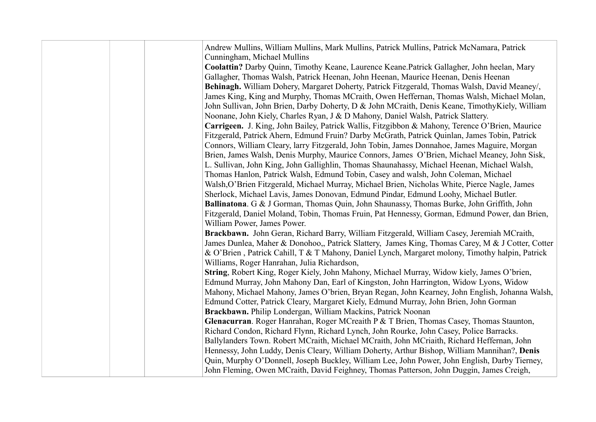| Andrew Mullins, William Mullins, Mark Mullins, Patrick Mullins, Patrick McNamara, Patrick         |
|---------------------------------------------------------------------------------------------------|
| Cunningham, Michael Mullins                                                                       |
| Coolattin? Darby Quinn, Timothy Keane, Laurence Keane. Patrick Gallagher, John heelan, Mary       |
| Gallagher, Thomas Walsh, Patrick Heenan, John Heenan, Maurice Heenan, Denis Heenan                |
| Behinagh. William Dohery, Margaret Doherty, Patrick Fitzgerald, Thomas Walsh, David Meaney/,      |
| James King, King and Murphy, Thomas MCraith, Owen Heffernan, Thomas Walsh, Michael Molan,         |
| John Sullivan, John Brien, Darby Doherty, D & John MCraith, Denis Keane, Timothy Kiely, William   |
| Noonane, John Kiely, Charles Ryan, J & D Mahony, Daniel Walsh, Patrick Slattery.                  |
| Carrigeen. J. King, John Bailey, Patrick Wallis, Fitzgibbon & Mahony, Terence O'Brien, Maurice    |
| Fitzgerald, Patrick Ahern, Edmund Fruin? Darby McGrath, Patrick Quinlan, James Tobin, Patrick     |
| Connors, William Cleary, larry Fitzgerald, John Tobin, James Donnahoe, James Maguire, Morgan      |
| Brien, James Walsh, Denis Murphy, Maurice Connors, James O'Brien, Michael Meaney, John Sisk,      |
| L. Sullivan, John King, John Gallighlin, Thomas Shaunahassy, Michael Heenan, Michael Walsh,       |
| Thomas Hanlon, Patrick Walsh, Edmund Tobin, Casey and walsh, John Coleman, Michael                |
| Walsh, O'Brien Fitzgerald, Michael Murray, Michael Brien, Nicholas White, Pierce Nagle, James     |
| Sherlock, Michael Lavis, James Donovan, Edmund Pindar, Edmund Loohy, Michael Butler.              |
| <b>Ballinatona</b> . G & J Gorman, Thomas Quin, John Shaunassy, Thomas Burke, John Griffith, John |
| Fitzgerald, Daniel Moland, Tobin, Thomas Fruin, Pat Hennessy, Gorman, Edmund Power, dan Brien,    |
| William Power, James Power.                                                                       |
| Brackbawn. John Geran, Richard Barry, William Fitzgerald, William Casey, Jeremiah MCraith,        |
| James Dunlea, Maher & Donohoo,, Patrick Slattery, James King, Thomas Carey, M & J Cotter, Cotter  |
| & O'Brien, Patrick Cahill, T & T Mahony, Daniel Lynch, Margaret molony, Timothy halpin, Patrick   |
| Williams, Roger Hanrahan, Julia Richardson,                                                       |
| String, Robert King, Roger Kiely, John Mahony, Michael Murray, Widow kiely, James O'brien,        |
| Edmund Murray, John Mahony Dan, Earl of Kingston, John Harrington, Widow Lyons, Widow             |
| Mahony, Michael Mahony, James O'brien, Bryan Regan, John Kearney, John English, Johanna Walsh,    |
| Edmund Cotter, Patrick Cleary, Margaret Kiely, Edmund Murray, John Brien, John Gorman             |
| Brackbawn. Philip Londergan, William Mackins, Patrick Noonan                                      |
| Glenacurran. Roger Hanrahan, Roger MCreaith P & T Brien, Thomas Casey, Thomas Staunton,           |
| Richard Condon, Richard Flynn, Richard Lynch, John Rourke, John Casey, Police Barracks.           |
| Ballylanders Town. Robert MCraith, Michael MCraith, John MCriaith, Richard Heffernan, John        |
| Hennessy, John Luddy, Denis Cleary, William Doherty, Arthur Bishop, William Mannihan?, Denis      |
| Quin, Murphy O'Donnell, Joseph Buckley, William Lee, John Power, John English, Darby Tierney,     |
| John Fleming, Owen MCraith, David Feighney, Thomas Patterson, John Duggin, James Creigh,          |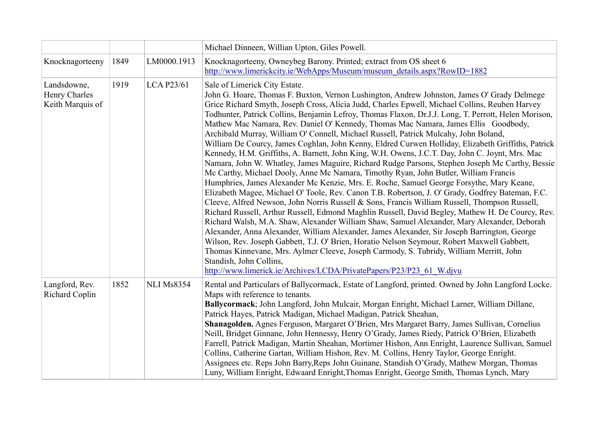|                                                  |      |                   | Michael Dinneen, Willian Upton, Giles Powell.                                                                                                                                                                                                                                                                                                                                                                                                                                                                                                                                                                                                                                                                                                                                                                                                                                                                                                                                                                                                                                                                                                                                                                                                                                                                                                                                                                                                                                                                                                                                                                                                                                                                                                                                                                             |
|--------------------------------------------------|------|-------------------|---------------------------------------------------------------------------------------------------------------------------------------------------------------------------------------------------------------------------------------------------------------------------------------------------------------------------------------------------------------------------------------------------------------------------------------------------------------------------------------------------------------------------------------------------------------------------------------------------------------------------------------------------------------------------------------------------------------------------------------------------------------------------------------------------------------------------------------------------------------------------------------------------------------------------------------------------------------------------------------------------------------------------------------------------------------------------------------------------------------------------------------------------------------------------------------------------------------------------------------------------------------------------------------------------------------------------------------------------------------------------------------------------------------------------------------------------------------------------------------------------------------------------------------------------------------------------------------------------------------------------------------------------------------------------------------------------------------------------------------------------------------------------------------------------------------------------|
| Knocknagorteeny                                  | 1849 | LM0000.1913       | Knocknagorteeny, Owneybeg Barony. Printed; extract from OS sheet 6<br>http://www.limerickcity.ie/WebApps/Museum/museum_details.aspx?RowID=1882                                                                                                                                                                                                                                                                                                                                                                                                                                                                                                                                                                                                                                                                                                                                                                                                                                                                                                                                                                                                                                                                                                                                                                                                                                                                                                                                                                                                                                                                                                                                                                                                                                                                            |
| Landsdowne,<br>Henry Charles<br>Keith Marquis of | 1919 | <b>LCA P23/61</b> | Sale of Limerick City Estate.<br>John G. Hoare, Thomas F. Buxton, Vernon Lushington, Andrew Johnston, James O' Grady Delmege<br>Grice Richard Smyth, Joseph Cross, Alicia Judd, Charles Epwell, Michael Collins, Reuben Harvey<br>Todhunter, Patrick Collins, Benjamin Lefroy, Thomas Flaxon, Dr.J.J. Long, T. Perrott, Helen Morison,<br>Mathew Mac Namara, Rev. Daniel O' Kennedy, Thomas Mac Namara, James Ellis Goodbody,<br>Archibald Murray, William O' Connell, Michael Russell, Patrick Mulcahy, John Boland,<br>William De Courcy, James Coghlan, John Kenny, Eldred Curwen Holliday, Elizabeth Griffiths, Patrick<br>Kennedy, H.M. Griffiths, A. Barnett, John King, W.H. Owens, J.C.T. Day, John C. Joynt, Mrs. Mac<br>Namara, John W. Whatley, James Maguire, Richard Rudge Parsons, Stephen Joseph Mc Carthy, Bessie<br>Mc Carthy, Michael Dooly, Anne Mc Namara, Timothy Ryan, John Butler, William Francis<br>Humphries, James Alexander Mc Kenzie, Mrs. E. Roche, Samuel George Forsythe, Mary Keane,<br>Elizabeth Magee, Michael O'Toole, Rev. Canon T.B. Robertson, J. O' Grady, Godfrey Bateman, F.C.<br>Cleeve, Alfred Newson, John Norris Russell & Sons, Francis William Russell, Thompson Russell,<br>Richard Russell, Arthur Russell, Edmond Maghlin Russell, David Begley, Mathew H. De Courcy, Rev.<br>Richard Walsh, M.A. Shaw, Alexander William Shaw, Samuel Alexander, Mary Alexander, Deborah<br>Alexander, Anna Alexander, William Alexander, James Alexander, Sir Joseph Barrington, George<br>Wilson, Rev. Joseph Gabbett, T.J. O' Brien, Horatio Nelson Seymour, Robert Maxwell Gabbett,<br>Thomas Kinnevane, Mrs. Aylmer Cleeve, Joseph Carmody, S. Tubridy, William Merritt, John<br>Standish, John Collins,<br>http://www.limerick.ie/Archives/LCDA/PrivatePapers/P23/P23 61 W.djvu |
| Langford, Rev.<br>Richard Coplin                 | 1852 | <b>NLI Ms8354</b> | Rental and Particulars of Ballycormack, Estate of Langford, printed. Owned by John Langford Locke.<br>Maps with reference to tenants.<br>Ballycormack; John Langford, John Mulcair, Morgan Enright, Michael Larner, William Dillane,<br>Patrick Hayes, Patrick Madigan, Michael Madigan, Patrick Sheahan,<br>Shanagolden. Agnes Ferguson, Margaret O'Brien, Mrs Margaret Barry, James Sullivan, Cornelius<br>Neill, Bridget Ginnane, John Hennessy, Henry O'Grady, James Riedy, Patrick O'Brien, Elizabeth<br>Farrell, Patrick Madigan, Martin Sheahan, Mortimer Hishon, Ann Enright, Laurence Sullivan, Samuel<br>Collins, Catherine Gartan, William Hishon, Rev. M. Collins, Henry Taylor, George Enright.<br>Assignees etc. Reps John Barry, Reps John Guinane, Standish O'Grady, Mathew Morgan, Thomas<br>Luny, William Enright, Edwaard Enright, Thomas Enright, George Smith, Thomas Lynch, Mary                                                                                                                                                                                                                                                                                                                                                                                                                                                                                                                                                                                                                                                                                                                                                                                                                                                                                                                    |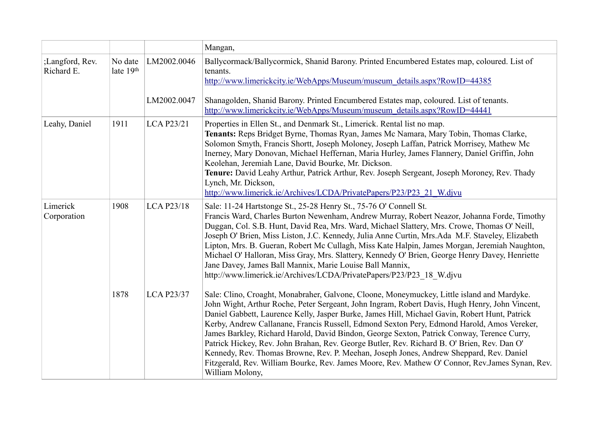|                               |                        |                   | Mangan,                                                                                                                                                                                                                                                                                                                                                                                                                                                                                                                                                                                                                                                                                                                                                                                                   |
|-------------------------------|------------------------|-------------------|-----------------------------------------------------------------------------------------------------------------------------------------------------------------------------------------------------------------------------------------------------------------------------------------------------------------------------------------------------------------------------------------------------------------------------------------------------------------------------------------------------------------------------------------------------------------------------------------------------------------------------------------------------------------------------------------------------------------------------------------------------------------------------------------------------------|
| ;Langford, Rev.<br>Richard E. | No date<br>late $19th$ | LM2002.0046       | Ballycormack/Ballycormick, Shanid Barony. Printed Encumbered Estates map, coloured. List of<br>tenants.<br>http://www.limerickcity.ie/WebApps/Museum/museum_details.aspx?RowID=44385                                                                                                                                                                                                                                                                                                                                                                                                                                                                                                                                                                                                                      |
|                               |                        | LM2002.0047       | Shanagolden, Shanid Barony. Printed Encumbered Estates map, coloured. List of tenants.<br>http://www.limerickcity.ie/WebApps/Museum/museum_details.aspx?RowID=44441                                                                                                                                                                                                                                                                                                                                                                                                                                                                                                                                                                                                                                       |
| Leahy, Daniel                 | 1911                   | <b>LCA P23/21</b> | Properties in Ellen St., and Denmark St., Limerick. Rental list no map.<br>Tenants: Reps Bridget Byrne, Thomas Ryan, James Mc Namara, Mary Tobin, Thomas Clarke,<br>Solomon Smyth, Francis Shortt, Joseph Moloney, Joseph Laffan, Patrick Morrisey, Mathew Mc<br>Inerney, Mary Donovan, Michael Heffernan, Maria Hurley, James Flannery, Daniel Griffin, John<br>Keolehan, Jeremiah Lane, David Bourke, Mr. Dickson.<br>Tenure: David Leahy Arthur, Patrick Arthur, Rev. Joseph Sergeant, Joseph Moroney, Rev. Thady<br>Lynch, Mr. Dickson,<br>http://www.limerick.ie/Archives/LCDA/PrivatePapers/P23/P23_21_W.djvu                                                                                                                                                                                       |
| Limerick<br>Corporation       | 1908                   | <b>LCA P23/18</b> | Sale: 11-24 Hartstonge St., 25-28 Henry St., 75-76 O' Connell St.<br>Francis Ward, Charles Burton Newenham, Andrew Murray, Robert Neazor, Johanna Forde, Timothy<br>Duggan, Col. S.B. Hunt, David Rea, Mrs. Ward, Michael Slattery, Mrs. Crowe, Thomas O' Neill,<br>Joseph O' Brien, Miss Liston, J.C. Kennedy, Julia Anne Curtin, Mrs.Ada M.F. Staveley, Elizabeth<br>Lipton, Mrs. B. Gueran, Robert Mc Cullagh, Miss Kate Halpin, James Morgan, Jeremiah Naughton,<br>Michael O' Halloran, Miss Gray, Mrs. Slattery, Kennedy O' Brien, George Henry Davey, Henriette<br>Jane Davey, James Ball Mannix, Marie Louise Ball Mannix,<br>http://www.limerick.ie/Archives/LCDA/PrivatePapers/P23/P23 18 W.djvu                                                                                                |
|                               | 1878                   | <b>LCA P23/37</b> | Sale: Clino, Croaght, Monabraher, Galvone, Cloone, Moneymuckey, Little island and Mardyke.<br>John Wight, Arthur Roche, Peter Sergeant, John Ingram, Robert Davis, Hugh Henry, John Vincent,<br>Daniel Gabbett, Laurence Kelly, Jasper Burke, James Hill, Michael Gavin, Robert Hunt, Patrick<br>Kerby, Andrew Callanane, Francis Russell, Edmond Sexton Pery, Edmond Harold, Amos Vereker,<br>James Barkley, Richard Harold, David Bindon, George Sexton, Patrick Conway, Terence Curry,<br>Patrick Hickey, Rev. John Brahan, Rev. George Butler, Rev. Richard B. O' Brien, Rev. Dan O'<br>Kennedy, Rev. Thomas Browne, Rev. P. Meehan, Joseph Jones, Andrew Sheppard, Rev. Daniel<br>Fitzgerald, Rev. William Bourke, Rev. James Moore, Rev. Mathew O' Connor, Rev.James Synan, Rev.<br>William Molony, |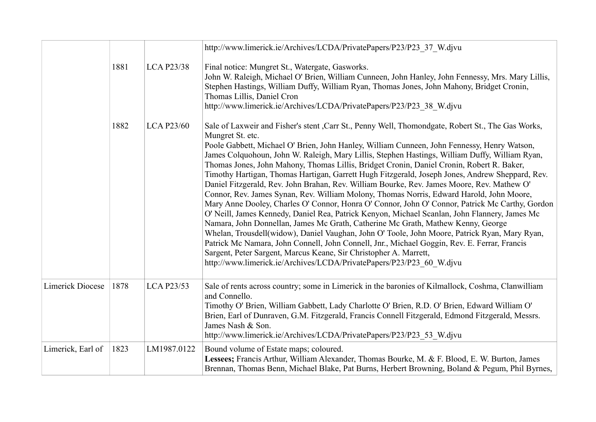|                         |      |                   | http://www.limerick.ie/Archives/LCDA/PrivatePapers/P23/P23 37 W.djvu                                                                                                                                                                                                                                                                                                                                                                                                                                                                                                                                                                                                                                                                                                                                                                                                                                                                                                                                                                                                                                                                                                                                                                                                                                                                                    |
|-------------------------|------|-------------------|---------------------------------------------------------------------------------------------------------------------------------------------------------------------------------------------------------------------------------------------------------------------------------------------------------------------------------------------------------------------------------------------------------------------------------------------------------------------------------------------------------------------------------------------------------------------------------------------------------------------------------------------------------------------------------------------------------------------------------------------------------------------------------------------------------------------------------------------------------------------------------------------------------------------------------------------------------------------------------------------------------------------------------------------------------------------------------------------------------------------------------------------------------------------------------------------------------------------------------------------------------------------------------------------------------------------------------------------------------|
|                         | 1881 | <b>LCA P23/38</b> | Final notice: Mungret St., Watergate, Gasworks.<br>John W. Raleigh, Michael O' Brien, William Cunneen, John Hanley, John Fennessy, Mrs. Mary Lillis,<br>Stephen Hastings, William Duffy, William Ryan, Thomas Jones, John Mahony, Bridget Cronin,<br>Thomas Lillis, Daniel Cron<br>http://www.limerick.ie/Archives/LCDA/PrivatePapers/P23/P23 38 W.djvu                                                                                                                                                                                                                                                                                                                                                                                                                                                                                                                                                                                                                                                                                                                                                                                                                                                                                                                                                                                                 |
|                         | 1882 | <b>LCA P23/60</b> | Sale of Laxweir and Fisher's stent , Carr St., Penny Well, Thomondgate, Robert St., The Gas Works,<br>Mungret St. etc.<br>Poole Gabbett, Michael O' Brien, John Hanley, William Cunneen, John Fennessy, Henry Watson,<br>James Colquohoun, John W. Raleigh, Mary Lillis, Stephen Hastings, William Duffy, William Ryan,<br>Thomas Jones, John Mahony, Thomas Lillis, Bridget Cronin, Daniel Cronin, Robert R. Baker,<br>Timothy Hartigan, Thomas Hartigan, Garrett Hugh Fitzgerald, Joseph Jones, Andrew Sheppard, Rev.<br>Daniel Fitzgerald, Rev. John Brahan, Rev. William Bourke, Rev. James Moore, Rev. Mathew O'<br>Connor, Rev. James Synan, Rev. William Molony, Thomas Norris, Edward Harold, John Moore,<br>Mary Anne Dooley, Charles O' Connor, Honra O' Connor, John O' Connor, Patrick Mc Carthy, Gordon<br>O' Neill, James Kennedy, Daniel Rea, Patrick Kenyon, Michael Scanlan, John Flannery, James Mc<br>Namara, John Donnellan, James Mc Grath, Catherine Mc Grath, Mathew Kenny, George<br>Whelan, Trousdell(widow), Daniel Vaughan, John O' Toole, John Moore, Patrick Ryan, Mary Ryan,<br>Patrick Mc Namara, John Connell, John Connell, Jnr., Michael Goggin, Rev. E. Ferrar, Francis<br>Sargent, Peter Sargent, Marcus Keane, Sir Christopher A. Marrett,<br>http://www.limerick.ie/Archives/LCDA/PrivatePapers/P23/P23 60 W.djvu |
| <b>Limerick Diocese</b> | 1878 | <b>LCA P23/53</b> | Sale of rents across country; some in Limerick in the baronies of Kilmallock, Coshma, Clanwilliam<br>and Connello.<br>Timothy O' Brien, William Gabbett, Lady Charlotte O' Brien, R.D. O' Brien, Edward William O'<br>Brien, Earl of Dunraven, G.M. Fitzgerald, Francis Connell Fitzgerald, Edmond Fitzgerald, Messrs.<br>James Nash & Son.<br>http://www.limerick.ie/Archives/LCDA/PrivatePapers/P23/P23 53 W.djvu                                                                                                                                                                                                                                                                                                                                                                                                                                                                                                                                                                                                                                                                                                                                                                                                                                                                                                                                     |
| Limerick, Earl of       | 1823 | LM1987.0122       | Bound volume of Estate maps; coloured.<br>Lessees; Francis Arthur, William Alexander, Thomas Bourke, M. & F. Blood, E. W. Burton, James<br>Brennan, Thomas Benn, Michael Blake, Pat Burns, Herbert Browning, Boland & Pegum, Phil Byrnes,                                                                                                                                                                                                                                                                                                                                                                                                                                                                                                                                                                                                                                                                                                                                                                                                                                                                                                                                                                                                                                                                                                               |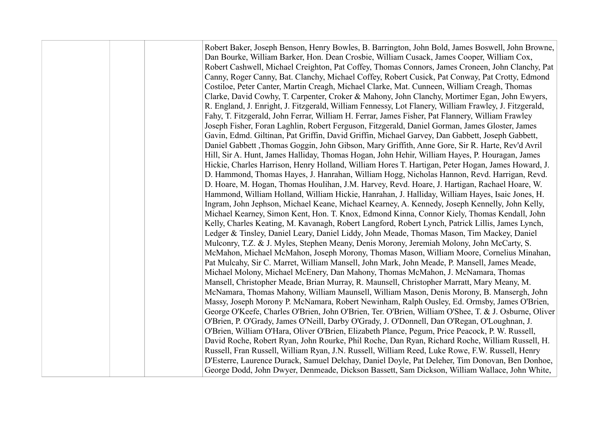| Robert Baker, Joseph Benson, Henry Bowles, B. Barrington, John Bold, James Boswell, John Browne,<br>Dan Bourke, William Barker, Hon. Dean Crosbie, William Cusack, James Cooper, William Cox,<br>Robert Cashwell, Michael Creighton, Pat Coffey, Thomas Connors, James Croneen, John Clanchy, Pat<br>Canny, Roger Canny, Bat. Clanchy, Michael Coffey, Robert Cusick, Pat Conway, Pat Crotty, Edmond<br>Costiloe, Peter Canter, Martin Creagh, Michael Clarke, Mat. Cunneen, William Creagh, Thomas<br>Clarke, David Cowhy, T. Carpenter, Croker & Mahony, John Clanchy, Mortimer Egan, John Ewyers,<br>R. England, J. Enright, J. Fitzgerald, William Fennessy, Lot Flanery, William Frawley, J. Fitzgerald,<br>Fahy, T. Fitzgerald, John Ferrar, William H. Ferrar, James Fisher, Pat Flannery, William Frawley |
|-------------------------------------------------------------------------------------------------------------------------------------------------------------------------------------------------------------------------------------------------------------------------------------------------------------------------------------------------------------------------------------------------------------------------------------------------------------------------------------------------------------------------------------------------------------------------------------------------------------------------------------------------------------------------------------------------------------------------------------------------------------------------------------------------------------------|
| Joseph Fisher, Foran Laghlin, Robert Ferguson, Fitzgerald, Daniel Gorman, James Gloster, James                                                                                                                                                                                                                                                                                                                                                                                                                                                                                                                                                                                                                                                                                                                    |
| Gavin, Edmd. Giltinan, Pat Griffin, David Griffin, Michael Garvey, Dan Gabbett, Joseph Gabbett,                                                                                                                                                                                                                                                                                                                                                                                                                                                                                                                                                                                                                                                                                                                   |
| Daniel Gabbett , Thomas Goggin, John Gibson, Mary Griffith, Anne Gore, Sir R. Harte, Rev'd Avril                                                                                                                                                                                                                                                                                                                                                                                                                                                                                                                                                                                                                                                                                                                  |
| Hill, Sir A. Hunt, James Halliday, Thomas Hogan, John Hehir, William Hayes, P. Houragan, James<br>Hickie, Charles Harrison, Henry Holland, William Hores T. Hartigan, Peter Hogan, James Howard, J.                                                                                                                                                                                                                                                                                                                                                                                                                                                                                                                                                                                                               |
| D. Hammond, Thomas Hayes, J. Hanrahan, William Hogg, Nicholas Hannon, Revd. Harrigan, Revd.                                                                                                                                                                                                                                                                                                                                                                                                                                                                                                                                                                                                                                                                                                                       |
| D. Hoare, M. Hogan, Thomas Houlihan, J.M. Harvey, Revd. Hoare, J. Hartigan, Rachael Hoare, W.                                                                                                                                                                                                                                                                                                                                                                                                                                                                                                                                                                                                                                                                                                                     |
| Hammond, William Holland, William Hickie, Hanrahan, J. Halliday, William Hayes, Isaic Jones, H.                                                                                                                                                                                                                                                                                                                                                                                                                                                                                                                                                                                                                                                                                                                   |
| Ingram, John Jephson, Michael Keane, Michael Kearney, A. Kennedy, Joseph Kennelly, John Kelly,                                                                                                                                                                                                                                                                                                                                                                                                                                                                                                                                                                                                                                                                                                                    |
| Michael Kearney, Simon Kent, Hon. T. Knox, Edmond Kinna, Connor Kiely, Thomas Kendall, John                                                                                                                                                                                                                                                                                                                                                                                                                                                                                                                                                                                                                                                                                                                       |
| Kelly, Charles Keating, M. Kavanagh, Robert Langford, Robert Lynch, Patrick Lillis, James Lynch,                                                                                                                                                                                                                                                                                                                                                                                                                                                                                                                                                                                                                                                                                                                  |
| Ledger & Tinsley, Daniel Leary, Daniel Liddy, John Meade, Thomas Mason, Tim Mackey, Daniel                                                                                                                                                                                                                                                                                                                                                                                                                                                                                                                                                                                                                                                                                                                        |
| Mulconry, T.Z. & J. Myles, Stephen Meany, Denis Morony, Jeremiah Molony, John McCarty, S.                                                                                                                                                                                                                                                                                                                                                                                                                                                                                                                                                                                                                                                                                                                         |
| McMahon, Michael McMahon, Joseph Morony, Thomas Mason, William Moore, Cornelius Minahan,                                                                                                                                                                                                                                                                                                                                                                                                                                                                                                                                                                                                                                                                                                                          |
| Pat Mulcahy, Sir C. Marret, William Mansell, John Mark, John Meade, P. Mansell, James Meade,                                                                                                                                                                                                                                                                                                                                                                                                                                                                                                                                                                                                                                                                                                                      |
| Michael Molony, Michael McEnery, Dan Mahony, Thomas McMahon, J. McNamara, Thomas<br>Mansell, Christopher Meade, Brian Murray, R. Maunsell, Christopher Marratt, Mary Meany, M.                                                                                                                                                                                                                                                                                                                                                                                                                                                                                                                                                                                                                                    |
| McNamara, Thomas Mahony, William Maunsell, William Mason, Denis Morony, B. Mansergh, John                                                                                                                                                                                                                                                                                                                                                                                                                                                                                                                                                                                                                                                                                                                         |
| Massy, Joseph Morony P. McNamara, Robert Newinham, Ralph Ousley, Ed. Ormsby, James O'Brien,                                                                                                                                                                                                                                                                                                                                                                                                                                                                                                                                                                                                                                                                                                                       |
| George O'Keefe, Charles O'Brien, John O'Brien, Ter. O'Brien, William O'Shee, T. & J. Osburne, Oliver                                                                                                                                                                                                                                                                                                                                                                                                                                                                                                                                                                                                                                                                                                              |
| O'Brien, P. O'Grady, James O'Neill, Darby O'Grady, J. O'Donnell, Dan O'Regan, O'Loughnan, J.                                                                                                                                                                                                                                                                                                                                                                                                                                                                                                                                                                                                                                                                                                                      |
| O'Brien, William O'Hara, Oliver O'Brien, Elizabeth Plance, Pegum, Price Peacock, P. W. Russell,                                                                                                                                                                                                                                                                                                                                                                                                                                                                                                                                                                                                                                                                                                                   |
| David Roche, Robert Ryan, John Rourke, Phil Roche, Dan Ryan, Richard Roche, William Russell, H.                                                                                                                                                                                                                                                                                                                                                                                                                                                                                                                                                                                                                                                                                                                   |
| Russell, Fran Russell, William Ryan, J.N. Russell, William Reed, Luke Rowe, F.W. Russell, Henry                                                                                                                                                                                                                                                                                                                                                                                                                                                                                                                                                                                                                                                                                                                   |
| D'Esterre, Laurence Durack, Samuel Delchay, Daniel Doyle, Pat Deleher, Tim Donovan, Ben Donhoe,                                                                                                                                                                                                                                                                                                                                                                                                                                                                                                                                                                                                                                                                                                                   |
| George Dodd, John Dwyer, Denmeade, Dickson Bassett, Sam Dickson, William Wallace, John White,                                                                                                                                                                                                                                                                                                                                                                                                                                                                                                                                                                                                                                                                                                                     |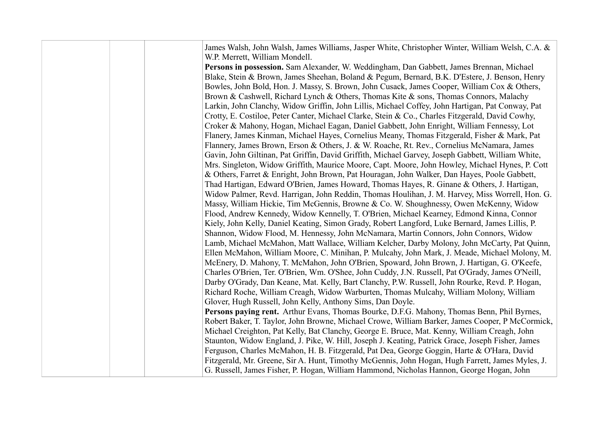| James Walsh, John Walsh, James Williams, Jasper White, Christopher Winter, William Welsh, C.A. &<br>W.P. Merrett, William Mondell. |
|------------------------------------------------------------------------------------------------------------------------------------|
| Persons in possession. Sam Alexander, W. Weddingham, Dan Gabbett, James Brennan, Michael                                           |
| Blake, Stein & Brown, James Sheehan, Boland & Pegum, Bernard, B.K. D'Estere, J. Benson, Henry                                      |
| Bowles, John Bold, Hon. J. Massy, S. Brown, John Cusack, James Cooper, William Cox & Others,                                       |
| Brown & Cashwell, Richard Lynch & Others, Thomas Kite & sons, Thomas Connors, Malachy                                              |
| Larkin, John Clanchy, Widow Griffin, John Lillis, Michael Coffey, John Hartigan, Pat Conway, Pat                                   |
| Crotty, E. Costiloe, Peter Canter, Michael Clarke, Stein & Co., Charles Fitzgerald, David Cowhy,                                   |
| Croker & Mahony, Hogan, Michael Eagan, Daniel Gabbett, John Enright, William Fennessy, Lot                                         |
| Flanery, James Kinman, Michael Hayes, Cornelius Meany, Thomas Fitzgerald, Fisher & Mark, Pat                                       |
| Flannery, James Brown, Erson & Others, J. & W. Roache, Rt. Rev., Cornelius McNamara, James                                         |
| Gavin, John Giltinan, Pat Griffin, David Griffith, Michael Garvey, Joseph Gabbett, William White,                                  |
| Mrs. Singleton, Widow Griffith, Maurice Moore, Capt. Moore, John Howley, Michael Hynes, P. Cott                                    |
| & Others, Farret & Enright, John Brown, Pat Houragan, John Walker, Dan Hayes, Poole Gabbett,                                       |
| Thad Hartigan, Edward O'Brien, James Howard, Thomas Hayes, R. Ginane & Others, J. Hartigan,                                        |
| Widow Palmer, Revd. Harrigan, John Reddin, Thomas Houlihan, J. M. Harvey, Miss Worrell, Hon. G.                                    |
| Massy, William Hickie, Tim McGennis, Browne & Co. W. Shoughnessy, Owen McKenny, Widow                                              |
| Flood, Andrew Kennedy, Widow Kennelly, T. O'Brien, Michael Kearney, Edmond Kinna, Connor                                           |
| Kiely, John Kelly, Daniel Keating, Simon Grady, Robert Langford, Luke Bernard, James Lillis, P.                                    |
| Shannon, Widow Flood, M. Hennessy, John McNamara, Martin Connors, John Connors, Widow                                              |
| Lamb, Michael McMahon, Matt Wallace, William Kelcher, Darby Molony, John McCarty, Pat Quinn,                                       |
| Ellen McMahon, William Moore, C. Minihan, P. Mulcahy, John Mark, J. Meade, Michael Molony, M.                                      |
| McEnery, D. Mahony, T. McMahon, John O'Brien, Spoward, John Brown, J. Hartigan, G. O'Keefe,                                        |
| Charles O'Brien, Ter. O'Brien, Wm. O'Shee, John Cuddy, J.N. Russell, Pat O'Grady, James O'Neill,                                   |
| Darby O'Grady, Dan Keane, Mat. Kelly, Bart Clanchy, P.W. Russell, John Rourke, Revd. P. Hogan,                                     |
| Richard Roche, William Creagh, Widow Warburten, Thomas Mulcahy, William Molony, William                                            |
| Glover, Hugh Russell, John Kelly, Anthony Sims, Dan Doyle.                                                                         |
| Persons paying rent. Arthur Evans, Thomas Bourke, D.F.G. Mahony, Thomas Benn, Phil Byrnes,                                         |
| Robert Baker, T. Taylor, John Browne, Michael Crowe, William Barker, James Cooper, P McCormick,                                    |
| Michael Creighton, Pat Kelly, Bat Clanchy, George E. Bruce, Mat. Kenny, William Creagh, John                                       |
| Staunton, Widow England, J. Pike, W. Hill, Joseph J. Keating, Patrick Grace, Joseph Fisher, James                                  |
| Ferguson, Charles McMahon, H. B. Fitzgerald, Pat Dea, George Goggin, Harte & O'Hara, David                                         |
| Fitzgerald, Mr. Greene, Sir A. Hunt, Timothy McGennis, John Hogan, Hugh Farrett, James Myles, J.                                   |
| G. Russell, James Fisher, P. Hogan, William Hammond, Nicholas Hannon, George Hogan, John                                           |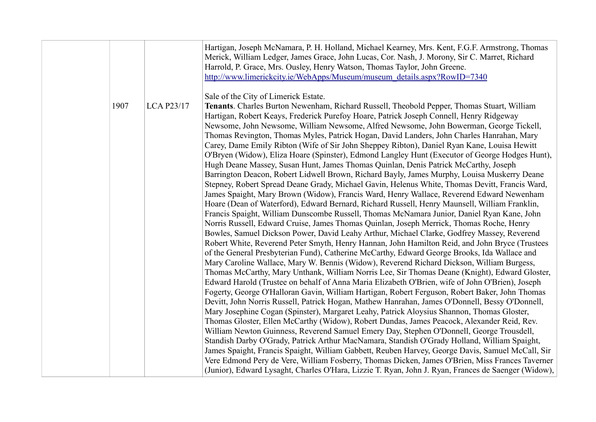|      |                   | Hartigan, Joseph McNamara, P. H. Holland, Michael Kearney, Mrs. Kent, F.G.F. Armstrong, Thomas<br>Merick, William Ledger, James Grace, John Lucas, Cor. Nash, J. Morony, Sir C. Marret, Richard<br>Harrold, P. Grace, Mrs. Ousley, Henry Watson, Thomas Taylor, John Greene.<br>http://www.limerickcity.ie/WebApps/Museum/museum_details.aspx?RowID=7340                                                                                                                                                                                                                                                                                                                                                                                                                                                                                                                                                                                                                                                                                                                                                                                                                                                                                                                                                                                                                                                                                                                                                                                                                                                                                                                                                                                                                                                                                                                                                                                                                                                                                                                                                                                                                                                                                                                                                                                                                                                                                                                                                                                                                                                                                                         |
|------|-------------------|------------------------------------------------------------------------------------------------------------------------------------------------------------------------------------------------------------------------------------------------------------------------------------------------------------------------------------------------------------------------------------------------------------------------------------------------------------------------------------------------------------------------------------------------------------------------------------------------------------------------------------------------------------------------------------------------------------------------------------------------------------------------------------------------------------------------------------------------------------------------------------------------------------------------------------------------------------------------------------------------------------------------------------------------------------------------------------------------------------------------------------------------------------------------------------------------------------------------------------------------------------------------------------------------------------------------------------------------------------------------------------------------------------------------------------------------------------------------------------------------------------------------------------------------------------------------------------------------------------------------------------------------------------------------------------------------------------------------------------------------------------------------------------------------------------------------------------------------------------------------------------------------------------------------------------------------------------------------------------------------------------------------------------------------------------------------------------------------------------------------------------------------------------------------------------------------------------------------------------------------------------------------------------------------------------------------------------------------------------------------------------------------------------------------------------------------------------------------------------------------------------------------------------------------------------------------------------------------------------------------------------------------------------------|
|      |                   | Sale of the City of Limerick Estate.                                                                                                                                                                                                                                                                                                                                                                                                                                                                                                                                                                                                                                                                                                                                                                                                                                                                                                                                                                                                                                                                                                                                                                                                                                                                                                                                                                                                                                                                                                                                                                                                                                                                                                                                                                                                                                                                                                                                                                                                                                                                                                                                                                                                                                                                                                                                                                                                                                                                                                                                                                                                                             |
| 1907 | <b>LCA P23/17</b> | Tenants. Charles Burton Newenham, Richard Russell, Theobold Pepper, Thomas Stuart, William<br>Hartigan, Robert Keays, Frederick Purefoy Hoare, Patrick Joseph Connell, Henry Ridgeway<br>Newsome, John Newsome, William Newsome, Alfred Newsome, John Bowerman, George Tickell,<br>Thomas Revington, Thomas Myles, Patrick Hogan, David Landers, John Charles Hanrahan, Mary<br>Carey, Dame Emily Ribton (Wife of Sir John Sheppey Ribton), Daniel Ryan Kane, Louisa Hewitt<br>O'Bryen (Widow), Eliza Hoare (Spinster), Edmond Langley Hunt (Executor of George Hodges Hunt),<br>Hugh Deane Massey, Susan Hunt, James Thomas Quinlan, Denis Patrick McCarthy, Joseph<br>Barrington Deacon, Robert Lidwell Brown, Richard Bayly, James Murphy, Louisa Muskerry Deane<br>Stepney, Robert Spread Deane Grady, Michael Gavin, Helenus White, Thomas Devitt, Francis Ward,<br>James Spaight, Mary Brown (Widow), Francis Ward, Henry Wallace, Reverend Edward Newenham<br>Hoare (Dean of Waterford), Edward Bernard, Richard Russell, Henry Maunsell, William Franklin,<br>Francis Spaight, William Dunscombe Russell, Thomas McNamara Junior, Daniel Ryan Kane, John<br>Norris Russell, Edward Cruise, James Thomas Quinlan, Joseph Merrick, Thomas Roche, Henry<br>Bowles, Samuel Dickson Power, David Leahy Arthur, Michael Clarke, Godfrey Massey, Reverend<br>Robert White, Reverend Peter Smyth, Henry Hannan, John Hamilton Reid, and John Bryce (Trustees<br>of the General Presbyterian Fund), Catherine McCarthy, Edward George Brooks, Ida Wallace and<br>Mary Caroline Wallace, Mary W. Bennis (Widow), Reverend Richard Dickson, William Burgess,<br>Thomas McCarthy, Mary Unthank, William Norris Lee, Sir Thomas Deane (Knight), Edward Gloster,<br>Edward Harold (Trustee on behalf of Anna Maria Elizabeth O'Brien, wife of John O'Brien), Joseph<br>Fogerty, George O'Halloran Gavin, William Hartigan, Robert Ferguson, Robert Baker, John Thomas<br>Devitt, John Norris Russell, Patrick Hogan, Mathew Hanrahan, James O'Donnell, Bessy O'Donnell,<br>Mary Josephine Cogan (Spinster), Margaret Leahy, Patrick Aloysius Shannon, Thomas Gloster,<br>Thomas Gloster, Ellen McCarthy (Widow), Robert Dundas, James Peacock, Alexander Reid, Rev.<br>William Newton Guinness, Reverend Samuel Emery Day, Stephen O'Donnell, George Trousdell,<br>Standish Darby O'Grady, Patrick Arthur MacNamara, Standish O'Grady Holland, William Spaight,<br>James Spaight, Francis Spaight, William Gabbett, Reuben Harvey, George Davis, Samuel McCall, Sir<br>Vere Edmond Pery de Vere, William Fosberry, Thomas Dicken, James O'Brien, Miss Frances Taverner |
|      |                   | (Junior), Edward Lysaght, Charles O'Hara, Lizzie T. Ryan, John J. Ryan, Frances de Saenger (Widow),                                                                                                                                                                                                                                                                                                                                                                                                                                                                                                                                                                                                                                                                                                                                                                                                                                                                                                                                                                                                                                                                                                                                                                                                                                                                                                                                                                                                                                                                                                                                                                                                                                                                                                                                                                                                                                                                                                                                                                                                                                                                                                                                                                                                                                                                                                                                                                                                                                                                                                                                                              |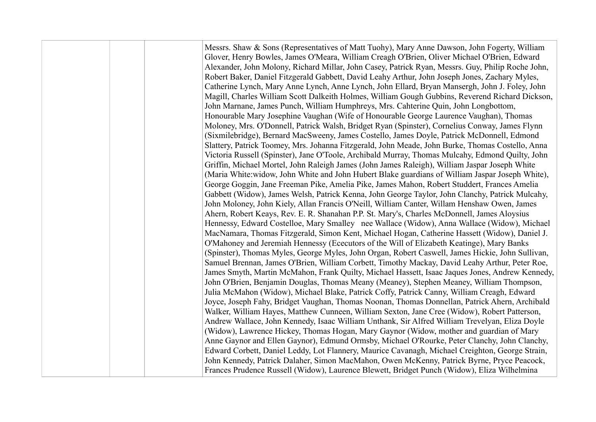|  | Messrs. Shaw & Sons (Representatives of Matt Tuohy), Mary Anne Dawson, John Fogerty, William<br>Glover, Henry Bowles, James O'Meara, William Creagh O'Brien, Oliver Michael O'Brien, Edward<br>Alexander, John Molony, Richard Millar, John Casey, Patrick Ryan, Messrs. Guy, Philip Roche John,<br>Robert Baker, Daniel Fitzgerald Gabbett, David Leahy Arthur, John Joseph Jones, Zachary Myles,<br>Catherine Lynch, Mary Anne Lynch, Anne Lynch, John Ellard, Bryan Mansergh, John J. Foley, John<br>Magill, Charles William Scott Dalkeith Holmes, William Gough Gubbins, Reverend Richard Dickson,<br>John Marnane, James Punch, William Humphreys, Mrs. Cahterine Quin, John Longbottom,<br>Honourable Mary Josephine Vaughan (Wife of Honourable George Laurence Vaughan), Thomas<br>Moloney, Mrs. O'Donnell, Patrick Walsh, Bridget Ryan (Spinster), Cornelius Conway, James Flynn<br>(Sixmilebridge), Bernard MacSweeny, James Costello, James Doyle, Patrick McDonnell, Edmond<br>Slattery, Patrick Toomey, Mrs. Johanna Fitzgerald, John Meade, John Burke, Thomas Costello, Anna<br>Victoria Russell (Spinster), Jane O'Toole, Archibald Murray, Thomas Mulcahy, Edmond Quilty, John<br>Griffin, Michael Mortel, John Raleigh James (John James Raleigh), William Jaspar Joseph White<br>(Maria White: widow, John White and John Hubert Blake guardians of William Jaspar Joseph White),<br>George Goggin, Jane Freeman Pike, Amelia Pike, James Mahon, Robert Studdert, Frances Amelia<br>Gabbett (Widow), James Welsh, Patrick Kenna, John George Taylor, John Clanchy, Patrick Mulcahy,<br>John Moloney, John Kiely, Allan Francis O'Neill, William Canter, Willam Henshaw Owen, James<br>Ahern, Robert Keays, Rev. E. R. Shanahan P.P. St. Mary's, Charles McDonnell, James Aloysius<br>Hennessy, Edward Costelloe, Mary Smalley nee Wallace (Widow), Anna Wallace (Widow), Michael<br>MacNamara, Thomas Fitzgerald, Simon Kent, Michael Hogan, Catherine Hassett (Widow), Daniel J.<br>O'Mahoney and Jeremiah Hennessy (Ececutors of the Will of Elizabeth Keatinge), Mary Banks<br>(Spinster), Thomas Myles, George Myles, John Organ, Robert Caswell, James Hickie, John Sullivan,<br>Samuel Brennan, James O'Brien, William Corbett, Timothy Mackay, David Leahy Arthur, Peter Roe,<br>John O'Brien, Benjamin Douglas, Thomas Meany (Meaney), Stephen Meaney, William Thompson,<br>Julia McMahon (Widow), Michael Blake, Patrick Coffy, Patrick Canny, William Creagh, Edward<br>Joyce, Joseph Fahy, Bridget Vaughan, Thomas Noonan, Thomas Donnellan, Patrick Ahern, Archibald |
|--|------------------------------------------------------------------------------------------------------------------------------------------------------------------------------------------------------------------------------------------------------------------------------------------------------------------------------------------------------------------------------------------------------------------------------------------------------------------------------------------------------------------------------------------------------------------------------------------------------------------------------------------------------------------------------------------------------------------------------------------------------------------------------------------------------------------------------------------------------------------------------------------------------------------------------------------------------------------------------------------------------------------------------------------------------------------------------------------------------------------------------------------------------------------------------------------------------------------------------------------------------------------------------------------------------------------------------------------------------------------------------------------------------------------------------------------------------------------------------------------------------------------------------------------------------------------------------------------------------------------------------------------------------------------------------------------------------------------------------------------------------------------------------------------------------------------------------------------------------------------------------------------------------------------------------------------------------------------------------------------------------------------------------------------------------------------------------------------------------------------------------------------------------------------------------------------------------------------------------------------------------------------------------------------------------------------------------------------------------------------------------------------------------------------------------------------------------------------------------------------------------------------------------------------------------------------------------------------------------|
|  | James Smyth, Martin McMahon, Frank Quilty, Michael Hassett, Isaac Jaques Jones, Andrew Kennedy,                                                                                                                                                                                                                                                                                                                                                                                                                                                                                                                                                                                                                                                                                                                                                                                                                                                                                                                                                                                                                                                                                                                                                                                                                                                                                                                                                                                                                                                                                                                                                                                                                                                                                                                                                                                                                                                                                                                                                                                                                                                                                                                                                                                                                                                                                                                                                                                                                                                                                                      |
|  | Walker, William Hayes, Matthew Cunneen, William Sexton, Jane Cree (Widow), Robert Patterson,<br>Andrew Wallace, John Kennedy, Isaac William Unthank, Sir Alfred William Trevelyan, Eliza Doyle                                                                                                                                                                                                                                                                                                                                                                                                                                                                                                                                                                                                                                                                                                                                                                                                                                                                                                                                                                                                                                                                                                                                                                                                                                                                                                                                                                                                                                                                                                                                                                                                                                                                                                                                                                                                                                                                                                                                                                                                                                                                                                                                                                                                                                                                                                                                                                                                       |
|  | (Widow), Lawrence Hickey, Thomas Hogan, Mary Gaynor (Widow, mother and guardian of Mary<br>Anne Gaynor and Ellen Gaynor), Edmund Ormsby, Michael O'Rourke, Peter Clanchy, John Clanchy,                                                                                                                                                                                                                                                                                                                                                                                                                                                                                                                                                                                                                                                                                                                                                                                                                                                                                                                                                                                                                                                                                                                                                                                                                                                                                                                                                                                                                                                                                                                                                                                                                                                                                                                                                                                                                                                                                                                                                                                                                                                                                                                                                                                                                                                                                                                                                                                                              |
|  | Edward Corbett, Daniel Leddy, Lot Flannery, Maurice Cavanagh, Michael Creighton, George Strain,<br>John Kennedy, Patrick Dalaher, Simon MacMahon, Owen McKenny, Patrick Byrne, Pryce Peacock,                                                                                                                                                                                                                                                                                                                                                                                                                                                                                                                                                                                                                                                                                                                                                                                                                                                                                                                                                                                                                                                                                                                                                                                                                                                                                                                                                                                                                                                                                                                                                                                                                                                                                                                                                                                                                                                                                                                                                                                                                                                                                                                                                                                                                                                                                                                                                                                                        |
|  | Frances Prudence Russell (Widow), Laurence Blewett, Bridget Punch (Widow), Eliza Wilhelmina                                                                                                                                                                                                                                                                                                                                                                                                                                                                                                                                                                                                                                                                                                                                                                                                                                                                                                                                                                                                                                                                                                                                                                                                                                                                                                                                                                                                                                                                                                                                                                                                                                                                                                                                                                                                                                                                                                                                                                                                                                                                                                                                                                                                                                                                                                                                                                                                                                                                                                          |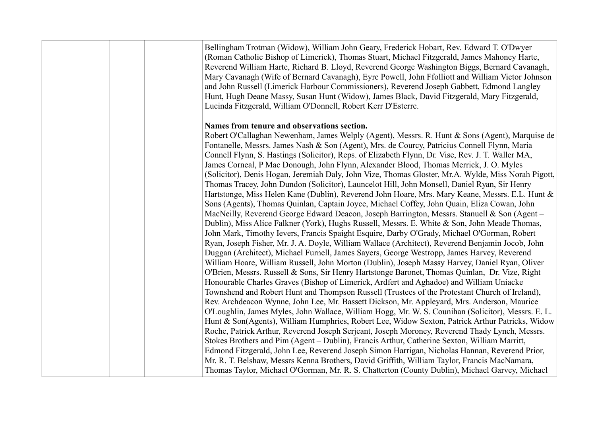|  | Bellingham Trotman (Widow), William John Geary, Frederick Hobart, Rev. Edward T. O'Dwyer<br>(Roman Catholic Bishop of Limerick), Thomas Stuart, Michael Fitzgerald, James Mahoney Harte,<br>Reverend William Harte, Richard B. Lloyd, Reverend George Washington Biggs, Bernard Cavanagh,<br>Mary Cavanagh (Wife of Bernard Cavanagh), Eyre Powell, John Ffolliott and William Victor Johnson<br>and John Russell (Limerick Harbour Commissioners), Reverend Joseph Gabbett, Edmond Langley<br>Hunt, Hugh Deane Massy, Susan Hunt (Widow), James Black, David Fitzgerald, Mary Fitzgerald,<br>Lucinda Fitzgerald, William O'Donnell, Robert Kerr D'Esterre. |
|--|-------------------------------------------------------------------------------------------------------------------------------------------------------------------------------------------------------------------------------------------------------------------------------------------------------------------------------------------------------------------------------------------------------------------------------------------------------------------------------------------------------------------------------------------------------------------------------------------------------------------------------------------------------------|
|  | Names from tenure and observations section.                                                                                                                                                                                                                                                                                                                                                                                                                                                                                                                                                                                                                 |
|  | Robert O'Callaghan Newenham, James Welply (Agent), Messrs. R. Hunt & Sons (Agent), Marquise de                                                                                                                                                                                                                                                                                                                                                                                                                                                                                                                                                              |
|  | Fontanelle, Messrs. James Nash & Son (Agent), Mrs. de Courcy, Patricius Connell Flynn, Maria                                                                                                                                                                                                                                                                                                                                                                                                                                                                                                                                                                |
|  | Connell Flynn, S. Hastings (Solicitor), Reps. of Elizabeth Flynn, Dr. Vise, Rev. J. T. Waller MA,                                                                                                                                                                                                                                                                                                                                                                                                                                                                                                                                                           |
|  | James Corneal, P Mac Donough, John Flynn, Alexander Blood, Thomas Merrick, J. O. Myles                                                                                                                                                                                                                                                                                                                                                                                                                                                                                                                                                                      |
|  | (Solicitor), Denis Hogan, Jeremiah Daly, John Vize, Thomas Gloster, Mr.A. Wylde, Miss Norah Pigott,                                                                                                                                                                                                                                                                                                                                                                                                                                                                                                                                                         |
|  | Thomas Tracey, John Dundon (Solicitor), Launcelot Hill, John Monsell, Daniel Ryan, Sir Henry                                                                                                                                                                                                                                                                                                                                                                                                                                                                                                                                                                |
|  | Hartstonge, Miss Helen Kane (Dublin), Reverend John Hoare, Mrs. Mary Keane, Messrs. E.L. Hunt &                                                                                                                                                                                                                                                                                                                                                                                                                                                                                                                                                             |
|  | Sons (Agents), Thomas Quinlan, Captain Joyce, Michael Coffey, John Quain, Eliza Cowan, John                                                                                                                                                                                                                                                                                                                                                                                                                                                                                                                                                                 |
|  | MacNeilly, Reverend George Edward Deacon, Joseph Barrington, Messrs. Stanuell & Son (Agent -                                                                                                                                                                                                                                                                                                                                                                                                                                                                                                                                                                |
|  | Dublin), Miss Alice Falkner (York), Hughs Russell, Messrs. E. White & Son, John Meade Thomas,                                                                                                                                                                                                                                                                                                                                                                                                                                                                                                                                                               |
|  | John Mark, Timothy Ievers, Francis Spaight Esquire, Darby O'Grady, Michael O'Gorman, Robert                                                                                                                                                                                                                                                                                                                                                                                                                                                                                                                                                                 |
|  | Ryan, Joseph Fisher, Mr. J. A. Doyle, William Wallace (Architect), Reverend Benjamin Jocob, John<br>Duggan (Architect), Michael Furnell, James Sayers, George Westropp, James Harvey, Reverend                                                                                                                                                                                                                                                                                                                                                                                                                                                              |
|  | William Hoare, William Russell, John Morton (Dublin), Joseph Massy Harvey, Daniel Ryan, Oliver                                                                                                                                                                                                                                                                                                                                                                                                                                                                                                                                                              |
|  | O'Brien, Messrs. Russell & Sons, Sir Henry Hartstonge Baronet, Thomas Quinlan, Dr. Vize, Right                                                                                                                                                                                                                                                                                                                                                                                                                                                                                                                                                              |
|  | Honourable Charles Graves (Bishop of Limerick, Ardfert and Aghadoe) and William Uniacke                                                                                                                                                                                                                                                                                                                                                                                                                                                                                                                                                                     |
|  | Townshend and Robert Hunt and Thompson Russell (Trustees of the Protestant Church of Ireland),                                                                                                                                                                                                                                                                                                                                                                                                                                                                                                                                                              |
|  | Rev. Archdeacon Wynne, John Lee, Mr. Bassett Dickson, Mr. Appleyard, Mrs. Anderson, Maurice                                                                                                                                                                                                                                                                                                                                                                                                                                                                                                                                                                 |
|  | O'Loughlin, James Myles, John Wallace, William Hogg, Mr. W. S. Counihan (Solicitor), Messrs. E. L.                                                                                                                                                                                                                                                                                                                                                                                                                                                                                                                                                          |
|  | Hunt & Son(Agents), William Humphries, Robert Lee, Widow Sexton, Patrick Arthur Patricks, Widow                                                                                                                                                                                                                                                                                                                                                                                                                                                                                                                                                             |
|  | Roche, Patrick Arthur, Reverend Joseph Serjeant, Joseph Moroney, Reverend Thady Lynch, Messrs.                                                                                                                                                                                                                                                                                                                                                                                                                                                                                                                                                              |
|  | Stokes Brothers and Pim (Agent – Dublin), Francis Arthur, Catherine Sexton, William Marritt,                                                                                                                                                                                                                                                                                                                                                                                                                                                                                                                                                                |
|  | Edmond Fitzgerald, John Lee, Reverend Joseph Simon Harrigan, Nicholas Hannan, Reverend Prior,                                                                                                                                                                                                                                                                                                                                                                                                                                                                                                                                                               |
|  | Mr. R. T. Belshaw, Messrs Kenna Brothers, David Griffith, William Taylor, Francis MacNamara,                                                                                                                                                                                                                                                                                                                                                                                                                                                                                                                                                                |
|  | Thomas Taylor, Michael O'Gorman, Mr. R. S. Chatterton (County Dublin), Michael Garvey, Michael                                                                                                                                                                                                                                                                                                                                                                                                                                                                                                                                                              |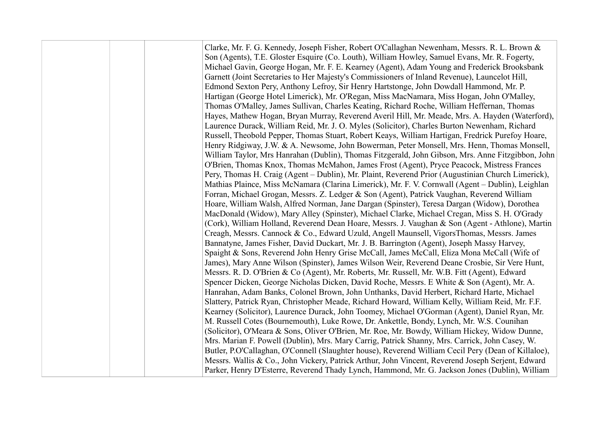|  | Clarke, Mr. F. G. Kennedy, Joseph Fisher, Robert O'Callaghan Newenham, Messrs. R. L. Brown &<br>Son (Agents), T.E. Gloster Esquire (Co. Louth), William Howley, Samuel Evans, Mr. R. Fogerty,<br>Michael Gavin, George Hogan, Mr. F. E. Kearney (Agent), Adam Young and Frederick Brooksbank<br>Garnett (Joint Secretaries to Her Majesty's Commissioners of Inland Revenue), Launcelot Hill,<br>Edmond Sexton Pery, Anthony Lefroy, Sir Henry Hartstonge, John Dowdall Hammond, Mr. P.<br>Hartigan (George Hotel Limerick), Mr. O'Regan, Miss MacNamara, Miss Hogan, John O'Malley,<br>Thomas O'Malley, James Sullivan, Charles Keating, Richard Roche, William Heffernan, Thomas<br>Hayes, Mathew Hogan, Bryan Murray, Reverend Averil Hill, Mr. Meade, Mrs. A. Hayden (Waterford),<br>Laurence Durack, William Reid, Mr. J. O. Myles (Solicitor), Charles Burton Newenham, Richard<br>Russell, Theobold Pepper, Thomas Stuart, Robert Keays, William Hartigan, Fredrick Purefoy Hoare,<br>Henry Ridgiway, J.W. & A. Newsome, John Bowerman, Peter Monsell, Mrs. Henn, Thomas Monsell,<br>William Taylor, Mrs Hanrahan (Dublin), Thomas Fitzgerald, John Gibson, Mrs. Anne Fitzgibbon, John<br>O'Brien, Thomas Knox, Thomas McMahon, James Frost (Agent), Pryce Peacock, Mistress Frances<br>Pery, Thomas H. Craig (Agent – Dublin), Mr. Plaint, Reverend Prior (Augustinian Church Limerick),<br>Mathias Plaince, Miss McNamara (Clarina Limerick), Mr. F. V. Cornwall (Agent – Dublin), Leighlan<br>Forran, Michael Grogan, Messrs. Z. Ledger & Son (Agent), Patrick Vaughan, Reverend William<br>Hoare, William Walsh, Alfred Norman, Jane Dargan (Spinster), Teresa Dargan (Widow), Dorothea<br>MacDonald (Widow), Mary Alley (Spinster), Michael Clarke, Michael Cregan, Miss S. H. O'Grady<br>(Cork), William Holland, Reverend Dean Hoare, Messrs. J. Vaughan & Son (Agent - Athlone), Martin<br>Creagh, Messrs. Cannock & Co., Edward Uzuld, Angell Maunsell, VigorsThomas, Messrs. James<br>Bannatyne, James Fisher, David Duckart, Mr. J. B. Barrington (Agent), Joseph Massy Harvey,<br>Spaight & Sons, Reverend John Henry Grise McCall, James McCall, Eliza Mona McCall (Wife of<br>James), Mary Anne Wilson (Spinster), James Wilson Weir, Reverend Deane Crosbie, Sir Vere Hunt,<br>Messrs. R. D. O'Brien & Co (Agent), Mr. Roberts, Mr. Russell, Mr. W.B. Fitt (Agent), Edward<br>Spencer Dicken, George Nicholas Dicken, David Roche, Messrs. E White & Son (Agent), Mr. A.<br>Hanrahan, Adam Banks, Colonel Brown, John Unthanks, David Herbert, Richard Harte, Michael<br>Slattery, Patrick Ryan, Christopher Meade, Richard Howard, William Kelly, William Reid, Mr. F.F.<br>Kearney (Solicitor), Laurence Durack, John Toomey, Michael O'Gorman (Agent), Daniel Ryan, Mr.<br>M. Russell Cotes (Bournemouth), Luke Rowe, Dr. Ankettle, Bondy, Lynch, Mr. W.S. Counihan |
|--|----------------------------------------------------------------------------------------------------------------------------------------------------------------------------------------------------------------------------------------------------------------------------------------------------------------------------------------------------------------------------------------------------------------------------------------------------------------------------------------------------------------------------------------------------------------------------------------------------------------------------------------------------------------------------------------------------------------------------------------------------------------------------------------------------------------------------------------------------------------------------------------------------------------------------------------------------------------------------------------------------------------------------------------------------------------------------------------------------------------------------------------------------------------------------------------------------------------------------------------------------------------------------------------------------------------------------------------------------------------------------------------------------------------------------------------------------------------------------------------------------------------------------------------------------------------------------------------------------------------------------------------------------------------------------------------------------------------------------------------------------------------------------------------------------------------------------------------------------------------------------------------------------------------------------------------------------------------------------------------------------------------------------------------------------------------------------------------------------------------------------------------------------------------------------------------------------------------------------------------------------------------------------------------------------------------------------------------------------------------------------------------------------------------------------------------------------------------------------------------------------------------------------------------------------------------------------------------------------------------------------------------------------------------------------------------------------------------------------------------------------------------------------------------------------------------------------------------------------------------------------------------------|
|  |                                                                                                                                                                                                                                                                                                                                                                                                                                                                                                                                                                                                                                                                                                                                                                                                                                                                                                                                                                                                                                                                                                                                                                                                                                                                                                                                                                                                                                                                                                                                                                                                                                                                                                                                                                                                                                                                                                                                                                                                                                                                                                                                                                                                                                                                                                                                                                                                                                                                                                                                                                                                                                                                                                                                                                                                                                                                                              |
|  |                                                                                                                                                                                                                                                                                                                                                                                                                                                                                                                                                                                                                                                                                                                                                                                                                                                                                                                                                                                                                                                                                                                                                                                                                                                                                                                                                                                                                                                                                                                                                                                                                                                                                                                                                                                                                                                                                                                                                                                                                                                                                                                                                                                                                                                                                                                                                                                                                                                                                                                                                                                                                                                                                                                                                                                                                                                                                              |
|  | (Solicitor), O'Meara & Sons, Oliver O'Brien, Mr. Roe, Mr. Bowdy, William Hickey, Widow Dunne,                                                                                                                                                                                                                                                                                                                                                                                                                                                                                                                                                                                                                                                                                                                                                                                                                                                                                                                                                                                                                                                                                                                                                                                                                                                                                                                                                                                                                                                                                                                                                                                                                                                                                                                                                                                                                                                                                                                                                                                                                                                                                                                                                                                                                                                                                                                                                                                                                                                                                                                                                                                                                                                                                                                                                                                                |
|  | Mrs. Marian F. Powell (Dublin), Mrs. Mary Carrig, Patrick Shanny, Mrs. Carrick, John Casey, W.<br>Butler, P.O'Callaghan, O'Connell (Slaughter house), Reverend William Cecil Pery (Dean of Killaloe),                                                                                                                                                                                                                                                                                                                                                                                                                                                                                                                                                                                                                                                                                                                                                                                                                                                                                                                                                                                                                                                                                                                                                                                                                                                                                                                                                                                                                                                                                                                                                                                                                                                                                                                                                                                                                                                                                                                                                                                                                                                                                                                                                                                                                                                                                                                                                                                                                                                                                                                                                                                                                                                                                        |
|  | Messrs. Wallis & Co., John Vickery, Patrick Arthur, John Vincent, Reverend Joseph Serjent, Edward                                                                                                                                                                                                                                                                                                                                                                                                                                                                                                                                                                                                                                                                                                                                                                                                                                                                                                                                                                                                                                                                                                                                                                                                                                                                                                                                                                                                                                                                                                                                                                                                                                                                                                                                                                                                                                                                                                                                                                                                                                                                                                                                                                                                                                                                                                                                                                                                                                                                                                                                                                                                                                                                                                                                                                                            |
|  | Parker, Henry D'Esterre, Reverend Thady Lynch, Hammond, Mr. G. Jackson Jones (Dublin), William                                                                                                                                                                                                                                                                                                                                                                                                                                                                                                                                                                                                                                                                                                                                                                                                                                                                                                                                                                                                                                                                                                                                                                                                                                                                                                                                                                                                                                                                                                                                                                                                                                                                                                                                                                                                                                                                                                                                                                                                                                                                                                                                                                                                                                                                                                                                                                                                                                                                                                                                                                                                                                                                                                                                                                                               |
|  |                                                                                                                                                                                                                                                                                                                                                                                                                                                                                                                                                                                                                                                                                                                                                                                                                                                                                                                                                                                                                                                                                                                                                                                                                                                                                                                                                                                                                                                                                                                                                                                                                                                                                                                                                                                                                                                                                                                                                                                                                                                                                                                                                                                                                                                                                                                                                                                                                                                                                                                                                                                                                                                                                                                                                                                                                                                                                              |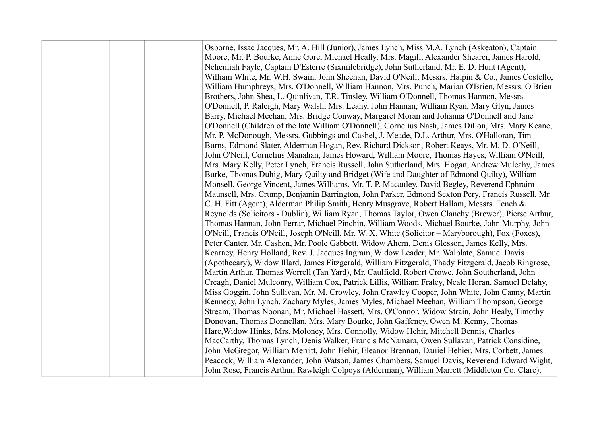|  | Osborne, Issac Jacques, Mr. A. Hill (Junior), James Lynch, Miss M.A. Lynch (Askeaton), Captain<br>Moore, Mr. P. Bourke, Anne Gore, Michael Heally, Mrs. Magill, Alexander Shearer, James Harold,<br>Nehemiah Fayle, Captain D'Esterre (Sixmilebridge), John Sutherland, Mr. E. D. Hunt (Agent),<br>William White, Mr. W.H. Swain, John Sheehan, David O'Neill, Messrs. Halpin & Co., James Costello,<br>William Humphreys, Mrs. O'Donnell, William Hannon, Mrs. Punch, Marian O'Brien, Messrs. O'Brien<br>Brothers, John Shea, L. Quinlivan, T.R. Tinsley, William O'Donnell, Thomas Hannon, Messrs.<br>O'Donnell, P. Raleigh, Mary Walsh, Mrs. Leahy, John Hannan, William Ryan, Mary Glyn, James<br>Barry, Michael Meehan, Mrs. Bridge Conway, Margaret Moran and Johanna O'Donnell and Jane<br>O'Donnell (Children of the late William O'Donnell), Cornelius Nash, James Dillon, Mrs. Mary Keane,<br>Mr. P. McDonough, Messrs. Gubbings and Cashel, J. Meade, D.L. Arthur, Mrs. O'Halloran, Tim<br>Burns, Edmond Slater, Alderman Hogan, Rev. Richard Dickson, Robert Keays, Mr. M. D. O'Neill,<br>John O'Neill, Cornelius Manahan, James Howard, William Moore, Thomas Hayes, William O'Neill,<br>Mrs. Mary Kelly, Peter Lynch, Francis Russell, John Sutherland, Mrs. Hogan, Andrew Mulcahy, James<br>Burke, Thomas Duhig, Mary Quilty and Bridget (Wife and Daughter of Edmond Quilty), William<br>Monsell, George Vincent, James Williams, Mr. T. P. Macauley, David Begley, Reverend Ephraim<br>Maunsell, Mrs. Crump, Benjamin Barrington, John Parker, Edmond Sexton Pery, Francis Russell, Mr.<br>C. H. Fitt (Agent), Alderman Philip Smith, Henry Musgrave, Robert Hallam, Messrs. Tench &<br>Reynolds (Solicitors - Dublin), William Ryan, Thomas Taylor, Owen Clanchy (Brewer), Pierse Arthur,<br>Thomas Hannan, John Ferrar, Michael Pinchin, William Woods, Michael Bourke, John Murphy, John<br>O'Neill, Francis O'Neill, Joseph O'Neill, Mr. W. X. White (Solicitor – Maryborough), Fox (Foxes),<br>Peter Canter, Mr. Cashen, Mr. Poole Gabbett, Widow Ahern, Denis Glesson, James Kelly, Mrs.<br>Kearney, Henry Holland, Rev. J. Jacques Ingram, Widow Leader, Mr. Walplate, Samuel Davis<br>(Apothecary), Widow Illard, James Fitzgerald, William Fitzgerald, Thady Fitzgerald, Jacob Ringrose,<br>Martin Arthur, Thomas Worrell (Tan Yard), Mr. Caulfield, Robert Crowe, John Southerland, John<br>Creagh, Daniel Mulconry, William Cox, Patrick Lillis, William Fraley, Neale Horan, Samuel Delahy,<br>Miss Goggin, John Sullivan, Mr. M. Crowley, John Crawley Cooper, John White, John Canny, Martin<br>Kennedy, John Lynch, Zachary Myles, James Myles, Michael Meehan, William Thompson, George |
|--|--------------------------------------------------------------------------------------------------------------------------------------------------------------------------------------------------------------------------------------------------------------------------------------------------------------------------------------------------------------------------------------------------------------------------------------------------------------------------------------------------------------------------------------------------------------------------------------------------------------------------------------------------------------------------------------------------------------------------------------------------------------------------------------------------------------------------------------------------------------------------------------------------------------------------------------------------------------------------------------------------------------------------------------------------------------------------------------------------------------------------------------------------------------------------------------------------------------------------------------------------------------------------------------------------------------------------------------------------------------------------------------------------------------------------------------------------------------------------------------------------------------------------------------------------------------------------------------------------------------------------------------------------------------------------------------------------------------------------------------------------------------------------------------------------------------------------------------------------------------------------------------------------------------------------------------------------------------------------------------------------------------------------------------------------------------------------------------------------------------------------------------------------------------------------------------------------------------------------------------------------------------------------------------------------------------------------------------------------------------------------------------------------------------------------------------------------------------------------------------------------------------------------------------------------------------------------------------------------------------------------------------------------------------------------------------------------------------------------|
|  |                                                                                                                                                                                                                                                                                                                                                                                                                                                                                                                                                                                                                                                                                                                                                                                                                                                                                                                                                                                                                                                                                                                                                                                                                                                                                                                                                                                                                                                                                                                                                                                                                                                                                                                                                                                                                                                                                                                                                                                                                                                                                                                                                                                                                                                                                                                                                                                                                                                                                                                                                                                                                                                                                                                          |
|  | Stream, Thomas Noonan, Mr. Michael Hassett, Mrs. O'Connor, Widow Strain, John Healy, Timothy                                                                                                                                                                                                                                                                                                                                                                                                                                                                                                                                                                                                                                                                                                                                                                                                                                                                                                                                                                                                                                                                                                                                                                                                                                                                                                                                                                                                                                                                                                                                                                                                                                                                                                                                                                                                                                                                                                                                                                                                                                                                                                                                                                                                                                                                                                                                                                                                                                                                                                                                                                                                                             |
|  | Donovan, Thomas Donnellan, Mrs. Mary Bourke, John Gaffeney, Owen M. Kenny, Thomas                                                                                                                                                                                                                                                                                                                                                                                                                                                                                                                                                                                                                                                                                                                                                                                                                                                                                                                                                                                                                                                                                                                                                                                                                                                                                                                                                                                                                                                                                                                                                                                                                                                                                                                                                                                                                                                                                                                                                                                                                                                                                                                                                                                                                                                                                                                                                                                                                                                                                                                                                                                                                                        |
|  | Hare, Widow Hinks, Mrs. Moloney, Mrs. Connolly, Widow Hehir, Mitchell Bennis, Charles                                                                                                                                                                                                                                                                                                                                                                                                                                                                                                                                                                                                                                                                                                                                                                                                                                                                                                                                                                                                                                                                                                                                                                                                                                                                                                                                                                                                                                                                                                                                                                                                                                                                                                                                                                                                                                                                                                                                                                                                                                                                                                                                                                                                                                                                                                                                                                                                                                                                                                                                                                                                                                    |
|  | MacCarthy, Thomas Lynch, Denis Walker, Francis McNamara, Owen Sullavan, Patrick Considine,                                                                                                                                                                                                                                                                                                                                                                                                                                                                                                                                                                                                                                                                                                                                                                                                                                                                                                                                                                                                                                                                                                                                                                                                                                                                                                                                                                                                                                                                                                                                                                                                                                                                                                                                                                                                                                                                                                                                                                                                                                                                                                                                                                                                                                                                                                                                                                                                                                                                                                                                                                                                                               |
|  | John McGregor, William Merritt, John Hehir, Eleanor Brennan, Daniel Hehier, Mrs. Corbett, James                                                                                                                                                                                                                                                                                                                                                                                                                                                                                                                                                                                                                                                                                                                                                                                                                                                                                                                                                                                                                                                                                                                                                                                                                                                                                                                                                                                                                                                                                                                                                                                                                                                                                                                                                                                                                                                                                                                                                                                                                                                                                                                                                                                                                                                                                                                                                                                                                                                                                                                                                                                                                          |
|  | Peacock, William Alexander, John Watson, James Chambers, Samuel Davis, Reverend Edward Wight,                                                                                                                                                                                                                                                                                                                                                                                                                                                                                                                                                                                                                                                                                                                                                                                                                                                                                                                                                                                                                                                                                                                                                                                                                                                                                                                                                                                                                                                                                                                                                                                                                                                                                                                                                                                                                                                                                                                                                                                                                                                                                                                                                                                                                                                                                                                                                                                                                                                                                                                                                                                                                            |
|  | John Rose, Francis Arthur, Rawleigh Colpoys (Alderman), William Marrett (Middleton Co. Clare),                                                                                                                                                                                                                                                                                                                                                                                                                                                                                                                                                                                                                                                                                                                                                                                                                                                                                                                                                                                                                                                                                                                                                                                                                                                                                                                                                                                                                                                                                                                                                                                                                                                                                                                                                                                                                                                                                                                                                                                                                                                                                                                                                                                                                                                                                                                                                                                                                                                                                                                                                                                                                           |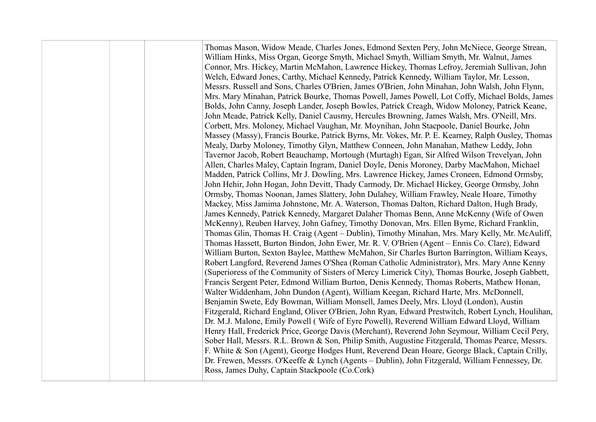| Thomas Mason, Widow Meade, Charles Jones, Edmond Sexten Pery, John McNiece, George Strean,<br>William Hinks, Miss Organ, George Smyth, Michael Smyth, William Smyth, Mr. Walnut, James<br>Connor, Mrs. Hickey, Martin McMahon, Lawrence Hickey, Thomas Lefroy, Jeremiah Sullivan, John<br>Welch, Edward Jones, Carthy, Michael Kennedy, Patrick Kennedy, William Taylor, Mr. Lesson,<br>Messrs. Russell and Sons, Charles O'Brien, James O'Brien, John Minahan, John Walsh, John Flynn,<br>Mrs. Mary Minahan, Patrick Bourke, Thomas Powell, James Powell, Lot Coffy, Michael Bolds, James<br>Bolds, John Canny, Joseph Lander, Joseph Bowles, Patrick Creagh, Widow Moloney, Patrick Keane,<br>John Meade, Patrick Kelly, Daniel Causmy, Hercules Browning, James Walsh, Mrs. O'Neill, Mrs.<br>Corbett, Mrs. Moloney, Michael Vaughan, Mr. Moynihan, John Stacpoole, Daniel Bourke, John<br>Massey (Massy), Francis Bourke, Patrick Byrns, Mr. Vokes, Mr. P. E. Kearney, Ralph Ousley, Thomas<br>Mealy, Darby Moloney, Timothy Glyn, Matthew Conneen, John Manahan, Mathew Leddy, John<br>Tavernor Jacob, Robert Beauchamp, Mortough (Murtagh) Egan, Sir Alfred Wilson Trevelyan, John<br>Allen, Charles Maley, Captain Ingram, Daniel Doyle, Denis Moroney, Darby MacMahon, Michael<br>Madden, Patrick Collins, Mr J. Dowling, Mrs. Lawrence Hickey, James Croneen, Edmond Ormsby,<br>John Hehir, John Hogan, John Devitt, Thady Carmody, Dr. Michael Hickey, George Ormsby, John<br>Ormsby, Thomas Noonan, James Slattery, John Dulahey, William Frawley, Neale Hoare, Timothy<br>Mackey, Miss Jamima Johnstone, Mr. A. Waterson, Thomas Dalton, Richard Dalton, Hugh Brady,<br>James Kennedy, Patrick Kennedy, Margaret Dalaher Thomas Benn, Anne McKenny (Wife of Owen<br>McKenny), Reuben Harvey, John Gafney, Timothy Donovan, Mrs. Ellen Byrne, Richard Franklin,<br>Thomas Glin, Thomas H. Craig (Agent – Dublin), Timothy Minahan, Mrs. Mary Kelly, Mr. McAuliff,<br>Thomas Hassett, Burton Bindon, John Ewer, Mr. R. V. O'Brien (Agent – Ennis Co. Clare), Edward<br>William Burton, Sexton Baylee, Matthew McMahon, Sir Charles Burton Barrington, William Keays,<br>Robert Langford, Reverend James O'Shea (Roman Catholic Administrator), Mrs. Mary Anne Kenny<br>(Superioress of the Community of Sisters of Mercy Limerick City), Thomas Bourke, Joseph Gabbett,<br>Francis Sergent Peter, Edmond William Burton, Denis Kennedy, Thomas Roberts, Mathew Honan,<br>Walter Widdenham, John Dundon (Agent), William Keegan, Richard Harte, Mrs. McDonnell,<br>Benjamin Swete, Edy Bowman, William Monsell, James Deely, Mrs. Lloyd (London), Austin<br>Fitzgerald, Richard England, Oliver O'Brien, John Ryan, Edward Prestwitch, Robert Lynch, Houlihan,<br>Dr. M.J. Malone, Emily Powell (Wife of Eyre Powell), Reverend William Edward Lloyd, William<br>Henry Hall, Frederick Price, George Davis (Merchant), Reverend John Seymour, William Cecil Pery,<br>Sober Hall, Messrs. R.L. Brown & Son, Philip Smith, Augustine Fitzgerald, Thomas Pearce, Messrs.<br>F. White & Son (Agent), George Hodges Hunt, Reverend Dean Hoare, George Black, Captain Crilly, |
|---------------------------------------------------------------------------------------------------------------------------------------------------------------------------------------------------------------------------------------------------------------------------------------------------------------------------------------------------------------------------------------------------------------------------------------------------------------------------------------------------------------------------------------------------------------------------------------------------------------------------------------------------------------------------------------------------------------------------------------------------------------------------------------------------------------------------------------------------------------------------------------------------------------------------------------------------------------------------------------------------------------------------------------------------------------------------------------------------------------------------------------------------------------------------------------------------------------------------------------------------------------------------------------------------------------------------------------------------------------------------------------------------------------------------------------------------------------------------------------------------------------------------------------------------------------------------------------------------------------------------------------------------------------------------------------------------------------------------------------------------------------------------------------------------------------------------------------------------------------------------------------------------------------------------------------------------------------------------------------------------------------------------------------------------------------------------------------------------------------------------------------------------------------------------------------------------------------------------------------------------------------------------------------------------------------------------------------------------------------------------------------------------------------------------------------------------------------------------------------------------------------------------------------------------------------------------------------------------------------------------------------------------------------------------------------------------------------------------------------------------------------------------------------------------------------------------------------------------------------------------------------------------------------------------------------------------------------------------------------------------------------------------------------------------------------------------------------------------------------------------------------------------------------------------------|
| Dr. Frewen, Messrs. O'Keeffe & Lynch (Agents – Dublin), John Fitzgerald, William Fennessey, Dr.<br>Ross, James Duhy, Captain Stackpoole (Co.Cork)                                                                                                                                                                                                                                                                                                                                                                                                                                                                                                                                                                                                                                                                                                                                                                                                                                                                                                                                                                                                                                                                                                                                                                                                                                                                                                                                                                                                                                                                                                                                                                                                                                                                                                                                                                                                                                                                                                                                                                                                                                                                                                                                                                                                                                                                                                                                                                                                                                                                                                                                                                                                                                                                                                                                                                                                                                                                                                                                                                                                                               |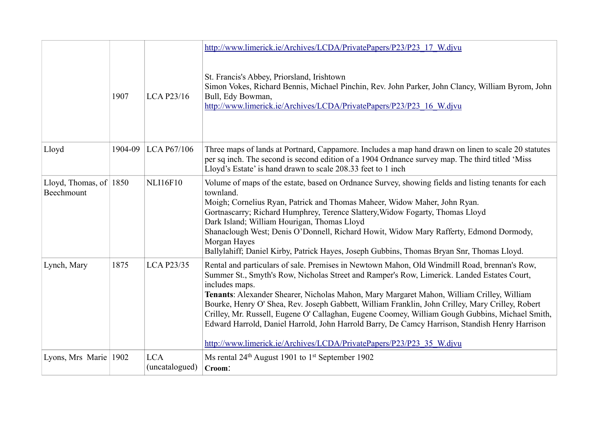|                                          | 1907    | <b>LCA P23/16</b>            | http://www.limerick.ie/Archives/LCDA/PrivatePapers/P23/P23 17 W.djvu<br>St. Francis's Abbey, Priorsland, Irishtown<br>Simon Vokes, Richard Bennis, Michael Pinchin, Rev. John Parker, John Clancy, William Byrom, John<br>Bull, Edy Bowman,<br>http://www.limerick.ie/Archives/LCDA/PrivatePapers/P23/P23 16 W.djvu                                                                                                                                                                                                                                                                                                                                                                        |
|------------------------------------------|---------|------------------------------|--------------------------------------------------------------------------------------------------------------------------------------------------------------------------------------------------------------------------------------------------------------------------------------------------------------------------------------------------------------------------------------------------------------------------------------------------------------------------------------------------------------------------------------------------------------------------------------------------------------------------------------------------------------------------------------------|
| Lloyd                                    | 1904-09 | LCA P67/106                  | Three maps of lands at Portnard, Cappamore. Includes a map hand drawn on linen to scale 20 statutes<br>per sq inch. The second is second edition of a 1904 Ordnance survey map. The third titled 'Miss<br>Lloyd's Estate' is hand drawn to scale 208.33 feet to 1 inch                                                                                                                                                                                                                                                                                                                                                                                                                     |
| Lloyd, Thomas, of $ 1850 $<br>Beechmount |         | <b>NLI16F10</b>              | Volume of maps of the estate, based on Ordnance Survey, showing fields and listing tenants for each<br>townland.<br>Moigh; Cornelius Ryan, Patrick and Thomas Maheer, Widow Maher, John Ryan.<br>Gortnascarry; Richard Humphrey, Terence Slattery, Widow Fogarty, Thomas Lloyd<br>Dark Island; William Hourigan, Thomas Lloyd<br>Shanaclough West; Denis O'Donnell, Richard Howit, Widow Mary Rafferty, Edmond Dormody,<br>Morgan Hayes<br>Ballylahiff; Daniel Kirby, Patrick Hayes, Joseph Gubbins, Thomas Bryan Snr, Thomas Lloyd.                                                                                                                                                       |
| Lynch, Mary                              | 1875    | <b>LCA P23/35</b>            | Rental and particulars of sale. Premises in Newtown Mahon, Old Windmill Road, brennan's Row,<br>Summer St., Smyth's Row, Nicholas Street and Ramper's Row, Limerick. Landed Estates Court,<br>includes maps.<br>Tenants: Alexander Shearer, Nicholas Mahon, Mary Margaret Mahon, William Crilley, William<br>Bourke, Henry O' Shea, Rev. Joseph Gabbett, William Franklin, John Crilley, Mary Crilley, Robert<br>Crilley, Mr. Russell, Eugene O' Callaghan, Eugene Coomey, William Gough Gubbins, Michael Smith,<br>Edward Harrold, Daniel Harrold, John Harrold Barry, De Camcy Harrison, Standish Henry Harrison<br>http://www.limerick.ie/Archives/LCDA/PrivatePapers/P23/P23 35 W.djvu |
| Lyons, Mrs Marie 1902                    |         | <b>LCA</b><br>(uncatalogued) | Ms rental 24 <sup>th</sup> August 1901 to 1 <sup>st</sup> September 1902<br>Croom:                                                                                                                                                                                                                                                                                                                                                                                                                                                                                                                                                                                                         |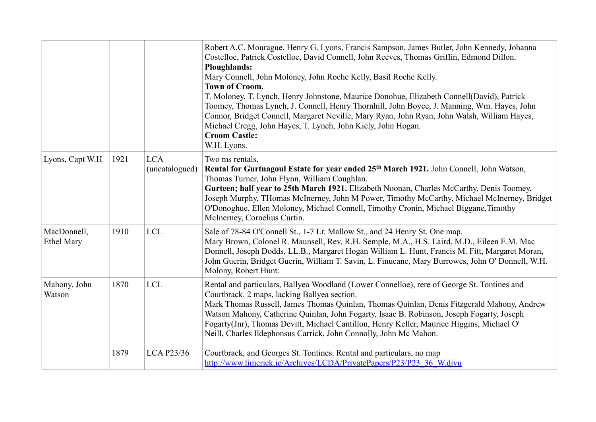|                                  |      |                              | Robert A.C. Mourague, Henry G. Lyons, Francis Sampson, James Butler, John Kennedy, Johanna<br>Costelloe, Patrick Costelloe, David Connell, John Reeves, Thomas Griffin, Edmond Dillon.<br><b>Ploughlands:</b><br>Mary Connell, John Moloney, John Roche Kelly, Basil Roche Kelly.<br><b>Town of Croom.</b><br>T. Moloney, T. Lynch, Henry Johnstone, Maurice Donohue, Elizabeth Connell(David), Patrick<br>Toomey, Thomas Lynch, J. Connell, Henry Thornhill, John Boyce, J. Manning, Wm. Hayes, John<br>Connor, Bridget Connell, Margaret Neville, Mary Ryan, John Ryan, John Walsh, William Hayes,<br>Michael Cregg, John Hayes, T. Lynch, John Kiely, John Hogan.<br><b>Croom Castle:</b><br>W.H. Lyons. |
|----------------------------------|------|------------------------------|-------------------------------------------------------------------------------------------------------------------------------------------------------------------------------------------------------------------------------------------------------------------------------------------------------------------------------------------------------------------------------------------------------------------------------------------------------------------------------------------------------------------------------------------------------------------------------------------------------------------------------------------------------------------------------------------------------------|
| Lyons, Capt W.H.                 | 1921 | <b>LCA</b><br>(uncatalogued) | Two ms rentals.<br>Rental for Gurtnagoul Estate for year ended 25 <sup>th</sup> March 1921. John Connell, John Watson,<br>Thomas Turner, John Flynn, William Coughlan.<br>Gurteen; half year to 25th March 1921. Elizabeth Noonan, Charles McCarthy, Denis Toomey,<br>Joseph Murphy, THomas McInerney, John M Power, Timothy McCarthy, Michael McInerney, Bridget<br>O'Donoghue, Ellen Moloney, Michael Connell, Timothy Cronin, Michael Biggane, Timothy<br>McInerney, Cornelius Curtin.                                                                                                                                                                                                                   |
| MacDonnell,<br><b>Ethel Mary</b> | 1910 | <b>LCL</b>                   | Sale of 78-84 O'Connell St., 1-7 Lr. Mallow St., and 24 Henry St. One map.<br>Mary Brown, Colonel R. Maunsell, Rev. R.H. Semple, M.A., H.S. Laird, M.D., Eileen E.M. Mac<br>Donnell, Joseph Dodds, LL.B., Margaret Hogan William L. Hunt, Francis M. Fitt, Margaret Moran,<br>John Guerin, Bridget Guerin, William T. Savin, L. Finucane, Mary Burrowes, John O' Donnell, W.H.<br>Molony, Robert Hunt.                                                                                                                                                                                                                                                                                                      |
| Mahony, John<br>Watson           | 1870 | <b>LCL</b>                   | Rental and particulars, Ballyea Woodland (Lower Connelloe), rere of George St. Tontines and<br>Courtbrack. 2 maps, lacking Ballyea section.<br>Mark Thomas Russell, James Thomas Quinlan, Thomas Quinlan, Denis Fitzgerald Mahony, Andrew<br>Watson Mahony, Catherine Quinlan, John Fogarty, Isaac B. Robinson, Joseph Fogarty, Joseph<br>Fogarty(Jnr), Thomas Devitt, Michael Cantillon, Henry Keller, Maurice Higgins, Michael O'<br>Neill, Charles Ildephonsus Carrick, John Connolly, John Mc Mahon.                                                                                                                                                                                                    |
|                                  | 1879 | <b>LCA P23/36</b>            | Courtbrack, and Georges St. Tontines. Rental and particulars, no map<br>http://www.limerick.ie/Archives/LCDA/PrivatePapers/P23/P23 36 W.djvu                                                                                                                                                                                                                                                                                                                                                                                                                                                                                                                                                                |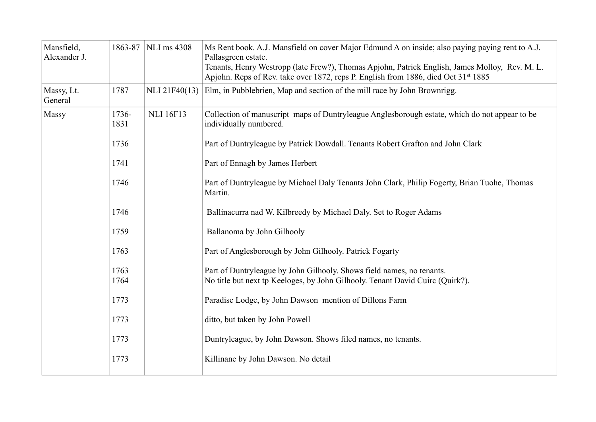| Mansfield,<br>Alexander J. |               | 1863-87   NLI ms 4308 | Ms Rent book. A.J. Mansfield on cover Major Edmund A on inside; also paying paying rent to A.J.<br>Pallasgreen estate.<br>Tenants, Henry Westropp (late Frew?), Thomas Apjohn, Patrick English, James Molloy, Rev. M. L.<br>Apjohn. Reps of Rev. take over 1872, reps P. English from 1886, died Oct 31 <sup>st</sup> 1885 |
|----------------------------|---------------|-----------------------|----------------------------------------------------------------------------------------------------------------------------------------------------------------------------------------------------------------------------------------------------------------------------------------------------------------------------|
| Massy, Lt.                 | 1787          | NLI 21F40(13)         | Elm, in Pubblebrien, Map and section of the mill race by John Brownrigg.                                                                                                                                                                                                                                                   |
| General                    |               |                       |                                                                                                                                                                                                                                                                                                                            |
| Massy                      | 1736-<br>1831 | <b>NLI 16F13</b>      | Collection of manuscript maps of Duntryleague Anglesborough estate, which do not appear to be<br>individually numbered.                                                                                                                                                                                                    |
|                            | 1736          |                       | Part of Duntryleague by Patrick Dowdall. Tenants Robert Grafton and John Clark                                                                                                                                                                                                                                             |
|                            | 1741          |                       | Part of Ennagh by James Herbert                                                                                                                                                                                                                                                                                            |
|                            | 1746          |                       | Part of Duntryleague by Michael Daly Tenants John Clark, Philip Fogerty, Brian Tuohe, Thomas<br>Martin.                                                                                                                                                                                                                    |
|                            | 1746          |                       | Ballinacurra nad W. Kilbreedy by Michael Daly. Set to Roger Adams                                                                                                                                                                                                                                                          |
|                            | 1759          |                       | Ballanoma by John Gilhooly                                                                                                                                                                                                                                                                                                 |
|                            | 1763          |                       | Part of Anglesborough by John Gilhooly. Patrick Fogarty                                                                                                                                                                                                                                                                    |
|                            | 1763<br>1764  |                       | Part of Duntryleague by John Gilhooly. Shows field names, no tenants.<br>No title but next tp Keeloges, by John Gilhooly. Tenant David Cuirc (Quirk?).                                                                                                                                                                     |
|                            | 1773          |                       | Paradise Lodge, by John Dawson mention of Dillons Farm                                                                                                                                                                                                                                                                     |
|                            | 1773          |                       | ditto, but taken by John Powell                                                                                                                                                                                                                                                                                            |
|                            | 1773          |                       | Duntryleague, by John Dawson. Shows filed names, no tenants.                                                                                                                                                                                                                                                               |
|                            | 1773          |                       | Killinane by John Dawson. No detail                                                                                                                                                                                                                                                                                        |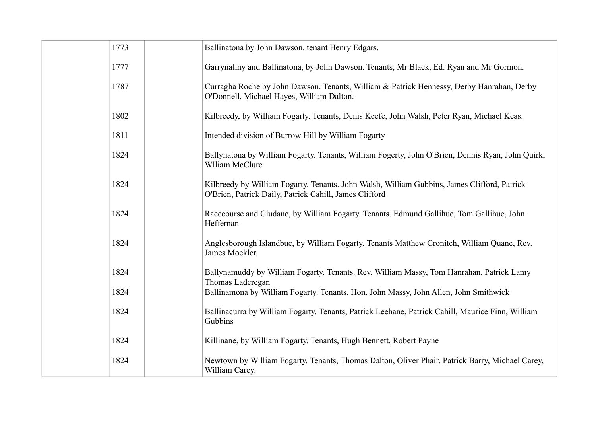| 1773 | Ballinatona by John Dawson. tenant Henry Edgars.                                                                                                      |
|------|-------------------------------------------------------------------------------------------------------------------------------------------------------|
| 1777 | Garrynaliny and Ballinatona, by John Dawson. Tenants, Mr Black, Ed. Ryan and Mr Gormon.                                                               |
| 1787 | Curragha Roche by John Dawson. Tenants, William & Patrick Hennessy, Derby Hanrahan, Derby<br>O'Donnell, Michael Hayes, William Dalton.                |
| 1802 | Kilbreedy, by William Fogarty. Tenants, Denis Keefe, John Walsh, Peter Ryan, Michael Keas.                                                            |
| 1811 | Intended division of Burrow Hill by William Fogarty                                                                                                   |
| 1824 | Ballynatona by William Fogarty. Tenants, William Fogerty, John O'Brien, Dennis Ryan, John Quirk,<br><b>Wlliam McClure</b>                             |
| 1824 | Kilbreedy by William Fogarty. Tenants. John Walsh, William Gubbins, James Clifford, Patrick<br>O'Brien, Patrick Daily, Patrick Cahill, James Clifford |
| 1824 | Racecourse and Cludane, by William Fogarty. Tenants. Edmund Gallihue, Tom Gallihue, John<br>Heffernan                                                 |
| 1824 | Anglesborough Islandbue, by William Fogarty. Tenants Matthew Cronitch, William Quane, Rev.<br>James Mockler.                                          |
| 1824 | Ballynamuddy by William Fogarty. Tenants. Rev. William Massy, Tom Hanrahan, Patrick Lamy<br>Thomas Laderegan                                          |
| 1824 | Ballinamona by William Fogarty. Tenants. Hon. John Massy, John Allen, John Smithwick                                                                  |
| 1824 | Ballinacurra by William Fogarty. Tenants, Patrick Leehane, Patrick Cahill, Maurice Finn, William<br>Gubbins                                           |
| 1824 | Killinane, by William Fogarty. Tenants, Hugh Bennett, Robert Payne                                                                                    |
| 1824 | Newtown by William Fogarty. Tenants, Thomas Dalton, Oliver Phair, Patrick Barry, Michael Carey,<br>William Carey.                                     |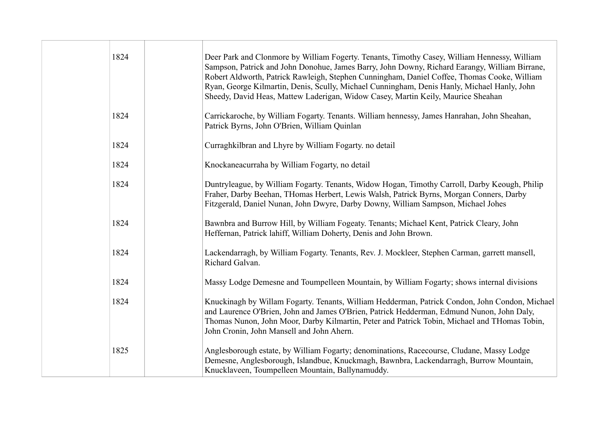| 1824 | Deer Park and Clonmore by William Fogerty. Tenants, Timothy Casey, William Hennessy, William<br>Sampson, Patrick and John Donohue, James Barry, John Downy, Richard Earangy, William Birrane,<br>Robert Aldworth, Patrick Rawleigh, Stephen Cunningham, Daniel Coffee, Thomas Cooke, William<br>Ryan, George Kilmartin, Denis, Scully, Michael Cunningham, Denis Hanly, Michael Hanly, John<br>Sheedy, David Heas, Mattew Laderigan, Widow Casey, Martin Keily, Maurice Sheahan |
|------|---------------------------------------------------------------------------------------------------------------------------------------------------------------------------------------------------------------------------------------------------------------------------------------------------------------------------------------------------------------------------------------------------------------------------------------------------------------------------------|
| 1824 | Carrickaroche, by William Fogarty. Tenants. William hennessy, James Hanrahan, John Sheahan,<br>Patrick Byrns, John O'Brien, William Quinlan                                                                                                                                                                                                                                                                                                                                     |
| 1824 | Curraghkilbran and Lhyre by William Fogarty. no detail                                                                                                                                                                                                                                                                                                                                                                                                                          |
| 1824 | Knockaneacurraha by William Fogarty, no detail                                                                                                                                                                                                                                                                                                                                                                                                                                  |
| 1824 | Duntryleague, by William Fogarty. Tenants, Widow Hogan, Timothy Carroll, Darby Keough, Philip<br>Fraher, Darby Beehan, THomas Herbert, Lewis Walsh, Patrick Byrns, Morgan Conners, Darby<br>Fitzgerald, Daniel Nunan, John Dwyre, Darby Downy, William Sampson, Michael Johes                                                                                                                                                                                                   |
| 1824 | Bawnbra and Burrow Hill, by William Fogeaty. Tenants; Michael Kent, Patrick Cleary, John<br>Heffernan, Patrick lahiff, William Doherty, Denis and John Brown.                                                                                                                                                                                                                                                                                                                   |
| 1824 | Lackendarragh, by William Fogarty. Tenants, Rev. J. Mockleer, Stephen Carman, garrett mansell,<br>Richard Galvan.                                                                                                                                                                                                                                                                                                                                                               |
| 1824 | Massy Lodge Demesne and Toumpelleen Mountain, by William Fogarty; shows internal divisions                                                                                                                                                                                                                                                                                                                                                                                      |
| 1824 | Knuckinagh by Willam Fogarty. Tenants, William Hedderman, Patrick Condon, John Condon, Michael<br>and Laurence O'Brien, John and James O'Brien, Patrick Hedderman, Edmund Nunon, John Daly,<br>Thomas Nunon, John Moor, Darby Kilmartin, Peter and Patrick Tobin, Michael and THomas Tobin,<br>John Cronin, John Mansell and John Ahern.                                                                                                                                        |
| 1825 | Anglesborough estate, by William Fogarty; denominations, Racecourse, Cludane, Massy Lodge<br>Demesne, Anglesborough, Islandbue, Knuckmagh, Bawnbra, Lackendarragh, Burrow Mountain,<br>Knucklaveen, Toumpelleen Mountain, Ballynamuddy.                                                                                                                                                                                                                                         |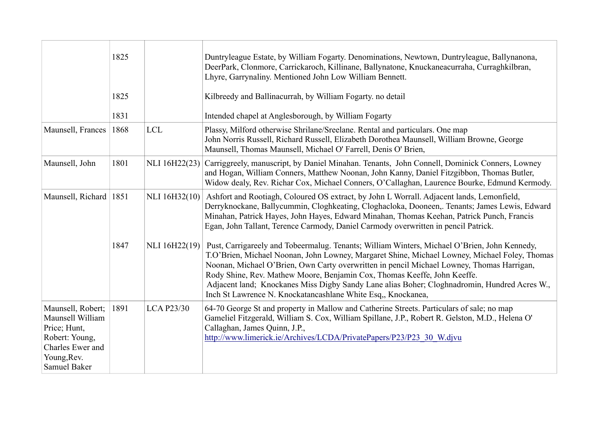|                                                                                                                                   | 1825<br>1825<br>1831 |                   | Duntryleague Estate, by William Fogarty. Denominations, Newtown, Duntryleague, Ballynanona,<br>DeerPark, Clonmore, Carrickaroch, Killinane, Ballynatone, Knuckaneacurraha, Curraghkilbran,<br>Lhyre, Garrynaliny. Mentioned John Low William Bennett.<br>Kilbreedy and Ballinacurrah, by William Fogarty. no detail<br>Intended chapel at Anglesborough, by William Fogarty                                                                                                                                                            |
|-----------------------------------------------------------------------------------------------------------------------------------|----------------------|-------------------|----------------------------------------------------------------------------------------------------------------------------------------------------------------------------------------------------------------------------------------------------------------------------------------------------------------------------------------------------------------------------------------------------------------------------------------------------------------------------------------------------------------------------------------|
| Maunsell, Frances                                                                                                                 | 1868                 | <b>LCL</b>        | Plassy, Milford otherwise Shrilane/Sreelane. Rental and particulars. One map<br>John Norris Russell, Richard Russell, Elizabeth Dorothea Maunsell, William Browne, George<br>Maunsell, Thomas Maunsell, Michael O' Farrell, Denis O' Brien,                                                                                                                                                                                                                                                                                            |
| Maunsell, John                                                                                                                    | 1801                 | NLI 16H22(23)     | Carriggreely, manuscript, by Daniel Minahan. Tenants, John Connell, Dominick Conners, Lowney<br>and Hogan, William Conners, Matthew Noonan, John Kanny, Daniel Fitzgibbon, Thomas Butler,<br>Widow dealy, Rev. Richar Cox, Michael Conners, O'Callaghan, Laurence Bourke, Edmund Kermody.                                                                                                                                                                                                                                              |
| Maunsell, Richard 1851                                                                                                            |                      | NLI 16H32(10)     | Ashfort and Rootiagh, Coloured OS extract, by John L Worrall. Adjacent lands, Lemonfield,<br>Derryknockane, Ballycummin, Cloghkeating, Cloghacloka, Dooneen,. Tenants; James Lewis, Edward<br>Minahan, Patrick Hayes, John Hayes, Edward Minahan, Thomas Keehan, Patrick Punch, Francis<br>Egan, John Tallant, Terence Carmody, Daniel Carmody overwritten in pencil Patrick.                                                                                                                                                          |
|                                                                                                                                   | 1847                 | NLI 16H22(19)     | Pust, Carrigareely and Tobeermalug. Tenants; William Winters, Michael O'Brien, John Kennedy,<br>T.O'Brien, Michael Noonan, John Lowney, Margaret Shine, Michael Lowney, Michael Foley, Thomas<br>Noonan, Michael O'Brien, Own Carty overwritten in pencil Michael Lowney, Thomas Harrigan,<br>Rody Shine, Rev. Mathew Moore, Benjamin Cox, Thomas Keeffe, John Keeffe.<br>Adjacent land; Knockanes Miss Digby Sandy Lane alias Boher; Cloghnadromin, Hundred Acres W.,<br>Inch St Lawrence N. Knockatancashlane White Esq., Knockanea, |
| Maunsell, Robert;<br>Maunsell William<br>Price; Hunt,<br>Robert: Young,<br>Charles Ewer and<br>Young, Rev.<br><b>Samuel Baker</b> | 1891                 | <b>LCA P23/30</b> | 64-70 George St and property in Mallow and Catherine Streets. Particulars of sale; no map<br>Gameliel Fitzgerald, William S. Cox, William Spillane, J.P., Robert R. Gelston, M.D., Helena O'<br>Callaghan, James Quinn, J.P.,<br>http://www.limerick.ie/Archives/LCDA/PrivatePapers/P23/P23 30 W.djvu                                                                                                                                                                                                                                  |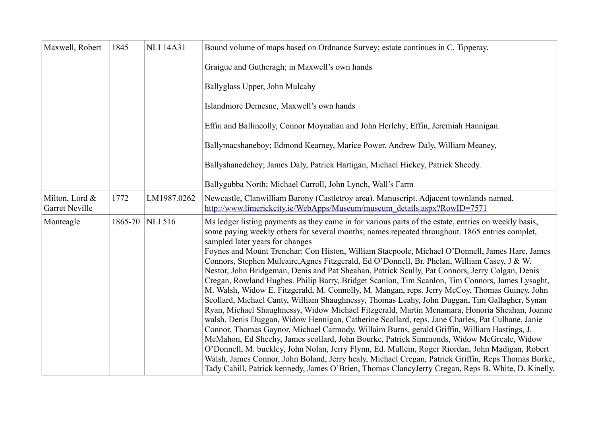| Maxwell, Robert                         | 1845 | <b>NLI 14A31</b> | Bound volume of maps based on Ordnance Survey; estate continues in C. Tipperay.                                                                                                                                                                                                                                                                                                                                                                                                                                                                                                                                                                                                                                                                                                                                                                                                                                                                                                                                                                                                                                                                                                                                                                                                                                                                                                                                                                                                                                                                                    |
|-----------------------------------------|------|------------------|--------------------------------------------------------------------------------------------------------------------------------------------------------------------------------------------------------------------------------------------------------------------------------------------------------------------------------------------------------------------------------------------------------------------------------------------------------------------------------------------------------------------------------------------------------------------------------------------------------------------------------------------------------------------------------------------------------------------------------------------------------------------------------------------------------------------------------------------------------------------------------------------------------------------------------------------------------------------------------------------------------------------------------------------------------------------------------------------------------------------------------------------------------------------------------------------------------------------------------------------------------------------------------------------------------------------------------------------------------------------------------------------------------------------------------------------------------------------------------------------------------------------------------------------------------------------|
|                                         |      |                  | Graigue and Gutheragh; in Maxwell's own hands                                                                                                                                                                                                                                                                                                                                                                                                                                                                                                                                                                                                                                                                                                                                                                                                                                                                                                                                                                                                                                                                                                                                                                                                                                                                                                                                                                                                                                                                                                                      |
|                                         |      |                  | Ballyglass Upper, John Mulcahy                                                                                                                                                                                                                                                                                                                                                                                                                                                                                                                                                                                                                                                                                                                                                                                                                                                                                                                                                                                                                                                                                                                                                                                                                                                                                                                                                                                                                                                                                                                                     |
|                                         |      |                  | Islandmore Demesne, Maxwell's own hands                                                                                                                                                                                                                                                                                                                                                                                                                                                                                                                                                                                                                                                                                                                                                                                                                                                                                                                                                                                                                                                                                                                                                                                                                                                                                                                                                                                                                                                                                                                            |
|                                         |      |                  | Effin and Ballincolly, Connor Moynahan and John Herlehy; Effin, Jeremiah Hannigan.                                                                                                                                                                                                                                                                                                                                                                                                                                                                                                                                                                                                                                                                                                                                                                                                                                                                                                                                                                                                                                                                                                                                                                                                                                                                                                                                                                                                                                                                                 |
|                                         |      |                  | Ballymacshaneboy; Edmond Kearney, Marice Power, Andrew Daly, William Meaney,                                                                                                                                                                                                                                                                                                                                                                                                                                                                                                                                                                                                                                                                                                                                                                                                                                                                                                                                                                                                                                                                                                                                                                                                                                                                                                                                                                                                                                                                                       |
|                                         |      |                  | Ballyshanedehey; James Daly, Patrick Hartigan, Michael Hickey, Patrick Sheedy.                                                                                                                                                                                                                                                                                                                                                                                                                                                                                                                                                                                                                                                                                                                                                                                                                                                                                                                                                                                                                                                                                                                                                                                                                                                                                                                                                                                                                                                                                     |
|                                         |      |                  | Ballygubba North; Michael Carroll, John Lynch, Wall's Farm                                                                                                                                                                                                                                                                                                                                                                                                                                                                                                                                                                                                                                                                                                                                                                                                                                                                                                                                                                                                                                                                                                                                                                                                                                                                                                                                                                                                                                                                                                         |
| Milton, Lord &<br><b>Garret Neville</b> | 1772 | LM1987.0262      | Newcastle, Clanwilliam Barony (Castletroy area). Manuscript. Adjacent townlands named.<br>http://www.limerickcity.ie/WebApps/Museum/museum_details.aspx?RowID=7571                                                                                                                                                                                                                                                                                                                                                                                                                                                                                                                                                                                                                                                                                                                                                                                                                                                                                                                                                                                                                                                                                                                                                                                                                                                                                                                                                                                                 |
| Monteagle                               |      | 1865-70 NLI 516  | Ms ledger listing payments as they came in for various parts of the estate, entries on weekly basis,<br>some paying weekly others for several months; names repeated throughout. 1865 entries complet,<br>sampled later years for changes<br>Foynes and Mount Trenchar: Con Histon, William Stacpoole, Michael O'Donnell, James Hare, James<br>Connors, Stephen Mulcaire, Agnes Fitzgerald, Ed O'Donnell, Br. Phelan, William Casey, J & W.<br>Nestor, John Bridgeman, Denis and Pat Sheahan, Patrick Scully, Pat Connors, Jerry Colgan, Denis<br>Cregan, Rowland Hughes. Philip Barry, Bridget Scanlon, Tim Scanlon, Tim Connors, James Lysaght,<br>M. Walsh, Widow E. Fitzgerald, M. Connolly, M. Mangan, reps. Jerry McCoy, Thomas Guiney, John<br>Scollard, Michael Canty, William Shaughnessy, Thomas Leahy, John Duggan, Tim Gallagher, Synan<br>Ryan, Michael Shaughnessy, Widow Michael Fitzgerald, Martin Mcnamara, Honoria Sheahan, Joanne<br>walsh, Denis Duggan, Widow Hennigan, Catherine Scollard, reps. Jane Charles, Pat Culhane, Janie<br>Connor, Thomas Gaynor, Michael Carmody, Willaim Burns, gerald Griffin, William Hastings, J.<br>McMahon, Ed Sheehy, James scollard, John Bourke, Patrick Simmonds, Widow McGreale, Widow<br>O'Donnell, M. buckley, John Nolan, Jerry Flynn, Ed. Mullein, Roger Riordan, John Madigan, Robert<br>Walsh, James Connor, John Boland, Jerry healy, Michael Cregan, Patrick Griffin, Reps Thomas Borke,<br>Tady Cahill, Patrick kennedy, James O'Brien, Thomas ClancyJerry Cregan, Reps B. White, D. Kinelly, |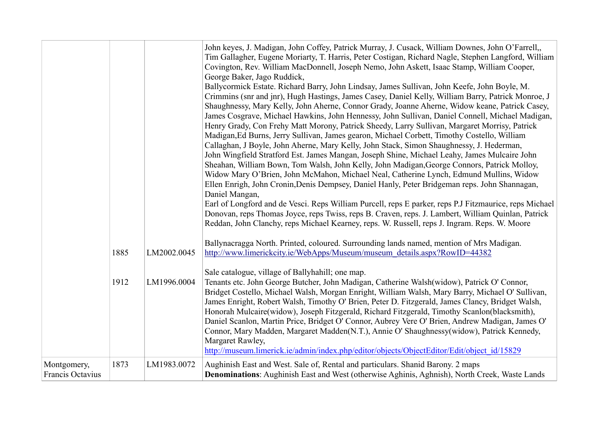|                                 | 1885<br>1912<br>1873 | LM2002.0045<br>LM1996.0004 | John keyes, J. Madigan, John Coffey, Patrick Murray, J. Cusack, William Downes, John O'Farrell,<br>Tim Gallagher, Eugene Moriarty, T. Harris, Peter Costigan, Richard Nagle, Stephen Langford, William<br>Covington, Rev. William MacDonnell, Joseph Nemo, John Askett, Isaac Stamp, William Cooper,<br>George Baker, Jago Ruddick,<br>Ballycormick Estate. Richard Barry, John Lindsay, James Sullivan, John Keefe, John Boyle, M.<br>Crimmins (snr and jnr), Hugh Hastings, James Casey, Daniel Kelly, William Barry, Patrick Monroe, J<br>Shaughnessy, Mary Kelly, John Aherne, Connor Grady, Joanne Aherne, Widow keane, Patrick Casey,<br>James Cosgrave, Michael Hawkins, John Hennessy, John Sullivan, Daniel Connell, Michael Madigan,<br>Henry Grady, Con Frehy Matt Morony, Patrick Sheedy, Larry Sullivan, Margaret Morrisy, Patrick<br>Madigan, Ed Burns, Jerry Sullivan, James gearon, Michael Corbett, Timothy Costello, William<br>Callaghan, J Boyle, John Aherne, Mary Kelly, John Stack, Simon Shaughnessy, J. Hederman,<br>John Wingfield Stratford Est. James Mangan, Joseph Shine, Michael Leahy, James Mulcaire John<br>Sheahan, William Bown, Tom Walsh, John Kelly, John Madigan, George Connors, Patrick Molloy,<br>Widow Mary O'Brien, John McMahon, Michael Neal, Catherine Lynch, Edmund Mullins, Widow<br>Ellen Enrigh, John Cronin, Denis Dempsey, Daniel Hanly, Peter Bridgeman reps. John Shannagan,<br>Daniel Mangan,<br>Earl of Longford and de Vesci. Reps William Purcell, reps E parker, reps P.J Fitzmaurice, reps Michael<br>Donovan, reps Thomas Joyce, reps Twiss, reps B. Craven, reps. J. Lambert, William Quinlan, Patrick<br>Reddan, John Clanchy, reps Michael Kearney, reps. W. Russell, reps J. Ingram. Reps. W. Moore<br>Ballynacragga North. Printed, coloured. Surrounding lands named, mention of Mrs Madigan.<br>http://www.limerickcity.ie/WebApps/Museum/museum_details.aspx?RowID=44382<br>Sale catalogue, village of Ballyhahill; one map.<br>Tenants etc. John George Butcher, John Madigan, Catherine Walsh (widow), Patrick O' Connor,<br>Bridget Costello, Michael Walsh, Morgan Enright, William Walsh, Mary Barry, Michael O' Sullivan,<br>James Enright, Robert Walsh, Timothy O' Brien, Peter D. Fitzgerald, James Clancy, Bridget Walsh,<br>Honorah Mulcaire(widow), Joseph Fitzgerald, Richard Fitzgerald, Timothy Scanlon(blacksmith),<br>Daniel Scanlon, Martin Price, Bridget O' Connor, Aubrey Vere O' Brien, Andrew Madigan, James O'<br>Connor, Mary Madden, Margaret Madden(N.T.), Annie O' Shaughnessy(widow), Patrick Kennedy,<br>Margaret Rawley,<br>http://museum.limerick.ie/admin/index.php/editor/objects/ObjectEditor/Edit/object_id/15829 |
|---------------------------------|----------------------|----------------------------|------------------------------------------------------------------------------------------------------------------------------------------------------------------------------------------------------------------------------------------------------------------------------------------------------------------------------------------------------------------------------------------------------------------------------------------------------------------------------------------------------------------------------------------------------------------------------------------------------------------------------------------------------------------------------------------------------------------------------------------------------------------------------------------------------------------------------------------------------------------------------------------------------------------------------------------------------------------------------------------------------------------------------------------------------------------------------------------------------------------------------------------------------------------------------------------------------------------------------------------------------------------------------------------------------------------------------------------------------------------------------------------------------------------------------------------------------------------------------------------------------------------------------------------------------------------------------------------------------------------------------------------------------------------------------------------------------------------------------------------------------------------------------------------------------------------------------------------------------------------------------------------------------------------------------------------------------------------------------------------------------------------------------------------------------------------------------------------------------------------------------------------------------------------------------------------------------------------------------------------------------------------------------------------------------------------------------------------------------------------------------------------------------------------------------------------------------------------------------------------------------------------------------------------------------------------------------------------------------------------------------------------------------------------------------------------------------------------------------|
| Montgomery,<br>Francis Octavius |                      | LM1983.0072                | Aughinish East and West. Sale of, Rental and particulars. Shanid Barony. 2 maps<br>Denominations: Aughinish East and West (otherwise Aghinis, Aghnish), North Creek, Waste Lands                                                                                                                                                                                                                                                                                                                                                                                                                                                                                                                                                                                                                                                                                                                                                                                                                                                                                                                                                                                                                                                                                                                                                                                                                                                                                                                                                                                                                                                                                                                                                                                                                                                                                                                                                                                                                                                                                                                                                                                                                                                                                                                                                                                                                                                                                                                                                                                                                                                                                                                                             |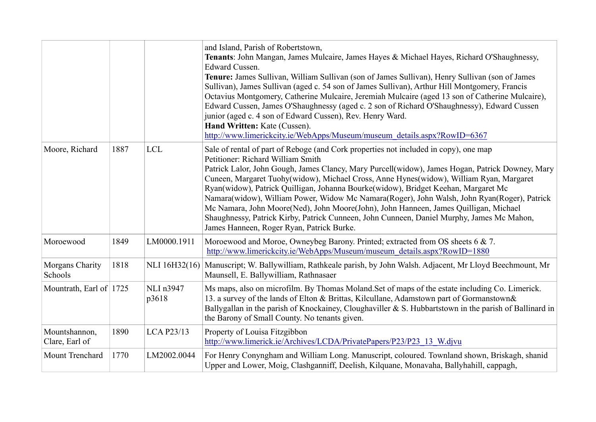|                                 |      |                    | and Island, Parish of Robertstown,<br>Tenants: John Mangan, James Mulcaire, James Hayes & Michael Hayes, Richard O'Shaughnessy,<br>Edward Cussen.<br>Tenure: James Sullivan, William Sullivan (son of James Sullivan), Henry Sullivan (son of James<br>Sullivan), James Sullivan (aged c. 54 son of James Sullivan), Arthur Hill Montgomery, Francis<br>Octavius Montgomery, Catherine Mulcaire, Jeremiah Mulcaire (aged 13 son of Catherine Mulcaire),<br>Edward Cussen, James O'Shaughnessy (aged c. 2 son of Richard O'Shaughnessy), Edward Cussen<br>junior (aged c. 4 son of Edward Cussen), Rev. Henry Ward.<br>Hand Written: Kate (Cussen).<br>http://www.limerickcity.ie/WebApps/Museum/museum_details.aspx?RowID=6367                 |
|---------------------------------|------|--------------------|------------------------------------------------------------------------------------------------------------------------------------------------------------------------------------------------------------------------------------------------------------------------------------------------------------------------------------------------------------------------------------------------------------------------------------------------------------------------------------------------------------------------------------------------------------------------------------------------------------------------------------------------------------------------------------------------------------------------------------------------|
| Moore, Richard                  | 1887 | <b>LCL</b>         | Sale of rental of part of Reboge (and Cork properties not included in copy), one map<br>Petitioner: Richard William Smith<br>Patrick Lalor, John Gough, James Clancy, Mary Purcell(widow), James Hogan, Patrick Downey, Mary<br>Cuneen, Margaret Tuohy(widow), Michael Cross, Anne Hynes(widow), William Ryan, Margaret<br>Ryan(widow), Patrick Quilligan, Johanna Bourke(widow), Bridget Keehan, Margaret Mc<br>Namara(widow), William Power, Widow Mc Namara(Roger), John Walsh, John Ryan(Roger), Patrick<br>Mc Namara, John Moore(Ned), John Moore(John), John Hanneen, James Quilligan, Michael<br>Shaughnessy, Patrick Kirby, Patrick Cunneen, John Cunneen, Daniel Murphy, James Mc Mahon,<br>James Hanneen, Roger Ryan, Patrick Burke. |
| Moroewood                       | 1849 | LM0000.1911        | Moroewood and Moroe, Owneybeg Barony. Printed; extracted from OS sheets 6 & 7.<br>http://www.limerickcity.ie/WebApps/Museum/museum_details.aspx?RowID=1880                                                                                                                                                                                                                                                                                                                                                                                                                                                                                                                                                                                     |
| Morgans Charity<br>Schools      | 1818 |                    | NLI 16H32(16) Manuscript; W. Ballywilliam, Rathkeale parish, by John Walsh. Adjacent, Mr Lloyd Beechmount, Mr<br>Maunsell, E. Ballywilliam, Rathnasaer                                                                                                                                                                                                                                                                                                                                                                                                                                                                                                                                                                                         |
| Mountrath, Earl of $ 1725$      |      | NLI n3947<br>p3618 | Ms maps, also on microfilm. By Thomas Moland. Set of maps of the estate including Co. Limerick.<br>13. a survey of the lands of Elton & Brittas, Kilcullane, Adamstown part of Gormanstown &<br>Ballygallan in the parish of Knockainey, Cloughaviller & S. Hubbartstown in the parish of Ballinard in<br>the Barony of Small County. No tenants given.                                                                                                                                                                                                                                                                                                                                                                                        |
| Mountshannon,<br>Clare, Earl of | 1890 | <b>LCA P23/13</b>  | Property of Louisa Fitzgibbon<br>http://www.limerick.ie/Archives/LCDA/PrivatePapers/P23/P23 13 W.djvu                                                                                                                                                                                                                                                                                                                                                                                                                                                                                                                                                                                                                                          |
| Mount Trenchard                 | 1770 | LM2002.0044        | For Henry Conyngham and William Long. Manuscript, coloured. Townland shown, Briskagh, shanid<br>Upper and Lower, Moig, Clashganniff, Deelish, Kilquane, Monavaha, Ballyhahill, cappagh,                                                                                                                                                                                                                                                                                                                                                                                                                                                                                                                                                        |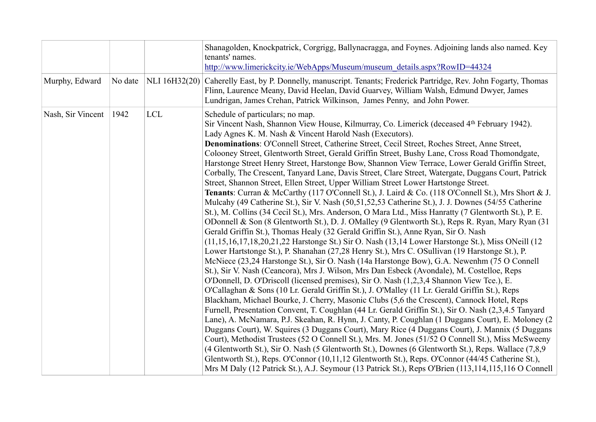|                   |         |            | Shanagolden, Knockpatrick, Corgrigg, Ballynacragga, and Foynes. Adjoining lands also named. Key<br>tenants' names.<br>http://www.limerickcity.ie/WebApps/Museum/museum_details.aspx?RowID=44324                                                                                                                                                                                                                                                                                                                                                                                                                                                                                                                                                                                                                                                                                                                                                                                                                                                                                                                                                                                                                                                                                                                                                                                                                                                                                                                                                                                                                                                                                                                                                                                                                                                                                                                                                                                                                                                                                                                                                                                                                                                                                                                                                                                                                                                                                                                                                                                                                                                                 |
|-------------------|---------|------------|-----------------------------------------------------------------------------------------------------------------------------------------------------------------------------------------------------------------------------------------------------------------------------------------------------------------------------------------------------------------------------------------------------------------------------------------------------------------------------------------------------------------------------------------------------------------------------------------------------------------------------------------------------------------------------------------------------------------------------------------------------------------------------------------------------------------------------------------------------------------------------------------------------------------------------------------------------------------------------------------------------------------------------------------------------------------------------------------------------------------------------------------------------------------------------------------------------------------------------------------------------------------------------------------------------------------------------------------------------------------------------------------------------------------------------------------------------------------------------------------------------------------------------------------------------------------------------------------------------------------------------------------------------------------------------------------------------------------------------------------------------------------------------------------------------------------------------------------------------------------------------------------------------------------------------------------------------------------------------------------------------------------------------------------------------------------------------------------------------------------------------------------------------------------------------------------------------------------------------------------------------------------------------------------------------------------------------------------------------------------------------------------------------------------------------------------------------------------------------------------------------------------------------------------------------------------------------------------------------------------------------------------------------------------|
| Murphy, Edward    | No date |            | NLI 16H32(20) Caherelly East, by P. Donnelly, manuscript. Tenants; Frederick Partridge, Rev. John Fogarty, Thomas<br>Flinn, Laurence Meany, David Heelan, David Guarvey, William Walsh, Edmund Dwyer, James<br>Lundrigan, James Crehan, Patrick Wilkinson, James Penny, and John Power.                                                                                                                                                                                                                                                                                                                                                                                                                                                                                                                                                                                                                                                                                                                                                                                                                                                                                                                                                                                                                                                                                                                                                                                                                                                                                                                                                                                                                                                                                                                                                                                                                                                                                                                                                                                                                                                                                                                                                                                                                                                                                                                                                                                                                                                                                                                                                                         |
| Nash, Sir Vincent | 1942    | <b>LCL</b> | Schedule of particulars; no map.<br>Sir Vincent Nash, Shannon View House, Kilmurray, Co. Limerick (deceased 4 <sup>th</sup> February 1942).<br>Lady Agnes K. M. Nash & Vincent Harold Nash (Executors).<br>Denominations: O'Connell Street, Catherine Street, Cecil Street, Roches Street, Anne Street,<br>Colooney Street, Glentworth Street, Gerald Griffin Street, Bushy Lane, Cross Road Thomondgate,<br>Harstonge Street Henry Street, Harstonge Bow, Shannon View Terrace, Lower Gerald Griffin Street,<br>Corbally, The Crescent, Tanyard Lane, Davis Street, Clare Street, Watergate, Duggans Court, Patrick<br>Street, Shannon Street, Ellen Street, Upper William Street Lower Hartstonge Street.<br>Tenants: Curran & McCarthy (117 O'Connell St.), J. Laird & Co. (118 O'Connell St.), Mrs Short & J.<br>Mulcahy (49 Catherine St.), Sir V. Nash (50,51,52,53 Catherine St.), J. J. Downes (54/55 Catherine<br>St.), M. Collins (34 Cecil St.), Mrs. Anderson, O Mara Ltd., Miss Hanratty (7 Glentworth St.), P. E.<br>ODonnell & Son (8 Glentworth St.), D. J. OMalley (9 Glentworth St.), Reps R. Ryan, Mary Ryan (31)<br>Gerald Griffin St.), Thomas Healy (32 Gerald Griffin St.), Anne Ryan, Sir O. Nash<br>(11,15,16,17,18,20,21,22 Harstonge St.) Sir O. Nash (13,14 Lower Harstonge St.), Miss ONeill (12)<br>Lower Hartstonge St.), P. Shanahan (27,28 Henry St.), Mrs C. OSullivan (19 Harstonge St.), P.<br>McNiece (23,24 Harstonge St.), Sir O. Nash (14a Harstonge Bow), G.A. Newenhm (75 O Connell<br>St.), Sir V. Nash (Ceancora), Mrs J. Wilson, Mrs Dan Esbeck (Avondale), M. Costelloe, Reps<br>O'Donnell, D. O'Driscoll (licensed premises), Sir O. Nash (1,2,3,4 Shannon View Tce.), E.<br>O'Callaghan & Sons (10 Lr. Gerald Griffin St.), J. O'Malley (11 Lr. Gerald Griffin St.), Reps<br>Blackham, Michael Bourke, J. Cherry, Masonic Clubs (5,6 the Crescent), Cannock Hotel, Reps<br>Furnell, Presentation Convent, T. Coughlan (44 Lr. Gerald Griffin St.), Sir O. Nash (2,3,4.5 Tanyard<br>Lane), A. McNamara, P.J. Skeahan, R. Hynn, J. Canty, P. Coughlan (1 Duggans Court), E. Moloney (2<br>Duggans Court), W. Squires (3 Duggans Court), Mary Rice (4 Duggans Court), J. Mannix (5 Duggans<br>Court), Methodist Trustees (52 O Connell St.), Mrs. M. Jones (51/52 O Connell St.), Miss McSweeny<br>(4 Glentworth St.), Sir O. Nash (5 Glentworth St.), Downes (6 Glentworth St.), Reps. Wallace (7,8,9)<br>Glentworth St.), Reps. O'Connor (10,11,12 Glentworth St.), Reps. O'Connor (44/45 Catherine St.),<br>Mrs M Daly (12 Patrick St.), A.J. Seymour (13 Patrick St.), Reps O'Brien (113,114,115,116 O Connell |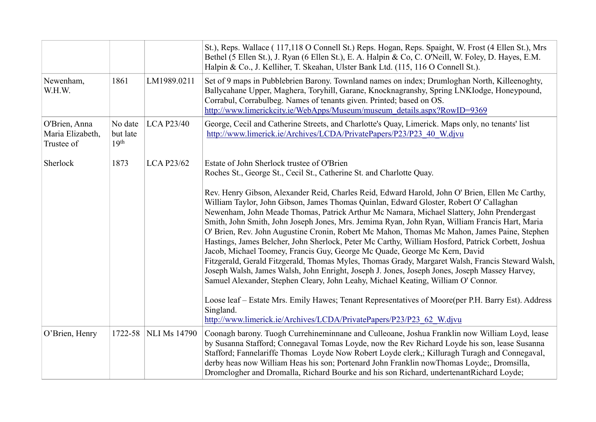|                                                 |                                         |                      | St.), Reps. Wallace (117,118 O Connell St.) Reps. Hogan, Reps. Spaight, W. Frost (4 Ellen St.), Mrs.<br>Bethel (5 Ellen St.), J. Ryan (6 Ellen St.), E. A. Halpin & Co, C. O'Neill, W. Foley, D. Hayes, E.M.<br>Halpin & Co., J. Kelliher, T. Skeahan, Ulster Bank Ltd. (115, 116 O Connell St.).                                                                                                                                                                                                                                                                                                                                                                                                                                                                                                                                                                                                                                                                                                                                                                                                                                                                                                                                                                                       |
|-------------------------------------------------|-----------------------------------------|----------------------|-----------------------------------------------------------------------------------------------------------------------------------------------------------------------------------------------------------------------------------------------------------------------------------------------------------------------------------------------------------------------------------------------------------------------------------------------------------------------------------------------------------------------------------------------------------------------------------------------------------------------------------------------------------------------------------------------------------------------------------------------------------------------------------------------------------------------------------------------------------------------------------------------------------------------------------------------------------------------------------------------------------------------------------------------------------------------------------------------------------------------------------------------------------------------------------------------------------------------------------------------------------------------------------------|
| Newenham,<br>W.H.W.                             | 1861                                    | LM1989.0211          | Set of 9 maps in Pubblebrien Barony. Townland names on index; Drumloghan North, Killeenoghty,<br>Ballycahane Upper, Maghera, Toryhill, Garane, Knocknagranshy, Spring LNKIodge, Honeypound,<br>Corrabul, Corrabulbeg. Names of tenants given. Printed; based on OS.<br>http://www.limerickcity.ie/WebApps/Museum/museum_details.aspx?RowID=9369                                                                                                                                                                                                                                                                                                                                                                                                                                                                                                                                                                                                                                                                                                                                                                                                                                                                                                                                         |
| O'Brien, Anna<br>Maria Elizabeth,<br>Trustee of | No date<br>but late<br>19 <sup>th</sup> | <b>LCA P23/40</b>    | George, Cecil and Catherine Streets, and Charlotte's Quay, Limerick. Maps only, no tenants' list<br>http://www.limerick.ie/Archives/LCDA/PrivatePapers/P23/P23 40 W.djvu                                                                                                                                                                                                                                                                                                                                                                                                                                                                                                                                                                                                                                                                                                                                                                                                                                                                                                                                                                                                                                                                                                                |
| Sherlock                                        | 1873                                    | <b>LCA P23/62</b>    | Estate of John Sherlock trustee of O'Brien<br>Roches St., George St., Cecil St., Catherine St. and Charlotte Quay.<br>Rev. Henry Gibson, Alexander Reid, Charles Reid, Edward Harold, John O' Brien, Ellen Mc Carthy,<br>William Taylor, John Gibson, James Thomas Quinlan, Edward Gloster, Robert O' Callaghan<br>Newenham, John Meade Thomas, Patrick Arthur Mc Namara, Michael Slattery, John Prendergast<br>Smith, John Smith, John Joseph Jones, Mrs. Jemima Ryan, John Ryan, William Francis Hart, Maria<br>O' Brien, Rev. John Augustine Cronin, Robert Mc Mahon, Thomas Mc Mahon, James Paine, Stephen<br>Hastings, James Belcher, John Sherlock, Peter Mc Carthy, William Hosford, Patrick Corbett, Joshua<br>Jacob, Michael Toomey, Francis Guy, George Mc Quade, George Mc Kern, David<br>Fitzgerald, Gerald Fitzgerald, Thomas Myles, Thomas Grady, Margaret Walsh, Francis Steward Walsh,<br>Joseph Walsh, James Walsh, John Enright, Joseph J. Jones, Joseph Jones, Joseph Massey Harvey,<br>Samuel Alexander, Stephen Cleary, John Leahy, Michael Keating, William O' Connor.<br>Loose leaf – Estate Mrs. Emily Hawes; Tenant Representatives of Moore(per P.H. Barry Est). Address<br>Singland.<br>http://www.limerick.ie/Archives/LCDA/PrivatePapers/P23/P23 62 W.djvu |
| O'Brien, Henry                                  |                                         | 1722-58 NLI Ms 14790 | Coonagh barony. Tuogh Currehineminnane and Culleoane, Joshua Franklin now William Loyd, lease<br>by Susanna Stafford; Connegaval Tomas Loyde, now the Rev Richard Loyde his son, lease Susanna<br>Stafford; Fannelariffe Thomas Loyde Now Robert Loyde clerk,; Killuragh Turagh and Connegaval,<br>derby heas now William Heas his son; Portenard John Franklin now Thomas Loyde; Dromsilla,<br>Dromclogher and Dromalla, Richard Bourke and his son Richard, undertenantRichard Loyde;                                                                                                                                                                                                                                                                                                                                                                                                                                                                                                                                                                                                                                                                                                                                                                                                 |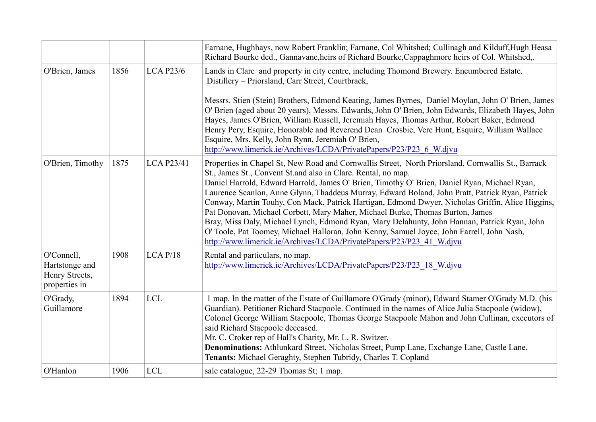|                                                                 |      |                   | Farnane, Hughhays, now Robert Franklin; Farnane, Col Whitshed; Cullinagh and Kilduff, Hugh Heasa<br>Richard Bourke dcd., Gannavane, heirs of Richard Bourke, Cappaghmore heirs of Col. Whitshed,.                                                                                                                                                                                                                                                                                                                                                                                                                                                                                                                                                                                                                                  |
|-----------------------------------------------------------------|------|-------------------|------------------------------------------------------------------------------------------------------------------------------------------------------------------------------------------------------------------------------------------------------------------------------------------------------------------------------------------------------------------------------------------------------------------------------------------------------------------------------------------------------------------------------------------------------------------------------------------------------------------------------------------------------------------------------------------------------------------------------------------------------------------------------------------------------------------------------------|
| O'Brien, James                                                  | 1856 | <b>LCA P23/6</b>  | Lands in Clare and property in city centre, including Thomond Brewery. Encumbered Estate.<br>Distillery - Priorsland, Carr Street, Courtbrack,<br>Messrs. Stien (Stein) Brothers, Edmond Keating, James Byrnes, Daniel Moylan, John O' Brien, James<br>O' Brien (aged about 20 years), Messrs. Edwards, John O' Brien, John Edwards, Elizabeth Hayes, John<br>Hayes, James O'Brien, William Russell, Jeremiah Hayes, Thomas Arthur, Robert Baker, Edmond<br>Henry Pery, Esquire, Honorable and Reverend Dean Crosbie, Vere Hunt, Esquire, William Wallace<br>Esquire, Mrs. Kelly, John Rynn, Jeremiah O' Brien,<br>http://www.limerick.ie/Archives/LCDA/PrivatePapers/P23/P23 6 W.djvu                                                                                                                                             |
| O'Brien, Timothy                                                | 1875 | <b>LCA P23/41</b> | Properties in Chapel St, New Road and Cornwallis Street, North Priorsland, Cornwallis St., Barrack<br>St., James St., Convent St. and also in Clare. Rental, no map.<br>Daniel Harrold, Edward Harrold, James O' Brien, Timothy O' Brien, Daniel Ryan, Michael Ryan,<br>Laurence Scanlon, Anne Glynn, Thaddeus Murray, Edward Boland, John Pratt, Patrick Ryan, Patrick<br>Conway, Martin Touhy, Con Mack, Patrick Hartigan, Edmond Dwyer, Nicholas Griffin, Alice Higgins,<br>Pat Donovan, Michael Corbett, Mary Maher, Michael Burke, Thomas Burton, James<br>Bray, Miss Daly, Michael Lynch, Edmond Ryan, Mary Delahunty, John Hannan, Patrick Ryan, John<br>O' Toole, Pat Toomey, Michael Halloran, John Kenny, Samuel Joyce, John Farrell, John Nash,<br>http://www.limerick.ie/Archives/LCDA/PrivatePapers/P23/P23 41 W.djvu |
| O'Connell,<br>Hartstonge and<br>Henry Streets,<br>properties in | 1908 | $LCA$ $P/18$      | Rental and particulars, no map.<br>http://www.limerick.ie/Archives/LCDA/PrivatePapers/P23/P23 18 W.djvu                                                                                                                                                                                                                                                                                                                                                                                                                                                                                                                                                                                                                                                                                                                            |
| O'Grady,<br>Guillamore                                          | 1894 | <b>LCL</b>        | 1 map. In the matter of the Estate of Guillamore O'Grady (minor), Edward Stamer O'Grady M.D. (his<br>Guardian). Petitioner Richard Stacpoole. Continued in the names of Alice Julia Stacpoole (widow),<br>Colonel George William Stacpoole, Thomas George Stacpoole Mahon and John Cullinan, executors of<br>said Richard Stacpoole deceased.<br>Mr. C. Croker rep of Hall's Charity, Mr. L. R. Switzer.<br>Denominations: Athlunkard Street, Nicholas Street, Pump Lane, Exchange Lane, Castle Lane.<br>Tenants: Michael Geraghty, Stephen Tubridy, Charles T. Copland                                                                                                                                                                                                                                                            |
| O'Hanlon                                                        | 1906 | <b>LCL</b>        | sale catalogue, 22-29 Thomas St; 1 map.                                                                                                                                                                                                                                                                                                                                                                                                                                                                                                                                                                                                                                                                                                                                                                                            |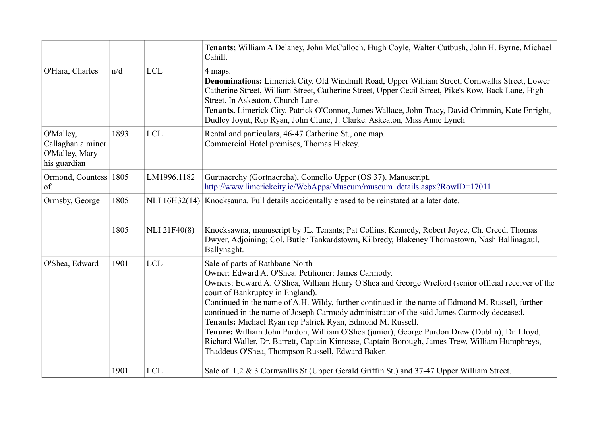|                                                                  |      |                     | Tenants; William A Delaney, John McCulloch, Hugh Coyle, Walter Cutbush, John H. Byrne, Michael<br>Cahill.                                                                                                                                                                                                                                                                                                                                                                                                                                                                                                                                                                                                                                              |
|------------------------------------------------------------------|------|---------------------|--------------------------------------------------------------------------------------------------------------------------------------------------------------------------------------------------------------------------------------------------------------------------------------------------------------------------------------------------------------------------------------------------------------------------------------------------------------------------------------------------------------------------------------------------------------------------------------------------------------------------------------------------------------------------------------------------------------------------------------------------------|
| O'Hara, Charles                                                  | n/d  | <b>LCL</b>          | 4 maps.<br>Denominations: Limerick City. Old Windmill Road, Upper William Street, Cornwallis Street, Lower<br>Catherine Street, William Street, Catherine Street, Upper Cecil Street, Pike's Row, Back Lane, High<br>Street. In Askeaton, Church Lane.<br>Tenants. Limerick City. Patrick O'Connor, James Wallace, John Tracy, David Crimmin, Kate Enright,<br>Dudley Joynt, Rep Ryan, John Clune, J. Clarke. Askeaton, Miss Anne Lynch                                                                                                                                                                                                                                                                                                                |
| O'Malley,<br>Callaghan a minor<br>O'Malley, Mary<br>his guardian | 1893 | <b>LCL</b>          | Rental and particulars, 46-47 Catherine St., one map.<br>Commercial Hotel premises, Thomas Hickey.                                                                                                                                                                                                                                                                                                                                                                                                                                                                                                                                                                                                                                                     |
| Ormond, Countess 1805<br>of.                                     |      | LM1996.1182         | Gurtnacrehy (Gortnacreha), Connello Upper (OS 37). Manuscript.<br>http://www.limerickcity.ie/WebApps/Museum/museum_details.aspx?RowID=17011                                                                                                                                                                                                                                                                                                                                                                                                                                                                                                                                                                                                            |
| Ormsby, George                                                   | 1805 |                     | NLI 16H32(14) Knocksauna. Full details accidentally erased to be reinstated at a later date.                                                                                                                                                                                                                                                                                                                                                                                                                                                                                                                                                                                                                                                           |
|                                                                  | 1805 | <b>NLI 21F40(8)</b> | Knocksawna, manuscript by JL. Tenants; Pat Collins, Kennedy, Robert Joyce, Ch. Creed, Thomas<br>Dwyer, Adjoining; Col. Butler Tankardstown, Kilbredy, Blakeney Thomastown, Nash Ballinagaul,<br>Ballynaght.                                                                                                                                                                                                                                                                                                                                                                                                                                                                                                                                            |
| O'Shea, Edward                                                   | 1901 | <b>LCL</b>          | Sale of parts of Rathbane North<br>Owner: Edward A. O'Shea. Petitioner: James Carmody.<br>Owners: Edward A. O'Shea, William Henry O'Shea and George Wreford (senior official receiver of the<br>court of Bankruptcy in England).<br>Continued in the name of A.H. Wildy, further continued in the name of Edmond M. Russell, further<br>continued in the name of Joseph Carmody administrator of the said James Carmody deceased.<br>Tenants: Michael Ryan rep Patrick Ryan, Edmond M. Russell.<br>Tenure: William John Purdon, William O'Shea (junior), George Purdon Drew (Dublin), Dr. Lloyd,<br>Richard Waller, Dr. Barrett, Captain Kinrosse, Captain Borough, James Trew, William Humphreys,<br>Thaddeus O'Shea, Thompson Russell, Edward Baker. |
|                                                                  | 1901 | <b>LCL</b>          | Sale of 1,2 & 3 Cornwallis St. (Upper Gerald Griffin St.) and 37-47 Upper William Street.                                                                                                                                                                                                                                                                                                                                                                                                                                                                                                                                                                                                                                                              |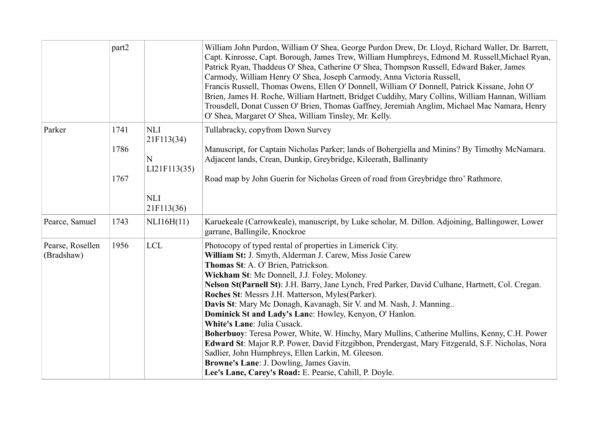|                                | part2 |                          | William John Purdon, William O' Shea, George Purdon Drew, Dr. Lloyd, Richard Waller, Dr. Barrett,<br>Capt. Kinrosse, Capt. Borough, James Trew, William Humphreys, Edmond M. Russell, Michael Ryan,<br>Patrick Ryan, Thaddeus O' Shea, Catherine O' Shea, Thompson Russell, Edward Baker, James<br>Carmody, William Henry O' Shea, Joseph Carmody, Anna Victoria Russell,<br>Francis Russell, Thomas Owens, Ellen O' Donnell, William O' Donnell, Patrick Kissane, John O'<br>Brien, James H. Roche, William Hartnett, Bridget Cuddihy, Mary Collins, William Hannan, William<br>Trousdell, Donat Cussen O' Brien, Thomas Gaffney, Jeremiah Anglim, Michael Mac Namara, Henry<br>O' Shea, Margaret O' Shea, William Tinsley, Mr. Kelly.                                                                                                                                                                |
|--------------------------------|-------|--------------------------|--------------------------------------------------------------------------------------------------------------------------------------------------------------------------------------------------------------------------------------------------------------------------------------------------------------------------------------------------------------------------------------------------------------------------------------------------------------------------------------------------------------------------------------------------------------------------------------------------------------------------------------------------------------------------------------------------------------------------------------------------------------------------------------------------------------------------------------------------------------------------------------------------------|
| Parker                         | 1741  | <b>NLI</b><br>21F113(34) | Tullabracky, copyfrom Down Survey                                                                                                                                                                                                                                                                                                                                                                                                                                                                                                                                                                                                                                                                                                                                                                                                                                                                      |
|                                | 1786  | N<br>LI21F113(35)        | Manuscript, for Captain Nicholas Parker; lands of Bohergiella and Minins? By Timothy McNamara.<br>Adjacent lands, Crean, Dunkip, Greybridge, Kileerath, Ballinanty                                                                                                                                                                                                                                                                                                                                                                                                                                                                                                                                                                                                                                                                                                                                     |
|                                | 1767  |                          | Road map by John Guerin for Nicholas Green of road from Greybridge thro' Rathmore.                                                                                                                                                                                                                                                                                                                                                                                                                                                                                                                                                                                                                                                                                                                                                                                                                     |
|                                |       | <b>NLI</b><br>21F113(36) |                                                                                                                                                                                                                                                                                                                                                                                                                                                                                                                                                                                                                                                                                                                                                                                                                                                                                                        |
| Pearce, Samuel                 | 1743  | NLI16H(11)               | Karuekeale (Carrowkeale), manuscript, by Luke scholar, M. Dillon. Adjoining, Ballingower, Lower<br>garrane, Ballingile, Knockroe                                                                                                                                                                                                                                                                                                                                                                                                                                                                                                                                                                                                                                                                                                                                                                       |
| Pearse, Rosellen<br>(Bradshaw) | 1956  | <b>LCL</b>               | Photocopy of typed rental of properties in Limerick City.<br>William St: J. Smyth, Alderman J. Carew, Miss Josie Carew<br>Thomas St: A. O' Brien, Patrickson.<br>Wickham St: Mc Donnell, J.J. Foley, Moloney.<br>Nelson St(Parnell St): J.H. Barry, Jane Lynch, Fred Parker, David Culhane, Hartnett, Col. Cregan.<br>Roches St: Messrs J.H. Matterson, Myles(Parker).<br>Davis St: Mary Mc Donagh, Kavanagh, Sir V. and M. Nash, J. Manning<br>Dominick St and Lady's Lane: Howley, Kenyon, O' Hanlon.<br>White's Lane: Julia Cusack.<br>Boherbuoy: Teresa Power, White, W. Hinchy, Mary Mullins, Catherine Mullins, Kenny, C.H. Power<br>Edward St: Major R.P. Power, David Fitzgibbon, Prendergast, Mary Fitzgerald, S.F. Nicholas, Nora<br>Sadlier, John Humphreys, Ellen Larkin, M. Gleeson.<br>Browne's Lane: J. Dowling, James Gavin.<br>Lee's Lane, Carey's Road: E. Pearse, Cahill, P. Doyle. |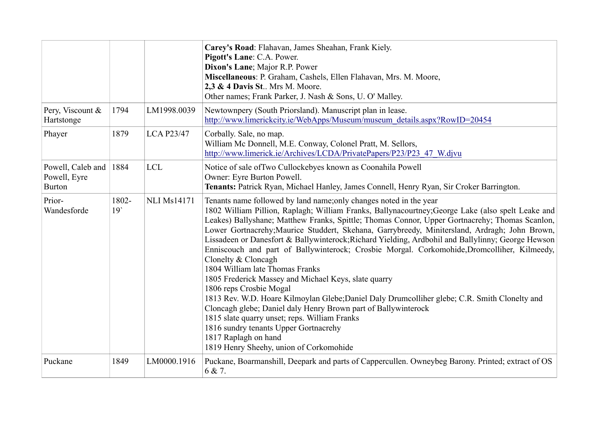|                                                    |              |                    | Carey's Road: Flahavan, James Sheahan, Frank Kiely.<br>Pigott's Lane: C.A. Power.<br>Dixon's Lane; Major R.P. Power<br>Miscellaneous: P. Graham, Cashels, Ellen Flahavan, Mrs. M. Moore,<br>2,3 & 4 Davis St Mrs M. Moore.<br>Other names; Frank Parker, J. Nash & Sons, U. O' Malley.                                                                                                                                                                                                                                                                                                                                                                                                                                                                                                                                                                                                                                                                                                                                                                      |
|----------------------------------------------------|--------------|--------------------|-------------------------------------------------------------------------------------------------------------------------------------------------------------------------------------------------------------------------------------------------------------------------------------------------------------------------------------------------------------------------------------------------------------------------------------------------------------------------------------------------------------------------------------------------------------------------------------------------------------------------------------------------------------------------------------------------------------------------------------------------------------------------------------------------------------------------------------------------------------------------------------------------------------------------------------------------------------------------------------------------------------------------------------------------------------|
| Pery, Viscount &<br>Hartstonge                     | 1794         | LM1998.0039        | Newtownpery (South Priorsland). Manuscript plan in lease.<br>http://www.limerickcity.ie/WebApps/Museum/museum_details.aspx?RowID=20454                                                                                                                                                                                                                                                                                                                                                                                                                                                                                                                                                                                                                                                                                                                                                                                                                                                                                                                      |
| Phayer                                             | 1879         | <b>LCA P23/47</b>  | Corbally. Sale, no map.<br>William Mc Donnell, M.E. Conway, Colonel Pratt, M. Sellors,<br>http://www.limerick.ie/Archives/LCDA/PrivatePapers/P23/P23 47 W.djvu                                                                                                                                                                                                                                                                                                                                                                                                                                                                                                                                                                                                                                                                                                                                                                                                                                                                                              |
| Powell, Caleb and<br>Powell, Eyre<br><b>Burton</b> | 1884         | <b>LCL</b>         | Notice of sale of Two Cullockebyes known as Coonahila Powell<br>Owner: Eyre Burton Powell.<br>Tenants: Patrick Ryan, Michael Hanley, James Connell, Henry Ryan, Sir Croker Barrington.                                                                                                                                                                                                                                                                                                                                                                                                                                                                                                                                                                                                                                                                                                                                                                                                                                                                      |
| Prior-<br>Wandesforde                              | 1802-<br>19' | <b>NLI Ms14171</b> | Tenants name followed by land name; only changes noted in the year<br>1802 William Pillion, Raplagh; William Franks, Ballynacourtney; George Lake (also spelt Leake and<br>Leakes) Ballyshane; Matthew Franks, Spittle; Thomas Connor, Upper Gortnacrehy; Thomas Scanlon,<br>Lower Gortnacrehy; Maurice Studdert, Skehana, Garrybreedy, Minitersland, Ardragh; John Brown,<br>Lissadeen or Danesfort & Ballywinterock; Richard Yielding, Ardbohil and Ballylinny; George Hewson<br>Enniscouch and part of Ballywinterock; Crosbie Morgal. Corkomohide, Dromcolliher, Kilmeedy,<br>Clonelty & Cloncagh<br>1804 William late Thomas Franks<br>1805 Frederick Massey and Michael Keys, slate quarry<br>1806 reps Crosbie Mogal<br>1813 Rev. W.D. Hoare Kilmoylan Glebe; Daniel Daly Drumcolliher glebe; C.R. Smith Clonelty and<br>Cloncagh glebe; Daniel daly Henry Brown part of Ballywinterock<br>1815 slate quarry unset; reps. William Franks<br>1816 sundry tenants Upper Gortnacrehy<br>1817 Raplagh on hand<br>1819 Henry Sheehy, union of Corkomohide |
| Puckane                                            | 1849         | LM0000.1916        | Puckane, Boarmanshill, Deepark and parts of Cappercullen. Owneybeg Barony. Printed; extract of OS<br>6 & 7.                                                                                                                                                                                                                                                                                                                                                                                                                                                                                                                                                                                                                                                                                                                                                                                                                                                                                                                                                 |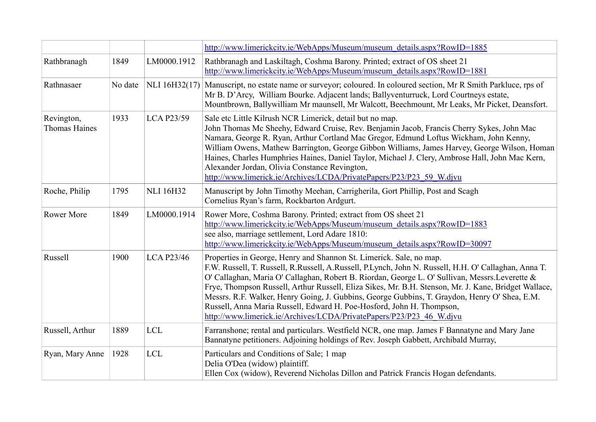|                                    |         |                   | http://www.limerickcity.ie/WebApps/Museum/museum_details.aspx?RowID=1885                                                                                                                                                                                                                                                                                                                                                                                                                                                                                                                                                                 |
|------------------------------------|---------|-------------------|------------------------------------------------------------------------------------------------------------------------------------------------------------------------------------------------------------------------------------------------------------------------------------------------------------------------------------------------------------------------------------------------------------------------------------------------------------------------------------------------------------------------------------------------------------------------------------------------------------------------------------------|
| Rathbranagh                        | 1849    | LM0000.1912       | Rathbranagh and Laskiltagh, Coshma Barony. Printed; extract of OS sheet 21<br>http://www.limerickcity.ie/WebApps/Museum/museum_details.aspx?RowID=1881                                                                                                                                                                                                                                                                                                                                                                                                                                                                                   |
| Rathnasaer                         | No date |                   | NLI 16H32(17) Manuscript, no estate name or surveyor; coloured. In coloured section, Mr R Smith Parkluce, rps of<br>Mr B. D'Arcy, William Bourke. Adjacent lands; Ballyventurruck, Lord Courtneys estate,<br>Mountbrown, Ballywilliam Mr maunsell, Mr Walcott, Beechmount, Mr Leaks, Mr Picket, Deansfort.                                                                                                                                                                                                                                                                                                                               |
| Revington,<br><b>Thomas Haines</b> | 1933    | <b>LCA P23/59</b> | Sale etc Little Kilrush NCR Limerick, detail but no map.<br>John Thomas Mc Sheehy, Edward Cruise, Rev. Benjamin Jacob, Francis Cherry Sykes, John Mac<br>Namara, George R. Ryan, Arthur Cortland Mac Gregor, Edmund Loftus Wickham, John Kenny,<br>William Owens, Mathew Barrington, George Gibbon Williams, James Harvey, George Wilson, Homan<br>Haines, Charles Humphries Haines, Daniel Taylor, Michael J. Clery, Ambrose Hall, John Mac Kern,<br>Alexander Jordan, Olivia Constance Revington,<br>http://www.limerick.ie/Archives/LCDA/PrivatePapers/P23/P23 59 W.djvu                                                              |
| Roche, Philip                      | 1795    | <b>NLI 16H32</b>  | Manuscript by John Timothy Meehan, Carrigherila, Gort Phillip, Post and Scagh<br>Cornelius Ryan's farm, Rockbarton Ardgurt.                                                                                                                                                                                                                                                                                                                                                                                                                                                                                                              |
| <b>Rower More</b>                  | 1849    | LM0000.1914       | Rower More, Coshma Barony. Printed; extract from OS sheet 21<br>http://www.limerickcity.ie/WebApps/Museum/museum_details.aspx?RowID=1883<br>see also, marriage settlement, Lord Adare 1810:<br>http://www.limerickcity.ie/WebApps/Museum/museum_details.aspx?RowID=30097                                                                                                                                                                                                                                                                                                                                                                 |
| Russell                            | 1900    | <b>LCA P23/46</b> | Properties in George, Henry and Shannon St. Limerick. Sale, no map.<br>F.W. Russell, T. Russell, R.Russell, A.Russell, P.Lynch, John N. Russell, H.H. O' Callaghan, Anna T.<br>O' Callaghan, Maria O' Callaghan, Robert B. Riordan, George L. O' Sullivan, Messrs. Leverette &<br>Frye, Thompson Russell, Arthur Russell, Eliza Sikes, Mr. B.H. Stenson, Mr. J. Kane, Bridget Wallace,<br>Messrs. R.F. Walker, Henry Going, J. Gubbins, George Gubbins, T. Graydon, Henry O' Shea, E.M.<br>Russell, Anna Maria Russell, Edward H. Poe-Hosford, John H. Thompson,<br>http://www.limerick.ie/Archives/LCDA/PrivatePapers/P23/P23 46 W.djvu |
| Russell, Arthur                    | 1889    | ${\rm LCL}$       | Farranshone; rental and particulars. Westfield NCR, one map. James F Bannatyne and Mary Jane<br>Bannatyne petitioners. Adjoining holdings of Rev. Joseph Gabbett, Archibald Murray,                                                                                                                                                                                                                                                                                                                                                                                                                                                      |
| Ryan, Mary Anne                    | 1928    | <b>LCL</b>        | Particulars and Conditions of Sale; 1 map<br>Delia O'Dea (widow) plaintiff.<br>Ellen Cox (widow), Reverend Nicholas Dillon and Patrick Francis Hogan defendants.                                                                                                                                                                                                                                                                                                                                                                                                                                                                         |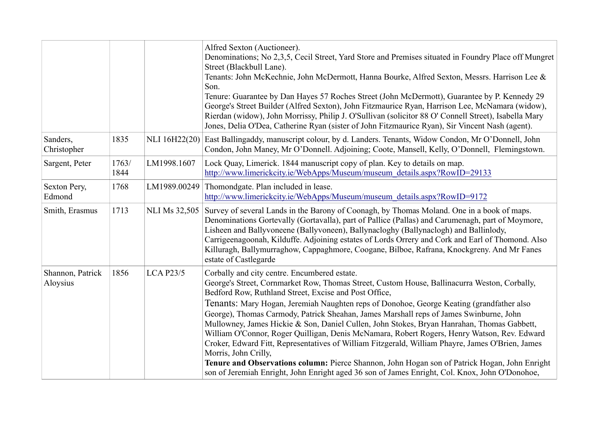|                              |               |                      | Alfred Sexton (Auctioneer).<br>Denominations; No 2,3,5, Cecil Street, Yard Store and Premises situated in Foundry Place off Mungret<br>Street (Blackbull Lane).<br>Tenants: John McKechnie, John McDermott, Hanna Bourke, Alfred Sexton, Messrs. Harrison Lee &<br>Son.<br>Tenure: Guarantee by Dan Hayes 57 Roches Street (John McDermott), Guarantee by P. Kennedy 29<br>George's Street Builder (Alfred Sexton), John Fitzmaurice Ryan, Harrison Lee, McNamara (widow),<br>Rierdan (widow), John Morrissy, Philip J. O'Sullivan (solicitor 88 O' Connell Street), Isabella Mary<br>Jones, Delia O'Dea, Catherine Ryan (sister of John Fitzmaurice Ryan), Sir Vincent Nash (agent).                                                                                                                                                                                                                                   |
|------------------------------|---------------|----------------------|-------------------------------------------------------------------------------------------------------------------------------------------------------------------------------------------------------------------------------------------------------------------------------------------------------------------------------------------------------------------------------------------------------------------------------------------------------------------------------------------------------------------------------------------------------------------------------------------------------------------------------------------------------------------------------------------------------------------------------------------------------------------------------------------------------------------------------------------------------------------------------------------------------------------------|
| Sanders,<br>Christopher      | 1835          |                      | NLI 16H22(20) East Ballingaddy, manuscript colour, by d. Landers. Tenants, Widow Condon, Mr O'Donnell, John<br>Condon, John Maney, Mr O'Donnell. Adjoining; Coote, Mansell, Kelly, O'Donnell, Flemingstown.                                                                                                                                                                                                                                                                                                                                                                                                                                                                                                                                                                                                                                                                                                             |
| Sargent, Peter               | 1763/<br>1844 | LM1998.1607          | Lock Quay, Limerick. 1844 manuscript copy of plan. Key to details on map.<br>http://www.limerickcity.ie/WebApps/Museum/museum_details.aspx?RowID=29133                                                                                                                                                                                                                                                                                                                                                                                                                                                                                                                                                                                                                                                                                                                                                                  |
| Sexton Pery,<br>Edmond       | 1768          | LM1989.00249         | Thomondgate. Plan included in lease.<br>http://www.limerickcity.ie/WebApps/Museum/museum_details.aspx?RowID=9172                                                                                                                                                                                                                                                                                                                                                                                                                                                                                                                                                                                                                                                                                                                                                                                                        |
| Smith, Erasmus               | 1713          | <b>NLI Ms 32,505</b> | Survey of several Lands in the Barony of Coonagh, by Thomas Moland. One in a book of maps.<br>Denominations Gortevally (Gortavalla), part of Pallice (Pallas) and Carumenagh, part of Moymore,<br>Lisheen and Ballyvoneene (Ballyvoneen), Ballynacloghy (Ballynaclogh) and Ballinlody,<br>Carrigeenagoonah, Kilduffe. Adjoining estates of Lords Orrery and Cork and Earl of Thomond. Also<br>Killuragh, Ballymurraghow, Cappaghmore, Coogane, Bilboe, Rafrana, Knockgreny. And Mr Fanes<br>estate of Castlegarde                                                                                                                                                                                                                                                                                                                                                                                                       |
| Shannon, Patrick<br>Aloysius | 1856          | <b>LCA P23/5</b>     | Corbally and city centre. Encumbered estate.<br>George's Street, Cornmarket Row, Thomas Street, Custom House, Ballinacurra Weston, Corbally,<br>Bedford Row, Ruthland Street, Excise and Post Office,<br>Tenants: Mary Hogan, Jeremiah Naughten reps of Donohoe, George Keating (grandfather also<br>George), Thomas Carmody, Patrick Sheahan, James Marshall reps of James Swinburne, John<br>Mullowney, James Hickie & Son, Daniel Cullen, John Stokes, Bryan Hanrahan, Thomas Gabbett,<br>William O'Connor, Roger Quilligan, Denis McNamara, Robert Rogers, Henry Watson, Rev. Edward<br>Croker, Edward Fitt, Representatives of William Fitzgerald, William Phayre, James O'Brien, James<br>Morris, John Crilly,<br>Tenure and Observations column: Pierce Shannon, John Hogan son of Patrick Hogan, John Enright<br>son of Jeremiah Enright, John Enright aged 36 son of James Enright, Col. Knox, John O'Donohoe, |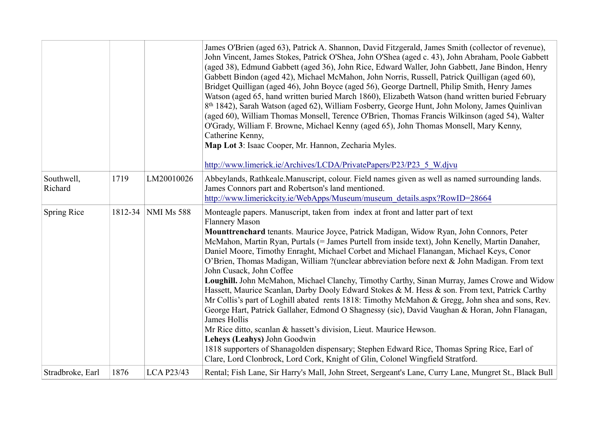|                       |         |                   | James O'Brien (aged 63), Patrick A. Shannon, David Fitzgerald, James Smith (collector of revenue),<br>John Vincent, James Stokes, Patrick O'Shea, John O'Shea (aged c. 43), John Abraham, Poole Gabbett<br>(aged 38), Edmund Gabbett (aged 36), John Rice, Edward Waller, John Gabbett, Jane Bindon, Henry<br>Gabbett Bindon (aged 42), Michael McMahon, John Norris, Russell, Patrick Quilligan (aged 60),<br>Bridget Quilligan (aged 46), John Boyce (aged 56), George Dartnell, Philip Smith, Henry James<br>Watson (aged 65, hand written buried March 1860), Elizabeth Watson (hand written buried February<br>8 <sup>th</sup> 1842), Sarah Watson (aged 62), William Fosberry, George Hunt, John Molony, James Quinlivan<br>(aged 60), William Thomas Monsell, Terence O'Brien, Thomas Francis Wilkinson (aged 54), Walter<br>O'Grady, William F. Browne, Michael Kenny (aged 65), John Thomas Monsell, Mary Kenny,<br>Catherine Kenny,<br>Map Lot 3: Isaac Cooper, Mr. Hannon, Zecharia Myles.<br>http://www.limerick.ie/Archives/LCDA/PrivatePapers/P23/P23 5 W.djvu                                                                                                                                                                     |
|-----------------------|---------|-------------------|--------------------------------------------------------------------------------------------------------------------------------------------------------------------------------------------------------------------------------------------------------------------------------------------------------------------------------------------------------------------------------------------------------------------------------------------------------------------------------------------------------------------------------------------------------------------------------------------------------------------------------------------------------------------------------------------------------------------------------------------------------------------------------------------------------------------------------------------------------------------------------------------------------------------------------------------------------------------------------------------------------------------------------------------------------------------------------------------------------------------------------------------------------------------------------------------------------------------------------------------------|
| Southwell,<br>Richard | 1719    | LM20010026        | Abbeylands, Rathkeale.Manuscript, colour. Field names given as well as named surrounding lands.<br>James Connors part and Robertson's land mentioned.<br>http://www.limerickcity.ie/WebApps/Museum/museum_details.aspx?RowID=28664                                                                                                                                                                                                                                                                                                                                                                                                                                                                                                                                                                                                                                                                                                                                                                                                                                                                                                                                                                                                               |
| Spring Rice           | 1812-34 | <b>NMI Ms 588</b> | Monteagle papers. Manuscript, taken from index at front and latter part of text<br><b>Flannery Mason</b><br>Mounttrenchard tenants. Maurice Joyce, Patrick Madigan, Widow Ryan, John Connors, Peter<br>McMahon, Martin Ryan, Purtals (= James Purtell from inside text), John Kenelly, Martin Danaher,<br>Daniel Moore, Timothy Enraght, Michael Corbet and Michael Flanangan, Michael Keys, Conor<br>O'Brien, Thomas Madigan, William ? (unclear abbreviation before next & John Madigan. From text<br>John Cusack, John Coffee<br>Loughill. John McMahon, Michael Clanchy, Timothy Carthy, Sinan Murray, James Crowe and Widow<br>Hassett, Maurice Scanlan, Darby Dooly Edward Stokes & M. Hess & son. From text, Patrick Carthy<br>Mr Collis's part of Loghill abated rents 1818: Timothy McMahon & Gregg, John shea and sons, Rev.<br>George Hart, Patrick Gallaher, Edmond O Shagnessy (sic), David Vaughan & Horan, John Flanagan,<br>James Hollis<br>Mr Rice ditto, scanlan & hassett's division, Lieut. Maurice Hewson.<br>Leheys (Leahys) John Goodwin<br>1818 supporters of Shanagolden dispensary; Stephen Edward Rice, Thomas Spring Rice, Earl of<br>Clare, Lord Clonbrock, Lord Cork, Knight of Glin, Colonel Wingfield Stratford. |
| Stradbroke, Earl      | 1876    | <b>LCA P23/43</b> | Rental; Fish Lane, Sir Harry's Mall, John Street, Sergeant's Lane, Curry Lane, Mungret St., Black Bull                                                                                                                                                                                                                                                                                                                                                                                                                                                                                                                                                                                                                                                                                                                                                                                                                                                                                                                                                                                                                                                                                                                                           |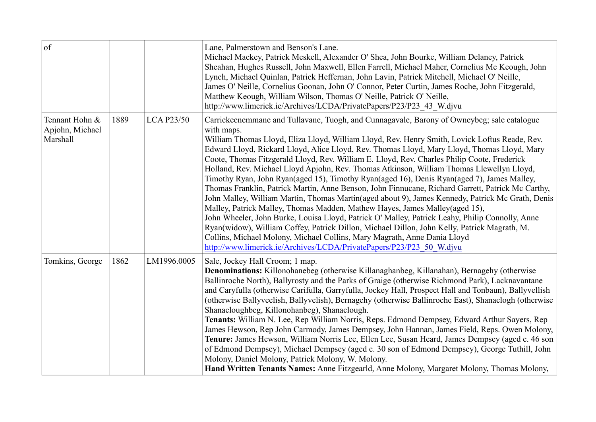| <sub>of</sub>                                 |      |                   | Lane, Palmerstown and Benson's Lane.<br>Michael Mackey, Patrick Meskell, Alexander O' Shea, John Bourke, William Delaney, Patrick<br>Sheahan, Hughes Russell, John Maxwell, Ellen Farrell, Michael Maher, Cornelius Mc Keough, John<br>Lynch, Michael Quinlan, Patrick Heffernan, John Lavin, Patrick Mitchell, Michael O' Neille,<br>James O' Neille, Cornelius Goonan, John O' Connor, Peter Curtin, James Roche, John Fitzgerald,<br>Matthew Keough, William Wilson, Thomas O' Neille, Patrick O' Neille,<br>http://www.limerick.ie/Archives/LCDA/PrivatePapers/P23/P23 43 W.djvu                                                                                                                                                                                                                                                                                                                                                                                                                                                                                                                                                                                                                                                              |
|-----------------------------------------------|------|-------------------|---------------------------------------------------------------------------------------------------------------------------------------------------------------------------------------------------------------------------------------------------------------------------------------------------------------------------------------------------------------------------------------------------------------------------------------------------------------------------------------------------------------------------------------------------------------------------------------------------------------------------------------------------------------------------------------------------------------------------------------------------------------------------------------------------------------------------------------------------------------------------------------------------------------------------------------------------------------------------------------------------------------------------------------------------------------------------------------------------------------------------------------------------------------------------------------------------------------------------------------------------|
| Tennant Hohn &<br>Apjohn, Michael<br>Marshall | 1889 | <b>LCA P23/50</b> | Carrickeenemmane and Tullavane, Tuogh, and Cunnagavale, Barony of Owneybeg; sale catalogue<br>with maps.<br>William Thomas Lloyd, Eliza Lloyd, William Lloyd, Rev. Henry Smith, Lovick Loftus Reade, Rev.<br>Edward Lloyd, Rickard Lloyd, Alice Lloyd, Rev. Thomas Lloyd, Mary Lloyd, Thomas Lloyd, Mary<br>Coote, Thomas Fitzgerald Lloyd, Rev. William E. Lloyd, Rev. Charles Philip Coote, Frederick<br>Holland, Rev. Michael Lloyd Apjohn, Rev. Thomas Atkinson, William Thomas Llewellyn Lloyd,<br>Timothy Ryan, John Ryan(aged 15), Timothy Ryan(aged 16), Denis Ryan(aged 7), James Malley,<br>Thomas Franklin, Patrick Martin, Anne Benson, John Finnucane, Richard Garrett, Patrick Mc Carthy,<br>John Malley, William Martin, Thomas Martin(aged about 9), James Kennedy, Patrick Mc Grath, Denis<br>Malley, Patrick Malley, Thomas Madden, Mathew Hayes, James Malley(aged 15),<br>John Wheeler, John Burke, Louisa Lloyd, Patrick O' Malley, Patrick Leahy, Philip Connolly, Anne<br>Ryan(widow), William Coffey, Patrick Dillon, Michael Dillon, John Kelly, Patrick Magrath, M.<br>Collins, Michael Molony, Michael Collins, Mary Magrath, Anne Dania Lloyd<br>http://www.limerick.ie/Archives/LCDA/PrivatePapers/P23/P23 50 W.djvu |
| Tomkins, George                               | 1862 | LM1996.0005       | Sale, Jockey Hall Croom; 1 map.<br>Denominations: Killonohanebeg (otherwise Killanaghanbeg, Killanahan), Bernagehy (otherwise<br>Ballinroche North), Ballyrosty and the Parks of Graige (otherwise Richmond Park), Lacknavantane<br>and Caryfulla (otherwise Carifulla, Garryfulla, Jockey Hall, Prospect Hall and Tonbaun), Ballyvellish<br>(otherwise Ballyveelish, Ballyvelish), Bernagehy (otherwise Ballinroche East), Shanaclogh (otherwise<br>Shanacloughbeg, Killonohanbeg), Shanaclough.<br>Tenants: William N. Lee, Rep William Norris, Reps. Edmond Dempsey, Edward Arthur Sayers, Rep<br>James Hewson, Rep John Carmody, James Dempsey, John Hannan, James Field, Reps. Owen Molony,<br>Tenure: James Hewson, William Norris Lee, Ellen Lee, Susan Heard, James Dempsey (aged c. 46 son<br>of Edmond Dempsey), Michael Dempsey (aged c. 30 son of Edmond Dempsey), George Tuthill, John<br>Molony, Daniel Molony, Patrick Molony, W. Molony.<br>Hand Written Tenants Names: Anne Fitzgearld, Anne Molony, Margaret Molony, Thomas Molony,                                                                                                                                                                                             |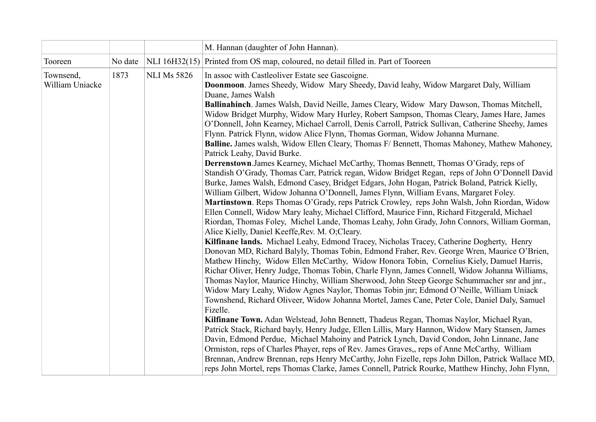|                              |         |                    | M. Hannan (daughter of John Hannan).                                                                                                                                                                                                                                                                                                                                                                                                                                                                                                                                                                                                                                                                                                                                                                                                                                                                                                                                                                                                                                                                                                                                                                                                                                                                                                                                                                                                                                                                                                                                                                                                                                                                                                                                                                                                                                                                                                                                                                                                                                                                                                                                                                                                                                                                                                                                                                                                                                                                                                                                                                                                                                                                                            |
|------------------------------|---------|--------------------|---------------------------------------------------------------------------------------------------------------------------------------------------------------------------------------------------------------------------------------------------------------------------------------------------------------------------------------------------------------------------------------------------------------------------------------------------------------------------------------------------------------------------------------------------------------------------------------------------------------------------------------------------------------------------------------------------------------------------------------------------------------------------------------------------------------------------------------------------------------------------------------------------------------------------------------------------------------------------------------------------------------------------------------------------------------------------------------------------------------------------------------------------------------------------------------------------------------------------------------------------------------------------------------------------------------------------------------------------------------------------------------------------------------------------------------------------------------------------------------------------------------------------------------------------------------------------------------------------------------------------------------------------------------------------------------------------------------------------------------------------------------------------------------------------------------------------------------------------------------------------------------------------------------------------------------------------------------------------------------------------------------------------------------------------------------------------------------------------------------------------------------------------------------------------------------------------------------------------------------------------------------------------------------------------------------------------------------------------------------------------------------------------------------------------------------------------------------------------------------------------------------------------------------------------------------------------------------------------------------------------------------------------------------------------------------------------------------------------------|
| Tooreen                      | No date |                    | NLI 16H32(15) Printed from OS map, coloured, no detail filled in. Part of Tooreen                                                                                                                                                                                                                                                                                                                                                                                                                                                                                                                                                                                                                                                                                                                                                                                                                                                                                                                                                                                                                                                                                                                                                                                                                                                                                                                                                                                                                                                                                                                                                                                                                                                                                                                                                                                                                                                                                                                                                                                                                                                                                                                                                                                                                                                                                                                                                                                                                                                                                                                                                                                                                                               |
| Townsend,<br>William Uniacke | 1873    | <b>NLI Ms 5826</b> | In assoc with Castleoliver Estate see Gascoigne.<br>Doonmoon. James Sheedy, Widow Mary Sheedy, David leahy, Widow Margaret Daly, William<br>Duane, James Walsh<br>Ballinahinch. James Walsh, David Neille, James Cleary, Widow Mary Dawson, Thomas Mitchell,<br>Widow Bridget Murphy, Widow Mary Hurley, Robert Sampson, Thomas Cleary, James Hare, James<br>O'Donnell, John Kearney, Michael Carroll, Denis Carroll, Patrick Sullivan, Catherine Sheehy, James<br>Flynn. Patrick Flynn, widow Alice Flynn, Thomas Gorman, Widow Johanna Murnane.<br>Balline. James walsh, Widow Ellen Cleary, Thomas F/ Bennett, Thomas Mahoney, Mathew Mahoney,<br>Patrick Leahy, David Burke.<br>Derrenstown.James Kearney, Michael McCarthy, Thomas Bennett, Thomas O'Grady, reps of<br>Standish O'Grady, Thomas Carr, Patrick regan, Widow Bridget Regan, reps of John O'Donnell David<br>Burke, James Walsh, Edmond Casey, Bridget Edgars, John Hogan, Patrick Boland, Patrick Kielly,<br>William Gilbert, Widow Johanna O'Donnell, James Flynn, William Evans, Margaret Foley.<br>Martinstown. Reps Thomas O'Grady, reps Patrick Crowley, reps John Walsh, John Riordan, Widow<br>Ellen Connell, Widow Mary leahy, Michael Clifford, Maurice Finn, Richard Fitzgerald, Michael<br>Riordan, Thomas Foley, Michel Lande, Thomas Leahy, John Grady, John Connors, William Gorman,<br>Alice Kielly, Daniel Keeffe, Rev. M. O; Cleary.<br>Kilfinane lands. Michael Leahy, Edmond Tracey, Nicholas Tracey, Catherine Dogherty, Henry<br>Donovan MD, Richard Balyly, Thomas Tobin, Edmond Fraher, Rev. George Wren, Maurice O'Brien,<br>Mathew Hinchy, Widow Ellen McCarthy, Widow Honora Tobin, Cornelius Kiely, Damuel Harris,<br>Richar Oliver, Henry Judge, Thomas Tobin, Charle Flynn, James Connell, Widow Johanna Williams,<br>Thomas Naylor, Maurice Hinchy, William Sherwood, John Steep George Schummacher snr and jnr.,<br>Widow Mary Leahy, Widow Agnes Naylor, Thomas Tobin jnr; Edmond O'Neille, William Uniack<br>Townshend, Richard Oliveer, Widow Johanna Mortel, James Cane, Peter Cole, Daniel Daly, Samuel<br>Fizelle.<br>Kilfinane Town. Adan Welstead, John Bennett, Thadeus Regan, Thomas Naylor, Michael Ryan,<br>Patrick Stack, Richard bayly, Henry Judge, Ellen Lillis, Mary Hannon, Widow Mary Stansen, James<br>Davin, Edmond Perdue, Michael Mahoiny and Patrick Lynch, David Condon, John Linnane, Jane<br>Ormiston, reps of Charles Phayer, reps of Rev. James Graves,, reps of Anne McCarthy, William<br>Brennan, Andrew Brennan, reps Henry McCarthy, John Fizelle, reps John Dillon, Patrick Wallace MD,<br>reps John Mortel, reps Thomas Clarke, James Connell, Patrick Rourke, Matthew Hinchy, John Flynn, |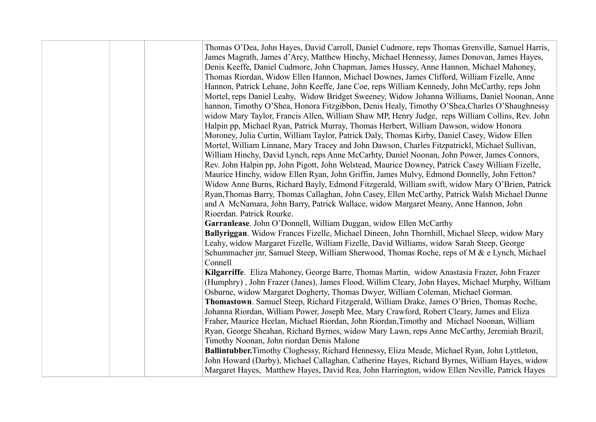|  | Thomas O'Dea, John Hayes, David Carroll, Daniel Cudmore, reps Thomas Grenville, Samuel Harris,<br>James Magrath, James d'Arcy, Matthew Hinchy, Michael Hennessy, James Donovan, James Hayes,<br>Denis Keeffe, Daniel Cudmore, John Chapman, James Hussey, Anne Hannon, Michael Mahoney,<br>Thomas Riordan, Widow Ellen Hannon, Michael Downes, James Clifford, William Fizelle, Anne<br>Hannon, Patrick Lehane, John Keeffe, Jane Coe, reps William Kennedy, John McCarthy, reps John<br>Mortel, reps Daniel Leahy, Widow Bridget Sweeney, Widow Johanna Williams, Daniel Noonan, Anne<br>hannon, Timothy O'Shea, Honora Fitzgibbon, Denis Healy, Timothy O'Shea, Charles O'Shaughnessy<br>widow Mary Taylor, Francis Allen, William Shaw MP, Henry Judge, reps William Collins, Rev. John<br>Halpin pp, Michael Ryan, Patrick Murray, Thomas Herbert, William Dawson, widow Honora<br>Moroney, Julia Curtin, William Taylor, Patrick Daly, Thomas Kirby, Daniel Casey, Widow Ellen<br>Mortel, William Linnane, Mary Tracey and John Dawson, Charles Fitzpatrickl, Michael Sullivan,<br>William Hinchy, David Lynch, reps Anne McCarhty, Daniel Noonan, John Power, James Connors,<br>Rev. John Halpin pp, John Pigott, John Welstead, Maurice Downey, Patrick Casey William Fizelle,<br>Maurice Hinchy, widow Ellen Ryan, John Griffin, James Mulvy, Edmond Donnelly, John Fetton?<br>Widow Anne Burns, Richard Bayly, Edmond Fitzgerald, William swift, widow Mary O'Brien, Patrick |
|--|---------------------------------------------------------------------------------------------------------------------------------------------------------------------------------------------------------------------------------------------------------------------------------------------------------------------------------------------------------------------------------------------------------------------------------------------------------------------------------------------------------------------------------------------------------------------------------------------------------------------------------------------------------------------------------------------------------------------------------------------------------------------------------------------------------------------------------------------------------------------------------------------------------------------------------------------------------------------------------------------------------------------------------------------------------------------------------------------------------------------------------------------------------------------------------------------------------------------------------------------------------------------------------------------------------------------------------------------------------------------------------------------------------------------------------------------------------------------------------------|
|  | Ryan, Thomas Barry, Thomas Callaghan, John Casey, Ellen McCarthy, Patrick Walsh Michael Dunne<br>and A McNamara, John Barry, Patrick Wallace, widow Margaret Meany, Anne Hannon, John                                                                                                                                                                                                                                                                                                                                                                                                                                                                                                                                                                                                                                                                                                                                                                                                                                                                                                                                                                                                                                                                                                                                                                                                                                                                                                 |
|  | Rioerdan. Patrick Rourke.                                                                                                                                                                                                                                                                                                                                                                                                                                                                                                                                                                                                                                                                                                                                                                                                                                                                                                                                                                                                                                                                                                                                                                                                                                                                                                                                                                                                                                                             |
|  | Garranlease. John O'Donnell, William Duggan, widow Ellen McCarthy                                                                                                                                                                                                                                                                                                                                                                                                                                                                                                                                                                                                                                                                                                                                                                                                                                                                                                                                                                                                                                                                                                                                                                                                                                                                                                                                                                                                                     |
|  | Ballyriggan. Widow Frances Fizelle, Michael Dineen, John Thornhill, Michael Sleep, widow Mary                                                                                                                                                                                                                                                                                                                                                                                                                                                                                                                                                                                                                                                                                                                                                                                                                                                                                                                                                                                                                                                                                                                                                                                                                                                                                                                                                                                         |
|  | Leahy, widow Margaret Fizelle, William Fizelle, David Williams, widow Sarah Steep, George                                                                                                                                                                                                                                                                                                                                                                                                                                                                                                                                                                                                                                                                                                                                                                                                                                                                                                                                                                                                                                                                                                                                                                                                                                                                                                                                                                                             |
|  | Schummacher jnr, Samuel Steep, William Sherwood, Thomas Roche, reps of M & e Lynch, Michael<br>Connell                                                                                                                                                                                                                                                                                                                                                                                                                                                                                                                                                                                                                                                                                                                                                                                                                                                                                                                                                                                                                                                                                                                                                                                                                                                                                                                                                                                |
|  | Kilgarriffe. Eliza Mahoney, George Barre, Thomas Martin, widow Anastasia Frazer, John Frazer                                                                                                                                                                                                                                                                                                                                                                                                                                                                                                                                                                                                                                                                                                                                                                                                                                                                                                                                                                                                                                                                                                                                                                                                                                                                                                                                                                                          |
|  | (Humphry), John Frazer (Janes), James Flood, Willim Cleary, John Hayes, Michael Murphy, William                                                                                                                                                                                                                                                                                                                                                                                                                                                                                                                                                                                                                                                                                                                                                                                                                                                                                                                                                                                                                                                                                                                                                                                                                                                                                                                                                                                       |
|  | Osburne, widow Margaret Dogherty, Thomas Dwyer, William Coleman, Michael Gorman.                                                                                                                                                                                                                                                                                                                                                                                                                                                                                                                                                                                                                                                                                                                                                                                                                                                                                                                                                                                                                                                                                                                                                                                                                                                                                                                                                                                                      |
|  | Thomastown. Samuel Steep, Richard Fitzgerald, William Drake, James O'Brien, Thomas Roche,                                                                                                                                                                                                                                                                                                                                                                                                                                                                                                                                                                                                                                                                                                                                                                                                                                                                                                                                                                                                                                                                                                                                                                                                                                                                                                                                                                                             |
|  | Johanna Riordan, William Power, Joseph Mee, Mary Crawford, Robert Cleary, James and Eliza                                                                                                                                                                                                                                                                                                                                                                                                                                                                                                                                                                                                                                                                                                                                                                                                                                                                                                                                                                                                                                                                                                                                                                                                                                                                                                                                                                                             |
|  | Fraher, Maurice Heelan, Michael Riordan, John Riordan, Timothy and Michael Noonan, William                                                                                                                                                                                                                                                                                                                                                                                                                                                                                                                                                                                                                                                                                                                                                                                                                                                                                                                                                                                                                                                                                                                                                                                                                                                                                                                                                                                            |
|  | Ryan, George Sheahan, Richard Byrnes, widow Mary Lawn, reps Anne McCarthy, Jeremiah Brazil,                                                                                                                                                                                                                                                                                                                                                                                                                                                                                                                                                                                                                                                                                                                                                                                                                                                                                                                                                                                                                                                                                                                                                                                                                                                                                                                                                                                           |
|  | Timothy Noonan, John riordan Denis Malone                                                                                                                                                                                                                                                                                                                                                                                                                                                                                                                                                                                                                                                                                                                                                                                                                                                                                                                                                                                                                                                                                                                                                                                                                                                                                                                                                                                                                                             |
|  | Ballintubber. Timothy Cloghessy, Richard Hennessy, Eliza Meade, Michael Ryan, John Lyttleton,                                                                                                                                                                                                                                                                                                                                                                                                                                                                                                                                                                                                                                                                                                                                                                                                                                                                                                                                                                                                                                                                                                                                                                                                                                                                                                                                                                                         |
|  | John Howard (Darby), Michael Callaghan, Catherine Hayes, Richard Byrnes, William Hayes, widow                                                                                                                                                                                                                                                                                                                                                                                                                                                                                                                                                                                                                                                                                                                                                                                                                                                                                                                                                                                                                                                                                                                                                                                                                                                                                                                                                                                         |
|  | Margaret Hayes, Matthew Hayes, David Rea, John Harrington, widow Ellen Neville, Patrick Hayes                                                                                                                                                                                                                                                                                                                                                                                                                                                                                                                                                                                                                                                                                                                                                                                                                                                                                                                                                                                                                                                                                                                                                                                                                                                                                                                                                                                         |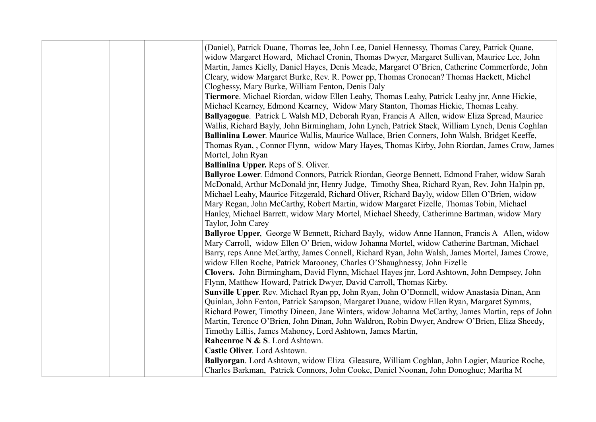| (Daniel), Patrick Duane, Thomas lee, John Lee, Daniel Hennessy, Thomas Carey, Patrick Quane,<br>widow Margaret Howard, Michael Cronin, Thomas Dwyer, Margaret Sullivan, Maurice Lee, John<br>Martin, James Kielly, Daniel Hayes, Denis Meade, Margaret O'Brien, Catherine Commerforde, John<br>Cleary, widow Margaret Burke, Rev. R. Power pp, Thomas Cronocan? Thomas Hackett, Michel<br>Cloghessy, Mary Burke, William Fenton, Denis Daly<br>Tiermore. Michael Riordan, widow Ellen Leahy, Thomas Leahy, Patrick Leahy jnr, Anne Hickie,<br>Michael Kearney, Edmond Kearney, Widow Mary Stanton, Thomas Hickie, Thomas Leahy.<br>Ballyagogue. Patrick L Walsh MD, Deborah Ryan, Francis A Allen, widow Eliza Spread, Maurice<br>Wallis, Richard Bayly, John Birmingham, John Lynch, Patrick Stack, William Lynch, Denis Coghlan<br>Ballinlina Lower. Maurice Wallis, Maurice Wallace, Brien Conners, John Walsh, Bridget Keeffe,<br>Thomas Ryan, Connor Flynn, widow Mary Hayes, Thomas Kirby, John Riordan, James Crow, James<br>Mortel, John Ryan<br><b>Ballinlina Upper.</b> Reps of S. Oliver.<br>Ballyroe Lower. Edmond Connors, Patrick Riordan, George Bennett, Edmond Fraher, widow Sarah<br>McDonald, Arthur McDonald jnr, Henry Judge, Timothy Shea, Richard Ryan, Rev. John Halpin pp,<br>Michael Leahy, Maurice Fitzgerald, Richard Oliver, Richard Bayly, widow Ellen O'Brien, widow<br>Mary Regan, John McCarthy, Robert Martin, widow Margaret Fizelle, Thomas Tobin, Michael<br>Hanley, Michael Barrett, widow Mary Mortel, Michael Sheedy, Catherimne Bartman, widow Mary<br>Taylor, John Carey<br>Ballyroe Upper, George W Bennett, Richard Bayly, widow Anne Hannon, Francis A Allen, widow<br>Mary Carroll, widow Ellen O' Brien, widow Johanna Mortel, widow Catherine Bartman, Michael<br>Barry, reps Anne McCarthy, James Connell, Richard Ryan, John Walsh, James Mortel, James Crowe,<br>widow Ellen Roche, Patrick Marooney, Charles O'Shaughnessy, John Fizelle<br>Clovers. John Birmingham, David Flynn, Michael Hayes jnr, Lord Ashtown, John Dempsey, John<br>Flynn, Matthew Howard, Patrick Dwyer, David Carroll, Thomas Kirby. |
|------------------------------------------------------------------------------------------------------------------------------------------------------------------------------------------------------------------------------------------------------------------------------------------------------------------------------------------------------------------------------------------------------------------------------------------------------------------------------------------------------------------------------------------------------------------------------------------------------------------------------------------------------------------------------------------------------------------------------------------------------------------------------------------------------------------------------------------------------------------------------------------------------------------------------------------------------------------------------------------------------------------------------------------------------------------------------------------------------------------------------------------------------------------------------------------------------------------------------------------------------------------------------------------------------------------------------------------------------------------------------------------------------------------------------------------------------------------------------------------------------------------------------------------------------------------------------------------------------------------------------------------------------------------------------------------------------------------------------------------------------------------------------------------------------------------------------------------------------------------------------------------------------------------------------------------------------------------------------------------------------------------------------------------------------------------------------------------------------------------------------------------------------------------|
| Sunville Upper. Rev. Michael Ryan pp, John Ryan, John O'Donnell, widow Anastasia Dinan, Ann                                                                                                                                                                                                                                                                                                                                                                                                                                                                                                                                                                                                                                                                                                                                                                                                                                                                                                                                                                                                                                                                                                                                                                                                                                                                                                                                                                                                                                                                                                                                                                                                                                                                                                                                                                                                                                                                                                                                                                                                                                                                      |
| Quinlan, John Fenton, Patrick Sampson, Margaret Duane, widow Ellen Ryan, Margaret Symms,                                                                                                                                                                                                                                                                                                                                                                                                                                                                                                                                                                                                                                                                                                                                                                                                                                                                                                                                                                                                                                                                                                                                                                                                                                                                                                                                                                                                                                                                                                                                                                                                                                                                                                                                                                                                                                                                                                                                                                                                                                                                         |
| Richard Power, Timothy Dineen, Jane Winters, widow Johanna McCarthy, James Martin, reps of John                                                                                                                                                                                                                                                                                                                                                                                                                                                                                                                                                                                                                                                                                                                                                                                                                                                                                                                                                                                                                                                                                                                                                                                                                                                                                                                                                                                                                                                                                                                                                                                                                                                                                                                                                                                                                                                                                                                                                                                                                                                                  |
| Martin, Terence O'Brien, John Dinan, John Waldron, Robin Dwyer, Andrew O'Brien, Eliza Sheedy,                                                                                                                                                                                                                                                                                                                                                                                                                                                                                                                                                                                                                                                                                                                                                                                                                                                                                                                                                                                                                                                                                                                                                                                                                                                                                                                                                                                                                                                                                                                                                                                                                                                                                                                                                                                                                                                                                                                                                                                                                                                                    |
| Timothy Lillis, James Mahoney, Lord Ashtown, James Martin,                                                                                                                                                                                                                                                                                                                                                                                                                                                                                                                                                                                                                                                                                                                                                                                                                                                                                                                                                                                                                                                                                                                                                                                                                                                                                                                                                                                                                                                                                                                                                                                                                                                                                                                                                                                                                                                                                                                                                                                                                                                                                                       |
| Raheenroe N & S. Lord Ashtown.<br>Castle Oliver. Lord Ashtown.                                                                                                                                                                                                                                                                                                                                                                                                                                                                                                                                                                                                                                                                                                                                                                                                                                                                                                                                                                                                                                                                                                                                                                                                                                                                                                                                                                                                                                                                                                                                                                                                                                                                                                                                                                                                                                                                                                                                                                                                                                                                                                   |
|                                                                                                                                                                                                                                                                                                                                                                                                                                                                                                                                                                                                                                                                                                                                                                                                                                                                                                                                                                                                                                                                                                                                                                                                                                                                                                                                                                                                                                                                                                                                                                                                                                                                                                                                                                                                                                                                                                                                                                                                                                                                                                                                                                  |
| Ballyorgan. Lord Ashtown, widow Eliza Gleasure, William Coghlan, John Logier, Maurice Roche,<br>Charles Barkman, Patrick Connors, John Cooke, Daniel Noonan, John Donoghue; Martha M                                                                                                                                                                                                                                                                                                                                                                                                                                                                                                                                                                                                                                                                                                                                                                                                                                                                                                                                                                                                                                                                                                                                                                                                                                                                                                                                                                                                                                                                                                                                                                                                                                                                                                                                                                                                                                                                                                                                                                             |
|                                                                                                                                                                                                                                                                                                                                                                                                                                                                                                                                                                                                                                                                                                                                                                                                                                                                                                                                                                                                                                                                                                                                                                                                                                                                                                                                                                                                                                                                                                                                                                                                                                                                                                                                                                                                                                                                                                                                                                                                                                                                                                                                                                  |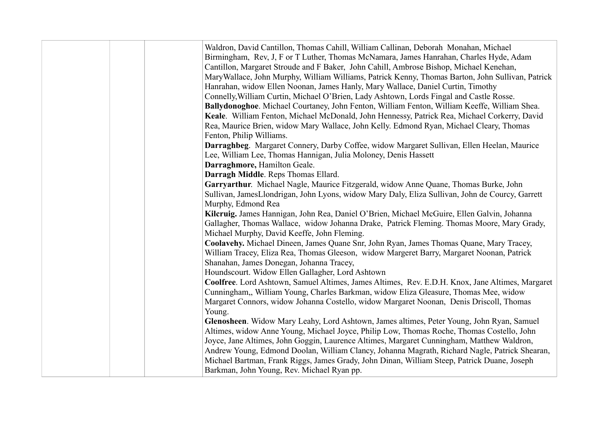|  | Waldron, David Cantillon, Thomas Cahill, William Callinan, Deborah Monahan, Michael<br>Birmingham, Rev, J, F or T Luther, Thomas McNamara, James Hanrahan, Charles Hyde, Adam<br>Cantillon, Margaret Stroude and F Baker, John Cahill, Ambrose Bishop, Michael Kenehan,<br>Mary Wallace, John Murphy, William Williams, Patrick Kenny, Thomas Barton, John Sullivan, Patrick<br>Hanrahan, widow Ellen Noonan, James Hanly, Mary Wallace, Daniel Curtin, Timothy<br>Connelly, William Curtin, Michael O'Brien, Lady Ashtown, Lords Fingal and Castle Rosse.<br>Ballydonoghoe. Michael Courtaney, John Fenton, William Fenton, William Keeffe, William Shea.<br>Keale. William Fenton, Michael McDonald, John Hennessy, Patrick Rea, Michael Corkerry, David<br>Rea, Maurice Brien, widow Mary Wallace, John Kelly. Edmond Ryan, Michael Cleary, Thomas<br>Fenton, Philip Williams.<br>Darraghbeg. Margaret Connery, Darby Coffee, widow Margaret Sullivan, Ellen Heelan, Maurice<br>Lee, William Lee, Thomas Hannigan, Julia Moloney, Denis Hassett<br>Darraghmore, Hamilton Geale.<br>Darragh Middle. Reps Thomas Ellard.<br>Garryarthur. Michael Nagle, Maurice Fitzgerald, widow Anne Quane, Thomas Burke, John |
|--|-------------------------------------------------------------------------------------------------------------------------------------------------------------------------------------------------------------------------------------------------------------------------------------------------------------------------------------------------------------------------------------------------------------------------------------------------------------------------------------------------------------------------------------------------------------------------------------------------------------------------------------------------------------------------------------------------------------------------------------------------------------------------------------------------------------------------------------------------------------------------------------------------------------------------------------------------------------------------------------------------------------------------------------------------------------------------------------------------------------------------------------------------------------------------------------------------------------------|
|  | Sullivan, JamesLlondrigan, John Lyons, widow Mary Daly, Eliza Sullivan, John de Courcy, Garrett<br>Murphy, Edmond Rea                                                                                                                                                                                                                                                                                                                                                                                                                                                                                                                                                                                                                                                                                                                                                                                                                                                                                                                                                                                                                                                                                             |
|  | Kilcruig. James Hannigan, John Rea, Daniel O'Brien, Michael McGuire, Ellen Galvin, Johanna<br>Gallagher, Thomas Wallace, widow Johanna Drake, Patrick Fleming. Thomas Moore, Mary Grady,<br>Michael Murphy, David Keeffe, John Fleming.                                                                                                                                                                                                                                                                                                                                                                                                                                                                                                                                                                                                                                                                                                                                                                                                                                                                                                                                                                           |
|  | Coolavehy. Michael Dineen, James Quane Snr, John Ryan, James Thomas Quane, Mary Tracey,<br>William Tracey, Eliza Rea, Thomas Gleeson, widow Margeret Barry, Margaret Noonan, Patrick<br>Shanahan, James Donegan, Johanna Tracey,                                                                                                                                                                                                                                                                                                                                                                                                                                                                                                                                                                                                                                                                                                                                                                                                                                                                                                                                                                                  |
|  | Houndscourt. Widow Ellen Gallagher, Lord Ashtown                                                                                                                                                                                                                                                                                                                                                                                                                                                                                                                                                                                                                                                                                                                                                                                                                                                                                                                                                                                                                                                                                                                                                                  |
|  | Coolfree. Lord Ashtown, Samuel Altimes, James Altimes, Rev. E.D.H. Knox, Jane Altimes, Margaret<br>Cunningham,, William Young, Charles Barkman, widow Eliza Gleasure, Thomas Mee, widow                                                                                                                                                                                                                                                                                                                                                                                                                                                                                                                                                                                                                                                                                                                                                                                                                                                                                                                                                                                                                           |
|  | Margaret Connors, widow Johanna Costello, widow Margaret Noonan, Denis Driscoll, Thomas                                                                                                                                                                                                                                                                                                                                                                                                                                                                                                                                                                                                                                                                                                                                                                                                                                                                                                                                                                                                                                                                                                                           |
|  | Young.                                                                                                                                                                                                                                                                                                                                                                                                                                                                                                                                                                                                                                                                                                                                                                                                                                                                                                                                                                                                                                                                                                                                                                                                            |
|  | Glenosheen. Widow Mary Leahy, Lord Ashtown, James altimes, Peter Young, John Ryan, Samuel                                                                                                                                                                                                                                                                                                                                                                                                                                                                                                                                                                                                                                                                                                                                                                                                                                                                                                                                                                                                                                                                                                                         |
|  | Altimes, widow Anne Young, Michael Joyce, Philip Low, Thomas Roche, Thomas Costello, John                                                                                                                                                                                                                                                                                                                                                                                                                                                                                                                                                                                                                                                                                                                                                                                                                                                                                                                                                                                                                                                                                                                         |
|  | Joyce, Jane Altimes, John Goggin, Laurence Altimes, Margaret Cunningham, Matthew Waldron,                                                                                                                                                                                                                                                                                                                                                                                                                                                                                                                                                                                                                                                                                                                                                                                                                                                                                                                                                                                                                                                                                                                         |
|  | Andrew Young, Edmond Doolan, William Clancy, Johanna Magrath, Richard Nagle, Patrick Shearan,                                                                                                                                                                                                                                                                                                                                                                                                                                                                                                                                                                                                                                                                                                                                                                                                                                                                                                                                                                                                                                                                                                                     |
|  | Michael Bartman, Frank Riggs, James Grady, John Dinan, William Steep, Patrick Duane, Joseph                                                                                                                                                                                                                                                                                                                                                                                                                                                                                                                                                                                                                                                                                                                                                                                                                                                                                                                                                                                                                                                                                                                       |
|  | Barkman, John Young, Rev. Michael Ryan pp.                                                                                                                                                                                                                                                                                                                                                                                                                                                                                                                                                                                                                                                                                                                                                                                                                                                                                                                                                                                                                                                                                                                                                                        |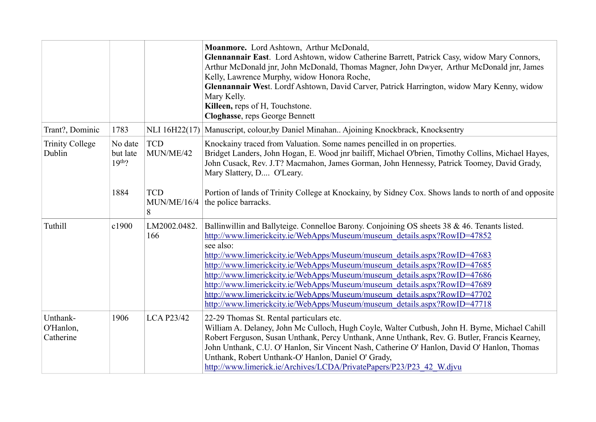|                                    |                                 |                                | Moanmore. Lord Ashtown, Arthur McDonald,<br>Glennannair East. Lord Ashtown, widow Catherine Barrett, Patrick Casy, widow Mary Connors,<br>Arthur McDonald jnr, John McDonald, Thomas Magner, John Dwyer, Arthur McDonald jnr, James<br>Kelly, Lawrence Murphy, widow Honora Roche,<br>Glennannair West. Lordf Ashtown, David Carver, Patrick Harrington, widow Mary Kenny, widow<br>Mary Kelly.<br>Killeen, reps of H, Touchstone.<br>Cloghasse, reps George Bennett                                                                                                                                                                                                 |
|------------------------------------|---------------------------------|--------------------------------|----------------------------------------------------------------------------------------------------------------------------------------------------------------------------------------------------------------------------------------------------------------------------------------------------------------------------------------------------------------------------------------------------------------------------------------------------------------------------------------------------------------------------------------------------------------------------------------------------------------------------------------------------------------------|
| Trant?, Dominic                    | 1783                            |                                | NLI 16H22(17) Manuscript, colour, by Daniel Minahan Ajoining Knockbrack, Knocksentry                                                                                                                                                                                                                                                                                                                                                                                                                                                                                                                                                                                 |
| <b>Trinity College</b><br>Dublin   | No date<br>but late<br>$19th$ ? | <b>TCD</b><br>MUN/ME/42        | Knockainy traced from Valuation. Some names pencilled in on properties.<br>Bridget Landers, John Hogan, E. Wood jnr bailiff, Michael O'brien, Timothy Collins, Michael Hayes,<br>John Cusack, Rev. J.T? Macmahon, James Gorman, John Hennessy, Patrick Toomey, David Grady,<br>Mary Slattery, D O'Leary.                                                                                                                                                                                                                                                                                                                                                             |
|                                    | 1884                            | <b>TCD</b><br>MUN/ME/16/4<br>8 | Portion of lands of Trinity College at Knockainy, by Sidney Cox. Shows lands to north of and opposite<br>the police barracks.                                                                                                                                                                                                                                                                                                                                                                                                                                                                                                                                        |
| Tuthill                            | c1900                           | LM2002.0482.<br>166            | Ballinwillin and Ballyteige. Connelloe Barony. Conjoining OS sheets 38 & 46. Tenants listed.<br>http://www.limerickcity.ie/WebApps/Museum/museum_details.aspx?RowID=47852<br>see also:<br>http://www.limerickcity.ie/WebApps/Museum/museum_details.aspx?RowID=47683<br>http://www.limerickcity.ie/WebApps/Museum/museum_details.aspx?RowID=47685<br>http://www.limerickcity.ie/WebApps/Museum/museum_details.aspx?RowID=47686<br>http://www.limerickcity.ie/WebApps/Museum/museum_details.aspx?RowID=47689<br>http://www.limerickcity.ie/WebApps/Museum/museum_details.aspx?RowID=47702<br>http://www.limerickcity.ie/WebApps/Museum/museum_details.aspx?RowID=47718 |
| Unthank-<br>O'Hanlon,<br>Catherine | 1906                            | <b>LCA P23/42</b>              | 22-29 Thomas St. Rental particulars etc.<br>William A. Delaney, John Mc Culloch, Hugh Coyle, Walter Cutbush, John H. Byrne, Michael Cahill<br>Robert Ferguson, Susan Unthank, Percy Unthank, Anne Unthank, Rev. G. Butler, Francis Kearney,<br>John Unthank, C.U. O' Hanlon, Sir Vincent Nash, Catherine O' Hanlon, David O' Hanlon, Thomas<br>Unthank, Robert Unthank-O' Hanlon, Daniel O' Grady,<br>http://www.limerick.ie/Archives/LCDA/PrivatePapers/P23/P23 42 W.djvu                                                                                                                                                                                           |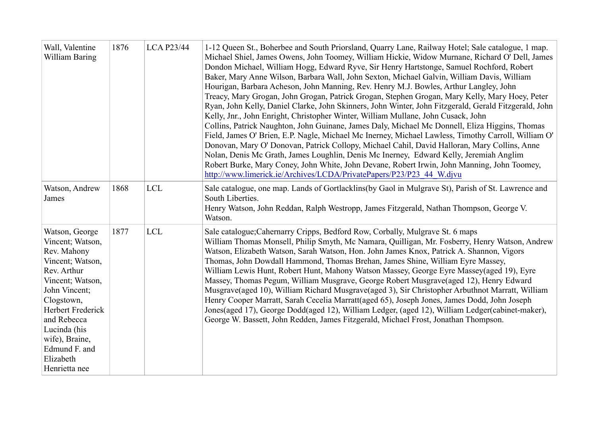| Wall, Valentine<br>William Baring                                                                                                                                                                                                                            | 1876 | <b>LCA P23/44</b> | 1-12 Queen St., Boherbee and South Priorsland, Quarry Lane, Railway Hotel; Sale catalogue, 1 map.<br>Michael Shiel, James Owens, John Toomey, William Hickie, Widow Murnane, Richard O' Dell, James<br>Dondon Michael, William Hogg, Edward Ryve, Sir Henry Hartstonge, Samuel Rochford, Robert<br>Baker, Mary Anne Wilson, Barbara Wall, John Sexton, Michael Galvin, William Davis, William<br>Hourigan, Barbara Acheson, John Manning, Rev. Henry M.J. Bowles, Arthur Langley, John<br>Treacy, Mary Grogan, John Grogan, Patrick Grogan, Stephen Grogan, Mary Kelly, Mary Hoey, Peter<br>Ryan, John Kelly, Daniel Clarke, John Skinners, John Winter, John Fitzgerald, Gerald Fitzgerald, John<br>Kelly, Jnr., John Enright, Christopher Winter, William Mullane, John Cusack, John<br>Collins, Patrick Naughton, John Guinane, James Daly, Michael Mc Donnell, Eliza Higgins, Thomas<br>Field, James O' Brien, E.P. Nagle, Michael Mc Inerney, Michael Lawless, Timothy Carroll, William O'<br>Donovan, Mary O' Donovan, Patrick Collopy, Michael Cahil, David Halloran, Mary Collins, Anne<br>Nolan, Denis Mc Grath, James Loughlin, Denis Mc Inerney, Edward Kelly, Jeremiah Anglim<br>Robert Burke, Mary Coney, John White, John Devane, Robert Irwin, John Manning, John Toomey,<br>http://www.limerick.ie/Archives/LCDA/PrivatePapers/P23/P23 44 W.djvu |
|--------------------------------------------------------------------------------------------------------------------------------------------------------------------------------------------------------------------------------------------------------------|------|-------------------|------------------------------------------------------------------------------------------------------------------------------------------------------------------------------------------------------------------------------------------------------------------------------------------------------------------------------------------------------------------------------------------------------------------------------------------------------------------------------------------------------------------------------------------------------------------------------------------------------------------------------------------------------------------------------------------------------------------------------------------------------------------------------------------------------------------------------------------------------------------------------------------------------------------------------------------------------------------------------------------------------------------------------------------------------------------------------------------------------------------------------------------------------------------------------------------------------------------------------------------------------------------------------------------------------------------------------------------------------------------|
| Watson, Andrew<br>James                                                                                                                                                                                                                                      | 1868 | <b>LCL</b>        | Sale catalogue, one map. Lands of Gortlacklins (by Gaol in Mulgrave St), Parish of St. Lawrence and<br>South Liberties.<br>Henry Watson, John Reddan, Ralph Westropp, James Fitzgerald, Nathan Thompson, George V.<br>Watson.                                                                                                                                                                                                                                                                                                                                                                                                                                                                                                                                                                                                                                                                                                                                                                                                                                                                                                                                                                                                                                                                                                                                    |
| Watson, George<br>Vincent; Watson,<br>Rev. Mahony<br>Vincent; Watson,<br>Rev. Arthur<br>Vincent; Watson,<br>John Vincent;<br>Clogstown,<br>Herbert Frederick<br>and Rebecca<br>Lucinda (his<br>wife), Braine,<br>Edmund F. and<br>Elizabeth<br>Henrietta nee | 1877 | <b>LCL</b>        | Sale catalogue; Cahernarry Cripps, Bedford Row, Corbally, Mulgrave St. 6 maps<br>William Thomas Monsell, Philip Smyth, Mc Namara, Quilligan, Mr. Fosberry, Henry Watson, Andrew<br>Watson, Elizabeth Watson, Sarah Watson, Hon. John James Knox, Patrick A. Shannon, Vigors<br>Thomas, John Dowdall Hammond, Thomas Brehan, James Shine, William Eyre Massey,<br>William Lewis Hunt, Robert Hunt, Mahony Watson Massey, George Eyre Massey(aged 19), Eyre<br>Massey, Thomas Pegum, William Musgrave, George Robert Musgrave(aged 12), Henry Edward<br>Musgrave(aged 10), William Richard Musgrave(aged 3), Sir Christopher Arbuthnot Marratt, William<br>Henry Cooper Marratt, Sarah Cecelia Marratt(aged 65), Joseph Jones, James Dodd, John Joseph<br>Jones(aged 17), George Dodd(aged 12), William Ledger, (aged 12), William Ledger(cabinet-maker),<br>George W. Bassett, John Redden, James Fitzgerald, Michael Frost, Jonathan Thompson.                                                                                                                                                                                                                                                                                                                                                                                                                   |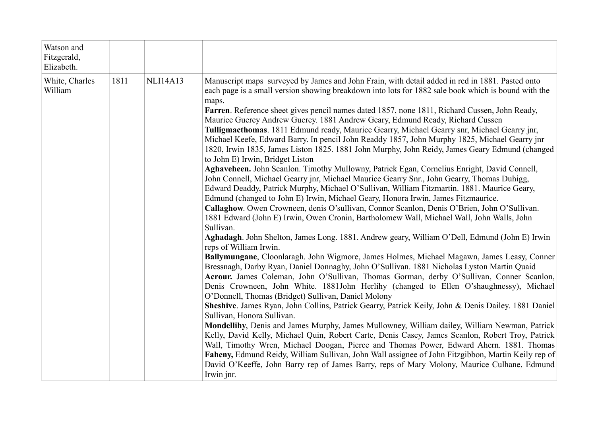| Watson and<br>Fitzgerald,<br>Elizabeth. |      |                 |                                                                                                                                                                                                                                                                                                                                                                                                                                                                                                                                                                                                                                                                                                                                                                                                                                                                                                                                                                                                                                                                                                                                                                                                                                                                                                                                                                                                                                                                                                                                                                                                                                                                                                                                                                                                                                                                                                                                                                                                                                                                                                                                                                                                                                                                                                                                                                                                                                                                                                                                                              |
|-----------------------------------------|------|-----------------|--------------------------------------------------------------------------------------------------------------------------------------------------------------------------------------------------------------------------------------------------------------------------------------------------------------------------------------------------------------------------------------------------------------------------------------------------------------------------------------------------------------------------------------------------------------------------------------------------------------------------------------------------------------------------------------------------------------------------------------------------------------------------------------------------------------------------------------------------------------------------------------------------------------------------------------------------------------------------------------------------------------------------------------------------------------------------------------------------------------------------------------------------------------------------------------------------------------------------------------------------------------------------------------------------------------------------------------------------------------------------------------------------------------------------------------------------------------------------------------------------------------------------------------------------------------------------------------------------------------------------------------------------------------------------------------------------------------------------------------------------------------------------------------------------------------------------------------------------------------------------------------------------------------------------------------------------------------------------------------------------------------------------------------------------------------------------------------------------------------------------------------------------------------------------------------------------------------------------------------------------------------------------------------------------------------------------------------------------------------------------------------------------------------------------------------------------------------------------------------------------------------------------------------------------------------|
| White, Charles<br>William               | 1811 | <b>NLI14A13</b> | Manuscript maps surveyed by James and John Frain, with detail added in red in 1881. Pasted onto<br>each page is a small version showing breakdown into lots for 1882 sale book which is bound with the<br>maps.<br>Farren. Reference sheet gives pencil names dated 1857, none 1811, Richard Cussen, John Ready,<br>Maurice Guerey Andrew Guerey. 1881 Andrew Geary, Edmund Ready, Richard Cussen<br>Tulligmacthomas. 1811 Edmund ready, Maurice Gearry, Michael Gearry snr, Michael Gearry jnr,<br>Michael Keefe, Edward Barry. In pencil John Readdy 1857, John Murphy 1825, Michael Gearry jnr<br>1820, Irwin 1835, James Liston 1825. 1881 John Murphy, John Reidy, James Geary Edmund (changed<br>to John E) Irwin, Bridget Liston<br>Aghaveheen. John Scanlon. Timothy Mullowny, Patrick Egan, Cornelius Enright, David Connell,<br>John Connell, Michael Gearry jnr, Michael Maurice Gearry Snr., John Gearry, Thomas Duhigg,<br>Edward Deaddy, Patrick Murphy, Michael O'Sullivan, William Fitzmartin. 1881. Maurice Geary,<br>Edmund (changed to John E) Irwin, Michael Geary, Honora Irwin, James Fitzmaurice.<br>Callaghow. Owen Crowneen, denis O'sullivan, Connor Scanlon, Denis O'Brien, John O'Sullivan.<br>1881 Edward (John E) Irwin, Owen Cronin, Bartholomew Wall, Michael Wall, John Walls, John<br>Sullivan.<br>Aghadagh. John Shelton, James Long. 1881. Andrew geary, William O'Dell, Edmund (John E) Irwin<br>reps of William Irwin.<br>Ballymungane, Cloonlaragh. John Wigmore, James Holmes, Michael Magawn, James Leasy, Conner<br>Bressnagh, Darby Ryan, Daniel Donnaghy, John O'Sullivan. 1881 Nicholas Lyston Martin Quaid<br>Acrour. James Coleman, John O'Sullivan, Thomas Gorman, derby O'Sullivan, Conner Scanlon,<br>Denis Crowneen, John White. 1881John Herlihy (changed to Ellen O'shaughnessy), Michael<br>O'Donnell, Thomas (Bridget) Sullivan, Daniel Molony<br>Sheshive. James Ryan, John Collins, Patrick Gearry, Patrick Keily, John & Denis Dailey. 1881 Daniel<br>Sullivan, Honora Sullivan.<br>Mondellihy, Denis and James Murphy, James Mullowney, William dailey, William Newman, Patrick<br>Kelly, David Kelly, Michael Quin, Robert Carte, Denis Casey, James Scanlon, Robert Troy, Patrick<br>Wall, Timothy Wren, Michael Doogan, Pierce and Thomas Power, Edward Ahern. 1881. Thomas<br>Faheny, Edmund Reidy, William Sullivan, John Wall assignee of John Fitzgibbon, Martin Keily rep of<br>David O'Keeffe, John Barry rep of James Barry, reps of Mary Molony, Maurice Culhane, Edmund<br>Irwin jnr. |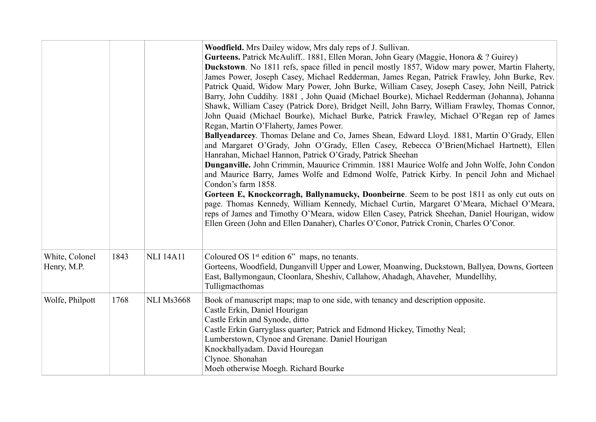|                               |      |                   | <b>Woodfield.</b> Mrs Dailey widow, Mrs daly reps of J. Sullivan.<br>Gurteens. Patrick McAuliff 1881, Ellen Moran, John Geary (Maggie, Honora & ? Guirey)<br><b>Duckstown</b> . No 1811 refs, space filled in pencil mostly 1857, Widow mary power, Martin Flaherty,<br>James Power, Joseph Casey, Michael Redderman, James Regan, Patrick Frawley, John Burke, Rev.<br>Patrick Quaid, Widow Mary Power, John Burke, William Casey, Joseph Casey, John Neill, Patrick<br>Barry, John Cuddihy. 1881, John Quaid (Michael Bourke), Michael Redderman (Johanna), Johanna<br>Shawk, William Casey (Patrick Dore), Bridget Neill, John Barry, William Frawley, Thomas Connor,<br>John Quaid (Michael Bourke), Michael Burke, Patrick Frawley, Michael O'Regan rep of James<br>Regan, Martin O'Flaherty, James Power.<br>Ballyeadarcey. Thomas Delane and Co, James Shean, Edward Lloyd. 1881, Martin O'Grady, Ellen<br>and Margaret O'Grady, John O'Grady, Ellen Casey, Rebecca O'Brien(Michael Hartnett), Ellen<br>Hanrahan, Michael Hannon, Patrick O'Grady, Patrick Sheehan<br>Dunganville. John Crimmin, Mauurice Crimmin. 1881 Maurice Wolfe and John Wolfe, John Condon<br>and Maurice Barry, James Wolfe and Edmond Wolfe, Patrick Kirby. In pencil John and Michael<br>Condon's farm 1858.<br>Gorteen E, Knockcorragh, Ballynamucky, Doonbeirne. Seem to be post 1811 as only cut outs on<br>page. Thomas Kennedy, William Kennedy, Michael Curtin, Margaret O'Meara, Michael O'Meara,<br>reps of James and Timothy O'Meara, widow Ellen Casey, Patrick Sheehan, Daniel Hourigan, widow<br>Ellen Green (John and Ellen Danaher), Charles O'Conor, Patrick Cronin, Charles O'Conor. |
|-------------------------------|------|-------------------|---------------------------------------------------------------------------------------------------------------------------------------------------------------------------------------------------------------------------------------------------------------------------------------------------------------------------------------------------------------------------------------------------------------------------------------------------------------------------------------------------------------------------------------------------------------------------------------------------------------------------------------------------------------------------------------------------------------------------------------------------------------------------------------------------------------------------------------------------------------------------------------------------------------------------------------------------------------------------------------------------------------------------------------------------------------------------------------------------------------------------------------------------------------------------------------------------------------------------------------------------------------------------------------------------------------------------------------------------------------------------------------------------------------------------------------------------------------------------------------------------------------------------------------------------------------------------------------------------------------------------------------------------------------------------------------|
| White, Colonel<br>Henry, M.P. | 1843 | <b>NLI 14A11</b>  | Coloured OS $1st$ edition 6" maps, no tenants.<br>Gorteens, Woodfield, Dunganvill Upper and Lower, Moanwing, Duckstown, Ballyea, Downs, Gorteen<br>East, Ballymongaun, Cloonlara, Sheshiv, Callahow, Ahadagh, Ahaveher, Mundellihy,<br>Tulligmacthomas                                                                                                                                                                                                                                                                                                                                                                                                                                                                                                                                                                                                                                                                                                                                                                                                                                                                                                                                                                                                                                                                                                                                                                                                                                                                                                                                                                                                                                |
| Wolfe, Philpott               | 1768 | <b>NLI Ms3668</b> | Book of manuscript maps; map to one side, with tenancy and description opposite.<br>Castle Erkin, Daniel Hourigan<br>Castle Erkin and Synode, ditto<br>Castle Erkin Garryglass quarter; Patrick and Edmond Hickey, Timothy Neal;<br>Lumberstown, Clynoe and Grenane. Daniel Hourigan<br>Knockballyadam. David Houregan<br>Clynoe. Shonahan<br>Moeh otherwise Moegh. Richard Bourke                                                                                                                                                                                                                                                                                                                                                                                                                                                                                                                                                                                                                                                                                                                                                                                                                                                                                                                                                                                                                                                                                                                                                                                                                                                                                                    |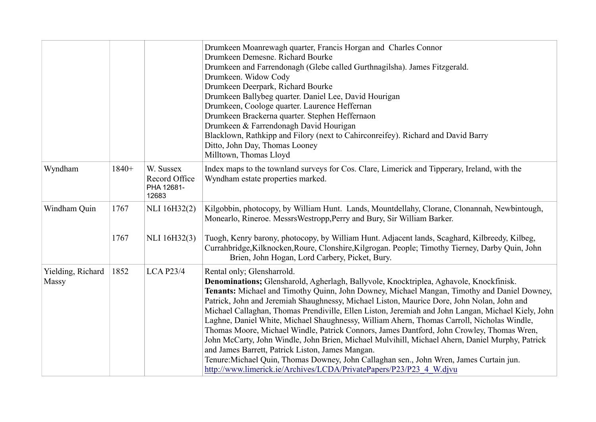|                            |         |                                                   | Drumkeen Moanrewagh quarter, Francis Horgan and Charles Connor<br>Drumkeen Demesne. Richard Bourke<br>Drumkeen and Farrendonagh (Glebe called Gurthnagilsha). James Fitzgerald.<br>Drumkeen. Widow Cody<br>Drumkeen Deerpark, Richard Bourke<br>Drumkeen Ballybeg quarter. Daniel Lee, David Hourigan<br>Drumkeen, Coologe quarter. Laurence Heffernan<br>Drumkeen Brackerna quarter. Stephen Heffernaon<br>Drumkeen & Farrendonagh David Hourigan<br>Blacklown, Rathkipp and Filory (next to Cahirconreifey). Richard and David Barry<br>Ditto, John Day, Thomas Looney<br>Milltown, Thomas Lloyd                                                                                                                                                                                                                                                                                                                                          |
|----------------------------|---------|---------------------------------------------------|---------------------------------------------------------------------------------------------------------------------------------------------------------------------------------------------------------------------------------------------------------------------------------------------------------------------------------------------------------------------------------------------------------------------------------------------------------------------------------------------------------------------------------------------------------------------------------------------------------------------------------------------------------------------------------------------------------------------------------------------------------------------------------------------------------------------------------------------------------------------------------------------------------------------------------------------|
| Wyndham                    | $1840+$ | W. Sussex<br>Record Office<br>PHA 12681-<br>12683 | Index maps to the townland surveys for Cos. Clare, Limerick and Tipperary, Ireland, with the<br>Wyndham estate properties marked.                                                                                                                                                                                                                                                                                                                                                                                                                                                                                                                                                                                                                                                                                                                                                                                                           |
| Windham Quin               | 1767    | NLI 16H32(2)                                      | Kilgobbin, photocopy, by William Hunt. Lands, Mountdellahy, Clorane, Clonannah, Newbintough,<br>Monearlo, Rineroe. MessrsWestropp, Perry and Bury, Sir William Barker.                                                                                                                                                                                                                                                                                                                                                                                                                                                                                                                                                                                                                                                                                                                                                                      |
|                            | 1767    | NLI 16H32(3)                                      | Tuogh, Kenry barony, photocopy, by William Hunt. Adjacent lands, Scaghard, Kilbreedy, Kilbeg,<br>Currahbridge, Kilknocken, Roure, Clonshire, Kilgrogan. People; Timothy Tierney, Darby Quin, John<br>Brien, John Hogan, Lord Carbery, Picket, Bury.                                                                                                                                                                                                                                                                                                                                                                                                                                                                                                                                                                                                                                                                                         |
| Yielding, Richard<br>Massy | 1852    | <b>LCA P23/4</b>                                  | Rental only; Glensharrold.<br>Denominations; Glensharold, Agherlagh, Ballyvole, Knocktriplea, Aghavole, Knockfinisk.<br>Tenants: Michael and Timothy Quinn, John Downey, Michael Mangan, Timothy and Daniel Downey,<br>Patrick, John and Jeremiah Shaughnessy, Michael Liston, Maurice Dore, John Nolan, John and<br>Michael Callaghan, Thomas Prendiville, Ellen Liston, Jeremiah and John Langan, Michael Kiely, John<br>Laghne, Daniel White, Michael Shaughnessy, William Ahern, Thomas Carroll, Nicholas Windle,<br>Thomas Moore, Michael Windle, Patrick Connors, James Dantford, John Crowley, Thomas Wren,<br>John McCarty, John Windle, John Brien, Michael Mulvihill, Michael Ahern, Daniel Murphy, Patrick<br>and James Barrett, Patrick Liston, James Mangan.<br>Tenure: Michael Quin, Thomas Downey, John Callaghan sen., John Wren, James Curtain jun.<br>http://www.limerick.ie/Archives/LCDA/PrivatePapers/P23/P23 4 W.djvu |